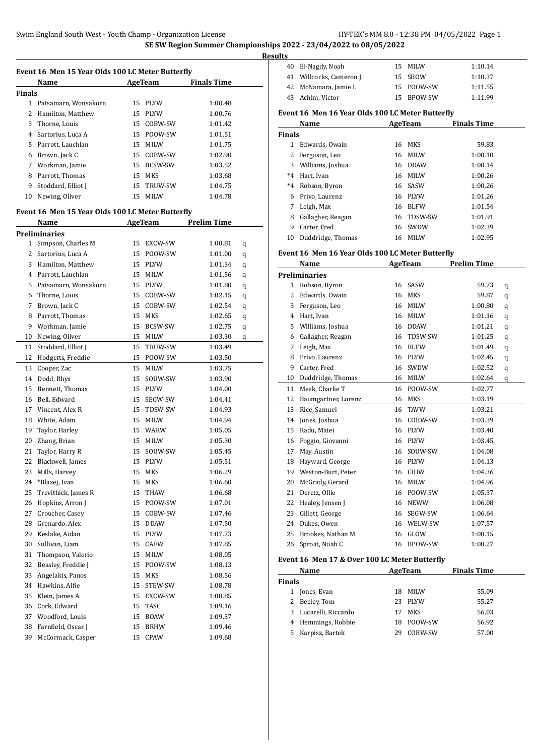|               | Event 16 Men 15 Year Olds 100 LC Meter Butterfly<br>Name |    | <b>AgeTeam</b> | <b>Finals Time</b> |   |
|---------------|----------------------------------------------------------|----|----------------|--------------------|---|
| <b>Finals</b> |                                                          |    |                |                    |   |
| $\mathbf{1}$  | Patsamarn, Wonsakorn                                     | 15 | <b>PLYW</b>    | 1:00.48            |   |
| 2             | Hamilton, Matthew                                        | 15 | <b>PLYW</b>    | 1:00.76            |   |
| 3             | Thorne, Louis                                            | 15 | COBW-SW        | 1:01.42            |   |
| 4             | Sartorius, Luca A                                        | 15 | POOW-SW        | 1:01.51            |   |
|               | 5 Parrott, Lauchlan                                      | 15 | MILW           | 1:01.75            |   |
| 6             | Brown, Jack C                                            | 15 | COBW-SW        | 1:02.90            |   |
| 7             | Workman, Jamie                                           | 15 | BCSW-SW        | 1:03.52            |   |
| 8             | Parrott, Thomas                                          | 15 | MKS            | 1:03.68            |   |
| 9             | Stoddard, Elliot J                                       | 15 | TRUW-SW        | 1:04.75            |   |
| 10            | Newing, Oliver                                           | 15 | MILW           | 1:04.78            |   |
|               |                                                          |    |                |                    |   |
|               | Event 16 Men 15 Year Olds 100 LC Meter Butterfly         |    |                |                    |   |
|               | Name                                                     |    | <b>AgeTeam</b> | <b>Prelim Time</b> |   |
|               | <b>Preliminaries</b>                                     |    |                |                    |   |
| 1             | Simpson, Charles M                                       | 15 | EXCW-SW        | 1:00.81            | q |
| 2             | Sartorius, Luca A                                        | 15 | POOW-SW        | 1:01.00            | q |
| 3             | Hamilton, Matthew                                        | 15 | <b>PLYW</b>    | 1:01.34            | q |
| 4             | Parrott, Lauchlan                                        | 15 | MILW           | 1:01.56            | q |
| 5.            | Patsamarn, Wonsakorn                                     | 15 | PLYW           | 1:01.80            | q |
| 6             | Thorne, Louis                                            | 15 | COBW-SW        | 1:02.15            | q |
| 7             | Brown, Jack C                                            | 15 | COBW-SW        | 1:02.54            | q |
| 8             | Parrott, Thomas                                          | 15 | <b>MKS</b>     | 1:02.65            | q |
| 9             | Workman, Jamie                                           | 15 | <b>BCSW-SW</b> | 1:02.75            | q |
| 10            | Newing, Oliver                                           | 15 | MILW           | 1:03.30            | q |
| 11            | Stoddard, Elliot J                                       | 15 | TRUW-SW        | 1:03.49            |   |
| 12            | Hodgetts, Freddie                                        | 15 | POOW-SW        | 1:03.50            |   |
| 13            | Cooper, Zac                                              | 15 | MILW           | 1:03.75            |   |
| 14            | Dodd, Rhys                                               | 15 | SOUW-SW        | 1:03.90            |   |
| 15            | Bennett, Thomas                                          | 15 | <b>PLYW</b>    | 1:04.00            |   |
| 16            | Bell, Edward                                             | 15 | SEGW-SW        | 1:04.41            |   |
|               | 17 Vincent, Alex R                                       | 15 | TDSW-SW        | 1:04.93            |   |
| 18            | White, Adam                                              | 15 | MILW           | 1:04.94            |   |
| 19            | Taylor, Harley                                           | 15 | WARW           | 1:05.05            |   |
| 20            | Zhang, Brian                                             | 15 | MILW           | 1:05.30            |   |
| 21            | Taylor, Harry R                                          | 15 | SOUW-SW        | 1:05.45            |   |
|               | 22 Blackwell, James                                      |    | 15 PLYW        | 1:05.51            |   |
| 23            | Mills, Harvey                                            | 15 | MKS            | 1:06.29            |   |
| 24            | *Blazej, Ivan                                            | 15 | MKS            | 1:06.60            |   |
| 25            | Trevithick, James R                                      | 15 | THAW           | 1:06.68            |   |
| 26            | Hopkins, Arron J                                         | 15 | POOW-SW        | 1:07.01            |   |
| 27            | Croucher, Casey                                          | 15 | COBW-SW        | 1:07.46            |   |
| 28            | Grenardo, Alex                                           | 15 | DDAW           | 1:07.50            |   |
| 29            | Keslake, Aidan                                           | 15 | PLYW           | 1:07.73            |   |
| 30            | Sullivan, Liam                                           | 15 | CAFW           | 1:07.85            |   |
| 31            | Thompson, Valerio                                        | 15 | MILW           | 1:08.05            |   |
| 32            | Beasley, Freddie J                                       | 15 | POOW-SW        | 1:08.13            |   |
| 33            | Angelakis, Panos                                         | 15 | MKS            | 1:08.56            |   |
| 34            | Hawkins, Alfie                                           | 15 | STEW-SW        | 1:08.78            |   |
| 35            | Klein, James A                                           | 15 | EXCW-SW        | 1:08.85            |   |
| 36            | Cork, Edward                                             | 15 | TASC           | 1:09.16            |   |
| 37            | Woodford, Louis                                          | 15 | BOAW           | 1:09.37            |   |
| 38            | Farnfield, Oscar J                                       | 15 | BRHW           | 1:09.46            |   |
| 39            | McCormack, Casper                                        | 15 | CPAW           | 1:09.68            |   |
|               |                                                          |    |                |                    |   |

| .s |                         |            |         |
|----|-------------------------|------------|---------|
|    | 40 El-Nagdy, Noah       | 15 MILW    | 1:10.14 |
|    | 41 Willcocks, Cameron J | 15 SBOW    | 1:10.37 |
|    | 42 McNamara, Jamie L    | 15 POOW-SW | 1:11.55 |
|    | 43 Achim, Victor        | 15 BPOW-SW | 1:11.99 |

#### **Event 16 Men 16 Year Olds 100 LC Meter Butterfly**

|               | Name              |    | AgeTeam     | <b>Finals Time</b> |  |
|---------------|-------------------|----|-------------|--------------------|--|
| <b>Finals</b> |                   |    |             |                    |  |
|               | Edwards, Owain    | 16 | MKS         | 59.83              |  |
| 2             | Ferguson, Leo     | 16 | <b>MILW</b> | 1:00.10            |  |
| 3             | Williams, Joshua  | 16 | <b>DDAW</b> | 1:00.14            |  |
| $*_{4}$       | Hart, Ivan        | 16 | MILW        | 1:00.26            |  |
| $*4$          | Robson, Byron     |    | 16 SASW     | 1:00.26            |  |
| 6             | Privo, Laurenz    | 16 | PLYW        | 1:01.26            |  |
| 7             | Leigh, Max        | 16 | <b>BLFW</b> | 1:01.54            |  |
| 8             | Gallagher, Reagan | 16 | TDSW-SW     | 1:01.91            |  |
| 9             | Carter, Fred      | 16 | SWDW        | 1:02.39            |  |
| 10            | Duddridge, Thomas | 16 | <b>MILW</b> | 1:02.95            |  |

### **Event 16 Men 16 Year Olds 100 LC Meter Butterfly**

|                | Name                 |    | <b>AgeTeam</b> | <b>Prelim Time</b> |   |  |
|----------------|----------------------|----|----------------|--------------------|---|--|
|                | <b>Preliminaries</b> |    |                |                    |   |  |
| 1              | Robson, Byron        | 16 | SASW           | 59.73              | q |  |
| $\overline{2}$ | Edwards, Owain       | 16 | <b>MKS</b>     | 59.87              | q |  |
| 3              | Ferguson, Leo        | 16 | <b>MILW</b>    | 1:00.80            | q |  |
| 4              | Hart, Ivan           | 16 | <b>MILW</b>    | 1:01.16            | q |  |
| 5              | Williams, Joshua     | 16 | <b>DDAW</b>    | 1:01.21            | q |  |
| 6              | Gallagher, Reagan    | 16 | TDSW-SW        | 1:01.25            | q |  |
| 7              | Leigh, Max           | 16 | <b>BLFW</b>    | 1:01.49            | q |  |
| 8              | Privo, Laurenz       | 16 | <b>PLYW</b>    | 1:02.45            | q |  |
| 9              | Carter, Fred         | 16 | SWDW           | 1:02.52            | q |  |
| 10             | Duddridge, Thomas    | 16 | <b>MILW</b>    | 1:02.64            | q |  |
| 11             | Meek, Charlie T      | 16 | POOW-SW        | 1:02.77            |   |  |
| 12             | Baumgartner, Lorenz  | 16 | <b>MKS</b>     | 1:03.19            |   |  |
| 13             | Rice, Samuel         | 16 | <b>TAVW</b>    | 1:03.21            |   |  |
| 14             | Jones, Joshua        | 16 | COBW-SW        | 1:03.39            |   |  |
| 15             | Radu, Matei          | 16 | <b>PLYW</b>    | 1:03.40            |   |  |
| 16             | Poggio, Giovanni     | 16 | <b>PLYW</b>    | 1:03.45            |   |  |
| 17             | May, Austin          | 16 | SOUW-SW        | 1:04.08            |   |  |
| 18             | Hayward, George      | 16 | <b>PLYW</b>    | 1:04.13            |   |  |
| 19             | Weston-Burt, Peter   | 16 | <b>CHIW</b>    | 1:04.36            |   |  |
| 20             | McGrady, Gerard      | 16 | <b>MILW</b>    | 1:04.96            |   |  |
| 21             | Deretz, Ollie        | 16 | POOW-SW        | 1:05.37            |   |  |
| 22             | Healey, Jensen J     | 16 | <b>NEWW</b>    | 1:06.08            |   |  |
| 23             | Gillett, George      | 16 | SEGW-SW        | 1:06.64            |   |  |
| 24             | Dukes, Owen          | 16 | WELW-SW        | 1:07.57            |   |  |
| 25             | Brookes, Nathan M    | 16 | GLOW           | 1:08.15            |   |  |
| 26             | Sproat, Noah C       | 16 | <b>BPOW-SW</b> | 1:08.27            |   |  |

#### **Event 16 Men 17 & Over 100 LC Meter Butterfly**

|               | Name                  |     | AgeTeam | <b>Finals Time</b> |  |
|---------------|-----------------------|-----|---------|--------------------|--|
| <b>Finals</b> |                       |     |         |                    |  |
| 1             | Jones, Evan           | 18. | MILW    | 55.09              |  |
|               | 2 Beeley, Tom         | 23. | PLYW    | 55.27              |  |
|               | 3 Lucarelli, Riccardo | 17  | MKS     | 56.03              |  |
|               | 4 Hemmings, Robbie    | 18. | POOW-SW | 56.92              |  |
|               | 5 Karpisz, Bartek     | 29  | COBW-SW | 57.00              |  |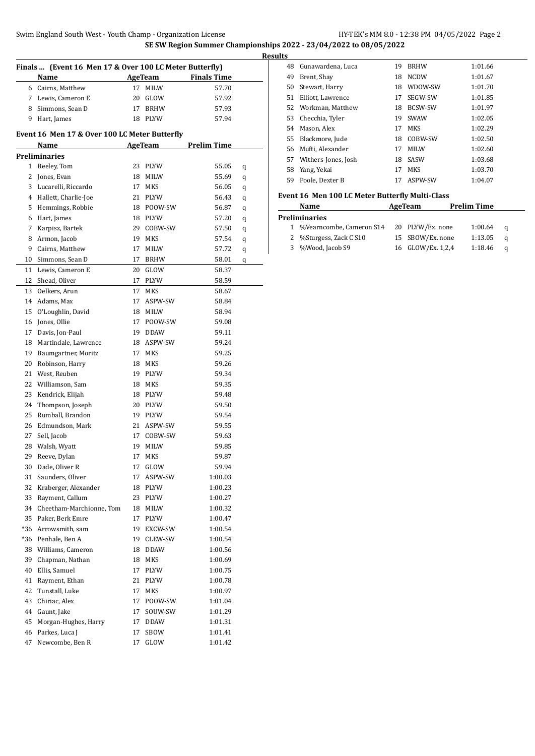**SE SW Region Summer Championships 2022 - 23/04/2022 to 08/05/2022**

|          | Name                                          |          | AgeTeam         | <b>Finals Time</b> |   |
|----------|-----------------------------------------------|----------|-----------------|--------------------|---|
|          | 6 Cairns, Matthew                             | 17       | <b>MILW</b>     | 57.70              |   |
|          | 7 Lewis, Cameron E                            |          | 20 GLOW         | 57.92              |   |
|          | 8 Simmons, Sean D                             | 17       | <b>BRHW</b>     | 57.93              |   |
|          | 9 Hart, James                                 | 18       | PLYW            | 57.94              |   |
|          |                                               |          |                 |                    |   |
|          | Event 16 Men 17 & Over 100 LC Meter Butterfly |          |                 |                    |   |
|          | Name                                          |          | <b>AgeTeam</b>  | <b>Prelim Time</b> |   |
|          | <b>Preliminaries</b>                          |          |                 |                    |   |
|          | 1 Beeley, Tom                                 | 23       | <b>PLYW</b>     | 55.05              | q |
|          | 2 Jones, Evan                                 | 18       | MILW            | 55.69              | q |
|          | 3 Lucarelli, Riccardo                         | 17       | <b>MKS</b>      | 56.05              | q |
|          | 4 Hallett, Charlie-Joe                        | 21       | PLYW            | 56.43              | q |
|          | 5 Hemmings, Robbie                            | 18       | POOW-SW         | 56.87              | q |
|          | 6 Hart, James                                 | 18       | <b>PLYW</b>     | 57.20              | q |
|          | 7 Karpisz, Bartek                             | 29       | COBW-SW         | 57.50              | q |
|          | 8 Armon, Jacob                                | 19       | MKS             | 57.54              | q |
|          | 9 Cairns, Matthew                             | 17       | <b>MILW</b>     | 57.72              | q |
|          | 10 Simmons, Sean D                            | 17       | <b>BRHW</b>     | 58.01              | q |
|          | 11 Lewis, Cameron E                           | 20       | GLOW            | 58.37              |   |
|          | 12 Shead, Oliver                              | 17       | PLYW            | 58.59              |   |
|          | 13 Oelkers. Arun                              | 17       | MKS             | 58.67              |   |
|          | 14 Adams, Max                                 | 17       | ASPW-SW         | 58.84              |   |
|          | 15 O'Loughlin, David                          | 18       | MILW            | 58.94              |   |
|          | 16 Jones, Ollie                               | 17       | POOW-SW         | 59.08              |   |
|          | 17 Davis, Jon-Paul                            | 19       | <b>DDAW</b>     | 59.11              |   |
|          | 18 Martindale, Lawrence                       |          | 18 ASPW-SW      | 59.24              |   |
|          | 19 Baumgartner, Moritz                        | 17       | MKS             | 59.25              |   |
|          | 20 Robinson, Harry                            | 18       | MKS             | 59.26              |   |
|          | 21 West, Reuben                               | 19       | <b>PLYW</b>     | 59.34              |   |
|          | 22 Williamson, Sam                            | 18       | MKS             | 59.35              |   |
|          | 23 Kendrick, Elijah                           | 18       | <b>PLYW</b>     | 59.48              |   |
|          | 24 Thompson, Joseph                           |          | 20 PLYW         | 59.50              |   |
|          | 25 Rumball, Brandon                           |          | 19 PLYW         | 59.54              |   |
|          | 26 Edmundson, Mark                            |          | 21 ASPW-SW      | 59.55              |   |
| 27       | Sell, Jacob                                   | 17       | COBW-SW         | 59.63              |   |
|          | 28 Walsh, Wyatt                               | 19       | <b>MILW</b>     | 59.85              |   |
| 29       | Reeve, Dylan                                  | 17       | MKS             | 59.87              |   |
| 30       | Dade, Oliver R                                | 17       | GLOW            | 59.94              |   |
| 31       | Saunders, Oliver                              | 17       | ASPW-SW         | 1:00.03            |   |
| 32       | Kraberger, Alexander                          | 18       | <b>PLYW</b>     | 1:00.23            |   |
|          | 33 Rayment, Callum                            | 23       | PLYW            | 1:00.27            |   |
|          | 34 Cheetham-Marchionne, Tom                   | 18       | MILW            | 1:00.32            |   |
|          | 35 Paker, Berk Emre                           | 17       | PLYW            | 1:00.47            |   |
|          | *36 Arrowsmith, sam                           | 19       | EXCW-SW         | 1:00.54            |   |
|          | *36 Penhale, Ben A                            | 19       | CLEW-SW         | 1:00.54            |   |
|          | 38 Williams, Cameron                          | 18       | DDAW            | 1:00.56            |   |
| 39       | Chapman, Nathan                               | 18       | MKS             | 1:00.69            |   |
| 40       | Ellis, Samuel                                 | 17       | PLYW            | 1:00.75            |   |
| 41       | Rayment, Ethan                                | 21       | PLYW            | 1:00.78            |   |
| 42       |                                               | 17       |                 |                    |   |
|          | Tunstall, Luke                                |          | MKS             | 1:00.97            |   |
| 43       | Chiriac, Alex                                 | 17       | POOW-SW         | 1:01.04            |   |
| 44       | Gaunt, Jake                                   | 17<br>17 | SOUW-SW<br>DDAW | 1:01.29            |   |
|          |                                               |          |                 |                    |   |
| 45<br>46 | Morgan-Hughes, Harry<br>Parkes, Luca J        | 17       | SBOW            | 1:01.31<br>1:01.41 |   |

| <b>Results</b> |                      |    |                |         |
|----------------|----------------------|----|----------------|---------|
| 48             | Gunawardena, Luca    | 19 | <b>BRHW</b>    | 1:01.66 |
| 49             | Brent, Shay          | 18 | <b>NCDW</b>    | 1:01.67 |
| 50             | Stewart, Harry       | 18 | WDOW-SW        | 1:01.70 |
|                | 51 Elliott, Lawrence | 17 | SEGW-SW        | 1:01.85 |
|                | 52 Workman, Matthew  | 18 | <b>BCSW-SW</b> | 1:01.97 |
|                | 53 Checchia, Tyler   | 19 | <b>SWAW</b>    | 1:02.05 |
|                | 54 Mason, Alex       | 17 | MKS            | 1:02.29 |
|                | 55 Blackmore, Jude   | 18 | COBW-SW        | 1:02.50 |
|                | 56 Mufti, Alexander  | 17 | <b>MILW</b>    | 1:02.60 |
| 57             | Withers-Jones, Josh  | 18 | SASW           | 1:03.68 |
|                | 58 Yang, Yekai       | 17 | <b>MKS</b>     | 1:03.70 |
| 59             | Poole, Dexter B      | 17 | ASPW-SW        | 1:04.07 |

#### **Event 16 Men 100 LC Meter Butterfly Multi-Class**

| Name                       | AgeTeam |                   | <b>Prelim Time</b> |          |  |
|----------------------------|---------|-------------------|--------------------|----------|--|
| Preliminaries              |         |                   |                    |          |  |
| 1 %Vearncombe, Cameron S14 |         | 20 PLYW/Ex. none  | 1:00.64            | $\alpha$ |  |
| 2 %Sturgess, Zack C S10    |         | 15 SBOW/Ex. none  | 1:13.05            | a        |  |
| 3 %Wood, Jacob S9          |         | 16 GLOW/Ex. 1,2,4 | 1:18.46            | a        |  |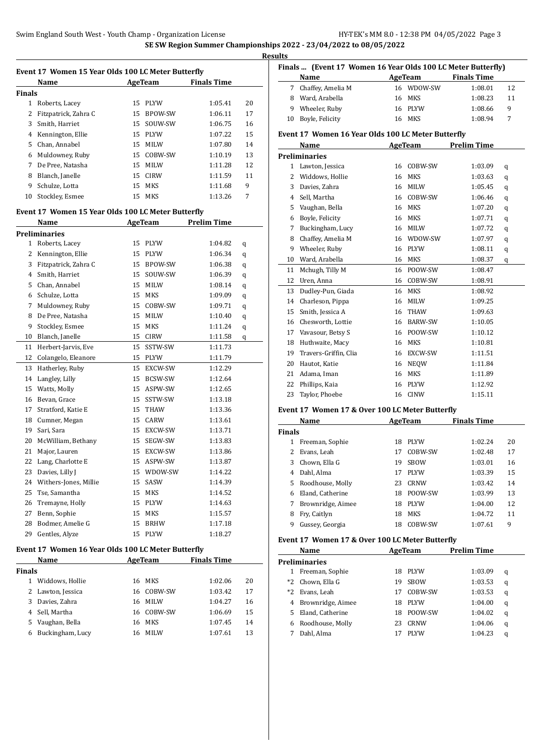|               | Event 17 Women 15 Year Olds 100 LC Meter Butterfly |    |                |                    |    |
|---------------|----------------------------------------------------|----|----------------|--------------------|----|
|               | Name                                               |    | AgeTeam        | <b>Finals Time</b> |    |
| <b>Finals</b> |                                                    |    |                |                    |    |
| 1             | Roberts, Lacey                                     | 15 | <b>PLYW</b>    | 1:05.41            | 20 |
| 2             | Fitzpatrick, Zahra C                               | 15 | <b>BPOW-SW</b> | 1:06.11            | 17 |
| 3             | Smith, Harriet                                     | 15 | SOUW-SW        | 1:06.75            | 16 |
| 4             | Kennington, Ellie                                  | 15 | <b>PLYW</b>    | 1:07.22            | 15 |
| 5             | Chan, Annabel                                      | 15 | <b>MILW</b>    | 1:07.80            | 14 |
| 6             | Muldowney, Ruby                                    | 15 | COBW-SW        | 1:10.19            | 13 |
| 7             | De Pree, Natasha                                   | 15 | <b>MILW</b>    | 1:11.28            | 12 |
| 8             | Blanch, Janelle                                    | 15 | <b>CIRW</b>    | 1:11.59            | 11 |
| 9             | Schulze, Lotta                                     | 15 | MKS            | 1:11.68            | 9  |
| 10            | Stockley, Esmee                                    | 15 | MKS            | 1:13.26            | 7  |

#### **Event 17 Women 15 Year Olds 100 LC Meter Butterfly**

|                | Name                  |    | <b>AgeTeam</b> | <b>Prelim Time</b> |   |
|----------------|-----------------------|----|----------------|--------------------|---|
|                | <b>Preliminaries</b>  |    |                |                    |   |
| $\mathbf{1}$   | Roberts, Lacey        | 15 | <b>PLYW</b>    | 1:04.82            | q |
| 2              | Kennington, Ellie     | 15 | <b>PLYW</b>    | 1:06.34            | q |
| 3              | Fitzpatrick, Zahra C  | 15 | <b>BPOW-SW</b> | 1:06.38            | q |
| $\overline{4}$ | Smith, Harriet        | 15 | SOUW-SW        | 1:06.39            | q |
| 5              | Chan, Annabel         | 15 | MILW           | 1:08.14            | q |
| 6              | Schulze, Lotta        | 15 | MKS            | 1:09.09            | q |
| 7              | Muldowney, Ruby       | 15 | COBW-SW        | 1:09.71            | q |
| 8              | De Pree, Natasha      | 15 | <b>MILW</b>    | 1:10.40            | q |
| 9              | Stockley, Esmee       | 15 | <b>MKS</b>     | 1:11.24            | q |
| 10             | Blanch, Janelle       | 15 | <b>CIRW</b>    | 1:11.58            | q |
| 11             | Herbert-Jarvis, Eve   | 15 | SSTW-SW        | 1:11.73            |   |
| 12             | Colangelo, Eleanore   | 15 | <b>PLYW</b>    | 1:11.79            |   |
| 13             | Hatherley, Ruby       | 15 | EXCW-SW        | 1:12.29            |   |
| 14             | Langley, Lilly        | 15 | BCSW-SW        | 1:12.64            |   |
| 15             | Watts, Molly          | 15 | ASPW-SW        | 1:12.65            |   |
| 16             | Bevan, Grace          | 15 | SSTW-SW        | 1:13.18            |   |
| 17             | Stratford, Katie E    | 15 | <b>THAW</b>    | 1:13.36            |   |
| 18             | Cumner, Megan         | 15 | CARW           | 1:13.61            |   |
| 19             | Sari, Sara            | 15 | EXCW-SW        | 1:13.71            |   |
| 20             | McWilliam, Bethany    | 15 | SEGW-SW        | 1:13.83            |   |
| 21             | Major, Lauren         | 15 | EXCW-SW        | 1:13.86            |   |
| 22             | Lang, Charlotte E     | 15 | ASPW-SW        | 1:13.87            |   |
| 23             | Davies, Lilly J       | 15 | WDOW-SW        | 1:14.22            |   |
| 24             | Withers-Jones, Millie | 15 | SASW           | 1:14.39            |   |
| 25             | Tse, Samantha         | 15 | <b>MKS</b>     | 1:14.52            |   |
| 26             | Tremayne, Holly       | 15 | <b>PLYW</b>    | 1:14.63            |   |
| 27             | Benn, Sophie          | 15 | MKS            | 1:15.57            |   |
| 28             | Bodmer, Amelie G      | 15 | <b>BRHW</b>    | 1:17.18            |   |
| 29             | Gentles. Alvze        | 15 | <b>PLYW</b>    | 1:18.27            |   |

#### **Event 17 Women 16 Year Olds 100 LC Meter Butterfly**

|               | Name              |    | AgeTeam     | <b>Finals Time</b> |    |
|---------------|-------------------|----|-------------|--------------------|----|
| <b>Finals</b> |                   |    |             |                    |    |
|               | Widdows, Hollie   | 16 | <b>MKS</b>  | 1:02.06            | 20 |
|               | 2 Lawton, Jessica | 16 | COBW-SW     | 1:03.42            | 17 |
| 3             | Davies, Zahra     | 16 | <b>MILW</b> | 1:04.27            | 16 |
|               | 4 Sell, Martha    | 16 | COBW-SW     | 1:06.69            | 15 |
| 5.            | Vaughan, Bella    | 16 | <b>MKS</b>  | 1:07.45            | 14 |
| 6             | Buckingham, Lucy  | 16 | <b>MILW</b> | 1:07.61            | 13 |

|    | Finals  (Event 17 Women 16 Year Olds 100 LC Meter Butterfly)<br>Name |    | AgeTeam     | <b>Finals Time</b> |                |
|----|----------------------------------------------------------------------|----|-------------|--------------------|----------------|
|    | 7 Chaffey, Amelia M                                                  |    | 16 WDOW-SW  | 1:08.01            | 12             |
|    | 8 Ward, Arabella                                                     | 16 | MKS         | 1:08.23            | 11             |
|    | 9 Wheeler, Ruby                                                      | 16 | PLYW        | 1:08.66            | 9              |
| 10 | Boyle, Felicity                                                      | 16 | <b>MKS</b>  | 1:08.94            | $\overline{7}$ |
|    | Event 17 Women 16 Year Olds 100 LC Meter Butterfly                   |    |             |                    |                |
|    | Name                                                                 |    | AgeTeam     | <b>Prelim Time</b> |                |
|    | <b>Preliminaries</b>                                                 |    |             |                    |                |
| 1  | Lawton, Jessica                                                      | 16 | COBW-SW     | 1:03.09            | q              |
| 2  | Widdows, Hollie                                                      | 16 | <b>MKS</b>  | 1:03.63            | q              |
| 3  | Davies, Zahra                                                        | 16 | MILW        | 1:05.45            | q              |
|    | 4 Sell, Martha                                                       |    | 16 COBW-SW  | 1:06.46            | q              |
|    | 5 Vaughan, Bella                                                     | 16 | <b>MKS</b>  | 1:07.20            | q              |
| 6  | Boyle, Felicity                                                      | 16 | <b>MKS</b>  | 1:07.71            | q              |
| 7  | Buckingham, Lucy                                                     |    | 16 MILW     | 1:07.72            | q              |
|    | 8 Chaffey, Amelia M                                                  |    | 16 WDOW-SW  | 1:07.97            | q              |
|    | 9 Wheeler, Ruby                                                      |    | 16 PLYW     | 1:08.11            | q              |
| 10 | Ward, Arabella                                                       |    | 16 MKS      | 1:08.37            | q              |
| 11 | Mchugh, Tilly M                                                      | 16 | POOW-SW     | 1:08.47            |                |
| 12 | Uren, Anna                                                           | 16 | COBW-SW     | 1:08.91            |                |
| 13 | Dudley-Pun, Giada                                                    | 16 | <b>MKS</b>  | 1:08.92            |                |
| 14 | Charleson, Pippa                                                     | 16 | <b>MILW</b> | 1:09.25            |                |
| 15 | Smith, Jessica A                                                     | 16 | THAW        | 1:09.63            |                |
|    | 16 Chesworth, Lottie                                                 |    | 16 BARW-SW  | 1:10.05            |                |
|    | 17 Vavasour, Betsy S                                                 |    | 16 POOW-SW  | 1:10.12            |                |
| 18 | Huthwaite, Macy                                                      |    | 16 MKS      | 1:10.81            |                |
| 19 | Travers-Griffin, Clia                                                |    | 16 EXCW-SW  | 1:11.51            |                |
| 20 | Hautot, Katie                                                        | 16 | <b>NEQW</b> | 1:11.84            |                |
| 21 | Adama, Iman                                                          | 16 | MKS         | 1:11.89            |                |
| 22 | Phillips, Kaia                                                       | 16 | <b>PLYW</b> | 1:12.92            |                |
| 23 | Taylor, Phoebe                                                       | 16 | <b>CINW</b> | 1:15.11            |                |

#### **Event 17 Women 17 & Over 100 LC Meter Butterfly**

|               | Name              |    | AgeTeam     | <b>Finals Time</b> |    |
|---------------|-------------------|----|-------------|--------------------|----|
| <b>Finals</b> |                   |    |             |                    |    |
|               | Freeman, Sophie   | 18 | <b>PLYW</b> | 1:02.24            | 20 |
|               | Evans, Leah       | 17 | COBW-SW     | 1:02.48            | 17 |
| 3             | Chown, Ella G     | 19 | <b>SBOW</b> | 1:03.01            | 16 |
| 4             | Dahl, Alma        | 17 | <b>PLYW</b> | 1:03.39            | 15 |
| 5.            | Roodhouse, Molly  | 23 | CRNW        | 1:03.42            | 14 |
| 6             | Eland, Catherine  | 18 | POOW-SW     | 1:03.99            | 13 |
| 7             | Brownridge, Aimee | 18 | <b>PLYW</b> | 1:04.00            | 12 |
| 8             | Fry, Caitlyn      | 18 | <b>MKS</b>  | 1:04.72            | 11 |
| 9             | Gussey, Georgia   | 18 | COBW-SW     | 1:07.61            | 9  |

#### **Event 17 Women 17 & Over 100 LC Meter Butterfly**

|      | Name                 |    | AgeTeam     | <b>Prelim Time</b> |   |
|------|----------------------|----|-------------|--------------------|---|
|      | <b>Preliminaries</b> |    |             |                    |   |
| 1    | Freeman, Sophie      | 18 | <b>PLYW</b> | 1:03.09            | q |
| $*2$ | Chown, Ella G        | 19 | <b>SBOW</b> | 1:03.53            | q |
| *2   | Evans, Leah          | 17 | COBW-SW     | 1:03.53            | q |
| 4    | Brownridge, Aimee    | 18 | <b>PLYW</b> | 1:04.00            | q |
| 5.   | Eland, Catherine     | 18 | POOW-SW     | 1:04.02            | q |
| 6    | Roodhouse, Molly     | 23 | CRNW        | 1:04.06            | q |
|      | Dahl, Alma           |    | <b>PLYW</b> | 1:04.23            | q |
|      |                      |    |             |                    |   |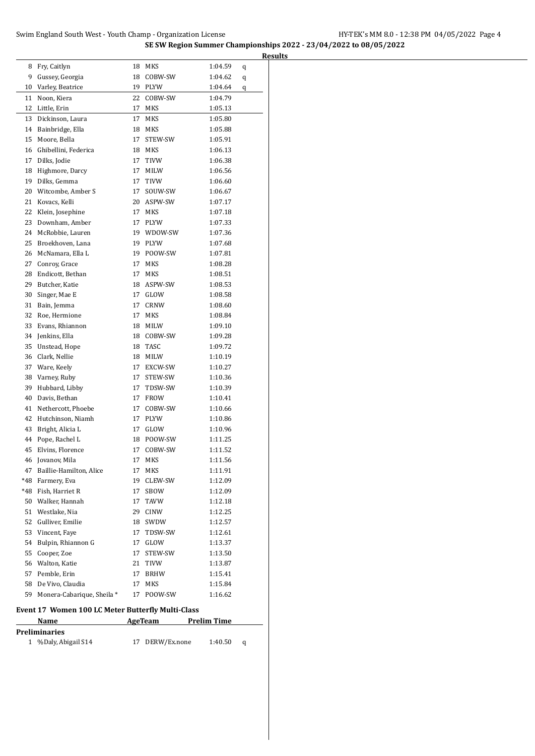| 8<br>Fry, Caitlyn<br>18<br>MKS<br>1:04.59<br>q<br>9<br>Gussey, Georgia<br>18<br>COBW-SW<br>1:04.62<br>q<br>Varley, Beatrice<br>19<br>10<br><b>PLYW</b><br>1:04.64<br>q<br>Noon, Kiera<br>22<br>11<br>COBW-SW<br>1:04.79<br>12<br>Little, Erin<br>17<br>MKS<br>1:05.13<br>13<br>Dickinson, Laura<br>17<br>MKS<br>1:05.80<br>Bainbridge, Ella<br>MKS<br>14<br>18<br>1:05.88<br>15<br>Moore, Bella<br>17<br>STEW-SW<br>1:05.91<br>Ghibellini, Federica<br>18<br>1:06.13<br>16<br>MKS<br>17<br>Dilks, Jodie<br>17<br><b>TIVW</b><br>1:06.38<br>18<br>Highmore, Darcy<br>17<br>1:06.56<br>MILW<br>19<br>Dilks, Gemma<br>17<br><b>TIVW</b><br>1:06.60<br>20<br>Witcombe, Amber S<br>17<br>SOUW-SW<br>1:06.67<br>21<br>Kovacs, Kelli<br>20<br>ASPW-SW<br>1:07.17<br>22<br>Klein, Josephine<br>17<br>MKS<br>1:07.18<br>23<br>Downham, Amber<br>17<br>PLYW<br>1:07.33<br>24<br>McRobbie, Lauren<br>19<br>WDOW-SW<br>1:07.36<br>25<br>Broekhoven, Lana<br>19<br>PLYW<br>1:07.68<br>McNamara, Ella L<br>19<br>POOW-SW<br>26<br>1:07.81<br>27<br>Conroy, Grace<br>17<br>MKS<br>1:08.28<br>28<br>Endicott, Bethan<br>17<br><b>MKS</b><br>1:08.51<br>29<br>Butcher, Katie<br>18<br>ASPW-SW<br>1:08.53<br>30<br>Singer, Mae E<br>17<br>GLOW<br>1:08.58<br>31<br>17<br>CRNW<br>Bain, Jemma<br>1:08.60<br>32<br>Roe, Hermione<br>MKS<br>17<br>1:08.84<br>33<br>Evans, Rhiannon<br>18<br>MILW<br>1:09.10<br>Jenkins, Ella<br>18<br>34<br>COBW-SW<br>1:09.28<br>35<br>Unstead, Hope<br>18<br>TASC<br>1:09.72<br>36<br>Clark, Nellie<br>18<br>MILW<br>1:10.19<br>37<br>Ware, Keely<br>17<br>EXCW-SW<br>1:10.27<br>38<br>Varney, Ruby<br>17<br>STEW-SW<br>1:10.36<br>39<br>Hubbard, Libby<br>17<br>TDSW-SW<br>1:10.39<br>40<br>Davis, Bethan<br>17<br><b>FROW</b><br>1:10.41<br>41<br>Nethercott, Phoebe<br>17<br>COBW-SW<br>1:10.66<br>42<br>Hutchinson, Niamh<br>17<br>PLYW<br>1:10.86<br>43<br>17<br>Bright, Alicia L<br>GLOW<br>1:10.96<br>44<br>Pope, Rachel L<br>18<br>POOW-SW<br>1:11.25<br>45<br>Elvins, Florence<br>17<br>COBW-SW<br>1:11.52<br>17<br>46 Jovanov, Mila<br><b>MKS</b><br>1:11.56<br>Baillie-Hamilton, Alice<br>47<br>MKS<br>1:11.91<br>17<br>*48<br>Farmery, Eva<br>CLEW-SW<br>19<br>1:12.09<br>*48<br>Fish, Harriet R<br>17<br>SBOW<br>1:12.09<br>50 Walker, Hannah<br>17<br>TAVW<br>1:12.18<br>51 Westlake, Nia<br>29<br>CINW<br>1:12.25<br>52 Gulliver, Emilie<br>18<br>SWDW<br>1:12.57<br>53 Vincent, Faye<br>17<br>TDSW-SW<br>1:12.61<br>54 Bulpin, Rhiannon G<br>17<br>GLOW<br>1:13.37<br>55 Cooper, Zoe<br>STEW-SW<br>17<br>1:13.50<br>56 Walton, Katie<br>21<br>TIVW<br>1:13.87<br>57 Pemble, Erin<br>17<br>BRHW<br>1:15.41<br>58 De Vivo, Claudia<br>MKS<br>1:15.84<br>17<br>59 Monera-Cabarique, Sheila *<br>17<br>POOW-SW<br>1:16.62<br>Event 17 Women 100 LC Meter Butterfly Multi-Class<br>Name<br><b>AgeTeam</b><br><b>Prelim Time</b><br><b>Preliminaries</b><br>%Daly, Abigail S14<br>DERW/Ex.none<br>$\mathbf{1}$<br>17<br>1:40.50<br>q |  |  |  |
|-------------------------------------------------------------------------------------------------------------------------------------------------------------------------------------------------------------------------------------------------------------------------------------------------------------------------------------------------------------------------------------------------------------------------------------------------------------------------------------------------------------------------------------------------------------------------------------------------------------------------------------------------------------------------------------------------------------------------------------------------------------------------------------------------------------------------------------------------------------------------------------------------------------------------------------------------------------------------------------------------------------------------------------------------------------------------------------------------------------------------------------------------------------------------------------------------------------------------------------------------------------------------------------------------------------------------------------------------------------------------------------------------------------------------------------------------------------------------------------------------------------------------------------------------------------------------------------------------------------------------------------------------------------------------------------------------------------------------------------------------------------------------------------------------------------------------------------------------------------------------------------------------------------------------------------------------------------------------------------------------------------------------------------------------------------------------------------------------------------------------------------------------------------------------------------------------------------------------------------------------------------------------------------------------------------------------------------------------------------------------------------------------------------------------------------------------------------------------------------------------------------------------------------------------------------------------------------------------------------------------------------------------------------------------------------------------------------------------------------------------------------------------------------------------------------------------------------------------------------------------------------------------------------------------------------------------------------|--|--|--|
|                                                                                                                                                                                                                                                                                                                                                                                                                                                                                                                                                                                                                                                                                                                                                                                                                                                                                                                                                                                                                                                                                                                                                                                                                                                                                                                                                                                                                                                                                                                                                                                                                                                                                                                                                                                                                                                                                                                                                                                                                                                                                                                                                                                                                                                                                                                                                                                                                                                                                                                                                                                                                                                                                                                                                                                                                                                                                                                                                             |  |  |  |
|                                                                                                                                                                                                                                                                                                                                                                                                                                                                                                                                                                                                                                                                                                                                                                                                                                                                                                                                                                                                                                                                                                                                                                                                                                                                                                                                                                                                                                                                                                                                                                                                                                                                                                                                                                                                                                                                                                                                                                                                                                                                                                                                                                                                                                                                                                                                                                                                                                                                                                                                                                                                                                                                                                                                                                                                                                                                                                                                                             |  |  |  |
|                                                                                                                                                                                                                                                                                                                                                                                                                                                                                                                                                                                                                                                                                                                                                                                                                                                                                                                                                                                                                                                                                                                                                                                                                                                                                                                                                                                                                                                                                                                                                                                                                                                                                                                                                                                                                                                                                                                                                                                                                                                                                                                                                                                                                                                                                                                                                                                                                                                                                                                                                                                                                                                                                                                                                                                                                                                                                                                                                             |  |  |  |
|                                                                                                                                                                                                                                                                                                                                                                                                                                                                                                                                                                                                                                                                                                                                                                                                                                                                                                                                                                                                                                                                                                                                                                                                                                                                                                                                                                                                                                                                                                                                                                                                                                                                                                                                                                                                                                                                                                                                                                                                                                                                                                                                                                                                                                                                                                                                                                                                                                                                                                                                                                                                                                                                                                                                                                                                                                                                                                                                                             |  |  |  |
|                                                                                                                                                                                                                                                                                                                                                                                                                                                                                                                                                                                                                                                                                                                                                                                                                                                                                                                                                                                                                                                                                                                                                                                                                                                                                                                                                                                                                                                                                                                                                                                                                                                                                                                                                                                                                                                                                                                                                                                                                                                                                                                                                                                                                                                                                                                                                                                                                                                                                                                                                                                                                                                                                                                                                                                                                                                                                                                                                             |  |  |  |
|                                                                                                                                                                                                                                                                                                                                                                                                                                                                                                                                                                                                                                                                                                                                                                                                                                                                                                                                                                                                                                                                                                                                                                                                                                                                                                                                                                                                                                                                                                                                                                                                                                                                                                                                                                                                                                                                                                                                                                                                                                                                                                                                                                                                                                                                                                                                                                                                                                                                                                                                                                                                                                                                                                                                                                                                                                                                                                                                                             |  |  |  |
|                                                                                                                                                                                                                                                                                                                                                                                                                                                                                                                                                                                                                                                                                                                                                                                                                                                                                                                                                                                                                                                                                                                                                                                                                                                                                                                                                                                                                                                                                                                                                                                                                                                                                                                                                                                                                                                                                                                                                                                                                                                                                                                                                                                                                                                                                                                                                                                                                                                                                                                                                                                                                                                                                                                                                                                                                                                                                                                                                             |  |  |  |
|                                                                                                                                                                                                                                                                                                                                                                                                                                                                                                                                                                                                                                                                                                                                                                                                                                                                                                                                                                                                                                                                                                                                                                                                                                                                                                                                                                                                                                                                                                                                                                                                                                                                                                                                                                                                                                                                                                                                                                                                                                                                                                                                                                                                                                                                                                                                                                                                                                                                                                                                                                                                                                                                                                                                                                                                                                                                                                                                                             |  |  |  |
|                                                                                                                                                                                                                                                                                                                                                                                                                                                                                                                                                                                                                                                                                                                                                                                                                                                                                                                                                                                                                                                                                                                                                                                                                                                                                                                                                                                                                                                                                                                                                                                                                                                                                                                                                                                                                                                                                                                                                                                                                                                                                                                                                                                                                                                                                                                                                                                                                                                                                                                                                                                                                                                                                                                                                                                                                                                                                                                                                             |  |  |  |
|                                                                                                                                                                                                                                                                                                                                                                                                                                                                                                                                                                                                                                                                                                                                                                                                                                                                                                                                                                                                                                                                                                                                                                                                                                                                                                                                                                                                                                                                                                                                                                                                                                                                                                                                                                                                                                                                                                                                                                                                                                                                                                                                                                                                                                                                                                                                                                                                                                                                                                                                                                                                                                                                                                                                                                                                                                                                                                                                                             |  |  |  |
|                                                                                                                                                                                                                                                                                                                                                                                                                                                                                                                                                                                                                                                                                                                                                                                                                                                                                                                                                                                                                                                                                                                                                                                                                                                                                                                                                                                                                                                                                                                                                                                                                                                                                                                                                                                                                                                                                                                                                                                                                                                                                                                                                                                                                                                                                                                                                                                                                                                                                                                                                                                                                                                                                                                                                                                                                                                                                                                                                             |  |  |  |
|                                                                                                                                                                                                                                                                                                                                                                                                                                                                                                                                                                                                                                                                                                                                                                                                                                                                                                                                                                                                                                                                                                                                                                                                                                                                                                                                                                                                                                                                                                                                                                                                                                                                                                                                                                                                                                                                                                                                                                                                                                                                                                                                                                                                                                                                                                                                                                                                                                                                                                                                                                                                                                                                                                                                                                                                                                                                                                                                                             |  |  |  |
|                                                                                                                                                                                                                                                                                                                                                                                                                                                                                                                                                                                                                                                                                                                                                                                                                                                                                                                                                                                                                                                                                                                                                                                                                                                                                                                                                                                                                                                                                                                                                                                                                                                                                                                                                                                                                                                                                                                                                                                                                                                                                                                                                                                                                                                                                                                                                                                                                                                                                                                                                                                                                                                                                                                                                                                                                                                                                                                                                             |  |  |  |
|                                                                                                                                                                                                                                                                                                                                                                                                                                                                                                                                                                                                                                                                                                                                                                                                                                                                                                                                                                                                                                                                                                                                                                                                                                                                                                                                                                                                                                                                                                                                                                                                                                                                                                                                                                                                                                                                                                                                                                                                                                                                                                                                                                                                                                                                                                                                                                                                                                                                                                                                                                                                                                                                                                                                                                                                                                                                                                                                                             |  |  |  |
|                                                                                                                                                                                                                                                                                                                                                                                                                                                                                                                                                                                                                                                                                                                                                                                                                                                                                                                                                                                                                                                                                                                                                                                                                                                                                                                                                                                                                                                                                                                                                                                                                                                                                                                                                                                                                                                                                                                                                                                                                                                                                                                                                                                                                                                                                                                                                                                                                                                                                                                                                                                                                                                                                                                                                                                                                                                                                                                                                             |  |  |  |
|                                                                                                                                                                                                                                                                                                                                                                                                                                                                                                                                                                                                                                                                                                                                                                                                                                                                                                                                                                                                                                                                                                                                                                                                                                                                                                                                                                                                                                                                                                                                                                                                                                                                                                                                                                                                                                                                                                                                                                                                                                                                                                                                                                                                                                                                                                                                                                                                                                                                                                                                                                                                                                                                                                                                                                                                                                                                                                                                                             |  |  |  |
|                                                                                                                                                                                                                                                                                                                                                                                                                                                                                                                                                                                                                                                                                                                                                                                                                                                                                                                                                                                                                                                                                                                                                                                                                                                                                                                                                                                                                                                                                                                                                                                                                                                                                                                                                                                                                                                                                                                                                                                                                                                                                                                                                                                                                                                                                                                                                                                                                                                                                                                                                                                                                                                                                                                                                                                                                                                                                                                                                             |  |  |  |
|                                                                                                                                                                                                                                                                                                                                                                                                                                                                                                                                                                                                                                                                                                                                                                                                                                                                                                                                                                                                                                                                                                                                                                                                                                                                                                                                                                                                                                                                                                                                                                                                                                                                                                                                                                                                                                                                                                                                                                                                                                                                                                                                                                                                                                                                                                                                                                                                                                                                                                                                                                                                                                                                                                                                                                                                                                                                                                                                                             |  |  |  |
|                                                                                                                                                                                                                                                                                                                                                                                                                                                                                                                                                                                                                                                                                                                                                                                                                                                                                                                                                                                                                                                                                                                                                                                                                                                                                                                                                                                                                                                                                                                                                                                                                                                                                                                                                                                                                                                                                                                                                                                                                                                                                                                                                                                                                                                                                                                                                                                                                                                                                                                                                                                                                                                                                                                                                                                                                                                                                                                                                             |  |  |  |
|                                                                                                                                                                                                                                                                                                                                                                                                                                                                                                                                                                                                                                                                                                                                                                                                                                                                                                                                                                                                                                                                                                                                                                                                                                                                                                                                                                                                                                                                                                                                                                                                                                                                                                                                                                                                                                                                                                                                                                                                                                                                                                                                                                                                                                                                                                                                                                                                                                                                                                                                                                                                                                                                                                                                                                                                                                                                                                                                                             |  |  |  |
|                                                                                                                                                                                                                                                                                                                                                                                                                                                                                                                                                                                                                                                                                                                                                                                                                                                                                                                                                                                                                                                                                                                                                                                                                                                                                                                                                                                                                                                                                                                                                                                                                                                                                                                                                                                                                                                                                                                                                                                                                                                                                                                                                                                                                                                                                                                                                                                                                                                                                                                                                                                                                                                                                                                                                                                                                                                                                                                                                             |  |  |  |
|                                                                                                                                                                                                                                                                                                                                                                                                                                                                                                                                                                                                                                                                                                                                                                                                                                                                                                                                                                                                                                                                                                                                                                                                                                                                                                                                                                                                                                                                                                                                                                                                                                                                                                                                                                                                                                                                                                                                                                                                                                                                                                                                                                                                                                                                                                                                                                                                                                                                                                                                                                                                                                                                                                                                                                                                                                                                                                                                                             |  |  |  |
|                                                                                                                                                                                                                                                                                                                                                                                                                                                                                                                                                                                                                                                                                                                                                                                                                                                                                                                                                                                                                                                                                                                                                                                                                                                                                                                                                                                                                                                                                                                                                                                                                                                                                                                                                                                                                                                                                                                                                                                                                                                                                                                                                                                                                                                                                                                                                                                                                                                                                                                                                                                                                                                                                                                                                                                                                                                                                                                                                             |  |  |  |
|                                                                                                                                                                                                                                                                                                                                                                                                                                                                                                                                                                                                                                                                                                                                                                                                                                                                                                                                                                                                                                                                                                                                                                                                                                                                                                                                                                                                                                                                                                                                                                                                                                                                                                                                                                                                                                                                                                                                                                                                                                                                                                                                                                                                                                                                                                                                                                                                                                                                                                                                                                                                                                                                                                                                                                                                                                                                                                                                                             |  |  |  |
|                                                                                                                                                                                                                                                                                                                                                                                                                                                                                                                                                                                                                                                                                                                                                                                                                                                                                                                                                                                                                                                                                                                                                                                                                                                                                                                                                                                                                                                                                                                                                                                                                                                                                                                                                                                                                                                                                                                                                                                                                                                                                                                                                                                                                                                                                                                                                                                                                                                                                                                                                                                                                                                                                                                                                                                                                                                                                                                                                             |  |  |  |
|                                                                                                                                                                                                                                                                                                                                                                                                                                                                                                                                                                                                                                                                                                                                                                                                                                                                                                                                                                                                                                                                                                                                                                                                                                                                                                                                                                                                                                                                                                                                                                                                                                                                                                                                                                                                                                                                                                                                                                                                                                                                                                                                                                                                                                                                                                                                                                                                                                                                                                                                                                                                                                                                                                                                                                                                                                                                                                                                                             |  |  |  |
|                                                                                                                                                                                                                                                                                                                                                                                                                                                                                                                                                                                                                                                                                                                                                                                                                                                                                                                                                                                                                                                                                                                                                                                                                                                                                                                                                                                                                                                                                                                                                                                                                                                                                                                                                                                                                                                                                                                                                                                                                                                                                                                                                                                                                                                                                                                                                                                                                                                                                                                                                                                                                                                                                                                                                                                                                                                                                                                                                             |  |  |  |
|                                                                                                                                                                                                                                                                                                                                                                                                                                                                                                                                                                                                                                                                                                                                                                                                                                                                                                                                                                                                                                                                                                                                                                                                                                                                                                                                                                                                                                                                                                                                                                                                                                                                                                                                                                                                                                                                                                                                                                                                                                                                                                                                                                                                                                                                                                                                                                                                                                                                                                                                                                                                                                                                                                                                                                                                                                                                                                                                                             |  |  |  |
|                                                                                                                                                                                                                                                                                                                                                                                                                                                                                                                                                                                                                                                                                                                                                                                                                                                                                                                                                                                                                                                                                                                                                                                                                                                                                                                                                                                                                                                                                                                                                                                                                                                                                                                                                                                                                                                                                                                                                                                                                                                                                                                                                                                                                                                                                                                                                                                                                                                                                                                                                                                                                                                                                                                                                                                                                                                                                                                                                             |  |  |  |
|                                                                                                                                                                                                                                                                                                                                                                                                                                                                                                                                                                                                                                                                                                                                                                                                                                                                                                                                                                                                                                                                                                                                                                                                                                                                                                                                                                                                                                                                                                                                                                                                                                                                                                                                                                                                                                                                                                                                                                                                                                                                                                                                                                                                                                                                                                                                                                                                                                                                                                                                                                                                                                                                                                                                                                                                                                                                                                                                                             |  |  |  |
|                                                                                                                                                                                                                                                                                                                                                                                                                                                                                                                                                                                                                                                                                                                                                                                                                                                                                                                                                                                                                                                                                                                                                                                                                                                                                                                                                                                                                                                                                                                                                                                                                                                                                                                                                                                                                                                                                                                                                                                                                                                                                                                                                                                                                                                                                                                                                                                                                                                                                                                                                                                                                                                                                                                                                                                                                                                                                                                                                             |  |  |  |
|                                                                                                                                                                                                                                                                                                                                                                                                                                                                                                                                                                                                                                                                                                                                                                                                                                                                                                                                                                                                                                                                                                                                                                                                                                                                                                                                                                                                                                                                                                                                                                                                                                                                                                                                                                                                                                                                                                                                                                                                                                                                                                                                                                                                                                                                                                                                                                                                                                                                                                                                                                                                                                                                                                                                                                                                                                                                                                                                                             |  |  |  |
|                                                                                                                                                                                                                                                                                                                                                                                                                                                                                                                                                                                                                                                                                                                                                                                                                                                                                                                                                                                                                                                                                                                                                                                                                                                                                                                                                                                                                                                                                                                                                                                                                                                                                                                                                                                                                                                                                                                                                                                                                                                                                                                                                                                                                                                                                                                                                                                                                                                                                                                                                                                                                                                                                                                                                                                                                                                                                                                                                             |  |  |  |
|                                                                                                                                                                                                                                                                                                                                                                                                                                                                                                                                                                                                                                                                                                                                                                                                                                                                                                                                                                                                                                                                                                                                                                                                                                                                                                                                                                                                                                                                                                                                                                                                                                                                                                                                                                                                                                                                                                                                                                                                                                                                                                                                                                                                                                                                                                                                                                                                                                                                                                                                                                                                                                                                                                                                                                                                                                                                                                                                                             |  |  |  |
|                                                                                                                                                                                                                                                                                                                                                                                                                                                                                                                                                                                                                                                                                                                                                                                                                                                                                                                                                                                                                                                                                                                                                                                                                                                                                                                                                                                                                                                                                                                                                                                                                                                                                                                                                                                                                                                                                                                                                                                                                                                                                                                                                                                                                                                                                                                                                                                                                                                                                                                                                                                                                                                                                                                                                                                                                                                                                                                                                             |  |  |  |
|                                                                                                                                                                                                                                                                                                                                                                                                                                                                                                                                                                                                                                                                                                                                                                                                                                                                                                                                                                                                                                                                                                                                                                                                                                                                                                                                                                                                                                                                                                                                                                                                                                                                                                                                                                                                                                                                                                                                                                                                                                                                                                                                                                                                                                                                                                                                                                                                                                                                                                                                                                                                                                                                                                                                                                                                                                                                                                                                                             |  |  |  |
|                                                                                                                                                                                                                                                                                                                                                                                                                                                                                                                                                                                                                                                                                                                                                                                                                                                                                                                                                                                                                                                                                                                                                                                                                                                                                                                                                                                                                                                                                                                                                                                                                                                                                                                                                                                                                                                                                                                                                                                                                                                                                                                                                                                                                                                                                                                                                                                                                                                                                                                                                                                                                                                                                                                                                                                                                                                                                                                                                             |  |  |  |
|                                                                                                                                                                                                                                                                                                                                                                                                                                                                                                                                                                                                                                                                                                                                                                                                                                                                                                                                                                                                                                                                                                                                                                                                                                                                                                                                                                                                                                                                                                                                                                                                                                                                                                                                                                                                                                                                                                                                                                                                                                                                                                                                                                                                                                                                                                                                                                                                                                                                                                                                                                                                                                                                                                                                                                                                                                                                                                                                                             |  |  |  |
|                                                                                                                                                                                                                                                                                                                                                                                                                                                                                                                                                                                                                                                                                                                                                                                                                                                                                                                                                                                                                                                                                                                                                                                                                                                                                                                                                                                                                                                                                                                                                                                                                                                                                                                                                                                                                                                                                                                                                                                                                                                                                                                                                                                                                                                                                                                                                                                                                                                                                                                                                                                                                                                                                                                                                                                                                                                                                                                                                             |  |  |  |
|                                                                                                                                                                                                                                                                                                                                                                                                                                                                                                                                                                                                                                                                                                                                                                                                                                                                                                                                                                                                                                                                                                                                                                                                                                                                                                                                                                                                                                                                                                                                                                                                                                                                                                                                                                                                                                                                                                                                                                                                                                                                                                                                                                                                                                                                                                                                                                                                                                                                                                                                                                                                                                                                                                                                                                                                                                                                                                                                                             |  |  |  |
|                                                                                                                                                                                                                                                                                                                                                                                                                                                                                                                                                                                                                                                                                                                                                                                                                                                                                                                                                                                                                                                                                                                                                                                                                                                                                                                                                                                                                                                                                                                                                                                                                                                                                                                                                                                                                                                                                                                                                                                                                                                                                                                                                                                                                                                                                                                                                                                                                                                                                                                                                                                                                                                                                                                                                                                                                                                                                                                                                             |  |  |  |
|                                                                                                                                                                                                                                                                                                                                                                                                                                                                                                                                                                                                                                                                                                                                                                                                                                                                                                                                                                                                                                                                                                                                                                                                                                                                                                                                                                                                                                                                                                                                                                                                                                                                                                                                                                                                                                                                                                                                                                                                                                                                                                                                                                                                                                                                                                                                                                                                                                                                                                                                                                                                                                                                                                                                                                                                                                                                                                                                                             |  |  |  |
|                                                                                                                                                                                                                                                                                                                                                                                                                                                                                                                                                                                                                                                                                                                                                                                                                                                                                                                                                                                                                                                                                                                                                                                                                                                                                                                                                                                                                                                                                                                                                                                                                                                                                                                                                                                                                                                                                                                                                                                                                                                                                                                                                                                                                                                                                                                                                                                                                                                                                                                                                                                                                                                                                                                                                                                                                                                                                                                                                             |  |  |  |
|                                                                                                                                                                                                                                                                                                                                                                                                                                                                                                                                                                                                                                                                                                                                                                                                                                                                                                                                                                                                                                                                                                                                                                                                                                                                                                                                                                                                                                                                                                                                                                                                                                                                                                                                                                                                                                                                                                                                                                                                                                                                                                                                                                                                                                                                                                                                                                                                                                                                                                                                                                                                                                                                                                                                                                                                                                                                                                                                                             |  |  |  |
|                                                                                                                                                                                                                                                                                                                                                                                                                                                                                                                                                                                                                                                                                                                                                                                                                                                                                                                                                                                                                                                                                                                                                                                                                                                                                                                                                                                                                                                                                                                                                                                                                                                                                                                                                                                                                                                                                                                                                                                                                                                                                                                                                                                                                                                                                                                                                                                                                                                                                                                                                                                                                                                                                                                                                                                                                                                                                                                                                             |  |  |  |
|                                                                                                                                                                                                                                                                                                                                                                                                                                                                                                                                                                                                                                                                                                                                                                                                                                                                                                                                                                                                                                                                                                                                                                                                                                                                                                                                                                                                                                                                                                                                                                                                                                                                                                                                                                                                                                                                                                                                                                                                                                                                                                                                                                                                                                                                                                                                                                                                                                                                                                                                                                                                                                                                                                                                                                                                                                                                                                                                                             |  |  |  |
|                                                                                                                                                                                                                                                                                                                                                                                                                                                                                                                                                                                                                                                                                                                                                                                                                                                                                                                                                                                                                                                                                                                                                                                                                                                                                                                                                                                                                                                                                                                                                                                                                                                                                                                                                                                                                                                                                                                                                                                                                                                                                                                                                                                                                                                                                                                                                                                                                                                                                                                                                                                                                                                                                                                                                                                                                                                                                                                                                             |  |  |  |
|                                                                                                                                                                                                                                                                                                                                                                                                                                                                                                                                                                                                                                                                                                                                                                                                                                                                                                                                                                                                                                                                                                                                                                                                                                                                                                                                                                                                                                                                                                                                                                                                                                                                                                                                                                                                                                                                                                                                                                                                                                                                                                                                                                                                                                                                                                                                                                                                                                                                                                                                                                                                                                                                                                                                                                                                                                                                                                                                                             |  |  |  |
|                                                                                                                                                                                                                                                                                                                                                                                                                                                                                                                                                                                                                                                                                                                                                                                                                                                                                                                                                                                                                                                                                                                                                                                                                                                                                                                                                                                                                                                                                                                                                                                                                                                                                                                                                                                                                                                                                                                                                                                                                                                                                                                                                                                                                                                                                                                                                                                                                                                                                                                                                                                                                                                                                                                                                                                                                                                                                                                                                             |  |  |  |
|                                                                                                                                                                                                                                                                                                                                                                                                                                                                                                                                                                                                                                                                                                                                                                                                                                                                                                                                                                                                                                                                                                                                                                                                                                                                                                                                                                                                                                                                                                                                                                                                                                                                                                                                                                                                                                                                                                                                                                                                                                                                                                                                                                                                                                                                                                                                                                                                                                                                                                                                                                                                                                                                                                                                                                                                                                                                                                                                                             |  |  |  |
|                                                                                                                                                                                                                                                                                                                                                                                                                                                                                                                                                                                                                                                                                                                                                                                                                                                                                                                                                                                                                                                                                                                                                                                                                                                                                                                                                                                                                                                                                                                                                                                                                                                                                                                                                                                                                                                                                                                                                                                                                                                                                                                                                                                                                                                                                                                                                                                                                                                                                                                                                                                                                                                                                                                                                                                                                                                                                                                                                             |  |  |  |
|                                                                                                                                                                                                                                                                                                                                                                                                                                                                                                                                                                                                                                                                                                                                                                                                                                                                                                                                                                                                                                                                                                                                                                                                                                                                                                                                                                                                                                                                                                                                                                                                                                                                                                                                                                                                                                                                                                                                                                                                                                                                                                                                                                                                                                                                                                                                                                                                                                                                                                                                                                                                                                                                                                                                                                                                                                                                                                                                                             |  |  |  |
|                                                                                                                                                                                                                                                                                                                                                                                                                                                                                                                                                                                                                                                                                                                                                                                                                                                                                                                                                                                                                                                                                                                                                                                                                                                                                                                                                                                                                                                                                                                                                                                                                                                                                                                                                                                                                                                                                                                                                                                                                                                                                                                                                                                                                                                                                                                                                                                                                                                                                                                                                                                                                                                                                                                                                                                                                                                                                                                                                             |  |  |  |
|                                                                                                                                                                                                                                                                                                                                                                                                                                                                                                                                                                                                                                                                                                                                                                                                                                                                                                                                                                                                                                                                                                                                                                                                                                                                                                                                                                                                                                                                                                                                                                                                                                                                                                                                                                                                                                                                                                                                                                                                                                                                                                                                                                                                                                                                                                                                                                                                                                                                                                                                                                                                                                                                                                                                                                                                                                                                                                                                                             |  |  |  |
|                                                                                                                                                                                                                                                                                                                                                                                                                                                                                                                                                                                                                                                                                                                                                                                                                                                                                                                                                                                                                                                                                                                                                                                                                                                                                                                                                                                                                                                                                                                                                                                                                                                                                                                                                                                                                                                                                                                                                                                                                                                                                                                                                                                                                                                                                                                                                                                                                                                                                                                                                                                                                                                                                                                                                                                                                                                                                                                                                             |  |  |  |
|                                                                                                                                                                                                                                                                                                                                                                                                                                                                                                                                                                                                                                                                                                                                                                                                                                                                                                                                                                                                                                                                                                                                                                                                                                                                                                                                                                                                                                                                                                                                                                                                                                                                                                                                                                                                                                                                                                                                                                                                                                                                                                                                                                                                                                                                                                                                                                                                                                                                                                                                                                                                                                                                                                                                                                                                                                                                                                                                                             |  |  |  |
|                                                                                                                                                                                                                                                                                                                                                                                                                                                                                                                                                                                                                                                                                                                                                                                                                                                                                                                                                                                                                                                                                                                                                                                                                                                                                                                                                                                                                                                                                                                                                                                                                                                                                                                                                                                                                                                                                                                                                                                                                                                                                                                                                                                                                                                                                                                                                                                                                                                                                                                                                                                                                                                                                                                                                                                                                                                                                                                                                             |  |  |  |
|                                                                                                                                                                                                                                                                                                                                                                                                                                                                                                                                                                                                                                                                                                                                                                                                                                                                                                                                                                                                                                                                                                                                                                                                                                                                                                                                                                                                                                                                                                                                                                                                                                                                                                                                                                                                                                                                                                                                                                                                                                                                                                                                                                                                                                                                                                                                                                                                                                                                                                                                                                                                                                                                                                                                                                                                                                                                                                                                                             |  |  |  |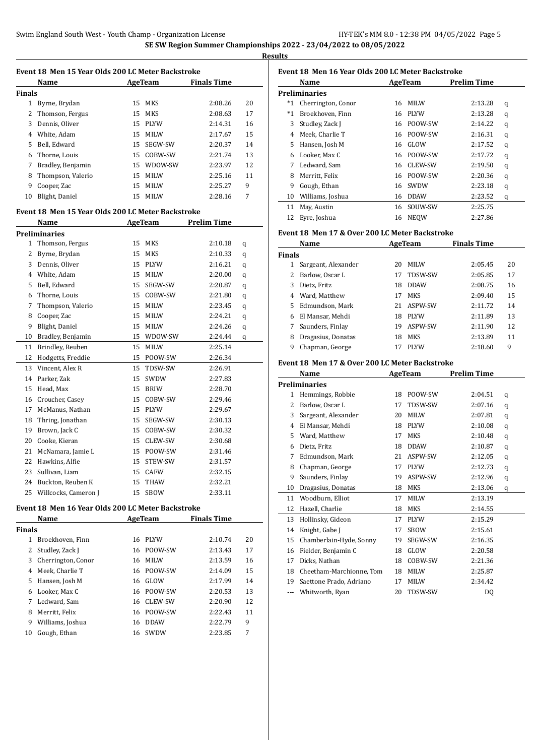$\overline{a}$ 

 $\overline{a}$ 

 $\overline{a}$ 

| . .<br>۰.<br>- 1<br>. . |
|-------------------------|
|                         |

|               | Event 18 Men 15 Year Olds 200 LC Meter Backstroke |    |             |                    |    |
|---------------|---------------------------------------------------|----|-------------|--------------------|----|
|               | Name                                              |    | AgeTeam     | <b>Finals Time</b> |    |
| <b>Finals</b> |                                                   |    |             |                    |    |
| 1             | Byrne, Brydan                                     | 15 | MKS         | 2:08.26            | 20 |
| 2             | Thomson, Fergus                                   | 15 | MKS         | 2:08.63            | 17 |
| 3             | Dennis, Oliver                                    | 15 | <b>PLYW</b> | 2:14.31            | 16 |
| 4             | White, Adam                                       | 15 | <b>MILW</b> | 2:17.67            | 15 |
| 5.            | Bell. Edward                                      | 15 | SEGW-SW     | 2:20.37            | 14 |
| 6             | Thorne, Louis                                     | 15 | COBW-SW     | 2:21.74            | 13 |
| 7             | Bradley, Benjamin                                 | 15 | WDOW-SW     | 2:23.97            | 12 |
| 8             | Thompson, Valerio                                 | 15 | <b>MILW</b> | 2:25.16            | 11 |
| 9             | Cooper, Zac                                       | 15 | MILW        | 2:25.27            | 9  |
| 10            | Blight, Daniel                                    | 15 | MILW        | 2:28.16            | 7  |

#### **Event 18 Men 15 Year Olds 200 LC Meter Backstroke**

|              | Name                 |    | AgeTeam     | <b>Prelim Time</b> |   |
|--------------|----------------------|----|-------------|--------------------|---|
|              | <b>Preliminaries</b> |    |             |                    |   |
| $\mathbf{1}$ | Thomson, Fergus      | 15 | <b>MKS</b>  | 2:10.18            | q |
| 2            | Byrne, Brydan        | 15 | <b>MKS</b>  | 2:10.33            | q |
| 3            | Dennis, Oliver       | 15 | <b>PLYW</b> | 2:16.21            | q |
| 4            | White, Adam          | 15 | <b>MILW</b> | 2:20.00            | q |
| 5            | Bell, Edward         | 15 | SEGW-SW     | 2:20.87            | q |
| 6            | Thorne, Louis        | 15 | COBW-SW     | 2:21.80            | q |
| 7            | Thompson, Valerio    | 15 | <b>MILW</b> | 2:23.45            | q |
| 8            | Cooper, Zac          | 15 | MILW        | 2:24.21            | q |
| 9            | Blight, Daniel       | 15 | MILW        | 2:24.26            | q |
| 10           | Bradley, Benjamin    | 15 | WDOW-SW     | 2:24.44            | q |
| 11           | Brindley, Reuben     | 15 | <b>MILW</b> | 2:25.14            |   |
| 12           | Hodgetts, Freddie    | 15 | POOW-SW     | 2:26.34            |   |
| 13           | Vincent, Alex R      | 15 | TDSW-SW     | 2:26.91            |   |
| 14           | Parker, Zak          | 15 | <b>SWDW</b> | 2:27.83            |   |
| 15           | Head, Max            | 15 | <b>BRIW</b> | 2:28.70            |   |
| 16           | Croucher, Casey      | 15 | COBW-SW     | 2:29.46            |   |
| 17           | McManus, Nathan      | 15 | <b>PLYW</b> | 2:29.67            |   |
| 18           | Thring, Jonathan     | 15 | SEGW-SW     | 2:30.13            |   |
| 19           | Brown, Jack C        | 15 | COBW-SW     | 2:30.32            |   |
| 20           | Cooke, Kieran        | 15 | CLEW-SW     | 2:30.68            |   |
| 21           | McNamara, Jamie L    | 15 | POOW-SW     | 2:31.46            |   |
| 22           | Hawkins, Alfie       | 15 | STEW-SW     | 2:31.57            |   |
| 23           | Sullivan, Liam       | 15 | CAFW        | 2:32.15            |   |
| 24           | Buckton, Reuben K    | 15 | <b>THAW</b> | 2:32.21            |   |
| 25           | Willcocks, Cameron J | 15 | <b>SBOW</b> | 2:33.11            |   |

#### **Event 18 Men 16 Year Olds 200 LC Meter Backstroke**

|               | Name               |    | AgeTeam     | <b>Finals Time</b> |    |
|---------------|--------------------|----|-------------|--------------------|----|
| <b>Finals</b> |                    |    |             |                    |    |
| 1             | Broekhoven, Finn   | 16 | PLYW        | 2:10.74            | 20 |
|               | Studley, Zack J    | 16 | POOW-SW     | 2:13.43            | 17 |
| 3             | Cherrington, Conor | 16 | <b>MILW</b> | 2:13.59            | 16 |
| 4             | Meek. Charlie T    | 16 | POOW-SW     | 2:14.09            | 15 |
| 5.            | Hansen, Josh M     | 16 | GLOW        | 2:17.99            | 14 |
| 6             | Looker, Max C      | 16 | POOW-SW     | 2:20.53            | 13 |
| 7             | Ledward, Sam       | 16 | CLEW-SW     | 2:20.90            | 12 |
| 8             | Merritt, Felix     | 16 | POOW-SW     | 2:22.43            | 11 |
| 9             | Williams, Joshua   | 16 | <b>DDAW</b> | 2:22.79            | 9  |
| 10            | Gough, Ethan       | 16 | SWDW        | 2:23.85            | 7  |
|               |                    |    |             |                    |    |

### **Event 18 Men 16 Year Olds 200 LC Meter Backstroke**

|       | Name                 |    | AgeTeam     | <b>Prelim Time</b> |   |
|-------|----------------------|----|-------------|--------------------|---|
|       | <b>Preliminaries</b> |    |             |                    |   |
| $^*1$ | Cherrington, Conor   | 16 | <b>MILW</b> | 2:13.28            | q |
| $^*1$ | Broekhoven, Finn     | 16 | <b>PLYW</b> | 2:13.28            | q |
| 3     | Studley, Zack J      | 16 | POOW-SW     | 2:14.22            | q |
| 4     | Meek, Charlie T      | 16 | POOW-SW     | 2:16.31            | q |
| 5     | Hansen, Josh M       | 16 | GLOW        | 2:17.52            | q |
| 6     | Looker, Max C        | 16 | POOW-SW     | 2:17.72            | q |
| 7     | Ledward, Sam         | 16 | CLEW-SW     | 2:19.50            | q |
| 8     | Merritt, Felix       | 16 | POOW-SW     | 2:20.36            | q |
| 9     | Gough, Ethan         | 16 | <b>SWDW</b> | 2:23.18            | q |
| 10    | Williams, Joshua     | 16 | <b>DDAW</b> | 2:23.52            | q |
| 11    | May, Austin          | 16 | SOUW-SW     | 2:25.75            |   |
| 12    | Eyre, Joshua         | 16 | <b>NEOW</b> | 2:27.86            |   |

### **Event 18 Men 17 & Over 200 LC Meter Backstroke**

|               | Name                |    | AgeTeam        | <b>Finals Time</b> |    |
|---------------|---------------------|----|----------------|--------------------|----|
| <b>Finals</b> |                     |    |                |                    |    |
|               | Sargeant, Alexander | 20 | <b>MILW</b>    | 2:05.45            | 20 |
|               | Barlow, Oscar L     | 17 | <b>TDSW-SW</b> | 2:05.85            | 17 |
| 3             | Dietz, Fritz        | 18 | <b>DDAW</b>    | 2:08.75            | 16 |
| 4             | Ward, Matthew       | 17 | <b>MKS</b>     | 2:09.40            | 15 |
| 5.            | Edmundson. Mark     | 21 | ASPW-SW        | 2:11.72            | 14 |
| 6             | El Mansar. Mehdi    | 18 | <b>PLYW</b>    | 2:11.89            | 13 |
|               | Saunders, Finlay    | 19 | ASPW-SW        | 2:11.90            | 12 |
| 8             | Dragasius, Donatas  | 18 | MKS            | 2:13.89            | 11 |
| 9             | Chapman, George     |    | <b>PLYW</b>    | 2:18.60            | 9  |

#### **Event 18 Men 17 & Over 200 LC Meter Backstroke**

|                          |      |             | <b>Prelim Time</b> |   |  |
|--------------------------|------|-------------|--------------------|---|--|
| Preliminaries            |      |             |                    |   |  |
| Hemmings, Robbie         | 18   | POOW-SW     | 2:04.51            | q |  |
| Barlow, Oscar L          | 17   | TDSW-SW     | 2:07.16            | q |  |
| Sargeant, Alexander      | 20   | <b>MILW</b> | 2:07.81            | q |  |
| El Mansar, Mehdi         | 18   | <b>PLYW</b> | 2:10.08            | q |  |
| Ward, Matthew            | 17   | <b>MKS</b>  | 2:10.48            | q |  |
| Dietz, Fritz             | 18   | <b>DDAW</b> | 2:10.87            | q |  |
| Edmundson, Mark          | 21   | ASPW-SW     | 2:12.05            | q |  |
| Chapman, George          | 17   | <b>PLYW</b> | 2:12.73            | q |  |
| Saunders, Finlay         | 19   | ASPW-SW     | 2:12.96            | q |  |
| Dragasius, Donatas       | 18   | <b>MKS</b>  | 2:13.06            | q |  |
| Woodburn, Elliot         | 17   | <b>MILW</b> | 2:13.19            |   |  |
| Hazell, Charlie          | 18   | <b>MKS</b>  | 2:14.55            |   |  |
| Hollinsky, Gideon        | 17   | <b>PLYW</b> | 2:15.29            |   |  |
| Knight, Gabe J           | 17   | <b>SBOW</b> | 2:15.61            |   |  |
| Chamberlain-Hyde, Sonny  | 19   | SEGW-SW     | 2:16.35            |   |  |
| Fielder, Benjamin C      | 18   | GLOW        | 2:20.58            |   |  |
| Dicks, Nathan            | 18   | COBW-SW     | 2:21.36            |   |  |
| Cheetham-Marchionne, Tom | 18   | <b>MILW</b> | 2:25.87            |   |  |
| Saettone Prado, Adriano  | 17   | <b>MILW</b> | 2:34.42            |   |  |
| Whitworth, Ryan          | 20   | TDSW-SW     | DQ                 |   |  |
|                          | Name |             | <b>AgeTeam</b>     |   |  |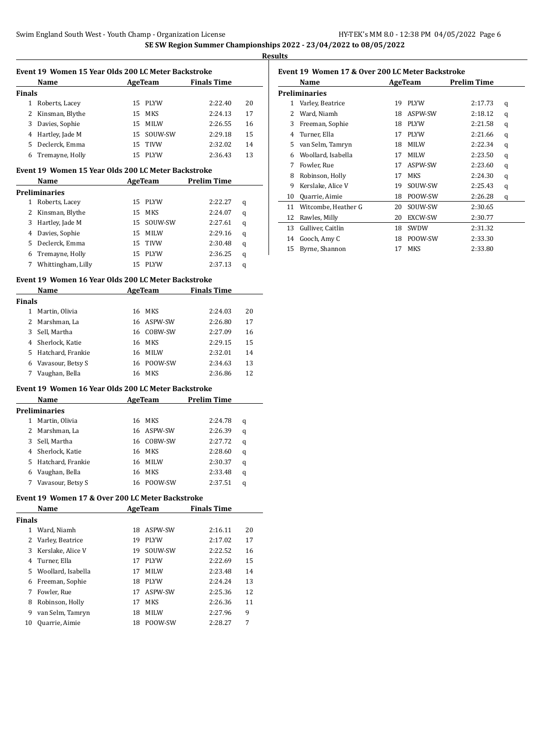**Results**

|             |                                                     | Event 19 Women 15 Year Olds 200 LC Meter Backstroke |             |                     |        |
|-------------|-----------------------------------------------------|-----------------------------------------------------|-------------|---------------------|--------|
|             | Name                                                |                                                     |             | AgeTeam Finals Time |        |
| Finals      |                                                     |                                                     |             |                     |        |
|             | 1 Roberts, Lacey                                    | 15                                                  | PLYW        | 2:22.40             | 20     |
|             | 2 Kinsman, Blythe                                   | 15                                                  | MKS         | 2:24.13             | 17     |
| 3           | Davies, Sophie                                      | 15                                                  | MILW        | 2:26.55             | 16     |
| 4           | Hartley, Jade M                                     | 15                                                  | SOUW-SW     | 2:29.18             | 15     |
| 5           | Declerck, Emma                                      | 15                                                  | <b>TIVW</b> | 2:32.02             | 14     |
|             | 6 Tremayne, Holly                                   | 15                                                  | PLYW        | 2:36.43             | 13     |
|             |                                                     |                                                     |             |                     |        |
|             | Event 19 Women 15 Year Olds 200 LC Meter Backstroke |                                                     |             |                     |        |
|             | Name                                                |                                                     | AgeTeam     | <b>Prelim Time</b>  |        |
|             | Preliminaries                                       |                                                     |             |                     |        |
| 1           | Roberts, Lacey                                      |                                                     | 15 PLYW     | 2:22.27             | q      |
| 2           | Kinsman, Blythe                                     | 15                                                  | MKS         | 2:24.07             | q      |
| 3           | Hartley, Jade M                                     | 15                                                  | SOUW-SW     | 2:27.61             | q      |
|             | 4 Davies, Sophie                                    | 15                                                  | MILW        | 2:29.16             | q      |
|             | 5 Declerck, Emma                                    |                                                     | 15 TIVW     | 2:30.48             | q      |
|             | 6 Tremayne, Holly                                   |                                                     | 15 PLYW     | 2:36.25             | q      |
|             | 7 Whittingham, Lilly                                |                                                     | 15 PLYW     | 2:37.13             | q      |
|             | Event 19 Women 16 Year Olds 200 LC Meter Backstroke |                                                     |             |                     |        |
|             | Name                                                |                                                     | AgeTeam     | <b>Finals Time</b>  |        |
| Finals      |                                                     |                                                     |             |                     |        |
| 1           | Martin, Olivia                                      |                                                     | 16 MKS      | 2:24.03             | 20     |
| 2           | Marshman, La                                        | 16                                                  | ASPW-SW     | 2:26.80             | 17     |
|             |                                                     |                                                     | 16 COBW-SW  | 2:27.09             | 16     |
|             |                                                     |                                                     |             |                     |        |
| 3           | Sell, Martha                                        |                                                     |             |                     |        |
|             | 4 Sherlock, Katie                                   | 16                                                  | MKS         | 2:29.15             | 15     |
|             | 5 Hatchard, Frankie                                 |                                                     | 16 MILW     | 2:32.01             | 14     |
|             | 6 Vavasour, Betsy S                                 |                                                     | 16 POOW-SW  | 2:34.63             | 13     |
|             | 7 Vaughan, Bella                                    |                                                     | 16 MKS      | 2:36.86             | 12     |
|             | Event 19 Women 16 Year Olds 200 LC Meter Backstroke |                                                     |             |                     |        |
|             | Name                                                |                                                     |             | AgeTeam Prelim Time |        |
|             | <b>Preliminaries</b>                                |                                                     |             |                     |        |
|             | 1 Martin, Olivia                                    |                                                     | 16 MKS      | 2:24.78             | q      |
|             | 2 Marshman, La                                      |                                                     | 16 ASPW-SW  | 2:26.39             | q      |
| 3           | Sell, Martha                                        |                                                     | 16 COBW-SW  | 2:27.72             | q      |
|             | 4 Sherlock, Katie                                   | 16                                                  | MKS         | 2:28.60             | q      |
| 5           | Hatchard, Frankie                                   |                                                     | 16 MILW     | 2:30.37             |        |
| 6           |                                                     |                                                     | 16 MKS      | 2:33.48             | q      |
| 7           | Vaughan, Bella<br>Vavasour, Betsy S                 |                                                     |             | 2:37.51             | q<br>q |
|             |                                                     |                                                     | 16 POOW-SW  |                     |        |
|             | Event 19 Women 17 & Over 200 LC Meter Backstroke    |                                                     |             |                     |        |
|             | Name                                                |                                                     | AgeTeam     | <b>Finals Time</b>  |        |
|             |                                                     |                                                     |             |                     |        |
|             | 1 Ward, Niamh                                       | 18                                                  | ASPW-SW     | 2:16.11             | 20     |
| 2           | Varley, Beatrice                                    | 19                                                  | PLYW        | 2:17.02             | 17     |
| 3           | Kerslake, Alice V                                   | 19                                                  | SOUW-SW     | 2:22.52             | 16     |
| 4           | Turner, Ella                                        | 17                                                  | PLYW        | 2:22.69             | 15     |
| 5           | Woollard, Isabella                                  | 17                                                  | MILW        | 2:23.48             | 14     |
| 6           | Freeman, Sophie                                     | 18                                                  | <b>PLYW</b> | 2:24.24             | 13     |
| 7           | Fowler, Rue                                         | 17                                                  | ASPW-SW     | 2:25.36             | 12     |
| 8           | Robinson, Holly                                     | 17                                                  | MKS         | 2:26.36             | 11     |
| Finals<br>9 | van Selm, Tamryn                                    | 18                                                  | MILW        | 2:27.96             | 9      |

### **Event 19 Women 17 & Over 200 LC Meter Backstroke Name AgeTeam Prelim Time Preliminaries** Varley, Beatrice 19 PLYW 2:17.73 q Ward, Niamh 18 ASPW-SW 2:18.12 q Freeman, Sophie 18 PLYW 2:21.58 q Turner, Ella 17 PLYW 2:21.66 q van Selm, Tamryn 18 MILW 2:22.34 q Woollard, Isabella 17 MILW 2:23.50 q Fowler, Rue 17 ASPW-SW 2:23.60 q Robinson, Holly 17 MKS 2:24.30 q 9 Kerslake, Alice V 19 SOUW-SW 2:25.43 q Quarrie, Aimie 18 POOW-SW 2:26.28 q Witcombe, Heather G 20 SOUW-SW 2:30.65 Rawles, Milly 20 EXCW-SW 2:30.77 Gulliver, Caitlin 18 SWDW 2:31.32 Gooch, Amy C 18 POOW-SW 2:33.30

Byrne, Shannon 17 MKS 2:33.80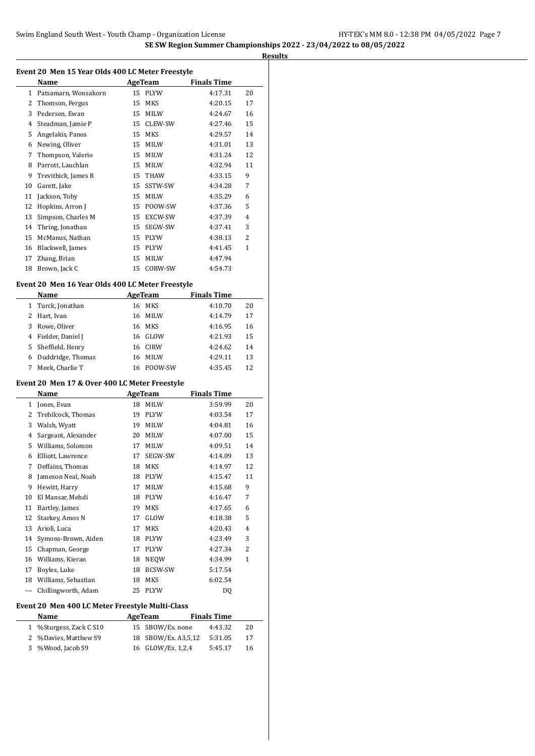|                | Name                                             |          | AgeTeam          | <b>Finals Time</b> |         |
|----------------|--------------------------------------------------|----------|------------------|--------------------|---------|
|                | 1 Patsamarn, Wonsakorn                           |          | 15 PLYW          | 4:17.31            | 20      |
| 2              | Thomson, Fergus                                  | 15       | MKS              | 4:20.15            | 17      |
| 3              | Pedersen, Ewan                                   |          | 15 MILW          | 4:24.67            | 16      |
| 4              | Steadman, Jamie P                                |          | 15 CLEW-SW       | 4:27.46            | 15      |
| 5              | Angelakis, Panos                                 | 15       | MKS              | 4:29.57            | 14      |
| 6              | Newing, Oliver                                   | 15       | MILW             | 4:31.01            | 13      |
| 7              | Thompson, Valerio                                | 15       | <b>MILW</b>      | 4:31.24            | 12      |
| 8              | Parrott, Lauchlan                                | 15       | MILW             | 4:32.94            | 11      |
| 9              | Trevithick, James R                              | 15       | THAW             | 4:33.15            | 9       |
| 10             | Garett, Jake                                     | 15       | SSTW-SW          | 4:34.28            | 7       |
| 11             | Jackson, Toby                                    | 15       | MILW             | 4:35.29            | 6       |
| 12             | Hopkins, Arron J                                 |          | 15 POOW-SW       | 4:37.36            | 5       |
| 13             | Simpson, Charles M                               | 15       | EXCW-SW          | 4:37.39            | 4       |
| 14             | Thring, Jonathan                                 |          | 15 SEGW-SW       | 4:37.41            | 3       |
| 15             | McManus, Nathan                                  |          | 15 PLYW          | 4:38.13            | 2       |
| 16             | Blackwell, James                                 | 15       | PLYW             | 4:41.45            | 1       |
| 17             | Zhang, Brian                                     | 15       | MILW             | 4:47.94            |         |
|                | 18 Brown, Jack C                                 | 15       | COBW-SW          | 4:54.73            |         |
|                | Event 20 Men 16 Year Olds 400 LC Meter Freestyle |          |                  |                    |         |
|                | Name                                             |          | AgeTeam          | <b>Finals Time</b> |         |
| $\mathbf{1}$   | Turck, Jonathan                                  |          | 16 MKS           | 4:10.70            | 20      |
| $\overline{2}$ | Hart, Ivan                                       | 16       | MILW             | 4:14.79            | 17      |
| 3              | Rowe, Oliver                                     | 16       | MKS              |                    | 16      |
|                |                                                  |          |                  | 4:16.95            |         |
|                | 4 Fielder, Daniel J                              |          | 16 GLOW          | 4:21.93            | 15      |
| 5              | Sheffield, Henry                                 |          | 16 CIRW          | 4:24.62            | 14      |
|                | Duddridge, Thomas                                |          | 16 MILW          | 4:29.11            | 13      |
| 6              |                                                  |          |                  |                    |         |
| 7              | Meek, Charlie T                                  |          | 16 POOW-SW       | 4:35.45            | 12      |
|                | Event 20 Men 17 & Over 400 LC Meter Freestyle    |          |                  |                    |         |
|                | Name                                             |          | <b>AgeTeam</b>   | <b>Finals Time</b> |         |
|                | 1 Jones, Evan                                    |          | 18 MILW          | 3:59.99            | 20      |
| 2              | Trebilcock, Thomas                               | 19       | PLYW             | 4:03.54            | 17      |
| 3              | Walsh, Wyatt                                     | 19       | MILW             | 4:04.81            | 16      |
| 4              | Sargeant, Alexander                              | 20       | MILW             | 4:07.00            | 15      |
| 5              | Williams, Solomon                                | 17       | <b>MILW</b>      | 4:09.51            | 14      |
| 6              | Elliott, Lawrence                                | 17       | SEGW-SW          | 4:14.09            | 13      |
| 7              |                                                  | 18       |                  |                    | 12      |
| 8              | Deffains, Thomas                                 |          | MKS              | 4:14.97            |         |
| 9              | Jameson Neal, Noah                               | 18<br>17 | PLYW             | 4:15.47<br>4:15.68 | 11<br>9 |
|                | Hewitt, Harry                                    | 18       | MILW             |                    |         |
| 10             | El Mansar, Mehdi                                 |          | PLYW             | 4:16.47            | 7       |
| 11             | Bartley, James                                   |          | 19 MKS           | 4:17.65            | 6       |
| 12             | Starkey, Amos N                                  | 17       | GLOW             | 4:18.38            | 5       |
| 13             | Arioli, Luca                                     | 17       | MKS              | 4:20.43            | 4       |
| 14             | Symons-Brown, Aiden                              | 18       | PLYW             | 4:23.49            | 3       |
| 15             | Chapman, George                                  | 17       | PLYW             | 4:27.34            | 2       |
| 16             | Williams, Kieran                                 | 18       | NEQW             | 4:34.99            | 1       |
| 17             | Boyles, Luke                                     | 18       | BCSW-SW          | 5:17.54            |         |
|                | 18 Williams, Sebastian                           | 18       | MKS              | 6:02.54            |         |
| ---            | Chillingworth, Adam                              | 25       | PLYW             | DQ                 |         |
|                | Event 20 Men 400 LC Meter Freestyle Multi-Class  |          |                  |                    |         |
|                | <u>Name</u>                                      |          | AgeTeam          | <b>Finals Time</b> |         |
| $\mathbf{1}$   | %Sturgess, Zack C S10                            | 15       | SBOW/Ex. none    | 4:43.32            | 20      |
| 2              | %Davies, Matthew S9                              | 18       | SBOW/Ex. A3,5,12 | 5:31.05            | 17      |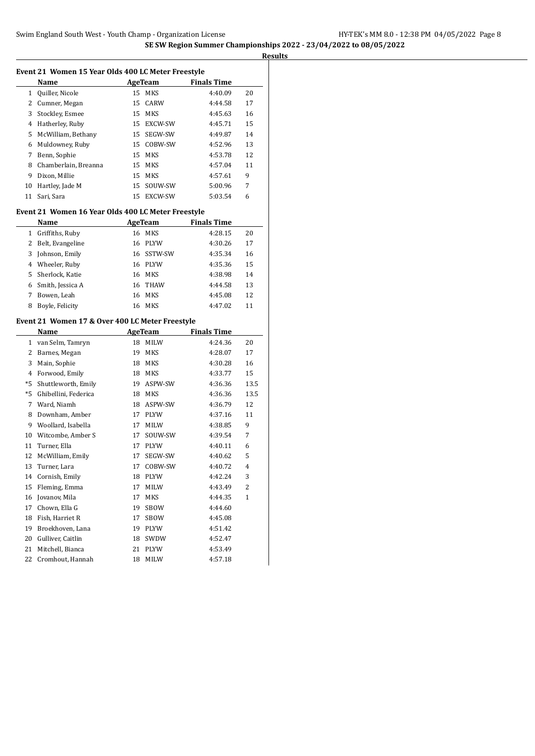|              | Event 21 Women 15 Year Olds 400 LC Meter Freestyle |          |                        |                    |         |
|--------------|----------------------------------------------------|----------|------------------------|--------------------|---------|
|              | Name                                               |          | AgeTeam                | <b>Finals Time</b> |         |
| 1            | Quiller, Nicole                                    | 15       | MKS                    | 4:40.09            | 20      |
| 2            | Cumner, Megan                                      | 15       | CARW                   | 4:44.58            | 17      |
| 3            | Stockley, Esmee                                    | 15       | MKS                    | 4:45.63            | 16      |
| 4            | Hatherley, Ruby                                    | 15       | EXCW-SW                | 4:45.71            | 15      |
| 5            | McWilliam, Bethany                                 | 15       | SEGW-SW                | 4:49.87            | 14      |
| 6            | Muldowney, Ruby                                    | 15       | COBW-SW                | 4:52.96            | 13      |
| 7            | Benn, Sophie                                       | 15       | MKS                    | 4:53.78            | 12      |
| 8            | Chamberlain, Breanna                               | 15       | <b>MKS</b>             | 4:57.04            | 11      |
| 9            | Dixon, Millie                                      | 15       | MKS                    | 4:57.61            | 9       |
| 10           | Hartley, Jade M                                    | 15       | SOUW-SW                | 5:00.96            | 7       |
| 11           | Sari, Sara                                         | 15       | EXCW-SW                | 5:03.54            | 6       |
|              | Event 21 Women 16 Year Olds 400 LC Meter Freestyle |          |                        |                    |         |
|              | Name                                               |          | <b>AgeTeam</b>         | <b>Finals Time</b> |         |
| $\mathbf{1}$ | Griffiths, Ruby                                    | 16       | MKS                    | 4:28.15            | 20      |
| 2            | Belt, Evangeline                                   | 16       | <b>PLYW</b>            | 4:30.26            | 17      |
| 3            | Johnson, Emily                                     | 16       | SSTW-SW                | 4:35.34            | 16      |
|              | 4 Wheeler, Ruby                                    |          | 16 PLYW                | 4:35.36            | 15      |
| 5            | Sherlock, Katie                                    | 16       | MKS                    | 4:38.98            | 14      |
|              | 6 Smith, Jessica A                                 | 16       | <b>THAW</b>            | 4:44.58            | 13      |
| 7            | Bowen, Leah                                        | 16       | <b>MKS</b>             | 4:45.08            | 12      |
| 8            | Boyle, Felicity                                    | 16       | MKS                    | 4:47.02            | 11      |
|              | Event 21 Women 17 & Over 400 LC Meter Freestyle    |          |                        |                    |         |
|              |                                                    |          |                        |                    |         |
|              |                                                    |          |                        |                    |         |
|              | Name                                               |          | AgeTeam                | <b>Finals Time</b> |         |
|              | 1 van Selm, Tamryn                                 | 18       | <b>MILW</b>            | 4:24.36            | 20      |
| 2            | Barnes, Megan                                      | 19       | <b>MKS</b>             | 4:28.07            | 17      |
| 3            | Main, Sophie                                       | 18       | MKS                    | 4:30.28            | 16      |
| 4            | Forwood, Emily                                     | 18       | MKS                    | 4:33.77            | 15      |
| *5           | Shuttleworth, Emily                                | 19       | ASPW-SW                | 4:36.36            | 13.5    |
| *5           | Ghibellini, Federica                               | 18       | MKS                    | 4:36.36            | 13.5    |
| 7            | Ward, Niamh                                        | 18       | ASPW-SW                | 4:36.79            | 12      |
| 8<br>9       | Downham, Amber                                     | 17       | PLYW                   | 4:37.16            | 11<br>9 |
|              | Woollard, Isabella                                 | 17       | MILW                   | 4:38.85            | 7       |
| 10<br>11     | Witcombe, Amber S                                  | 17<br>17 | SOUW-SW<br><b>PLYW</b> | 4:39.54            | 6       |
| 12           | Turner, Ella                                       | 17       | SEGW-SW                | 4:40.11<br>4:40.62 | 5       |
|              | McWilliam, Emily                                   |          |                        |                    |         |
| 13           | Turner, Lara                                       |          | 17 COBW-SW             | 4:40.72            | 4       |
| 14<br>15     | Cornish, Emily<br>Fleming, Emma                    | 18<br>17 | PLYW<br>MILW           | 4:42.24<br>4:43.49 | 3<br>2  |
| 16           | Jovanov, Mila                                      | 17       |                        |                    | 1       |
| 17           |                                                    | 19       | MKS                    | 4:44.35            |         |
| 18           | Chown, Ella G                                      | 17       | SBOW                   | 4:44.60            |         |
| 19           | Fish, Harriet R                                    | 19       | SBOW                   | 4:45.08            |         |
|              | Broekhoven, Lana                                   |          | PLYW                   | 4:51.42            |         |
| 20<br>21     | Gulliver, Caitlin<br>Mitchell, Bianca              | 18<br>21 | SWDW<br>PLYW           | 4:52.47<br>4:53.49 |         |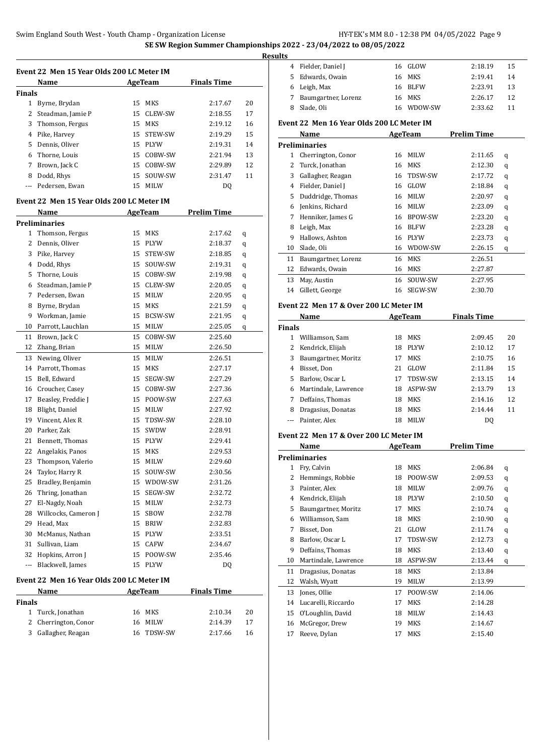|               | Event 22 Men 15 Year Olds 200 LC Meter IM |    |                |                    |    |
|---------------|-------------------------------------------|----|----------------|--------------------|----|
|               | Name                                      |    | <b>AgeTeam</b> | <b>Finals Time</b> |    |
| <b>Finals</b> |                                           |    |                |                    |    |
|               | 1 Byrne, Brydan                           | 15 | <b>MKS</b>     | 2:17.67            | 20 |
|               | 2 Steadman, Jamie P                       | 15 | CLEW-SW        | 2:18.55            | 17 |
| 3             | Thomson, Fergus                           | 15 | MKS            | 2:19.12            | 16 |
|               | 4 Pike, Harvey                            | 15 | STEW-SW        | 2:19.29            | 15 |
|               | 5 Dennis, Oliver                          |    | 15 PLYW        | 2:19.31            | 14 |
|               | 6 Thorne, Louis                           |    | 15 COBW-SW     | 2:21.94            | 13 |
| 7             | Brown, Jack C                             |    | 15 COBW-SW     | 2:29.89            | 12 |
| 8             | Dodd, Rhys                                | 15 | SOUW-SW        | 2:31.47            | 11 |
| ---           | Pedersen, Ewan                            | 15 | <b>MILW</b>    | DQ                 |    |
|               | Event 22 Men 15 Year Olds 200 LC Meter IM |    |                |                    |    |
|               | Name                                      |    | <b>AgeTeam</b> | <b>Prelim Time</b> |    |
|               | <b>Preliminaries</b>                      |    |                |                    |    |
|               | 1 Thomson, Fergus                         |    | 15 MKS         | 2:17.62            |    |
|               | 2 Dennis, Oliver                          | 15 | <b>PLYW</b>    | 2:18.37            | q  |
| 3             |                                           | 15 | STEW-SW        |                    | q  |
|               | Pike, Harvey                              |    |                | 2:18.85            | q  |
|               | 4 Dodd, Rhys                              | 15 | SOUW-SW        | 2:19.31            | q  |
| 5.            | Thorne. Louis                             | 15 | COBW-SW        | 2:19.98            | q  |
|               | 6 Steadman, Jamie P                       | 15 | CLEW-SW        | 2:20.05            | q  |
|               | 7 Pedersen, Ewan                          |    | 15 MILW        | 2:20.95            | q  |
|               | 8 Byrne, Brydan                           |    | 15 MKS         | 2:21.59            | q  |
| 9             | Workman, Jamie                            | 15 | BCSW-SW        | 2:21.95            | q  |
| 10            | Parrott, Lauchlan                         | 15 | MILW           | 2:25.05            | q  |
| 11            | Brown, Jack C                             | 15 | COBW-SW        | 2:25.60            |    |
| 12            | Zhang, Brian                              | 15 | MILW           | 2:26.50            |    |
| 13            | Newing, Oliver                            | 15 | <b>MILW</b>    | 2:26.51            |    |
|               | 14 Parrott, Thomas                        |    | 15 MKS         | 2:27.17            |    |
| 15            | Bell, Edward                              | 15 | SEGW-SW        | 2:27.29            |    |
| 16            | Croucher, Casey                           | 15 | COBW-SW        | 2:27.36            |    |
| 17            | Beasley, Freddie J                        | 15 | POOW-SW        | 2:27.63            |    |
| 18            | Blight, Daniel                            | 15 | <b>MILW</b>    | 2:27.92            |    |
|               | 19 Vincent, Alex R                        | 15 | TDSW-SW        | 2:28.10            |    |
|               | 20 Parker. Zak                            | 15 | SWDW           | 2:28.91            |    |
| 21            | Bennett, Thomas                           |    | 15 PLYW        | 2:29.41            |    |
| 22            | Angelakis, Panos                          | 15 | MKS            | 2:29.53            |    |
| 23            | Thompson, Valerio                         | 15 | <b>MILW</b>    | 2:29.60            |    |
| 24            | Taylor, Harry R                           | 15 | SOUW-SW        | 2:30.56            |    |
| 25            | Bradley, Benjamin                         | 15 | WDOW-SW        | 2:31.26            |    |
| 26            | Thring, Jonathan                          | 15 | SEGW-SW        | 2:32.72            |    |
| 27            | El-Nagdy, Noah                            | 15 | MILW           | 2:32.73            |    |
| 28            | Willcocks, Cameron J                      | 15 | SBOW           | 2:32.78            |    |
| 29            | Head, Max                                 | 15 | BRIW           | 2:32.83            |    |
| 30            | McManus, Nathan                           | 15 | PLYW           | 2:33.51            |    |
| 31            | Sullivan, Liam                            | 15 | CAFW           | 2:34.67            |    |
| 32            | Hopkins, Arron J                          | 15 | POOW-SW        | 2:35.46            |    |
| ---           | Blackwell, James                          | 15 | PLYW           | DQ                 |    |
|               | Event 22 Men 16 Year Olds 200 LC Meter IM |    |                |                    |    |
|               | Name                                      |    | <b>AgeTeam</b> | <b>Finals Time</b> |    |
| <b>Finals</b> |                                           |    |                |                    |    |
|               | 1 Turck, Jonathan                         | 16 | MKS            | 2:10.34            | 20 |
| 2             | Cherrington, Conor                        | 16 | MILW           | 2:14.39            | 17 |

Gallagher, Reagan 16 TDSW-SW 2:17.66 16

| τs |                     |            |         |    |
|----|---------------------|------------|---------|----|
|    | 4 Fielder, Daniel J | 16 GLOW    | 2:18.19 | 15 |
|    | 5 Edwards, Owain    | 16 MKS     | 2:19.41 | 14 |
|    | 6 Leigh, Max        | 16 BLFW    | 2:23.91 | 13 |
|    | Baumgartner, Lorenz | 16 MKS     | 2:26.17 | 12 |
| 8  | Slade. Oli          | 16 WDOW-SW | 2:33.62 | 11 |
|    |                     |            |         |    |

#### **Event 22 Men 16 Year Olds 200 LC Meter IM**

|    | Name                 |    | AgeTeam        | <b>Prelim Time</b> |   |
|----|----------------------|----|----------------|--------------------|---|
|    | <b>Preliminaries</b> |    |                |                    |   |
| 1  | Cherrington, Conor   | 16 | <b>MILW</b>    | 2:11.65            | q |
| 2  | Turck, Jonathan      | 16 | <b>MKS</b>     | 2:12.30            | q |
| 3  | Gallagher, Reagan    | 16 | TDSW-SW        | 2:17.72            | q |
| 4  | Fielder, Daniel J    | 16 | GLOW           | 2:18.84            | q |
| 5  | Duddridge, Thomas    | 16 | <b>MILW</b>    | 2:20.97            | q |
| 6  | Jenkins, Richard     | 16 | <b>MILW</b>    | 2:23.09            | q |
| 7  | Henniker, James G    | 16 | <b>BPOW-SW</b> | 2:23.20            | q |
| 8  | Leigh, Max           | 16 | <b>BLFW</b>    | 2:23.28            | q |
| 9  | Hallows, Ashton      | 16 | <b>PLYW</b>    | 2:23.73            | q |
| 10 | Slade, Oli           | 16 | WDOW-SW        | 2:26.15            | q |
| 11 | Baumgartner, Lorenz  | 16 | MKS            | 2:26.51            |   |
| 12 | Edwards, Owain       | 16 | MKS            | 2:27.87            |   |
| 13 | May, Austin          | 16 | SOUW-SW        | 2:27.95            |   |
| 14 | Gillett, George      | 16 | SEGW-SW        | 2:30.70            |   |

### **Event 22 Men 17 & Over 200 LC Meter IM**

|               | Name                 |    | AgeTeam        | <b>Finals Time</b> |    |
|---------------|----------------------|----|----------------|--------------------|----|
| <b>Finals</b> |                      |    |                |                    |    |
|               | Williamson, Sam      | 18 | MKS            | 2:09.45            | 20 |
|               | 2 Kendrick, Elijah   | 18 | <b>PLYW</b>    | 2:10.12            | 17 |
| 3             | Baumgartner, Moritz  | 17 | MKS            | 2:10.75            | 16 |
| 4             | Bisset. Don          | 21 | GLOW           | 2:11.84            | 15 |
| 5.            | Barlow, Oscar L      | 17 | <b>TDSW-SW</b> | 2:13.15            | 14 |
| 6             | Martindale, Lawrence | 18 | ASPW-SW        | 2:13.79            | 13 |
| 7             | Deffains, Thomas     | 18 | MKS            | 2:14.16            | 12 |
| 8             | Dragasius, Donatas   | 18 | MKS            | 2:14.44            | 11 |
|               | Painter, Alex        | 18 | <b>MILW</b>    | D0                 |    |

#### **Event 22 Men 17 & Over 200 LC Meter IM**

|    | Name                 |    | AgeTeam     | <b>Prelim Time</b> |   |
|----|----------------------|----|-------------|--------------------|---|
|    | Preliminaries        |    |             |                    |   |
| 1  | Fry, Calvin          | 18 | <b>MKS</b>  | 2:06.84            | q |
| 2  | Hemmings, Robbie     | 18 | POOW-SW     | 2:09.53            | q |
| 3  | Painter, Alex        | 18 | <b>MILW</b> | 2:09.76            | q |
| 4  | Kendrick, Elijah     | 18 | <b>PLYW</b> | 2:10.50            | q |
| 5  | Baumgartner, Moritz  | 17 | <b>MKS</b>  | 2:10.74            | q |
| 6  | Williamson, Sam      | 18 | <b>MKS</b>  | 2:10.90            | q |
| 7  | Bisset, Don          | 21 | GLOW        | 2:11.74            | q |
| 8  | Barlow, Oscar L      | 17 | TDSW-SW     | 2:12.73            | q |
| 9  | Deffains, Thomas     | 18 | <b>MKS</b>  | 2:13.40            | q |
| 10 | Martindale, Lawrence | 18 | ASPW-SW     | 2:13.44            | q |
| 11 | Dragasius, Donatas   | 18 | <b>MKS</b>  | 2:13.84            |   |
| 12 | Walsh, Wyatt         | 19 | <b>MILW</b> | 2:13.99            |   |
| 13 | Jones, Ollie         | 17 | POOW-SW     | 2:14.06            |   |
| 14 | Lucarelli, Riccardo  | 17 | <b>MKS</b>  | 2:14.28            |   |
| 15 | O'Loughlin, David    | 18 | <b>MILW</b> | 2:14.43            |   |
| 16 | McGregor, Drew       | 19 | <b>MKS</b>  | 2:14.67            |   |
| 17 | Reeve, Dylan         | 17 | <b>MKS</b>  | 2:15.40            |   |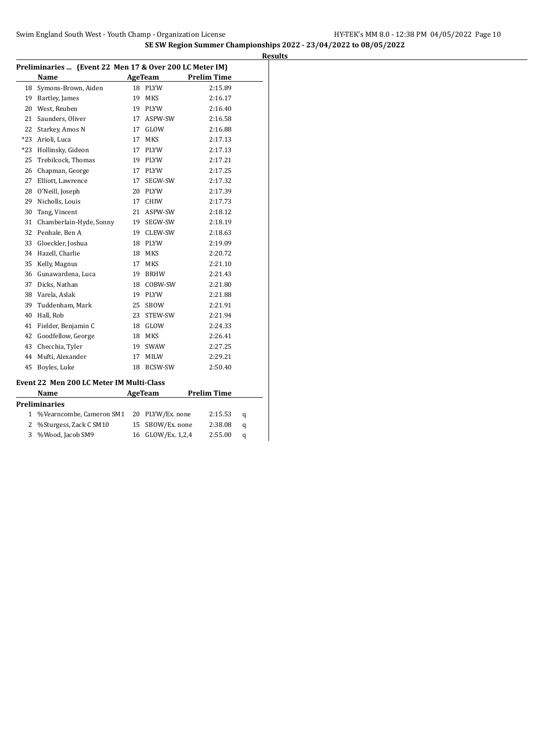|       | Preliminaries  (Event 22 Men 17 & Over 200 LC Meter IM) |    |                  |                    |   |
|-------|---------------------------------------------------------|----|------------------|--------------------|---|
|       | Name                                                    |    | AgeTeam          | <b>Prelim Time</b> |   |
| 18    | Symons-Brown, Aiden                                     | 18 | PLYW             | 2:15.89            |   |
| 19    | Bartley, James                                          | 19 | <b>MKS</b>       | 2:16.17            |   |
| 20    | West, Reuben                                            | 19 | <b>PLYW</b>      | 2:16.40            |   |
| 21    | Saunders, Oliver                                        | 17 | ASPW-SW          | 2:16.58            |   |
| 22    | Starkey, Amos N                                         | 17 | GLOW             | 2:16.88            |   |
| $*23$ | Arioli, Luca                                            | 17 | <b>MKS</b>       | 2:17.13            |   |
| $*23$ | Hollinsky, Gideon                                       | 17 | PLYW             | 2:17.13            |   |
| 25    | Trebilcock, Thomas                                      |    | 19 PLYW          | 2:17.21            |   |
| 26    | Chapman, George                                         | 17 | PLYW             | 2:17.25            |   |
| 27    | Elliott, Lawrence                                       | 17 | SEGW-SW          | 2:17.32            |   |
| 28    | O'Neill, Joseph                                         | 20 | <b>PLYW</b>      | 2:17.39            |   |
| 29    | Nicholls, Louis                                         | 17 | <b>CHIW</b>      | 2:17.73            |   |
| 30    | Tang, Vincent                                           | 21 | ASPW-SW          | 2:18.12            |   |
| 31    | Chamberlain-Hyde, Sonny                                 | 19 | SEGW-SW          | 2:18.19            |   |
| 32    | Penhale, Ben A                                          | 19 | CLEW-SW          | 2:18.63            |   |
| 33    | Gloeckler, Joshua                                       | 18 | PLYW             | 2:19.09            |   |
| 34    | Hazell, Charlie                                         | 18 | MKS              | 2:20.72            |   |
| 35    | Kelly, Magnus                                           | 17 | <b>MKS</b>       | 2:21.10            |   |
| 36    | Gunawardena, Luca                                       | 19 | <b>BRHW</b>      | 2:21.43            |   |
| 37    | Dicks, Nathan                                           | 18 | COBW-SW          | 2:21.80            |   |
| 38    | Varela, Aslak                                           | 19 | PLYW             | 2:21.88            |   |
| 39    | Tuddenham, Mark                                         | 25 | SBOW             | 2:21.91            |   |
| 40    | Hall, Rob                                               | 23 | STEW-SW          | 2:21.94            |   |
| 41    | Fielder, Benjamin C                                     | 18 | GLOW             | 2:24.33            |   |
| 42    | Goodfellow, George                                      |    | 18 MKS           | 2:26.41            |   |
| 43    | Checchia, Tyler                                         | 19 | SWAW             | 2:27.25            |   |
| 44    | Mufti, Alexander                                        | 17 | MILW             | 2:29.21            |   |
| 45    | Boyles, Luke                                            | 18 | BCSW-SW          | 2:50.40            |   |
|       | Event 22 Men 200 LC Meter IM Multi-Class                |    |                  |                    |   |
|       | Name                                                    |    | AgeTeam          | <b>Prelim Time</b> |   |
|       | <b>Preliminaries</b>                                    |    |                  |                    |   |
| 1     | %Vearncombe, Cameron SM1                                |    | 20 PLYW/Ex. none | 2:15.53            | q |
| 2     | %Sturgess, Zack C SM10                                  | 15 | SBOW/Ex. none    | 2:38.08            | q |

%Wood, Jacob SM9 16 GLOW/Ex. 1,2,4 2:55.00 q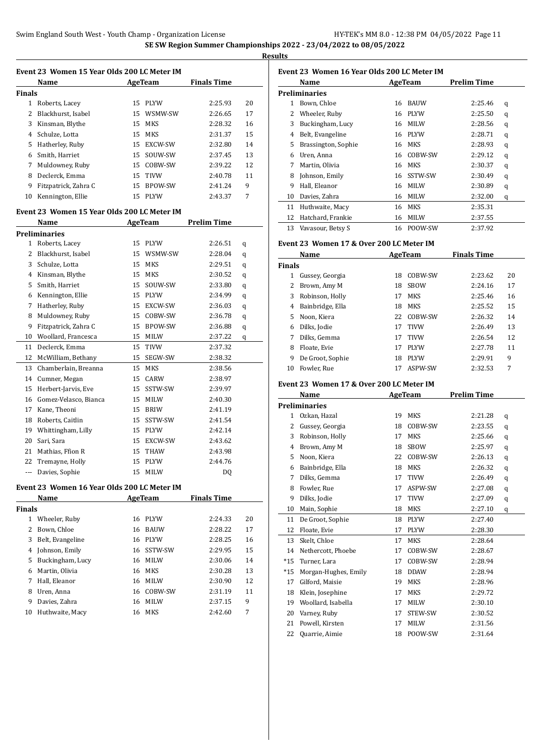$\overline{a}$ 

**Results**

|                | Event 23 Women 15 Year Olds 200 LC Meter IM |    |             |                    |        |
|----------------|---------------------------------------------|----|-------------|--------------------|--------|
|                | Name                                        |    | AgeTeam     | <b>Finals Time</b> |        |
| Finals         |                                             |    |             |                    |        |
|                | 1 Roberts, Lacey                            |    | 15 PLYW     | 2:25.93            | 20     |
| 2              | Blackhurst, Isabel                          |    | 15 WSMW-SW  | 2:26.65            | 17     |
| 3              | Kinsman, Blythe                             |    | 15 MKS      | 2:28.32            | 16     |
|                | 4 Schulze, Lotta                            |    | 15 MKS      | 2:31.37            | 15     |
|                | 5 Hatherley, Ruby                           |    | 15 EXCW-SW  | 2:32.80            | 14     |
|                | 6 Smith, Harriet                            |    | 15 SOUW-SW  | 2:37.45            | 13     |
|                | 7 Muldowney, Ruby                           |    | 15 COBW-SW  | 2:39.22            | 12     |
| 8              | Declerck, Emma                              |    | 15 TIVW     | 2:40.78            | 11     |
| 9              | Fitzpatrick, Zahra C                        |    | 15 BPOW-SW  | 2:41.24            | 9      |
| 10             | Kennington, Ellie                           |    | 15 PLYW     | 2:43.37            | 7      |
|                | Event 23 Women 15 Year Olds 200 LC Meter IM |    |             |                    |        |
|                | Name                                        |    | AgeTeam     | Prelim Time        |        |
|                | Preliminaries                               |    |             |                    |        |
|                | 1 Roberts, Lacey                            |    | 15 PLYW     | 2:26.51            |        |
|                | 2 Blackhurst, Isabel                        |    | 15 WSMW-SW  | 2:28.04            | q      |
| 3              | Schulze, Lotta                              |    | 15 MKS      | 2:29.51            | q      |
|                | 4 Kinsman, Blythe                           |    | 15 MKS      | 2:30.52            | q      |
|                | 5 Smith, Harriet                            |    | 15 SOUW-SW  | 2:33.80            | q      |
|                | 6 Kennington, Ellie                         |    | 15 PLYW     | 2:34.99            | q      |
|                | 7 Hatherley, Ruby                           |    | 15 EXCW-SW  | 2:36.03            | q      |
| 8              | Muldowney, Ruby                             |    | 15 COBW-SW  | 2:36.78            | q      |
| 9              | Fitzpatrick, Zahra C                        |    | 15 BPOW-SW  | 2:36.88            | q<br>q |
| 10             | Woollard, Francesca                         |    | 15 MILW     | 2:37.22            | q      |
| 11             | Declerck, Emma                              |    | 15 TIVW     | 2:37.32            |        |
| 12             | McWilliam, Bethany                          |    | 15 SEGW-SW  | 2:38.32            |        |
| 13             | Chamberlain, Breanna                        |    | 15 MKS      | 2:38.56            |        |
| 14             | Cumner, Megan                               |    | 15 CARW     | 2:38.97            |        |
| 15             | Herbert-Jarvis, Eve                         |    | 15 SSTW-SW  | 2:39.97            |        |
| 16             | Gomez-Velasco, Bianca                       |    | 15 MILW     | 2:40.30            |        |
|                | 17 Kane, Theoni                             |    | 15 BRIW     | 2:41.19            |        |
| 18             | Roberts, Caitlin                            |    | 15 SSTW-SW  | 2:41.54            |        |
|                | 19 Whittingham, Lilly                       |    | 15 PLYW     | 2:42.14            |        |
| 20             | Sari, Sara                                  |    | 15 EXCW-SW  | 2:43.62            |        |
| 21             | Mathias, Ffion R                            | 15 | THAW        | 2:43.98            |        |
| 22             | Tremayne, Holly                             | 15 | <b>PLYW</b> | 2:44.76            |        |
|                | Davies, Sophie                              | 15 | MILW        | DQ                 |        |
|                |                                             |    |             |                    |        |
|                | Event 23 Women 16 Year Olds 200 LC Meter IM |    |             |                    |        |
|                | Name                                        |    | AgeTeam     | <b>Finals Time</b> |        |
| <b>Finals</b>  |                                             |    |             |                    |        |
|                | 1 Wheeler, Ruby                             | 16 | PLYW        | 2:24.33            | 20     |
| 2              | Bown, Chloe                                 | 16 | BAUW        | 2:28.22            | 17     |
| 3              | Belt, Evangeline                            | 16 | <b>PLYW</b> | 2:28.25            | 16     |
| $\overline{4}$ | Johnson, Emily                              | 16 | SSTW-SW     | 2:29.95            | 15     |
| 5              | Buckingham, Lucy                            |    | 16 MILW     | 2:30.06            | 14     |
| 6              | Martin, Olivia                              | 16 | MKS         | 2:30.28            | 13     |
| 7              | Hall, Eleanor                               |    | 16 MILW     | 2:30.90            | 12     |
| 8              | Uren, Anna                                  |    | 16 COBW-SW  | 2:31.19            | 11     |
| 9              | Davies, Zahra                               | 16 | MILW        | 2:37.15            | 9      |
| 10             | Huthwaite, Macy                             | 16 | MKS         | 2:42.60            | 7      |

### **Event 23 Women 16 Year Olds 200 LC Meter IM Name AgeTeam Prelim Time Preliminaries** Bown, Chloe 16 BAUW 2:25.46 q

|    | 2 Wheeler, Ruby     |    | 16 PLYW    | 2:25.50 | q |
|----|---------------------|----|------------|---------|---|
| 3  | Buckingham, Lucy    |    | 16 MILW    | 2:28.56 | q |
| 4  | Belt, Evangeline    |    | 16 PLYW    | 2:28.71 | q |
| 5. | Brassington, Sophie |    | 16 MKS     | 2:28.93 | q |
| 6  | Uren, Anna          |    | 16 COBW-SW | 2:29.12 | q |
| 7  | Martin, Olivia      | 16 | MKS        | 2:30.37 | q |
| 8  | Johnson, Emily      |    | 16 SSTW-SW | 2:30.49 | q |
| 9  | Hall, Eleanor       | 16 | MILW       | 2:30.89 | q |
| 10 | Davies, Zahra       | 16 | MILW       | 2:32.00 | q |
| 11 | Huthwaite, Macy     | 16 | MKS        | 2:35.31 |   |
| 12 | Hatchard, Frankie   | 16 | MILW       | 2:37.55 |   |
| 13 | Vavasour, Betsy S   |    | 16 POOW-SW | 2:37.92 |   |

#### **Event 23 Women 17 & Over 200 LC Meter IM**

|               | Name             |    | AgeTeam     | <b>Finals Time</b> |    |
|---------------|------------------|----|-------------|--------------------|----|
| <b>Finals</b> |                  |    |             |                    |    |
|               | Gussey, Georgia  | 18 | COBW-SW     | 2:23.62            | 20 |
|               | Brown, Amy M     | 18 | <b>SBOW</b> | 2:24.16            | 17 |
| 3             | Robinson, Holly  | 17 | <b>MKS</b>  | 2:25.46            | 16 |
| 4             | Bainbridge, Ella | 18 | <b>MKS</b>  | 2:25.52            | 15 |
| 5.            | Noon, Kiera      | 22 | COBW-SW     | 2:26.32            | 14 |
| 6             | Dilks, Jodie     | 17 | <b>TIVW</b> | 2:26.49            | 13 |
|               | Dilks, Gemma     | 17 | <b>TIVW</b> | 2:26.54            | 12 |
| 8             | Floate, Evie     | 17 | <b>PLYW</b> | 2:27.78            | 11 |
| 9             | De Groot, Sophie | 18 | <b>PLYW</b> | 2:29.91            | 9  |
| 10            | Fowler, Rue      | 17 | ASPW-SW     | 2:32.53            | 7  |

### **Event 23 Women 17 & Over 200 LC Meter IM**

|       | Name                 |    | AgeTeam     | <b>Prelim Time</b> |   |
|-------|----------------------|----|-------------|--------------------|---|
|       | <b>Preliminaries</b> |    |             |                    |   |
| 1     | Ozkan, Hazal         | 19 | <b>MKS</b>  | 2:21.28            | q |
| 2     | Gussey, Georgia      | 18 | COBW-SW     | 2:23.55            | q |
| 3     | Robinson, Holly      | 17 | <b>MKS</b>  | 2:25.66            | q |
| 4     | Brown, Amy M         | 18 | <b>SBOW</b> | 2:25.97            | q |
| 5     | Noon, Kiera          | 22 | COBW-SW     | 2:26.13            | q |
| 6     | Bainbridge, Ella     | 18 | <b>MKS</b>  | 2:26.32            | q |
| 7     | Dilks, Gemma         | 17 | <b>TIVW</b> | 2:26.49            | q |
| 8     | Fowler, Rue          | 17 | ASPW-SW     | 2:27.08            | q |
| 9     | Dilks, Jodie         | 17 | <b>TIVW</b> | 2:27.09            | q |
| 10    | Main, Sophie         | 18 | MKS         | 2:27.10            | q |
| 11    | De Groot, Sophie     | 18 | <b>PLYW</b> | 2:27.40            |   |
| 12    | Floate, Evie         | 17 | <b>PLYW</b> | 2:28.30            |   |
| 13    | Skelt, Chloe         | 17 | MKS         | 2:28.64            |   |
| 14    | Nethercott, Phoebe   | 17 | COBW-SW     | 2:28.67            |   |
| $*15$ | Turner, Lara         | 17 | COBW-SW     | 2:28.94            |   |
| $*15$ | Morgan-Hughes, Emily | 18 | <b>DDAW</b> | 2:28.94            |   |
| 17    | Gilford, Maisie      | 19 | <b>MKS</b>  | 2:28.96            |   |
| 18    | Klein, Josephine     | 17 | <b>MKS</b>  | 2:29.72            |   |
| 19    | Woollard, Isabella   | 17 | <b>MILW</b> | 2:30.10            |   |
| 20    | Varney, Ruby         | 17 | STEW-SW     | 2:30.52            |   |
| 21    | Powell, Kirsten      | 17 | <b>MILW</b> | 2:31.56            |   |
| 22    | Quarrie, Aimie       | 18 | POOW-SW     | 2:31.64            |   |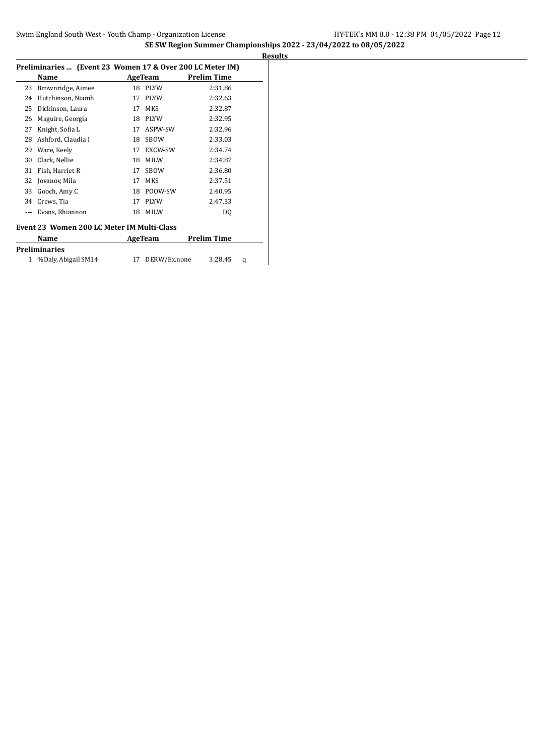| 18<br>17<br>17<br>18<br>17 | AgeTeam<br><b>PLYW</b><br><b>PLYW</b><br><b>MKS</b><br><b>PLYW</b><br>ASPW-SW | <b>Prelim Time</b><br>2:31.86<br>2:32.63<br>2:32.87<br>2:32.95 |
|----------------------------|-------------------------------------------------------------------------------|----------------------------------------------------------------|
|                            |                                                                               |                                                                |
|                            |                                                                               |                                                                |
|                            |                                                                               |                                                                |
|                            |                                                                               |                                                                |
|                            |                                                                               |                                                                |
|                            |                                                                               | 2:32.96                                                        |
| 18                         | <b>SBOW</b>                                                                   | 2:33.03                                                        |
| 17                         | <b>EXCW-SW</b>                                                                | 2:34.74                                                        |
| 18                         | <b>MILW</b>                                                                   | 2:34.87                                                        |
| 17                         | <b>SBOW</b>                                                                   | 2:36.80                                                        |
| 17                         | <b>MKS</b>                                                                    | 2:37.51                                                        |
| 18                         | POOW-SW                                                                       | 2:40.95                                                        |
| 17                         | <b>PLYW</b>                                                                   | 2:47.33                                                        |
| 18                         | <b>MILW</b>                                                                   | DQ                                                             |
|                            |                                                                               | Event 23 Women 200 LC Meter IM Multi-Class                     |

| Name                  | AgeTeam         | <b>Prelim Time</b> |   |
|-----------------------|-----------------|--------------------|---|
| <b>Preliminaries</b>  |                 |                    |   |
| 1 %Daly, Abigail SM14 | 17 DERW/Ex.none | 3:28.45            | a |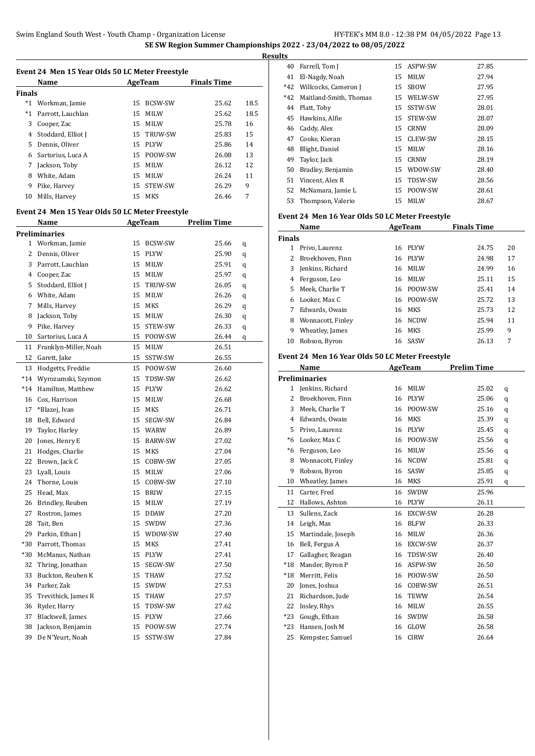| Event 24 Men 15 Year Olds 50 LC Meter Freestyle |                    |     |                |                    |      |  |
|-------------------------------------------------|--------------------|-----|----------------|--------------------|------|--|
|                                                 | Name               |     | AgeTeam        | <b>Finals Time</b> |      |  |
| <b>Finals</b>                                   |                    |     |                |                    |      |  |
| $*1$                                            | Workman, Jamie     | 15  | <b>BCSW-SW</b> | 25.62              | 18.5 |  |
| $*1$                                            | Parrott, Lauchlan  | 15  | MILW           | 25.62              | 18.5 |  |
| 3                                               | Cooper, Zac        | 15. | <b>MILW</b>    | 25.78              | 16   |  |
| 4                                               | Stoddard, Elliot J | 15  | <b>TRUW-SW</b> | 25.83              | 15   |  |
| 5.                                              | Dennis, Oliver     | 15  | <b>PLYW</b>    | 25.86              | 14   |  |
| 6                                               | Sartorius, Luca A  | 15  | POOW-SW        | 26.08              | 13   |  |
| 7                                               | Jackson, Toby      | 15  | MILW           | 26.12              | 12   |  |
| 8                                               | White, Adam        | 15  | MILW           | 26.24              | 11   |  |
| 9                                               | Pike, Harvey       | 15  | STEW-SW        | 26.29              | 9    |  |
| 10                                              | Mills, Harvey      | 15  | MKS            | 26.46              | 7    |  |

#### **Event 24 Men 15 Year Olds 50 LC Meter Freestyle**

|                | Name                  |    | <b>AgeTeam</b> | <b>Prelim Time</b> |   |
|----------------|-----------------------|----|----------------|--------------------|---|
|                | <b>Preliminaries</b>  |    |                |                    |   |
| $\mathbf{1}$   | Workman, Jamie        | 15 | BCSW-SW        | 25.66              | q |
| 2              | Dennis, Oliver        |    | 15 PLYW        | 25.90              | q |
| 3              | Parrott, Lauchlan     | 15 | MILW           | 25.91              | q |
| $\overline{4}$ | Cooper, Zac           | 15 | MILW           | 25.97              | q |
| 5              | Stoddard, Elliot J    | 15 | TRUW-SW        | 26.05              | q |
| 6              | White, Adam           | 15 | MILW           | 26.26              | q |
| 7              | Mills, Harvey         | 15 | MKS            | 26.29              | q |
| 8              | Jackson, Toby         | 15 | MILW           | 26.30              | q |
| 9              | Pike, Harvey          | 15 | STEW-SW        | 26.33              | q |
| 10             | Sartorius, Luca A     | 15 | POOW-SW        | 26.44              | q |
| 11             | Franklyn-Miller, Noah | 15 | MILW           | 26.51              |   |
| 12             | Garett, Jake          |    | 15 SSTW-SW     | 26.55              |   |
| 13             | Hodgetts, Freddie     | 15 | POOW-SW        | 26.60              |   |
| $*14$          | Wyrozumski, Szymon    | 15 | TDSW-SW        | 26.62              |   |
| $*14$          | Hamilton, Matthew     | 15 | PLYW           | 26.62              |   |
| 16             | Cox, Harrison         | 15 | MILW           | 26.68              |   |
| 17             | *Blazej, Ivan         | 15 | MKS            | 26.71              |   |
| 18             | Bell, Edward          | 15 | SEGW-SW        | 26.84              |   |
| 19             | Taylor, Harley        |    | 15 WARW        | 26.89              |   |
| 20             | Jones, Henry E        | 15 | BARW-SW        | 27.02              |   |
| 21             | Hodges, Charlie       | 15 | <b>MKS</b>     | 27.04              |   |
| 22             | Brown, Jack C         |    | 15 COBW-SW     | 27.05              |   |
| 23             | Lyall, Louis          | 15 | MILW           | 27.06              |   |
| 24             | Thorne, Louis         |    | 15 COBW-SW     | 27.10              |   |
| 25             | Head, Max             | 15 | BRIW           | 27.15              |   |
| 26             | Brindley, Reuben      | 15 | MILW           | 27.19              |   |
| 27             | Rostron, James        |    | 15 DDAW        | 27.20              |   |
| 28             | Tait, Ben             |    | 15 SWDW        | 27.36              |   |
| 29             | Parkin, Ethan J       | 15 | WDOW-SW        | 27.40              |   |
| $*30$          | Parrott, Thomas       | 15 | MKS            | 27.41              |   |
| $*30$          | McManus, Nathan       | 15 | PLYW           | 27.41              |   |
| 32             | Thring, Jonathan      | 15 | SEGW-SW        | 27.50              |   |
| 33             | Buckton, Reuben K     |    | 15 THAW        | 27.52              |   |
| 34             | Parker, Zak           | 15 | SWDW           | 27.53              |   |
| 35             | Trevithick, James R   | 15 | THAW           | 27.57              |   |
| 36             | Ryder, Harry          | 15 | TDSW-SW        | 27.62              |   |
| 37             | Blackwell, James      | 15 | <b>PLYW</b>    | 27.66              |   |
| 38             | Jackson, Benjamin     | 15 | POOW-SW        | 27.74              |   |
| 39             | De N'Yeurt, Noah      | 15 | SSTW-SW        | 27.84              |   |

| <b>Results</b> |                            |    |             |       |
|----------------|----------------------------|----|-------------|-------|
| 40             | Farrell, Tom J             |    | 15 ASPW-SW  | 27.85 |
| 41             | El-Nagdy, Noah             |    | 15 MILW     | 27.94 |
|                | *42 Willcocks, Cameron J   |    | 15 SBOW     | 27.95 |
|                | *42 Maitland-Smith, Thomas | 15 | WELW-SW     | 27.95 |
|                | 44 Platt, Toby             |    | 15 SSTW-SW  | 28.01 |
|                | 45 Hawkins, Alfie          |    | 15 STEW-SW  | 28.07 |
|                | 46 Caddy, Alex             |    | 15 CRNW     | 28.09 |
| 47             | Cooke, Kieran              |    | 15 CLEW-SW  | 28.15 |
| 48             | Blight, Daniel             |    | 15 MILW     | 28.16 |
| 49             | Taylor, Jack               | 15 | <b>CRNW</b> | 28.19 |
| 50             | Bradley, Benjamin          |    | 15 WDOW-SW  | 28.40 |
| 51             | Vincent, Alex R            | 15 | TDSW-SW     | 28.56 |
|                | 52 McNamara, Jamie L       |    | 15 POOW-SW  | 28.61 |
|                | 53 Thompson, Valerio       |    | 15 MILW     | 28.67 |

#### **Event 24 Men 16 Year Olds 50 LC Meter Freestyle**

|               | Name              |     | AgeTeam     | <b>Finals Time</b> |    |
|---------------|-------------------|-----|-------------|--------------------|----|
| <b>Finals</b> |                   |     |             |                    |    |
|               | Privo, Laurenz    | 16  | <b>PLYW</b> | 24.75              | 20 |
|               | Broekhoven, Finn  | 16  | PLYW        | 24.98              | 17 |
| 3             | Jenkins, Richard  | 16  | <b>MILW</b> | 24.99              | 16 |
| 4             | Ferguson, Leo     | 16  | <b>MILW</b> | 25.11              | 15 |
| 5.            | Meek, Charlie T   | 16. | POOW-SW     | 25.41              | 14 |
| 6             | Looker. Max C     |     | 16 POOW-SW  | 25.72              | 13 |
|               | Edwards, Owain    | 16  | MKS         | 25.73              | 12 |
| 8             | Wonnacott, Finley | 16  | <b>NCDW</b> | 25.94              | 11 |
| 9             | Wheatley, James   | 16  | <b>MKS</b>  | 25.99              | 9  |
| 10            | Robson, Byron     |     | 16 SASW     | 26.13              | 7  |

### **Event 24 Men 16 Year Olds 50 LC Meter Freestyle**

|       | Name                 | AgeTeam |             | <b>Prelim Time</b> |   |
|-------|----------------------|---------|-------------|--------------------|---|
|       | <b>Preliminaries</b> |         |             |                    |   |
| 1     | Jenkins, Richard     | 16      | <b>MILW</b> | 25.02              | q |
| 2     | Broekhoven, Finn     | 16      | <b>PLYW</b> | 25.06              | q |
| 3     | Meek, Charlie T      | 16      | POOW-SW     | 25.16              | q |
| 4     | Edwards, Owain       | 16      | <b>MKS</b>  | 25.39              | q |
| 5     | Privo, Laurenz       | 16      | <b>PLYW</b> | 25.45              | q |
| $*6$  | Looker, Max C        | 16      | POOW-SW     | 25.56              | q |
| *6    | Ferguson, Leo        | 16      | MILW        | 25.56              | q |
| 8     | Wonnacott, Finley    | 16      | <b>NCDW</b> | 25.81              | q |
| 9     | Robson, Byron        | 16      | SASW        | 25.85              | q |
| 10    | Wheatley, James      | 16      | <b>MKS</b>  | 25.91              | q |
| 11    | Carter, Fred         | 16      | <b>SWDW</b> | 25.96              |   |
| 12    | Hallows, Ashton      | 16      | <b>PLYW</b> | 26.11              |   |
| 13    | Sullens, Zack        | 16      | EXCW-SW     | 26.28              |   |
| 14    | Leigh, Max           | 16      | <b>BLFW</b> | 26.33              |   |
| 15    | Martindale, Joseph   | 16      | <b>MILW</b> | 26.36              |   |
| 16    | Bell, Fergus A       | 16      | EXCW-SW     | 26.37              |   |
| 17    | Gallagher, Reagan    | 16      | TDSW-SW     | 26.40              |   |
| $*18$ | Mander, Byron P      | 16      | ASPW-SW     | 26.50              |   |
| $*18$ | Merritt, Felix       | 16      | POOW-SW     | 26.50              |   |
| 20    | Jones, Joshua        | 16      | COBW-SW     | 26.51              |   |
| 21    | Richardson, Jude     | 16      | <b>TEWW</b> | 26.54              |   |
| 22    | Insley, Rhys         | 16      | MILW        | 26.55              |   |
| $*23$ | Gough, Ethan         | 16      | SWDW        | 26.58              |   |
| $*23$ | Hansen, Josh M       | 16      | GLOW        | 26.58              |   |
| 25    | Kempster, Samuel     | 16      | <b>CIRW</b> | 26.64              |   |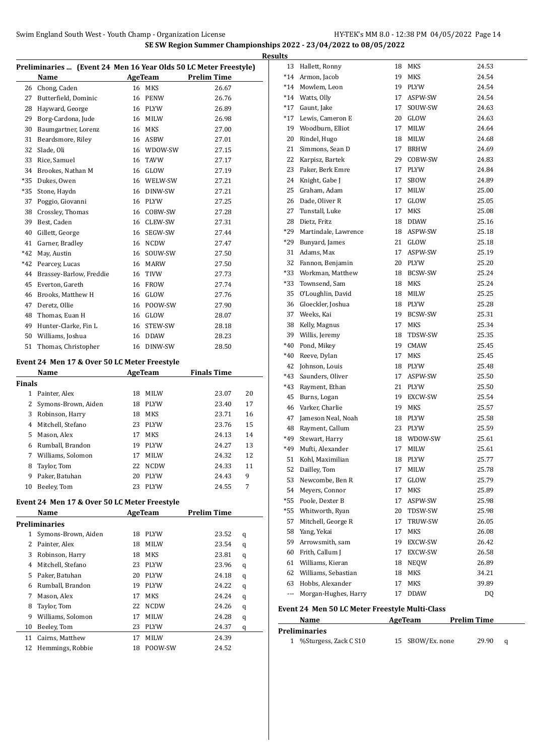| Name<br>Chong, Caden<br>Butterfield, Dominic<br>Hayward, George<br>Borg-Cardona, Jude<br>Baumgartner, Lorenz<br>Beardsmore, Riley<br>Slade, Oli | 16                  | AgeTeam<br>MKS<br>16 PENW<br>16 PLYW | <b>Prelim Time</b><br>26.67<br>26.76<br>26.89                                                                                                                                                                                        |                                                   |
|-------------------------------------------------------------------------------------------------------------------------------------------------|---------------------|--------------------------------------|--------------------------------------------------------------------------------------------------------------------------------------------------------------------------------------------------------------------------------------|---------------------------------------------------|
|                                                                                                                                                 |                     |                                      |                                                                                                                                                                                                                                      |                                                   |
|                                                                                                                                                 |                     |                                      |                                                                                                                                                                                                                                      |                                                   |
|                                                                                                                                                 |                     |                                      |                                                                                                                                                                                                                                      |                                                   |
|                                                                                                                                                 |                     |                                      |                                                                                                                                                                                                                                      |                                                   |
|                                                                                                                                                 |                     | 16 MILW                              | 26.98                                                                                                                                                                                                                                |                                                   |
|                                                                                                                                                 |                     | 16 MKS                               | 27.00                                                                                                                                                                                                                                |                                                   |
|                                                                                                                                                 |                     | 16 ASBW                              | 27.01                                                                                                                                                                                                                                |                                                   |
|                                                                                                                                                 |                     | 16 WDOW-SW                           | 27.15                                                                                                                                                                                                                                |                                                   |
| Rice, Samuel                                                                                                                                    | 16                  | TAVW                                 | 27.17                                                                                                                                                                                                                                |                                                   |
| Brookes, Nathan M                                                                                                                               |                     | 16 GLOW                              | 27.19                                                                                                                                                                                                                                |                                                   |
| Dukes, Owen                                                                                                                                     |                     | 16 WELW-SW                           | 27.21                                                                                                                                                                                                                                |                                                   |
| Stone, Haydn                                                                                                                                    |                     | 16 DINW-SW                           | 27.21                                                                                                                                                                                                                                |                                                   |
| Poggio, Giovanni                                                                                                                                |                     | 16 PLYW                              | 27.25                                                                                                                                                                                                                                |                                                   |
| Crossley, Thomas                                                                                                                                |                     |                                      | 27.28                                                                                                                                                                                                                                |                                                   |
| Best, Caden                                                                                                                                     |                     |                                      | 27.31                                                                                                                                                                                                                                |                                                   |
| Gillett, George                                                                                                                                 |                     |                                      | 27.44                                                                                                                                                                                                                                |                                                   |
| Garner, Bradley                                                                                                                                 |                     |                                      | 27.47                                                                                                                                                                                                                                |                                                   |
| May, Austin                                                                                                                                     |                     | SOUW-SW                              | 27.50                                                                                                                                                                                                                                |                                                   |
| Pearcey, Lucas                                                                                                                                  | 16                  | <b>MARW</b>                          | 27.50                                                                                                                                                                                                                                |                                                   |
| Brassey-Barlow, Freddie                                                                                                                         | 16                  | TIVW                                 | 27.73                                                                                                                                                                                                                                |                                                   |
| Everton, Gareth                                                                                                                                 | 16                  | FROW                                 | 27.74                                                                                                                                                                                                                                |                                                   |
| Brooks, Matthew H                                                                                                                               | 16                  |                                      | 27.76                                                                                                                                                                                                                                |                                                   |
| Deretz, Ollie                                                                                                                                   | 16                  |                                      | 27.90                                                                                                                                                                                                                                |                                                   |
| Thomas, Euan H                                                                                                                                  |                     |                                      | 28.07                                                                                                                                                                                                                                |                                                   |
| Hunter-Clarke, Fin L                                                                                                                            |                     |                                      | 28.18                                                                                                                                                                                                                                |                                                   |
| Williams, Joshua                                                                                                                                | 16                  | DDAW                                 | 28.23                                                                                                                                                                                                                                |                                                   |
| Thomas, Christopher                                                                                                                             |                     |                                      | 28.50                                                                                                                                                                                                                                |                                                   |
|                                                                                                                                                 |                     |                                      |                                                                                                                                                                                                                                      |                                                   |
| Name                                                                                                                                            |                     |                                      |                                                                                                                                                                                                                                      |                                                   |
| Finals                                                                                                                                          |                     |                                      |                                                                                                                                                                                                                                      |                                                   |
| Painter, Alex                                                                                                                                   | 18                  | MILW                                 | 23.07                                                                                                                                                                                                                                | 20                                                |
| Symons-Brown, Aiden                                                                                                                             | 18                  |                                      | 23.40                                                                                                                                                                                                                                | 17                                                |
| Robinson, Harry                                                                                                                                 | 18                  | MKS                                  | 23.71                                                                                                                                                                                                                                | 16                                                |
| Mitchell, Stefano                                                                                                                               | 23                  | <b>PLYW</b>                          | 23.76                                                                                                                                                                                                                                | 15                                                |
| Mason, Alex                                                                                                                                     | 17                  | <b>MKS</b>                           | 24.13                                                                                                                                                                                                                                | 14                                                |
| Rumball, Brandon                                                                                                                                | 19                  | <b>PLYW</b>                          | 24.27                                                                                                                                                                                                                                | 13                                                |
|                                                                                                                                                 |                     |                                      | 24.32                                                                                                                                                                                                                                | 12                                                |
| Taylor, Tom                                                                                                                                     | 22                  | <b>NCDW</b>                          | 24.33                                                                                                                                                                                                                                | 11                                                |
| Paker, Batuhan                                                                                                                                  | 20                  | PLYW                                 |                                                                                                                                                                                                                                      | 9                                                 |
| Beeley, Tom                                                                                                                                     | 23                  | PLYW                                 | 24.55                                                                                                                                                                                                                                | 7                                                 |
|                                                                                                                                                 |                     |                                      |                                                                                                                                                                                                                                      |                                                   |
| Name                                                                                                                                            |                     |                                      | <b>Prelim Time</b>                                                                                                                                                                                                                   |                                                   |
| Preliminaries                                                                                                                                   |                     |                                      |                                                                                                                                                                                                                                      |                                                   |
| Symons-Brown, Aiden                                                                                                                             | 18                  | PLYW                                 | 23.52                                                                                                                                                                                                                                | q                                                 |
| Painter, Alex                                                                                                                                   | 18                  | MILW                                 | 23.54                                                                                                                                                                                                                                | q                                                 |
| Robinson, Harry                                                                                                                                 | 18                  | MKS                                  | 23.81                                                                                                                                                                                                                                | q                                                 |
| Mitchell, Stefano                                                                                                                               | 23                  | PLYW                                 | 23.96                                                                                                                                                                                                                                | q                                                 |
| Paker, Batuhan                                                                                                                                  | 20                  | PLYW                                 | 24.18                                                                                                                                                                                                                                | q                                                 |
| Rumball, Brandon                                                                                                                                | 19                  | PLYW                                 | 24.22                                                                                                                                                                                                                                | q                                                 |
| Mason, Alex                                                                                                                                     | 17                  | MKS                                  | 24.24                                                                                                                                                                                                                                | q                                                 |
| Taylor, Tom                                                                                                                                     | 22                  | <b>NCDW</b>                          | 24.26                                                                                                                                                                                                                                | q                                                 |
| Williams, Solomon                                                                                                                               | 17                  | MILW                                 | 24.28                                                                                                                                                                                                                                | q                                                 |
| Beeley, Tom                                                                                                                                     | 23                  | PLYW                                 | 24.37                                                                                                                                                                                                                                | q                                                 |
| Cairns, Matthew                                                                                                                                 | 17                  | MILW                                 | 24.39                                                                                                                                                                                                                                |                                                   |
| Hemmings, Robbie                                                                                                                                | 18                  | POOW-SW                              | 24.52                                                                                                                                                                                                                                |                                                   |
|                                                                                                                                                 | 7 Williams, Solomon |                                      | 16 COBW-SW<br>16 CLEW-SW<br>16 SEGW-SW<br>16 NCDW<br>16<br>GLOW<br>POOW-SW<br>16 GLOW<br>16 STEW-SW<br>16 DINW-SW<br>Event 24 Men 17 & Over 50 LC Meter Freestyle<br>PLYW<br>17 MILW<br>Event 24 Men 17 & Over 50 LC Meter Freestyle | AgeTeam<br><b>Finals Time</b><br>24.43<br>AgeTeam |

| <b>desults</b> |                                                |          |                |                |
|----------------|------------------------------------------------|----------|----------------|----------------|
| 13             | Hallett, Ronny                                 | 18       | MKS            | 24.53          |
| $*14$          | Armon, Jacob                                   | 19       | MKS            | 24.54          |
|                | *14 Mowlem, Leon                               | 19       | PLYW           | 24.54          |
|                | *14 Watts, Olly                                | 17       | ASPW-SW        | 24.54          |
|                | *17 Gaunt, Jake                                | 17       | SOUW-SW        | 24.63          |
| $*17$          | Lewis, Cameron E                               | 20       | GLOW           | 24.63          |
| 19             | Woodburn, Elliot                               | 17       | MILW           | 24.64          |
| 20             | Rindel, Hugo                                   | 18       | MILW           | 24.68          |
| 21             | Simmons, Sean D                                | 17       | <b>BRHW</b>    | 24.69          |
| 22             | Karpisz, Bartek                                | 29       | COBW-SW        | 24.83          |
| 23             | Paker, Berk Emre                               | 17       | <b>PLYW</b>    | 24.84          |
| 24             | Knight, Gabe J                                 | 17       | <b>SBOW</b>    | 24.89          |
| 25             | Graham, Adam                                   | 17       | MILW           | 25.00          |
| 26             | Dade, Oliver R                                 | 17       | GLOW           | 25.05          |
| 27             | Tunstall, Luke                                 | 17       | MKS            | 25.08          |
| 28             | Dietz, Fritz                                   | 18       | <b>DDAW</b>    | 25.16          |
| $*29$          | Martindale, Lawrence                           |          | 18 ASPW-SW     | 25.18          |
| *29            | Bunyard, James                                 | 21       | GLOW           | 25.18          |
| 31             | Adams, Max                                     | 17       | ASPW-SW        | 25.19          |
| 32             | Fannon, Benjamin                               | 20       | <b>PLYW</b>    | 25.20          |
| $*33$          | Workman, Matthew                               | 18       | BCSW-SW        | 25.24          |
| *33            | Townsend, Sam                                  | 18       | MKS            | 25.24          |
| 35             | O'Loughlin, David                              | 18       | MILW           | 25.25          |
| 36             | Gloeckler, Joshua                              | 18       | PLYW           | 25.28          |
| 37             | Weeks, Kai                                     | 19       | BCSW-SW        | 25.31          |
| 38             | Kelly, Magnus                                  | 17       | MKS            | 25.34          |
| 39             | Willis, Jeremy                                 | 18       | TDSW-SW        | 25.35          |
| $*40$          | Pond, Mikey                                    | 19       | CMAW           | 25.45          |
| *40            | Reeve, Dylan                                   | 17       | MKS            | 25.45          |
| 42             | Johnson, Louis                                 | 18       | PLYW           | 25.48          |
| *43            | Saunders, Oliver                               | 17       | ASPW-SW        | 25.50          |
| *43            | Rayment, Ethan                                 | 21       | PLYW           | 25.50          |
| 45<br>46       | Burns, Logan<br>Varker, Charlie                | 19<br>19 | EXCW-SW<br>MKS | 25.54<br>25.57 |
| 47             | Jameson Neal, Noah                             | 18       | <b>PLYW</b>    | 25.58          |
| 48             | Rayment, Callum                                | 23       | PLYW           | 25.59          |
| *49            | Stewart, Harry                                 | 18       | WDOW-SW        | 25.61          |
| *49            | Mufti, Alexander                               | 17       | <b>MILW</b>    | 25.61          |
| 51             | Kohl, Maximilian                               |          | 18 PLYW        | 25.77          |
| 52             | Dailley, Tom                                   | 17       | MILW           | 25.78          |
| 53             | Newcombe, Ben R                                | 17       | GLOW           | 25.79          |
| 54             | Meyers, Connor                                 | 17       | MKS            | 25.89          |
| *55            | Poole, Dexter B                                | 17       | ASPW-SW        | 25.98          |
| *55            | Whitworth, Ryan                                | 20       | TDSW-SW        | 25.98          |
| 57             | Mitchell, George R                             | 17       | TRUW-SW        | 26.05          |
| 58             | Yang, Yekai                                    | 17       | MKS            | 26.08          |
| 59             | Arrowsmith, sam                                | 19       | EXCW-SW        | 26.42          |
| 60             | Frith, Callum J                                | 17       | EXCW-SW        | 26.58          |
| 61             | Williams, Kieran                               | 18       | NEQW           | 26.89          |
| 62             | Williams, Sebastian                            | 18       | MKS            | 34.21          |
| 63             | Hobbs, Alexander                               | 17       | MKS            | 39.89          |
| $\overline{a}$ | Morgan-Hughes, Harry                           | 17       | DDAW           | DQ             |
|                |                                                |          |                |                |
|                | Event 24 Men 50 LC Meter Freestyle Multi-Class |          |                |                |

### **Name AgeTeam Prelim Time Preliminaries**

| 1 %Sturgess, Zack C S10<br>15 SBOW/Ex. none<br>29.90 | $\mathbf{q}$ |
|------------------------------------------------------|--------------|
|------------------------------------------------------|--------------|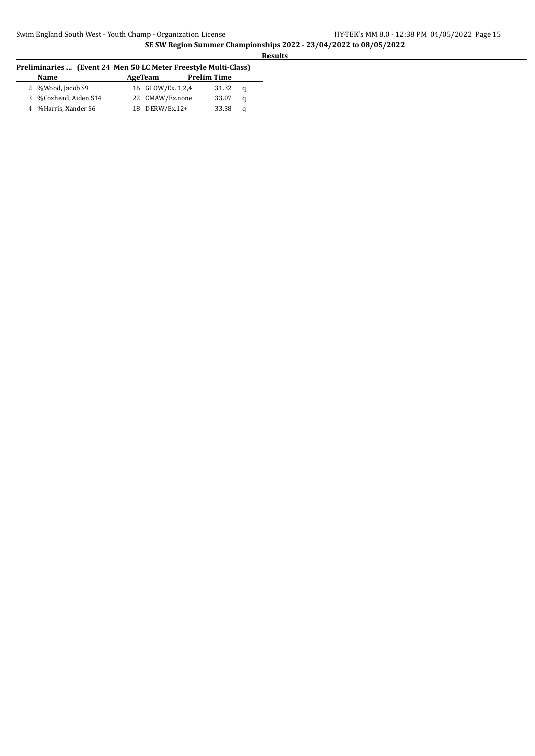| Preliminaries  (Event 24 Men 50 LC Meter Freestyle Multi-Class) |                       |  |                   |                    |   |
|-----------------------------------------------------------------|-----------------------|--|-------------------|--------------------|---|
|                                                                 | <b>Name</b>           |  | AgeTeam           | <b>Prelim Time</b> |   |
|                                                                 | 2 %Wood, Jacob S9     |  | 16 GLOW/Ex. 1,2,4 | 31.32              | a |
|                                                                 | 3 %Coxhead, Aiden S14 |  | 22 CMAW/Ex.none   | 33.07              | a |
|                                                                 | 4 %Harris, Xander S6  |  | 18 DERW/Ex.12+    | 33.38              | q |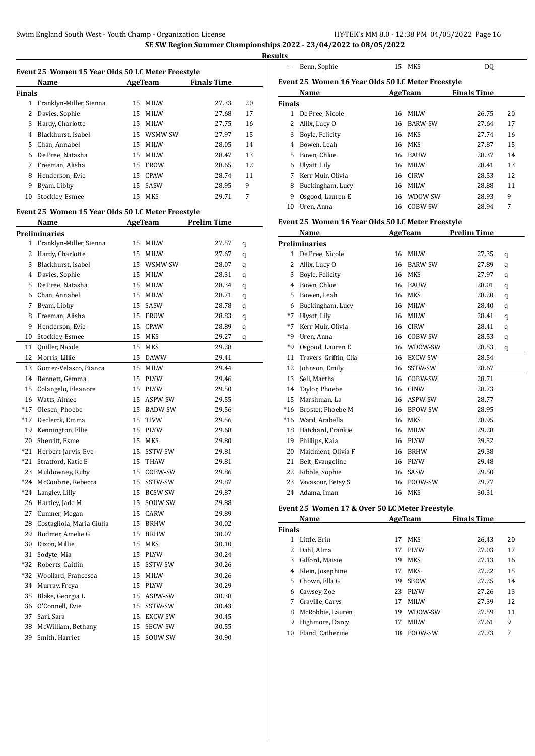| esul<br>Н | י |
|-----------|---|
|           |   |

|               | Name                    |    | AgeTeam     | <b>Finals Time</b> |    |
|---------------|-------------------------|----|-------------|--------------------|----|
| <b>Finals</b> |                         |    |             |                    |    |
| 1             | Franklyn-Miller, Sienna |    | 15 MILW     | 27.33              | 20 |
| 2             | Davies, Sophie          | 15 | <b>MILW</b> | 27.68              | 17 |
| 3             | Hardy, Charlotte        | 15 | MILW        | 27.75              | 16 |
| 4             | Blackhurst, Isabel      | 15 | WSMW-SW     | 27.97              | 15 |
| 5             | Chan, Annabel           | 15 | MILW        | 28.05              | 14 |
| 6             | De Pree, Natasha        | 15 | <b>MILW</b> | 28.47              | 13 |
| 7             | Freeman, Alisha         | 15 | <b>FROW</b> | 28.65              | 12 |
| 8             | Henderson, Evie         |    | 15 CPAW     | 28.74              | 11 |
| 9             | Byam, Libby             | 15 | SASW        | 28.95              | 9  |
| 10            | Stockley, Esmee         | 15 | <b>MKS</b>  | 29.71              | 7  |
|               |                         |    |             |                    |    |

#### **Event 25 Women 15 Year Olds 50 LC Meter Freestyle**

|       | Name                      |    | AgeTeam     | <b>Prelim Time</b> |   |
|-------|---------------------------|----|-------------|--------------------|---|
|       | Preliminaries             |    |             |                    |   |
| 1     | Franklyn-Miller, Sienna   | 15 | MILW        | 27.57              | q |
| 2     | Hardy, Charlotte          |    | 15 MILW     | 27.67              | q |
| 3     | Blackhurst, Isabel        |    | 15 WSMW-SW  | 28.07              | q |
| 4     | Davies, Sophie            | 15 | MILW        | 28.31              | q |
| 5     | De Pree, Natasha          | 15 | <b>MILW</b> | 28.34              | q |
| 6     | Chan, Annabel             | 15 | MILW        | 28.71              | q |
| 7     | Byam, Libby               | 15 | SASW        | 28.78              | q |
| 8     | Freeman, Alisha           | 15 | FROW        | 28.83              | q |
| 9     | Henderson, Evie           | 15 | <b>CPAW</b> | 28.89              | q |
| 10    | Stockley, Esmee           | 15 | MKS         | 29.27              | q |
| 11    | Quiller, Nicole           | 15 | MKS         | 29.28              |   |
| 12    | Morris, Lillie            | 15 | <b>DAWW</b> | 29.41              |   |
| 13    | Gomez-Velasco, Bianca     | 15 | MILW        | 29.44              |   |
| 14    | Bennett, Gemma            | 15 | PLYW        | 29.46              |   |
| 15    | Colangelo, Eleanore       |    | 15 PLYW     | 29.50              |   |
| 16    | Watts, Aimee              |    | 15 ASPW-SW  | 29.55              |   |
| $*17$ | Olesen, Phoebe            |    | 15 BADW-SW  | 29.56              |   |
| $*17$ | Declerck, Emma            | 15 | <b>TIVW</b> | 29.56              |   |
| 19    | Kennington, Ellie         | 15 | <b>PLYW</b> | 29.68              |   |
| 20    | Sherriff, Esme            | 15 | MKS         | 29.80              |   |
| $*21$ | Herbert-Jarvis, Eve       | 15 | SSTW-SW     | 29.81              |   |
| $*21$ | Stratford, Katie E        | 15 | THAW        | 29.81              |   |
| 23    | Muldowney, Ruby           |    | 15 COBW-SW  | 29.86              |   |
| $*24$ | McCoubrie, Rebecca        |    | 15 SSTW-SW  | 29.87              |   |
| *24   | Langley, Lilly            |    | 15 BCSW-SW  | 29.87              |   |
| 26    | Hartley, Jade M           | 15 | SOUW-SW     | 29.88              |   |
| 27    | Cumner, Megan             |    | 15 CARW     | 29.89              |   |
| 28    | Costagliola, Maria Giulia |    | 15 BRHW     | 30.02              |   |
| 29    | Bodmer, Amelie G          | 15 | <b>BRHW</b> | 30.07              |   |
| 30    | Dixon, Millie             | 15 | MKS         | 30.10              |   |
| 31    | Sodyte, Mia               | 15 | PLYW        | 30.24              |   |
| $*32$ | Roberts, Caitlin          | 15 | SSTW-SW     | 30.26              |   |
| $*32$ | Woollard, Francesca       |    | 15 MILW     | 30.26              |   |
| 34    | Murray, Freya             |    | 15 PLYW     | 30.29              |   |
| 35    | Blake, Georgia L          | 15 | ASPW-SW     | 30.38              |   |
| 36    | O'Connell, Evie           | 15 | SSTW-SW     | 30.43              |   |
| 37    | Sari, Sara                | 15 | EXCW-SW     | 30.45              |   |
| 38    | McWilliam, Bethany        | 15 | SEGW-SW     | 30.55              |   |
| 39    | Smith, Harriet            | 15 | SOUW-SW     | 30.90              |   |

|                                                   | Benn, Sophie      | 15 | MKS            | DO.                |    |  |  |
|---------------------------------------------------|-------------------|----|----------------|--------------------|----|--|--|
| Event 25 Women 16 Year Olds 50 LC Meter Freestyle |                   |    |                |                    |    |  |  |
|                                                   | Name              |    | AgeTeam        | <b>Finals Time</b> |    |  |  |
| <b>Finals</b>                                     |                   |    |                |                    |    |  |  |
| 1.                                                | De Pree, Nicole   | 16 | <b>MILW</b>    | 26.75              | 20 |  |  |
| 2                                                 | Allix, Lucy O     | 16 | <b>BARW-SW</b> | 27.64              | 17 |  |  |
| 3                                                 | Boyle, Felicity   | 16 | MKS            | 27.74              | 16 |  |  |
| 4                                                 | Bowen, Leah       | 16 | MKS            | 27.87              | 15 |  |  |
| 5.                                                | Bown, Chloe       | 16 | <b>BAUW</b>    | 28.37              | 14 |  |  |
| 6                                                 | Ulyatt, Lily      | 16 | MILW           | 28.41              | 13 |  |  |
| 7                                                 | Kerr Muir, Olivia | 16 | <b>CIRW</b>    | 28.53              | 12 |  |  |
| 8                                                 | Buckingham, Lucy  | 16 | MILW           | 28.88              | 11 |  |  |
| 9                                                 | Osgood, Lauren E  | 16 | WDOW-SW        | 28.93              | 9  |  |  |
| 10                                                | Uren, Anna        | 16 | COBW-SW        | 28.94              | 7  |  |  |

#### **Event 25 Women 16 Year Olds 50 LC Meter Freestyle**

|              | Name                  | AgeTeam |                | Prelim Time |   |
|--------------|-----------------------|---------|----------------|-------------|---|
|              | Preliminaries         |         |                |             |   |
| $\mathbf{1}$ | De Pree, Nicole       | 16      | <b>MILW</b>    | 27.35       | q |
| 2            | Allix, Lucy O         | 16      | <b>BARW-SW</b> | 27.89       | q |
| 3            | Boyle, Felicity       | 16      | <b>MKS</b>     | 27.97       | q |
| 4            | Bown, Chloe           | 16      | <b>BAUW</b>    | 28.01       | q |
| 5            | Bowen, Leah           | 16      | <b>MKS</b>     | 28.20       | q |
| 6            | Buckingham, Lucy      | 16      | <b>MILW</b>    | 28.40       | q |
| $*7$         | Ulyatt, Lily          | 16      | <b>MILW</b>    | 28.41       | q |
| $*7$         | Kerr Muir, Olivia     | 16      | <b>CIRW</b>    | 28.41       | q |
| $*9$         | Uren, Anna            | 16      | COBW-SW        | 28.53       | q |
| $*9$         | Osgood, Lauren E      | 16      | WDOW-SW        | 28.53       | q |
| 11           | Travers-Griffin, Clia | 16      | EXCW-SW        | 28.54       |   |
| 12           | Johnson, Emily        | 16      | SSTW-SW        | 28.67       |   |
| 13           | Sell, Martha          | 16      | COBW-SW        | 28.71       |   |
| 14           | Taylor, Phoebe        | 16      | <b>CINW</b>    | 28.73       |   |
| 15           | Marshman, La          | 16      | ASPW-SW        | 28.77       |   |
| $*16$        | Broster, Phoebe M     | 16      | BPOW-SW        | 28.95       |   |
| $*16$        | Ward, Arabella        | 16      | <b>MKS</b>     | 28.95       |   |
| 18           | Hatchard, Frankie     | 16      | MILW           | 29.28       |   |
| 19           | Phillips, Kaia        | 16      | <b>PLYW</b>    | 29.32       |   |
| 20           | Maidment, Olivia F    | 16      | <b>BRHW</b>    | 29.38       |   |
| 21           | Belt, Evangeline      | 16      | <b>PLYW</b>    | 29.48       |   |
| 22           | Kibble, Sophie        | 16      | SASW           | 29.50       |   |
| 23           | Vavasour, Betsy S     | 16      | POOW-SW        | 29.77       |   |
| 24           | Adama. Iman           | 16      | <b>MKS</b>     | 30.31       |   |

#### **Event 25 Women 17 & Over 50 LC Meter Freestyle**

| <b>Name</b><br>AgeTeam |               |             | <b>Finals Time</b> |    |
|------------------------|---------------|-------------|--------------------|----|
|                        |               |             |                    |    |
| Little, Erin           | 17            | MKS         | 26.43              | 20 |
| Dahl, Alma             | 17            | <b>PLYW</b> | 27.03              | 17 |
| Gilford, Maisie        | 19            | MKS         | 27.13              | 16 |
| Klein, Josephine       | 17            | MKS         | 27.22              | 15 |
| Chown, Ella G          | 19            | <b>SBOW</b> | 27.25              | 14 |
| Cawsey, Zoe            | 23            | <b>PLYW</b> | 27.26              | 13 |
| Graville, Carys        | 17            | <b>MILW</b> | 27.39              | 12 |
| McRobbie, Lauren       | 19            | WDOW-SW     | 27.59              | 11 |
| Highmore, Darcy        | 17            | <b>MILW</b> | 27.61              | 9  |
| Eland. Catherine       | 18            | POOW-SW     | 27.73              | 7  |
|                        | <b>Finals</b> |             |                    |    |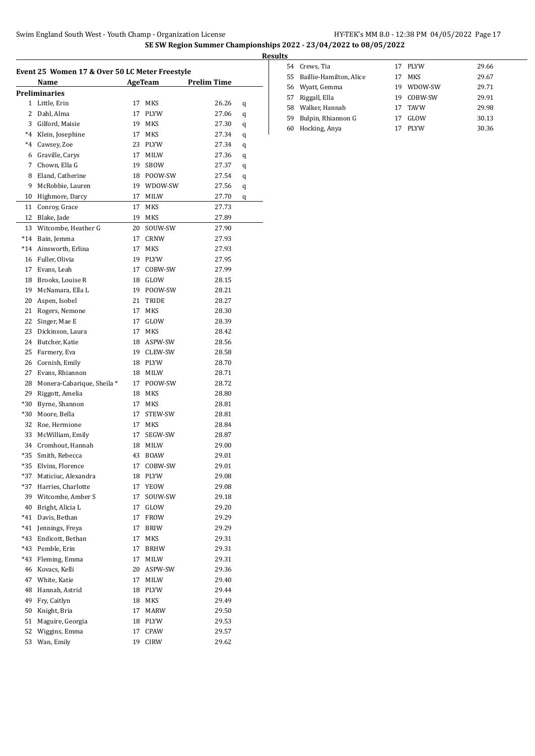|       | Name                      |    | AgeTeam     | <b>Prelim Time</b> |   |
|-------|---------------------------|----|-------------|--------------------|---|
|       | Preliminaries             |    |             |                    |   |
| 1     | Little, Erin              | 17 | MKS         | 26.26              | q |
| 2     | Dahl, Alma                | 17 | PLYW        | 27.06              | q |
| 3     | Gilford, Maisie           | 19 | MKS         | 27.30              | q |
| $^*4$ | Klein, Josephine          | 17 | MKS         | 27.34              | q |
| $^*4$ | Cawsey, Zoe               | 23 | <b>PLYW</b> | 27.34              | q |
| 6     | Graville, Carys           | 17 | MILW        | 27.36              | q |
| 7     | Chown, Ella G             | 19 | <b>SBOW</b> | 27.37              | q |
| 8     | Eland, Catherine          |    | 18 POOW-SW  | 27.54              | q |
| 9     | McRobbie, Lauren          |    | 19 WDOW-SW  | 27.56              | q |
| 10    | Highmore, Darcy           | 17 | MILW        | 27.70              | q |
| 11    | Conroy, Grace             | 17 | MKS         | 27.73              |   |
| 12    | Blake, Jade               | 19 | MKS         | 27.89              |   |
| 13    | Witcombe, Heather G       | 20 | SOUW-SW     | 27.90              |   |
| $*14$ | Bain, Jemma               | 17 | <b>CRNW</b> | 27.93              |   |
| $*14$ | Ainsworth, Erlina         | 17 | MKS         | 27.93              |   |
| 16    | Fuller, Olivia            | 19 | <b>PLYW</b> | 27.95              |   |
| 17    | Evans, Leah               | 17 | COBW-SW     | 27.99              |   |
| 18    | Brooks, Louise R          | 18 | GLOW        | 28.15              |   |
| 19    | McNamara, Ella L          | 19 | POOW-SW     | 28.21              |   |
| 20    | Aspen, Isobel             | 21 | TRIDE       | 28.27              |   |
| 21    | Rogers, Nemone            | 17 | MKS         | 28.30              |   |
| 22    |                           | 17 |             |                    |   |
|       | Singer, Mae E             |    | GLOW        | 28.39              |   |
| 23    | Dickinson, Laura          | 17 | MKS         | 28.42              |   |
| 24    | Butcher, Katie            |    | 18 ASPW-SW  | 28.56              |   |
| 25    | Farmery, Eva              |    | 19 CLEW-SW  | 28.58              |   |
| 26    | Cornish, Emily            |    | 18 PLYW     | 28.70              |   |
| 27    | Evans, Rhiannon           | 18 | MILW        | 28.71              |   |
| 28    | Monera-Cabarique, Sheila* | 17 | POOW-SW     | 28.72              |   |
| 29    | Riggott, Amelia           | 18 | MKS         | 28.80              |   |
| *30   | Byrne, Shannon            | 17 | MKS         | 28.81              |   |
| *30   | Moore, Bella              | 17 | STEW-SW     | 28.81              |   |
| 32    | Roe, Hermione             | 17 | MKS         | 28.84              |   |
| 33    | McWilliam, Emily          | 17 | SEGW-SW     | 28.87              |   |
| 34    | Cromhout, Hannah          | 18 | <b>MILW</b> | 29.00              |   |
| *35   | Smith, Rebecca            | 43 | <b>BOAW</b> | 29.01              |   |
| *35   | Elvins, Florence          | 17 | COBW-SW     | 29.01              |   |
| *37   | Maticiuc, Alexandra       | 18 | PLYW        | 29.08              |   |
| *37   | Harries, Charlotte        | 17 | YEOW        | 29.08              |   |
| 39    | Witcombe, Amber S         | 17 | SOUW-SW     | 29.18              |   |
| 40    | Bright, Alicia L          | 17 | GLOW        | 29.20              |   |
| *41   | Davis, Bethan             | 17 | FROW        | 29.29              |   |
| *41   | Jennings, Freya           | 17 | BRIW        | 29.29              |   |
| *43   | Endicott, Bethan          | 17 | MKS         | 29.31              |   |
| *43   | Pemble, Erin              | 17 | BRHW        | 29.31              |   |
| *43   | Fleming, Emma             | 17 | MILW        | 29.31              |   |
| 46    | Kovacs, Kelli             | 20 | ASPW-SW     | 29.36              |   |
| 47    | White, Katie              | 17 | MILW        | 29.40              |   |
|       |                           |    |             |                    |   |
| 48    | Hannah, Astrid            | 18 | PLYW        | 29.44              |   |
| 49    | Fry, Caitlyn              | 18 | MKS         | 29.49              |   |
| 50    | Knight, Bria              | 17 | MARW        | 29.50              |   |
| 51    | Maguire, Georgia          | 18 | PLYW        | 29.53              |   |
| 52    | Wiggins, Emma             | 17 | CPAW        | 29.57              |   |
| 53    | Wan, Emily                | 19 | CIRW        | 29.62              |   |

| <b>Results</b> |                            |     |             |       |
|----------------|----------------------------|-----|-------------|-------|
|                | 54 Crews, Tia              |     | 17 PLYW     | 29.66 |
|                | 55 Baillie-Hamilton, Alice | 17  | MKS         | 29.67 |
|                | 56 Wyatt, Gemma            | 19  | WDOW-SW     | 29.71 |
| 57             | Riggall, Ella              | 19. | COBW-SW     | 29.91 |
|                | 58 Walker, Hannah          | 17  | <b>TAVW</b> | 29.98 |
| 59             | Bulpin, Rhiannon G         | 17  | GLOW        | 30.13 |
| 60             | Hocking, Anya              |     | <b>PLYW</b> | 30.36 |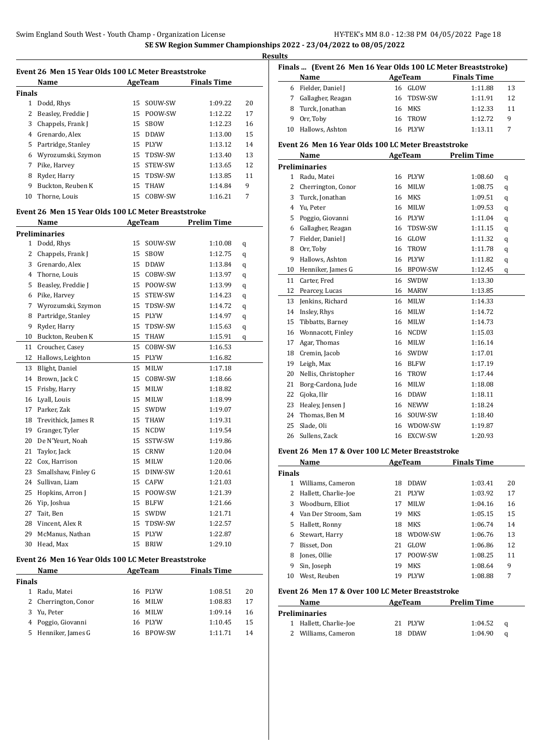| Event 26 Men 15 Year Olds 100 LC Meter Breaststroke |                    |         |             |                    |    |  |  |
|-----------------------------------------------------|--------------------|---------|-------------|--------------------|----|--|--|
|                                                     | Name               | AgeTeam |             | <b>Finals Time</b> |    |  |  |
| Finals                                              |                    |         |             |                    |    |  |  |
| 1                                                   | Dodd, Rhys         | 15.     | SOUW-SW     | 1:09.22            | 20 |  |  |
| 2                                                   | Beasley, Freddie J | 15.     | POOW-SW     | 1:12.22            | 17 |  |  |
| 3                                                   | Chappels, Frank J  | 15      | <b>SBOW</b> | 1:12.23            | 16 |  |  |
| 4                                                   | Grenardo, Alex     | 15.     | <b>DDAW</b> | 1:13.00            | 15 |  |  |
| 5                                                   | Partridge, Stanley | 15.     | PLYW        | 1:13.12            | 14 |  |  |
| 6                                                   | Wyrozumski, Szymon |         | 15 TDSW-SW  | 1:13.40            | 13 |  |  |
| 7                                                   | Pike, Harvey       | 15.     | STEW-SW     | 1:13.65            | 12 |  |  |
| 8                                                   | Ryder, Harry       | 15      | TDSW-SW     | 1:13.85            | 11 |  |  |
| 9                                                   | Buckton, Reuben K  | 15      | <b>THAW</b> | 1:14.84            | 9  |  |  |
| 10                                                  | Thorne, Louis      | 15      | COBW-SW     | 1:16.21            | 7  |  |  |

#### **Event 26 Men 15 Year Olds 100 LC Meter Breaststroke**

|              | Name                 | <b>AgeTeam</b> |             | <b>Prelim Time</b> |   |
|--------------|----------------------|----------------|-------------|--------------------|---|
|              | <b>Preliminaries</b> |                |             |                    |   |
| $\mathbf{1}$ | Dodd, Rhys           | 15             | SOUW-SW     | 1:10.08            | q |
| 2            | Chappels, Frank J    | 15             | SBOW        | 1:12.75            | q |
| 3            | Grenardo, Alex       | 15             | <b>DDAW</b> | 1:13.84            | q |
| 4            | Thorne, Louis        | 15             | COBW-SW     | 1:13.97            | q |
| 5            | Beasley, Freddie J   | 15             | POOW-SW     | 1:13.99            | q |
| 6            | Pike, Harvey         | 15             | STEW-SW     | 1:14.23            | q |
| 7            | Wyrozumski, Szymon   | 15             | TDSW-SW     | 1:14.72            | q |
| 8            | Partridge, Stanley   | 15             | PLYW        | 1:14.97            | q |
| 9            | Ryder, Harry         | 15             | TDSW-SW     | 1:15.63            | q |
| 10           | Buckton, Reuben K    | 15             | <b>THAW</b> | 1:15.91            | q |
| 11           | Croucher, Casey      | 15             | COBW-SW     | 1:16.53            |   |
| 12           | Hallows, Leighton    | 15             | <b>PLYW</b> | 1:16.82            |   |
| 13           | Blight, Daniel       | 15             | <b>MILW</b> | 1:17.18            |   |
| 14           | Brown, Jack C        | 15             | COBW-SW     | 1:18.66            |   |
| 15           | Frisby, Harry        | 15             | <b>MILW</b> | 1:18.82            |   |
| 16           | Lyall, Louis         | 15             | MILW        | 1:18.99            |   |
| 17           | Parker, Zak          | 15             | <b>SWDW</b> | 1:19.07            |   |
| 18           | Trevithick, James R  | 15             | THAW        | 1:19.31            |   |
| 19           | Granger, Tyler       | 15             | <b>NCDW</b> | 1:19.54            |   |
| 20           | De N'Yeurt, Noah     | 15             | SSTW-SW     | 1:19.86            |   |
| 21           | Taylor, Jack         | 15             | <b>CRNW</b> | 1:20.04            |   |
| 22           | Cox, Harrison        | 15             | MILW        | 1:20.06            |   |
| 23           | Smallshaw, Finley G  | 15             | DINW-SW     | 1:20.61            |   |
| 24           | Sullivan, Liam       | 15             | CAFW        | 1:21.03            |   |
| 25           | Hopkins, Arron J     | 15             | POOW-SW     | 1:21.39            |   |
| 26           | Yip, Joshua          | 15             | <b>BLFW</b> | 1:21.66            |   |
| 27           | Tait, Ben            | 15             | SWDW        | 1:21.71            |   |
| 28           | Vincent, Alex R      | 15             | TDSW-SW     | 1:22.57            |   |
| 29           | McManus, Nathan      | 15             | <b>PLYW</b> | 1:22.87            |   |
| 30           | Head, Max            | 15             | <b>BRIW</b> | 1:29.10            |   |
|              |                      |                |             |                    |   |

### **Event 26 Men 16 Year Olds 100 LC Meter Breaststroke**

| Name          |                      | AgeTeam    | <b>Finals Time</b> |    |
|---------------|----------------------|------------|--------------------|----|
| <b>Finals</b> |                      |            |                    |    |
| 1             | Radu, Matei          | 16 PLYW    | 1:08.51            | 20 |
|               | 2 Cherrington, Conor | 16 MILW    | 1:08.83            | 17 |
|               | 3 Yu, Peter          | 16 MILW    | 1:09.14            | 16 |
|               | 4 Poggio, Giovanni   | 16 PLYW    | 1:10.45            | 15 |
|               | 5 Henniker, James G  | 16 BPOW-SW | 1:11.71            | 14 |

| Finals  (Event 26 Men 16 Year Olds 100 LC Meter Breaststroke) |                   |  |            |                    |    |  |  |
|---------------------------------------------------------------|-------------------|--|------------|--------------------|----|--|--|
| Name                                                          |                   |  | AgeTeam    | <b>Finals Time</b> |    |  |  |
| 6                                                             | Fielder, Daniel J |  | 16 GLOW    | 1:11.88            | 13 |  |  |
| 7                                                             | Gallagher, Reagan |  | 16 TDSW-SW | 1:11.91            | 12 |  |  |
|                                                               | 8 Turck, Jonathan |  | 16 MKS     | 1:12.33            | 11 |  |  |
| 9                                                             | Orr, Toby         |  | 16 TROW    | 1:12.72            | 9  |  |  |
| 10                                                            | Hallows, Ashton   |  | 16 PLYW    | 1:13.11            |    |  |  |

#### **Event 26 Men 16 Year Olds 100 LC Meter Breaststroke**

|              | Name                 |    | <b>AgeTeam</b> | <b>Prelim Time</b> |   |
|--------------|----------------------|----|----------------|--------------------|---|
|              | <b>Preliminaries</b> |    |                |                    |   |
| $\mathbf{1}$ | Radu, Matei          | 16 | <b>PLYW</b>    | 1:08.60            | q |
| 2            | Cherrington, Conor   | 16 | <b>MILW</b>    | 1:08.75            | q |
| 3            | Turck, Jonathan      | 16 | <b>MKS</b>     | 1:09.51            | q |
| 4            | Yu, Peter            | 16 | MILW           | 1:09.53            | q |
| 5            | Poggio, Giovanni     | 16 | <b>PLYW</b>    | 1:11.04            | q |
| 6            | Gallagher, Reagan    | 16 | TDSW-SW        | 1:11.15            | q |
| 7            | Fielder, Daniel J    | 16 | GLOW           | 1:11.32            | q |
| 8            | Orr, Toby            | 16 | TROW           | 1:11.78            | q |
| 9            | Hallows, Ashton      | 16 | <b>PLYW</b>    | 1:11.82            | q |
| 10           | Henniker, James G    | 16 | <b>BPOW-SW</b> | 1:12.45            | q |
| 11           | Carter, Fred         | 16 | SWDW           | 1:13.30            |   |
| 12           | Pearcey, Lucas       | 16 | <b>MARW</b>    | 1:13.85            |   |
| 13           | Jenkins, Richard     | 16 | <b>MILW</b>    | 1:14.33            |   |
| 14           | Insley, Rhys         | 16 | <b>MILW</b>    | 1:14.72            |   |
| 15           | Tibbatts, Barney     | 16 | <b>MILW</b>    | 1:14.73            |   |
| 16           | Wonnacott, Finley    | 16 | <b>NCDW</b>    | 1:15.03            |   |
| 17           | Agar, Thomas         | 16 | <b>MILW</b>    | 1:16.14            |   |
| 18           | Cremin, Jacob        | 16 | SWDW           | 1:17.01            |   |
| 19           | Leigh, Max           | 16 | <b>BLFW</b>    | 1:17.19            |   |
| 20           | Nellis, Christopher  | 16 | TROW           | 1:17.44            |   |
| 21           | Borg-Cardona, Jude   | 16 | <b>MILW</b>    | 1:18.08            |   |
| 22           | Gjoka, Ilir          | 16 | <b>DDAW</b>    | 1:18.11            |   |
| 23           | Healey, Jensen J     | 16 | <b>NEWW</b>    | 1:18.24            |   |
| 24           | Thomas, Ben M        | 16 | SOUW-SW        | 1:18.40            |   |
| 25           | Slade, Oli           | 16 | WDOW-SW        | 1:19.87            |   |
| 26           | Sullens, Zack        | 16 | <b>EXCW-SW</b> | 1:20.93            |   |

#### **Event 26 Men 17 & Over 100 LC Meter Breaststroke**

| Name          |                      |    | AgeTeam     | <b>Finals Time</b> |    |
|---------------|----------------------|----|-------------|--------------------|----|
| <b>Finals</b> |                      |    |             |                    |    |
|               | Williams, Cameron    | 18 | <b>DDAW</b> | 1:03.41            | 20 |
| 2             | Hallett, Charlie-Joe | 21 | <b>PLYW</b> | 1:03.92            | 17 |
| 3             | Woodburn, Elliot     | 17 | <b>MILW</b> | 1:04.16            | 16 |
| 4             | Van Der Stroom, Sam  | 19 | MKS         | 1:05.15            | 15 |
| 5.            | Hallett, Ronny       | 18 | MKS         | 1:06.74            | 14 |
| 6             | Stewart, Harry       | 18 | WDOW-SW     | 1:06.76            | 13 |
| 7             | Bisset, Don          | 21 | GLOW        | 1:06.86            | 12 |
| 8             | Jones, Ollie         | 17 | POOW-SW     | 1:08.25            | 11 |
| 9             | Sin, Joseph          | 19 | <b>MKS</b>  | 1:08.64            | 9  |
| 10            | West. Reuben         | 19 | <b>PLYW</b> | 1:08.88            | 7  |

#### **Event 26 Men 17 & Over 100 LC Meter Breaststroke**

| Name                   | AgeTeam | <b>Prelim Time</b> |   |
|------------------------|---------|--------------------|---|
| <b>Preliminaries</b>   |         |                    |   |
| 1 Hallett, Charlie-Joe | 21 PLYW | 1:04.52            | a |
| 2 Williams, Cameron    | 18 DDAW | 1:04.90            | a |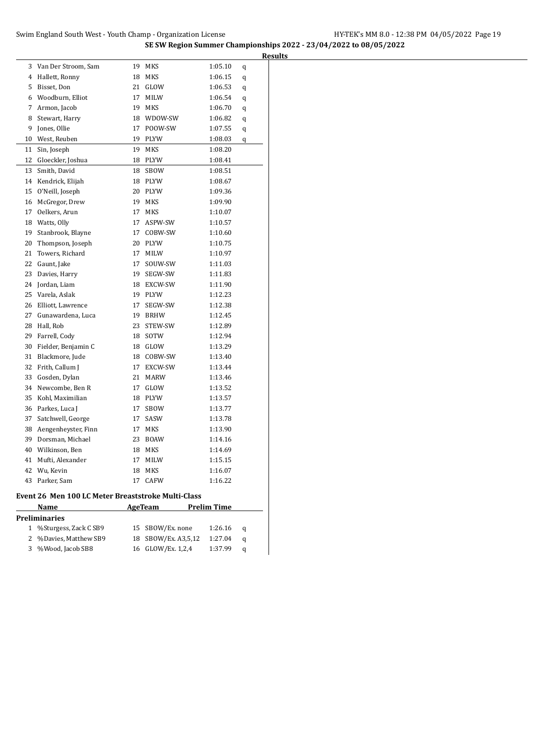# **SE SW Region Summer Championships 2022 - 23/04/2022 to 08/05/2022**

|    |                                                    |    |                |                    | <b>Results</b> |
|----|----------------------------------------------------|----|----------------|--------------------|----------------|
| 3  | Van Der Stroom, Sam                                | 19 | MKS            | 1:05.10            | q              |
| 4  | Hallett, Ronny                                     | 18 | MKS            | 1:06.15            | q              |
| 5  | Bisset, Don                                        | 21 | GLOW           | 1:06.53            | q              |
| 6  | Woodburn, Elliot                                   | 17 | MILW           | 1:06.54            | q              |
| 7  | Armon, Jacob                                       | 19 | MKS            | 1:06.70            | q              |
| 8  | Stewart, Harry                                     |    | 18 WDOW-SW     | 1:06.82            | q              |
| 9  | Jones, Ollie                                       | 17 | POOW-SW        | 1:07.55            | q              |
| 10 | West, Reuben                                       | 19 | PLYW           | 1:08.03            | q              |
| 11 | Sin, Joseph                                        | 19 | MKS            | 1:08.20            |                |
| 12 | Gloeckler, Joshua                                  | 18 | PLYW           | 1:08.41            |                |
| 13 | Smith, David                                       | 18 | SBOW           | 1:08.51            |                |
| 14 | Kendrick, Elijah                                   |    | 18 PLYW        | 1:08.67            |                |
| 15 | O'Neill, Joseph                                    | 20 | PLYW           | 1:09.36            |                |
| 16 | McGregor, Drew                                     | 19 | MKS            | 1:09.90            |                |
| 17 | Oelkers, Arun                                      | 17 | MKS            | 1:10.07            |                |
| 18 | Watts, Olly                                        | 17 | ASPW-SW        | 1:10.57            |                |
| 19 | Stanbrook, Blayne                                  | 17 | COBW-SW        | 1:10.60            |                |
| 20 | Thompson, Joseph                                   |    | 20 PLYW        | 1:10.75            |                |
| 21 | Towers, Richard                                    | 17 | MILW           | 1:10.97            |                |
| 22 | Gaunt, Jake                                        | 17 | SOUW-SW        | 1:11.03            |                |
| 23 | Davies, Harry                                      | 19 | SEGW-SW        | 1:11.83            |                |
| 24 | Jordan, Liam                                       |    | 18 EXCW-SW     | 1:11.90            |                |
| 25 | Varela, Aslak                                      |    | 19 PLYW        | 1:12.23            |                |
| 26 | Elliott, Lawrence                                  | 17 | SEGW-SW        | 1:12.38            |                |
| 27 | Gunawardena, Luca                                  | 19 | <b>BRHW</b>    | 1:12.45            |                |
| 28 | Hall, Rob                                          | 23 | STEW-SW        | 1:12.89            |                |
| 29 | Farrell, Cody                                      | 18 | SOTW           | 1:12.94            |                |
| 30 | Fielder, Benjamin C                                | 18 | GLOW           | 1:13.29            |                |
| 31 | Blackmore, Jude                                    | 18 | COBW-SW        | 1:13.40            |                |
| 32 | Frith, Callum J                                    | 17 | EXCW-SW        | 1:13.44            |                |
| 33 | Gosden, Dylan                                      | 21 | <b>MARW</b>    | 1:13.46            |                |
| 34 | Newcombe, Ben R                                    | 17 | GLOW           | 1:13.52            |                |
| 35 | Kohl, Maximilian                                   |    | 18 PLYW        | 1:13.57            |                |
| 36 | Parkes, Luca J                                     | 17 | SBOW           | 1:13.77            |                |
| 37 | Satchwell, George                                  | 17 | SASW           | 1:13.78            |                |
| 38 | Aengenheyster, Finn                                | 17 | MKS            | 1:13.90            |                |
| 39 | Dorsman, Michael                                   | 23 | <b>BOAW</b>    | 1:14.16            |                |
| 40 | Wilkinson, Ben                                     |    | 18 MKS         | 1:14.69            |                |
|    | 41 Mufti, Alexander                                |    | 17 MILW        | 1:15.15            |                |
| 42 | Wu, Kevin                                          | 18 | MKS            | 1:16.07            |                |
|    | 43 Parker, Sam                                     | 17 | CAFW           | 1:16.22            |                |
|    | Event 26 Men 100 LC Meter Breaststroke Multi-Class |    |                |                    |                |
|    | Name                                               |    | <b>AgeTeam</b> | <b>Prelim Time</b> |                |
|    | <b>Preliminaries</b>                               |    |                |                    |                |

| машс                    | лестеаш             | ттении типе |   |
|-------------------------|---------------------|-------------|---|
| reliminaries            |                     |             |   |
| 1 %Sturgess, Zack C SB9 | 15 SBOW/Ex. none    | 1:26.16     | a |
| 2 %Davies, Matthew SB9  | 18 SBOW/Ex. A3,5,12 | 1:27.04     | a |
| 3 %Wood, Jacob SB8      | 16 GLOW/Ex. 1,2,4   | 1:37.99     | a |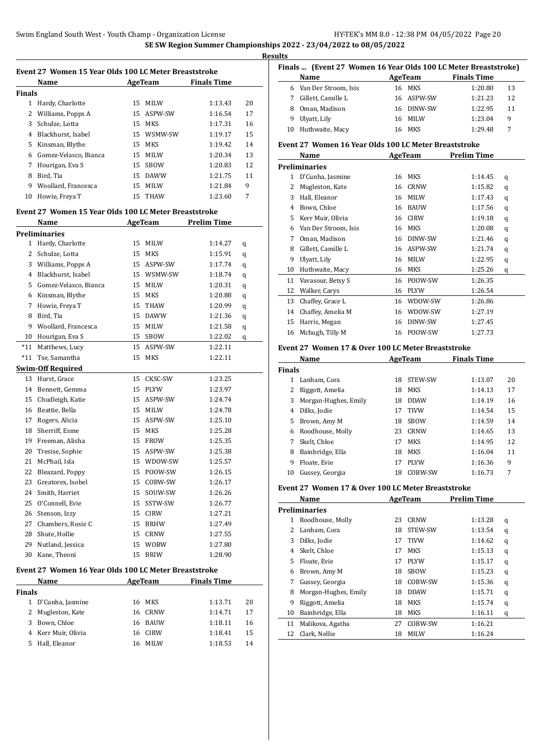**Results**

|               | Event 27 Women 15 Year Olds 100 LC Meter Breaststroke<br>Name |    |                 | AgeTeam Finals Time |          |
|---------------|---------------------------------------------------------------|----|-----------------|---------------------|----------|
| <b>Finals</b> |                                                               |    |                 |                     |          |
|               | 1 Hardy, Charlotte                                            | 15 | MILW            | 1:13.43             | 20       |
|               | 2 Williams, Popps A                                           |    | 15 ASPW-SW      | 1:16.54             | 17       |
| 3             | Schulze, Lotta                                                |    | 15 MKS          | 1:17.31             | 16       |
|               |                                                               |    | 15 WSMW-SW      | 1:19.17             | 15       |
|               | 4 Blackhurst, Isabel                                          |    |                 | 1:19.42             | 14       |
| 5             | Kinsman, Blythe                                               |    | 15 MKS          |                     |          |
| 6             | Gomez-Velasco, Bianca                                         |    | 15 MILW         | 1:20.34             | 13       |
| 7<br>8        | Hourigan, Eva S                                               | 15 | SBOW<br>15 DAWW | 1:20.83             | 12<br>11 |
|               | Bird, Tia                                                     |    |                 | 1:21.75             |          |
| 9             | Woollard, Francesca                                           |    | 15 MILW         | 1:21.84             | 9        |
| 10            | Howie, Freya T                                                | 15 | <b>THAW</b>     | 1:23.60             | 7        |
|               | Event 27 Women 15 Year Olds 100 LC Meter Breaststroke         |    |                 |                     |          |
|               | Name                                                          |    | AgeTeam         | <b>Prelim Time</b>  |          |
|               | <b>Preliminaries</b>                                          |    |                 |                     |          |
|               | 1 Hardy, Charlotte                                            | 15 | MILW            | 1:14.27             | q        |
| 2             | Schulze, Lotta                                                |    | 15 MKS          | 1:15.91             | q        |
|               | 3 Williams, Popps A                                           |    | 15 ASPW-SW      | 1:17.74             | q        |
|               | 4 Blackhurst, Isabel                                          |    | 15 WSMW-SW      | 1:18.74             | q        |
|               | 5 Gomez-Velasco, Bianca                                       |    | 15 MILW         | 1:20.31             | q        |
| 6             | Kinsman, Blythe                                               |    | 15 MKS          | 1:20.88             | q        |
| 7             | Howie, Freya T                                                | 15 | THAW            | 1:20.99             | q        |
| 8             | Bird, Tia                                                     |    | 15 DAWW         | 1:21.36             | q        |
| 9             | Woollard, Francesca                                           |    | 15 MILW         | 1:21.58             | q        |
|               | 10 Hourigan, Eva S                                            |    | 15 SBOW         | 1:22.02             | q        |
| $*11$         | Matthews, Lucy                                                |    | 15 ASPW-SW      | 1:22.11             |          |
| $*11$         | Tse, Samantha                                                 | 15 | <b>MKS</b>      | 1:22.11             |          |
|               | <b>Swim-Off Required</b>                                      |    |                 |                     |          |
|               | 13 Hurst, Grace                                               | 15 | CKSC-SW         | 1:23.25             |          |
|               | 14 Bennett, Gemma                                             |    | 15 PLYW         | 1:23.97             |          |
| 15            | Chudleigh, Katie                                              |    | 15 ASPW-SW      | 1:24.74             |          |
| 16            | Beattie, Bella                                                | 15 | MILW            | 1:24.78             |          |
| 17            | Rogers, Alicia                                                |    | 15 ASPW-SW      | 1:25.10             |          |
| 18            | Sherriff, Esme                                                |    | 15 MKS          | 1:25.28             |          |
| 19            | Freeman, Alisha                                               | 15 | <b>FROW</b>     | 1:25.35             |          |
| 20            | Tresise, Sophie                                               | 15 | ASPW-SW         | 1:25.38             |          |
| 21            | McPhail, Isla                                                 | 15 | WDOW-SW         | 1:25.57             |          |
| 22            | Bleazard, Poppy                                               | 15 | POOW-SW         | 1:26.15             |          |
| 23            | Greatorex, Isobel                                             | 15 | COBW-SW         | 1:26.17             |          |
| 24            | Smith, Harriet                                                | 15 | SOUW-SW         | 1:26.26             |          |
| 25            | O'Connell, Evie                                               | 15 | SSTW-SW         | 1:26.77             |          |
| 26            | Stenson, Izzy                                                 | 15 | CIRW            | 1:27.21             |          |
| 27            | Chambers, Rosie C                                             |    | 15 BRHW         | 1:27.49             |          |
| 28            | Shute, Hollie                                                 | 15 | CRNW            | 1:27.55             |          |
| 29            | Nutland, Jessica                                              | 15 | <b>WOBW</b>     | 1:27.80             |          |
| 30            | Kane, Theoni                                                  | 15 | <b>BRIW</b>     | 1:28.90             |          |
|               |                                                               |    |                 |                     |          |
|               | Event 27 Women 16 Year Olds 100 LC Meter Breaststroke         |    |                 |                     |          |
| <b>Finals</b> | Name                                                          |    | <b>AgeTeam</b>  | <b>Finals Time</b>  |          |
| 1             |                                                               | 16 | MKS             | 1:13.71             | 20       |
|               | D'Cunha, Jasmine                                              |    |                 |                     |          |
| 2             | Mugleston, Kate                                               | 16 | CRNW            | 1:14.71             | 17       |

 Kerr Muir, Olivia 16 CIRW 1:18.41 15 Hall, Eleanor 16 MILW 1:18.53 14

| 11.S                                                               |                        |     |             |                    |    |  |  |  |
|--------------------------------------------------------------------|------------------------|-----|-------------|--------------------|----|--|--|--|
| Finals    (Event 27  Women 16 Year Olds 100 LC Meter Breaststroke) |                        |     |             |                    |    |  |  |  |
|                                                                    | Name                   |     | AgeTeam     | <b>Finals Time</b> |    |  |  |  |
|                                                                    | 6 Van Der Stroom, Isis | 16. | MKS         | 1:20.80            | 13 |  |  |  |
|                                                                    | Gillett, Camille L     |     | 16 ASPW-SW  | 1:21.23            | 12 |  |  |  |
| 8                                                                  | Oman, Madison          |     | 16 DINW-SW  | 1:22.95            | 11 |  |  |  |
| 9                                                                  | Ulyatt, Lily           | 16  | <b>MILW</b> | 1:23.04            | 9  |  |  |  |
|                                                                    | 10 Huthwaite, Macy     | 16. | MKS         | 1:29.48            | 7  |  |  |  |
|                                                                    |                        |     |             |                    |    |  |  |  |

#### **Event 27 Women 16 Year Olds 100 LC Meter Breaststroke**

|    | Name                 |    | AgeTeam     | <b>Prelim Time</b> |   |
|----|----------------------|----|-------------|--------------------|---|
|    | <b>Preliminaries</b> |    |             |                    |   |
| 1  | D'Cunha, Jasmine     | 16 | <b>MKS</b>  | 1:14.45            | q |
| 2  | Mugleston, Kate      | 16 | <b>CRNW</b> | 1:15.82            | q |
| 3  | Hall, Eleanor        | 16 | <b>MILW</b> | 1:17.43            | q |
| 4  | Bown, Chloe          | 16 | <b>BAUW</b> | 1:17.56            | q |
| 5  | Kerr Muir, Olivia    | 16 | <b>CIRW</b> | 1:19.18            | q |
| 6  | Van Der Stroom, Isis | 16 | MKS         | 1:20.08            | q |
| 7  | Oman, Madison        | 16 | DINW-SW     | 1:21.46            | q |
| 8  | Gillett, Camille L   | 16 | ASPW-SW     | 1:21.74            | q |
| 9  | Ulyatt, Lily         | 16 | <b>MILW</b> | 1:22.95            | q |
| 10 | Huthwaite, Macy      | 16 | <b>MKS</b>  | 1:25.26            | q |
| 11 | Vavasour, Betsy S    | 16 | POOW-SW     | 1:26.35            |   |
| 12 | Walker, Carys        | 16 | <b>PLYW</b> | 1:26.54            |   |
| 13 | Chaffey, Grace L     | 16 | WDOW-SW     | 1:26.86            |   |
| 14 | Chaffey, Amelia M    | 16 | WDOW-SW     | 1:27.19            |   |
| 15 | Harris, Megan        | 16 | DINW-SW     | 1:27.45            |   |
| 16 | Mchugh, Tilly M      | 16 | POOW-SW     | 1:27.73            |   |

#### **Event 27 Women 17 & Over 100 LC Meter Breaststroke**

| Name          |                      |    | AgeTeam     | <b>Finals Time</b> |    |
|---------------|----------------------|----|-------------|--------------------|----|
| <b>Finals</b> |                      |    |             |                    |    |
|               | Lanham, Cora         | 18 | STEW-SW     | 1:13.07            | 20 |
| 2             | Riggott, Amelia      | 18 | MKS         | 1:14.13            | 17 |
| 3             | Morgan-Hughes, Emily | 18 | <b>DDAW</b> | 1:14.19            | 16 |
| 4             | Dilks, Jodie         | 17 | <b>TIVW</b> | 1:14.54            | 15 |
| 5.            | Brown, Amy M         | 18 | <b>SBOW</b> | 1:14.59            | 14 |
| 6             | Roodhouse, Molly     | 23 | CRNW        | 1:14.65            | 13 |
| 7             | Skelt, Chloe         | 17 | <b>MKS</b>  | 1:14.95            | 12 |
| 8             | Bainbridge, Ella     | 18 | <b>MKS</b>  | 1:16.04            | 11 |
| 9             | Floate, Evie         | 17 | <b>PLYW</b> | 1:16.36            | 9  |
| 10            | Gussey, Georgia      | 18 | COBW-SW     | 1:16.73            | 7  |

#### **Event 27 Women 17 & Over 100 LC Meter Breaststroke**

|                      | Name<br>AgeTeam      |    | <b>Prelim Time</b> |         |   |  |  |
|----------------------|----------------------|----|--------------------|---------|---|--|--|
| <b>Preliminaries</b> |                      |    |                    |         |   |  |  |
| 1                    | Roodhouse, Molly     | 23 | CRNW               | 1:13.28 | q |  |  |
|                      | Lanham, Cora         | 18 | <b>STEW-SW</b>     | 1:13.54 | q |  |  |
| 3                    | Dilks, Jodie         | 17 | <b>TIVW</b>        | 1:14.62 | q |  |  |
| 4                    | Skelt, Chloe         | 17 | MKS                | 1:15.13 | q |  |  |
| 5.                   | Floate, Evie         | 17 | <b>PLYW</b>        | 1:15.17 | q |  |  |
| 6                    | Brown, Amy M         | 18 | <b>SBOW</b>        | 1:15.23 | q |  |  |
| 7                    | Gussey, Georgia      | 18 | COBW-SW            | 1:15.36 | q |  |  |
| 8                    | Morgan-Hughes, Emily | 18 | <b>DDAW</b>        | 1:15.71 | q |  |  |
| 9                    | Riggott, Amelia      | 18 | MKS                | 1:15.74 | q |  |  |
| 10                   | Bainbridge, Ella     | 18 | MKS                | 1:16.11 | q |  |  |
| 11                   | Malikova, Agatha     | 27 | COBW-SW            | 1:16.21 |   |  |  |
| 12                   | Clark, Nellie        | 18 | <b>MILW</b>        | 1:16.24 |   |  |  |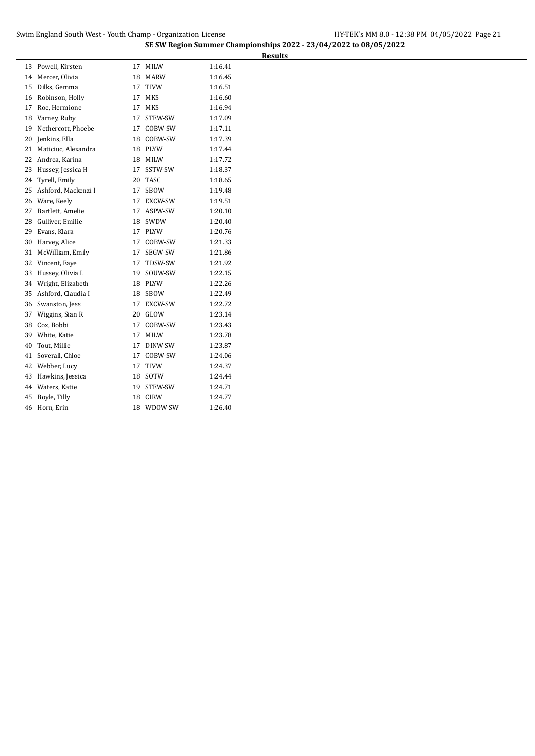| 13 | Powell, Kirsten     | 17 | MILW           | 1:16.41 |
|----|---------------------|----|----------------|---------|
| 14 | Mercer, Olivia      | 18 | <b>MARW</b>    | 1:16.45 |
| 15 | Dilks, Gemma        | 17 | <b>TIVW</b>    | 1:16.51 |
| 16 | Robinson, Holly     | 17 | MKS            | 1:16.60 |
| 17 | Roe, Hermione       | 17 | <b>MKS</b>     | 1:16.94 |
| 18 | Varney, Ruby        | 17 | STEW-SW        | 1:17.09 |
| 19 | Nethercott, Phoebe  | 17 | COBW-SW        | 1:17.11 |
| 20 | Jenkins, Ella       | 18 | COBW-SW        | 1:17.39 |
| 21 | Maticiuc, Alexandra | 18 | PLYW           | 1:17.44 |
| 22 | Andrea, Karina      | 18 | MILW           | 1:17.72 |
| 23 | Hussey, Jessica H   | 17 | SSTW-SW        | 1:18.37 |
| 24 | Tyrell, Emily       | 20 | <b>TASC</b>    | 1:18.65 |
| 25 | Ashford, Mackenzi I | 17 | SBOW           | 1:19.48 |
| 26 | Ware, Keely         | 17 | EXCW-SW        | 1:19.51 |
| 27 | Bartlett, Amelie    | 17 | ASPW-SW        | 1:20.10 |
| 28 | Gulliver, Emilie    | 18 | SWDW           | 1:20.40 |
| 29 | Evans, Klara        | 17 | <b>PLYW</b>    | 1:20.76 |
| 30 | Harvey, Alice       | 17 | COBW-SW        | 1:21.33 |
| 31 | McWilliam, Emily    | 17 | SEGW-SW        | 1:21.86 |
| 32 | Vincent, Faye       | 17 | TDSW-SW        | 1:21.92 |
| 33 | Hussey, Olivia L    | 19 | SOUW-SW        | 1:22.15 |
| 34 | Wright, Elizabeth   | 18 | <b>PLYW</b>    | 1:22.26 |
| 35 | Ashford, Claudia I  | 18 | SBOW           | 1:22.49 |
| 36 | Swanston, Jess      | 17 | <b>EXCW-SW</b> | 1:22.72 |
| 37 | Wiggins, Sian R     | 20 | GLOW           | 1:23.14 |
| 38 | Cox, Bobbi          | 17 | COBW-SW        | 1:23.43 |
| 39 | White, Katie        | 17 | <b>MILW</b>    | 1:23.78 |
| 40 | Tout, Millie        | 17 | DINW-SW        | 1:23.87 |
| 41 | Soverall, Chloe     | 17 | COBW-SW        | 1:24.06 |
| 42 | Webber, Lucy        | 17 | TIVW           | 1:24.37 |
| 43 | Hawkins, Jessica    | 18 | SOTW           | 1:24.44 |
| 44 | Waters, Katie       | 19 | STEW-SW        | 1:24.71 |
| 45 | Boyle, Tilly        | 18 | <b>CIRW</b>    | 1:24.77 |
| 46 | Horn, Erin          | 18 | WDOW-SW        | 1:26.40 |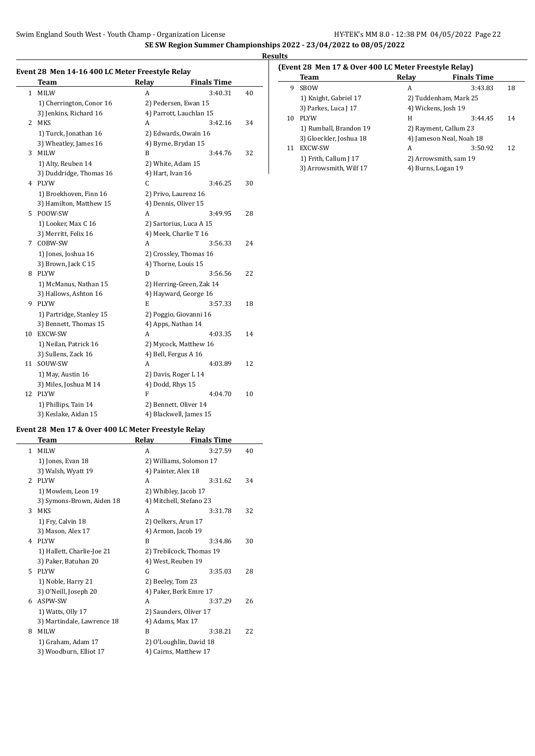$\overline{a}$ 

### **Results**

#### **Event 28 Men 14-16 400 LC Meter Freestyle Relay**

|              | <b>Team</b>              | Relay                   | <b>Finals Time</b>       |    |
|--------------|--------------------------|-------------------------|--------------------------|----|
| $\mathbf{1}$ | <b>MILW</b>              | A                       | 3:40.31                  | 40 |
|              | 1) Cherrington, Conor 16 | 2) Pedersen, Ewan 15    |                          |    |
|              | 3) Jenkins, Richard 16   | 4) Parrott, Lauchlan 15 |                          |    |
| 2            | <b>MKS</b>               | A                       | 3:42.16                  | 34 |
|              | 1) Turck, Jonathan 16    | 2) Edwards, Owain 16    |                          |    |
|              | 3) Wheatley, James 16    | 4) Byrne, Brydan 15     |                          |    |
| 3            | MILW                     | B                       | 3:44.76                  | 32 |
|              | 1) Alty, Reuben 14       | 2) White, Adam 15       |                          |    |
|              | 3) Duddridge, Thomas 16  | 4) Hart, Ivan 16        |                          |    |
| 4            | <b>PLYW</b>              | C                       | 3:46.25                  | 30 |
|              | 1) Broekhoven, Finn 16   | 2) Privo, Laurenz 16    |                          |    |
|              | 3) Hamilton, Matthew 15  | 4) Dennis, Oliver 15    |                          |    |
| 5.           | POOW-SW                  | A                       | 3:49.95                  | 28 |
|              | 1) Looker, Max C 16      | 2) Sartorius, Luca A 15 |                          |    |
|              | 3) Merritt, Felix 16     | 4) Meek, Charlie T 16   |                          |    |
| 7            | COBW-SW                  | A                       | 3:56.33                  | 24 |
|              | 1) Jones, Joshua 16      | 2) Crossley, Thomas 16  |                          |    |
|              | 3) Brown, Jack C 15      | 4) Thorne, Louis 15     |                          |    |
| 8            | <b>PLYW</b>              | D                       | 3:56.56                  | 22 |
|              | 1) McManus, Nathan 15    |                         | 2) Herring-Green, Zak 14 |    |
|              | 3) Hallows, Ashton 16    | 4) Hayward, George 16   |                          |    |
| 9            | <b>PLYW</b>              | E                       | 3:57.33                  | 18 |
|              | 1) Partridge, Stanley 15 | 2) Poggio, Giovanni 16  |                          |    |
|              | 3) Bennett, Thomas 15    | 4) Apps, Nathan 14      |                          |    |
| 10           | <b>EXCW-SW</b>           | A                       | 4:03.35                  | 14 |
|              | 1) Neilan, Patrick 16    | 2) Mycock, Matthew 16   |                          |    |
|              | 3) Sullens, Zack 16      | 4) Bell, Fergus A 16    |                          |    |
| 11           | SOUW-SW                  | A                       | 4:03.89                  | 12 |
|              | 1) May, Austin 16        | 2) Davis, Roger L 14    |                          |    |
|              | 3) Miles, Joshua M 14    | 4) Dodd, Rhys 15        |                          |    |
| 12           | <b>PLYW</b>              | F                       | 4:04.70                  | 10 |
|              | 1) Phillips, Tain 14     | 2) Bennett, Oliver 14   |                          |    |
|              | 3) Keslake, Aidan 15     | 4) Blackwell, James 15  |                          |    |

### **Event 28 Men 17 & Over 400 LC Meter Freestyle Relay**

|               | Team                       | Relay                   | <b>Finals Time</b>       |    |
|---------------|----------------------------|-------------------------|--------------------------|----|
| 1             | <b>MILW</b>                | A                       | 3:27.59                  | 40 |
|               | 1) Jones, Evan 18          |                         | 2) Williams, Solomon 17  |    |
|               | 3) Walsh, Wyatt 19         | 4) Painter, Alex 18     |                          |    |
| $\mathcal{L}$ | <b>PLYW</b>                | A                       | 3:31.62                  | 34 |
|               | 1) Mowlem, Leon 19         | 2) Whibley, Jacob 17    |                          |    |
|               | 3) Symons-Brown, Aiden 18  | 4) Mitchell, Stefano 23 |                          |    |
| 3             | <b>MKS</b>                 | A                       | 3:31.78                  | 32 |
|               | 1) Fry, Calvin 18          | 2) Oelkers, Arun 17     |                          |    |
|               | 3) Mason, Alex 17          | 4) Armon, Jacob 19      |                          |    |
| 4             | <b>PIYW</b>                | B                       | 3:34.86                  | 30 |
|               | 1) Hallett, Charlie-Joe 21 |                         | 2) Trebilcock, Thomas 19 |    |
|               | 3) Paker, Batuhan 20       | 4) West, Reuben 19      |                          |    |
| 5.            | <b>PLYW</b>                | G                       | 3:35.03                  | 28 |
|               | 1) Noble, Harry 21         | 2) Beeley, Tom 23       |                          |    |
|               | 3) O'Neill, Joseph 20      | 4) Paker, Berk Emre 17  |                          |    |
| 6             | ASPW-SW                    | A                       | 3:37.29                  | 26 |
|               | 1) Watts, Olly 17          | 2) Saunders, Oliver 17  |                          |    |
|               | 3) Martindale, Lawrence 18 | 4) Adams, Max 17        |                          |    |
| 8             | <b>MILW</b>                | B                       | 3:38.21                  | 22 |
|               | 1) Graham, Adam 17         | 2) O'Loughlin, David 18 |                          |    |
|               | 3) Woodburn, Elliot 17     | 4) Cairns, Matthew 17   |                          |    |
|               |                            |                         |                          |    |

### **(Event 28 Men 17 & Over 400 LC Meter Freestyle Relay)**

|    | Team                    | Relay                    | <b>Finals Time</b> |    |
|----|-------------------------|--------------------------|--------------------|----|
| 9  | <b>SBOW</b>             | А                        | 3:43.83            | 18 |
|    | 1) Knight, Gabriel 17   | 2) Tuddenham, Mark 25    |                    |    |
|    | 3) Parkes, Luca J 17    | 4) Wickens, Josh 19      |                    |    |
| 10 | <b>PLYW</b>             | Н                        | 3:44.45            | 14 |
|    | 1) Rumball, Brandon 19  | 2) Rayment, Callum 23    |                    |    |
|    | 3) Gloeckler, Joshua 18 | 4) Jameson Neal, Noah 18 |                    |    |
| 11 | EXCW-SW                 | А                        | 3:50.92            | 12 |
|    | 1) Frith, Callum J 17   | 2) Arrowsmith, sam 19    |                    |    |
|    | 3) Arrowsmith, Wilf 17  | 4) Burns, Logan 19       |                    |    |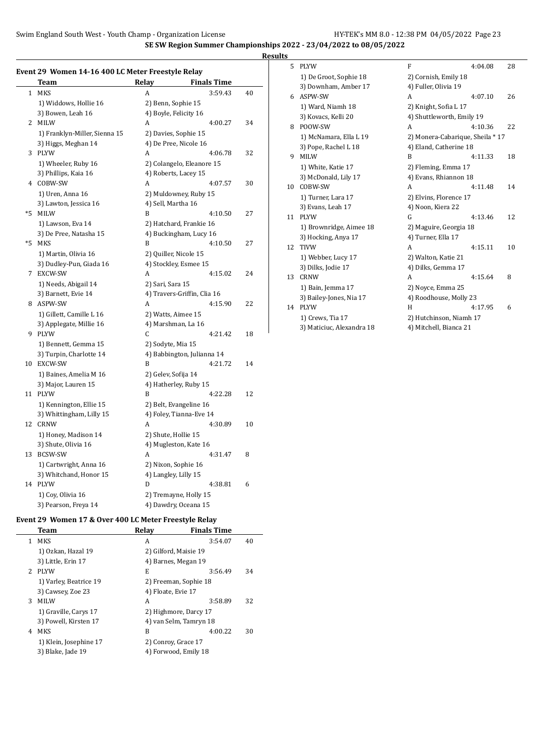**SE SW Region Summer Championships 2022 - 23/04/2022 to 08/05/2022**

**Results**

|  |  | Event 29 Women 14-16 400 LC Meter Freestyle Relay |  |
|--|--|---------------------------------------------------|--|
|  |  |                                                   |  |

|    | Team                          | Relay               | <b>Finals Time</b>          |    |
|----|-------------------------------|---------------------|-----------------------------|----|
| 1  | <b>MKS</b>                    | A                   | 3:59.43                     | 40 |
|    | 1) Widdows, Hollie 16         |                     | 2) Benn, Sophie 15          |    |
|    | 3) Bowen, Leah 16             |                     | 4) Boyle, Felicity 16       |    |
| 2  | <b>MILW</b>                   | A                   | 4:00.27                     | 34 |
|    | 1) Franklyn-Miller, Sienna 15 |                     | 2) Davies, Sophie 15        |    |
|    | 3) Higgs, Meghan 14           |                     | 4) De Pree, Nicole 16       |    |
|    | 3 PLYW                        | A                   | 4:06.78                     | 32 |
|    | 1) Wheeler, Ruby 16           |                     | 2) Colangelo, Eleanore 15   |    |
|    | 3) Phillips, Kaia 16          |                     | 4) Roberts, Lacey 15        |    |
| 4  | COBW-SW                       | A                   | 4:07.57                     | 30 |
|    | 1) Uren, Anna 16              |                     | 2) Muldowney, Ruby 15       |    |
|    | 3) Lawton, Jessica 16         | 4) Sell, Martha 16  |                             |    |
| *5 | <b>MILW</b>                   | B                   | 4:10.50                     | 27 |
|    | 1) Lawson, Eva 14             |                     | 2) Hatchard, Frankie 16     |    |
|    | 3) De Pree, Natasha 15        |                     | 4) Buckingham, Lucy 16      |    |
| *5 | <b>MKS</b>                    | B                   | 4:10.50                     | 27 |
|    | 1) Martin, Olivia 16          |                     | 2) Quiller, Nicole 15       |    |
|    | 3) Dudley-Pun, Giada 16       |                     | 4) Stockley, Esmee 15       |    |
|    | 7 EXCW-SW                     | А                   | 4:15.02                     | 24 |
|    | 1) Needs, Abigail 14          | 2) Sari, Sara 15    |                             |    |
|    | 3) Barnett, Evie 14           |                     | 4) Travers-Griffin, Clia 16 |    |
|    | 8 ASPW-SW                     | A                   | 4:15.90                     | 22 |
|    | 1) Gillett, Camille L 16      |                     | 2) Watts, Aimee 15          |    |
|    | 3) Applegate, Millie 16       |                     | 4) Marshman, La 16          |    |
|    | 9 PLYW                        | C                   | 4:21.42                     | 18 |
|    | 1) Bennett, Gemma 15          | 2) Sodyte, Mia 15   |                             |    |
|    | 3) Turpin, Charlotte 14       |                     | 4) Babbington, Julianna 14  |    |
|    | 10 EXCW-SW                    | B                   | 4:21.72                     | 14 |
|    | 1) Baines, Amelia M 16        | 2) Gelev, Sofija 14 |                             |    |
|    | 3) Major, Lauren 15           |                     | 4) Hatherley, Ruby 15       |    |
| 11 | <b>PLYW</b>                   | B                   | 4:22.28                     | 12 |
|    | 1) Kennington, Ellie 15       |                     | 2) Belt, Evangeline 16      |    |
|    | 3) Whittingham, Lilly 15      |                     | 4) Foley, Tianna-Eve 14     |    |
| 12 | <b>CRNW</b>                   | A                   | 4:30.89                     | 10 |
|    | 1) Honey, Madison 14          |                     | 2) Shute, Hollie 15         |    |
|    | 3) Shute, Olivia 16           |                     | 4) Mugleston, Kate 16       |    |
| 13 | <b>BCSW-SW</b>                | A                   | 4:31.47                     | 8  |
|    | 1) Cartwright, Anna 16        |                     | 2) Nixon, Sophie 16         |    |
|    | 3) Whitchand, Honor 15        |                     | 4) Langley, Lilly 15        |    |
| 14 | <b>PLYW</b>                   | D                   | 4:38.81                     | 6  |
|    | 1) Coy, Olivia 16             |                     | 2) Tremayne, Holly 15       |    |
|    | 3) Pearson, Freya 14          |                     | 4) Dawdry, Oceana 15        |    |

### **Event 29 Women 17 & Over 400 LC Meter Freestyle Relay**

|             | Team                   | Relav                  | <b>Finals Time</b> |    |
|-------------|------------------------|------------------------|--------------------|----|
| 1.          | MKS                    | A                      | 3:54.07            | 40 |
|             | 1) Ozkan, Hazal 19     | 2) Gilford, Maisie 19  |                    |    |
|             | 3) Little, Erin 17     | 4) Barnes, Megan 19    |                    |    |
| $2^{\circ}$ | <b>PLYW</b>            | E                      | 3:56.49            | 34 |
|             | 1) Varley, Beatrice 19 | 2) Freeman, Sophie 18  |                    |    |
|             | 3) Cawsey, Zoe 23      | 4) Floate, Evie 17     |                    |    |
| 3           | <b>MILW</b>            | A                      | 3:58.89            | 32 |
|             | 1) Graville, Carys 17  | 2) Highmore, Darcy 17  |                    |    |
|             | 3) Powell, Kirsten 17  | 4) van Selm, Tamryn 18 |                    |    |
| 4           | <b>MKS</b>             | B                      | 4:00.22            | 30 |
|             | 1) Klein, Josephine 17 | 2) Conroy, Grace 17    |                    |    |
|             | 3) Blake, Jade 19      | 4) Forwood, Emily 18   |                    |    |
|             |                        |                        |                    |    |

| 5  | <b>PLYW</b>               | F                                | 4:04.08 | 28 |
|----|---------------------------|----------------------------------|---------|----|
|    | 1) De Groot, Sophie 18    | 2) Cornish, Emily 18             |         |    |
|    | 3) Downham, Amber 17      | 4) Fuller, Olivia 19             |         |    |
| 6. | ASPW-SW                   | A                                | 4:07.10 | 26 |
|    | 1) Ward, Niamh 18         | 2) Knight, Sofia L 17            |         |    |
|    | 3) Kovacs, Kelli 20       | 4) Shuttleworth, Emily 19        |         |    |
| 8  | POOW-SW                   | A                                | 4:10.36 | 22 |
|    | 1) McNamara, Ella L 19    | 2) Monera-Cabarique, Sheila * 17 |         |    |
|    | 3) Pope, Rachel L 18      | 4) Eland, Catherine 18           |         |    |
| 9  | <b>MILW</b>               | B                                | 4:11.33 | 18 |
|    | 1) White, Katie 17        | 2) Fleming, Emma 17              |         |    |
|    | 3) McDonald, Lily 17      | 4) Evans, Rhiannon 18            |         |    |
| 10 | COBW-SW                   | A                                | 4:11.48 | 14 |
|    | 1) Turner, Lara 17        | 2) Elvins, Florence 17           |         |    |
|    | 3) Evans, Leah 17         | 4) Noon, Kiera 22                |         |    |
| 11 | <b>PLYW</b>               | G                                | 4:13.46 | 12 |
|    | 1) Brownridge, Aimee 18   | 2) Maguire, Georgia 18           |         |    |
|    | 3) Hocking, Anya 17       | 4) Turner, Ella 17               |         |    |
| 12 | <b>TIVW</b>               | A                                | 4:15.11 | 10 |
|    | 1) Webber, Lucy 17        | 2) Walton, Katie 21              |         |    |
|    | 3) Dilks, Jodie 17        | 4) Dilks, Gemma 17               |         |    |
| 13 | <b>CRNW</b>               | A                                | 4:15.64 | 8  |
|    | 1) Bain, Jemma 17         | 2) Noyce, Emma 25                |         |    |
|    | 3) Bailey-Jones, Nia 17   | 4) Roodhouse, Molly 23           |         |    |
| 14 | <b>PLYW</b>               | H                                | 4:17.95 | 6  |
|    | 1) Crews, Tia 17          | 2) Hutchinson, Niamh 17          |         |    |
|    | 3) Maticiuc, Alexandra 18 | 4) Mitchell, Bianca 21           |         |    |
|    |                           |                                  |         |    |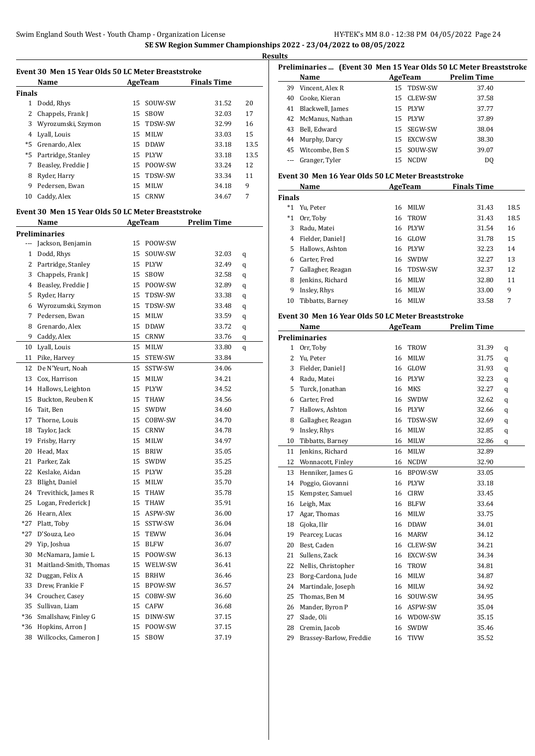| Event 30 Men 15 Year Olds 50 LC Meter Breaststroke<br><b>Finals Time</b><br>Name<br>AgeTeam |                                                    |    |             |             |      |  |  |
|---------------------------------------------------------------------------------------------|----------------------------------------------------|----|-------------|-------------|------|--|--|
| <b>Finals</b>                                                                               |                                                    |    |             |             |      |  |  |
|                                                                                             | 1 Dodd, Rhys                                       |    | 15 SOUW-SW  | 31.52       | 20   |  |  |
| 2                                                                                           | Chappels, Frank J                                  |    | 15 SBOW     | 32.03       | 17   |  |  |
| 3                                                                                           | Wyrozumski, Szymon                                 |    | 15 TDSW-SW  | 32.99       | 16   |  |  |
|                                                                                             | 4 Lyall, Louis                                     |    | 15 MILW     | 33.03       | 15   |  |  |
|                                                                                             | *5 Grenardo, Alex                                  |    | 15 DDAW     | 33.18       | 13.5 |  |  |
| *5                                                                                          | Partridge, Stanley                                 |    | 15 PLYW     | 33.18       | 13.5 |  |  |
| 7                                                                                           | Beasley, Freddie J                                 |    | 15 POOW-SW  | 33.24       | 12   |  |  |
| 8                                                                                           | Ryder, Harry                                       |    | 15 TDSW-SW  | 33.34       | 11   |  |  |
|                                                                                             | 9 Pedersen, Ewan                                   |    | 15 MILW     | 34.18       | 9    |  |  |
| 10                                                                                          | Caddy, Alex                                        | 15 | <b>CRNW</b> | 34.67       | 7    |  |  |
|                                                                                             |                                                    |    |             |             |      |  |  |
|                                                                                             | Event 30 Men 15 Year Olds 50 LC Meter Breaststroke |    |             |             |      |  |  |
|                                                                                             | Name                                               |    | AgeTeam     | Prelim Time |      |  |  |
|                                                                                             | <b>Preliminaries</b>                               |    |             |             |      |  |  |
|                                                                                             | --- Jackson, Benjamin                              |    | 15 POOW-SW  |             |      |  |  |
|                                                                                             | 1 Dodd, Rhys                                       |    | 15 SOUW-SW  | 32.03       | q    |  |  |
|                                                                                             | 2 Partridge, Stanley                               |    | 15 PLYW     | 32.49       | q    |  |  |
| 3                                                                                           | Chappels, Frank J                                  |    | 15 SBOW     | 32.58       | q    |  |  |
|                                                                                             | 4 Beasley, Freddie J                               |    | 15 POOW-SW  | 32.89       | q    |  |  |
| 5                                                                                           | Ryder, Harry                                       |    | 15 TDSW-SW  | 33.38       | q    |  |  |
| 6                                                                                           | Wyrozumski, Szymon                                 |    | 15 TDSW-SW  | 33.48       | q    |  |  |
|                                                                                             | 7 Pedersen, Ewan                                   |    | 15 MILW     | 33.59       | q    |  |  |
| 8                                                                                           | Grenardo, Alex                                     |    | 15 DDAW     | 33.72       | q    |  |  |
| 9                                                                                           | Caddy, Alex                                        |    | 15 CRNW     | 33.76       | q    |  |  |
| 10                                                                                          | Lyall, Louis                                       |    | 15 MILW     | 33.80       | q    |  |  |
| 11                                                                                          | Pike, Harvey                                       |    | 15 STEW-SW  | 33.84       |      |  |  |
| 12                                                                                          | De N'Yeurt, Noah                                   |    | 15 SSTW-SW  | 34.06       |      |  |  |
| 13                                                                                          | Cox, Harrison                                      |    | 15 MILW     | 34.21       |      |  |  |
| 14                                                                                          | Hallows, Leighton                                  |    | 15 PLYW     | 34.52       |      |  |  |
| 15                                                                                          | Buckton, Reuben K                                  |    | 15 THAW     | 34.56       |      |  |  |
| 16                                                                                          | Tait, Ben                                          |    | 15 SWDW     | 34.60       |      |  |  |
| 17                                                                                          | Thorne, Louis                                      |    | 15 COBW-SW  | 34.70       |      |  |  |
| 18                                                                                          | Taylor, Jack                                       |    | 15 CRNW     | 34.78       |      |  |  |
| 19                                                                                          | Frisby, Harry                                      |    | 15 MILW     | 34.97       |      |  |  |
| 20                                                                                          | Head, Max                                          | 15 | <b>BRIW</b> | 35.05       |      |  |  |
| 21                                                                                          | Parker, Zak                                        | 15 | SWDW        | 35.25       |      |  |  |
| 22                                                                                          | Keslake, Aidan                                     | 15 | PLYW        | 35.28       |      |  |  |
| 23                                                                                          | Blight, Daniel                                     | 15 | MILW        | 35.70       |      |  |  |
| 24                                                                                          | Trevithick, James R                                | 15 | THAW        | 35.78       |      |  |  |
| 25                                                                                          | Logan, Frederick J                                 | 15 | THAW        | 35.91       |      |  |  |
| 26                                                                                          | Hearn, Alex                                        | 15 | ASPW-SW     | 36.00       |      |  |  |
| *27                                                                                         | Platt, Toby                                        | 15 | SSTW-SW     | 36.04       |      |  |  |
| *27                                                                                         | D'Souza, Leo                                       | 15 | <b>TEWW</b> | 36.04       |      |  |  |
| 29                                                                                          | Yip, Joshua                                        | 15 | BLFW        | 36.07       |      |  |  |
| 30                                                                                          | McNamara, Jamie L                                  | 15 | POOW-SW     | 36.13       |      |  |  |
| 31                                                                                          | Maitland-Smith, Thomas                             | 15 | WELW-SW     | 36.41       |      |  |  |
| 32                                                                                          | Duggan, Felix A                                    | 15 | BRHW        | 36.46       |      |  |  |
| 33                                                                                          | Drew, Frankie F                                    | 15 |             |             |      |  |  |
|                                                                                             | Croucher, Casey                                    |    | BPOW-SW     | 36.57       |      |  |  |
| 34                                                                                          |                                                    | 15 | COBW-SW     | 36.60       |      |  |  |
| 35                                                                                          | Sullivan, Liam                                     | 15 | CAFW        | 36.68       |      |  |  |
| *36                                                                                         | Smallshaw, Finley G                                | 15 | DINW-SW     | 37.15       |      |  |  |
| *36                                                                                         | Hopkins, Arron J                                   | 15 | POOW-SW     | 37.15       |      |  |  |
| 38                                                                                          | Willcocks, Cameron J                               | 15 | SBOW        | 37.19       |      |  |  |

|    |                    |    |             | Preliminaries  (Event 30 Men 15 Year Olds 50 LC Meter Breaststroke |
|----|--------------------|----|-------------|--------------------------------------------------------------------|
|    | Name               |    | AgeTeam     | <b>Prelim Time</b>                                                 |
| 39 | Vincent, Alex R    | 15 | TDSW-SW     | 37.40                                                              |
| 40 | Cooke, Kieran      |    | 15 CLEW-SW  | 37.58                                                              |
| 41 | Blackwell, James   |    | 15 PLYW     | 37.77                                                              |
|    | 42 McManus, Nathan |    | 15 PLYW     | 37.89                                                              |
| 43 | Bell, Edward       |    | 15 SEGW-SW  | 38.04                                                              |
| 44 | Murphy, Darcy      | 15 | EXCW-SW     | 38.30                                                              |
| 45 | Witcombe, Ben S    |    | 15 SOUW-SW  | 39.07                                                              |
|    | Granger, Tyler     | 15 | <b>NCDW</b> | D <sub>0</sub>                                                     |

#### **Event 30 Men 16 Year Olds 50 LC Meter Breaststroke**

|               | Name              |    | AgeTeam     | <b>Finals Time</b> |       |      |
|---------------|-------------------|----|-------------|--------------------|-------|------|
| <b>Finals</b> |                   |    |             |                    |       |      |
| *1            | Yu. Peter         | 16 | MILW        |                    | 31.43 | 18.5 |
| $^{\ast}1$    | Orr, Toby         | 16 | TROW        |                    | 31.43 | 18.5 |
| 3             | Radu. Matei       | 16 | PLYW        |                    | 31.54 | 16   |
| 4             | Fielder, Daniel J | 16 | GLOW        |                    | 31.78 | 15   |
| 5.            | Hallows, Ashton   | 16 | PLYW        |                    | 32.23 | 14   |
| 6             | Carter, Fred      | 16 | SWDW        |                    | 32.27 | 13   |
| 7             | Gallagher, Reagan | 16 | TDSW-SW     |                    | 32.37 | 12   |
| 8             | Jenkins, Richard  | 16 | MILW        |                    | 32.80 | 11   |
| 9             | Insley, Rhys      | 16 | MILW        |                    | 33.00 | 9    |
| 10            | Tibbatts, Barney  | 16 | <b>MILW</b> |                    | 33.58 | 7    |
|               |                   |    |             |                    |       |      |

### **Event 30 Men 16 Year Olds 50 LC Meter Breaststroke**

|                      | Name                    | <b>AgeTeam</b> |                | <b>Prelim Time</b> |   |
|----------------------|-------------------------|----------------|----------------|--------------------|---|
| <b>Preliminaries</b> |                         |                |                |                    |   |
| $\mathbf{1}$         | Orr, Toby               | 16             | TROW           | 31.39              | q |
| 2                    | Yu, Peter               | 16             | MILW           | 31.75              | q |
| 3                    | Fielder, Daniel J       | 16             | GLOW           | 31.93              | q |
| 4                    | Radu, Matei             | 16             | <b>PLYW</b>    | 32.23              | q |
| 5                    | Turck, Jonathan         | 16             | <b>MKS</b>     | 32.27              | q |
| 6                    | Carter, Fred            | 16             | SWDW           | 32.62              | q |
| 7                    | Hallows, Ashton         | 16             | <b>PLYW</b>    | 32.66              | q |
| 8                    | Gallagher, Reagan       | 16             | TDSW-SW        | 32.69              | q |
| 9                    | Insley, Rhys            | 16             | <b>MILW</b>    | 32.85              | q |
| 10                   | Tibbatts, Barney        | 16             | <b>MILW</b>    | 32.86              | q |
| 11                   | Jenkins, Richard        | 16             | MILW           | 32.89              |   |
| 12                   | Wonnacott, Finley       | 16             | <b>NCDW</b>    | 32.90              |   |
| 13                   | Henniker, James G       | 16             | <b>BPOW-SW</b> | 33.05              |   |
| 14                   | Poggio, Giovanni        | 16             | <b>PLYW</b>    | 33.18              |   |
| 15                   | Kempster, Samuel        | 16             | <b>CIRW</b>    | 33.45              |   |
| 16                   | Leigh, Max              | 16             | <b>BLFW</b>    | 33.64              |   |
| 17                   | Agar, Thomas            | 16             | <b>MILW</b>    | 33.75              |   |
| 18                   | Gjoka, Ilir             | 16             | <b>DDAW</b>    | 34.01              |   |
| 19                   | Pearcey, Lucas          | 16             | <b>MARW</b>    | 34.12              |   |
| 20                   | Best, Caden             | 16             | CLEW-SW        | 34.21              |   |
| 21                   | Sullens, Zack           | 16             | EXCW-SW        | 34.34              |   |
| 22                   | Nellis, Christopher     | 16             | TROW           | 34.81              |   |
| 23                   | Borg-Cardona, Jude      | 16             | <b>MILW</b>    | 34.87              |   |
| 24                   | Martindale, Joseph      | 16             | <b>MILW</b>    | 34.92              |   |
| 25                   | Thomas, Ben M           | 16             | SOUW-SW        | 34.95              |   |
| 26                   | Mander, Byron P         | 16             | ASPW-SW        | 35.04              |   |
| 27                   | Slade, Oli              | 16             | WDOW-SW        | 35.15              |   |
| 28                   | Cremin, Jacob           | 16             | SWDW           | 35.46              |   |
| 29                   | Brassey-Barlow, Freddie | 16             | <b>TIVW</b>    | 35.52              |   |
|                      |                         |                |                |                    |   |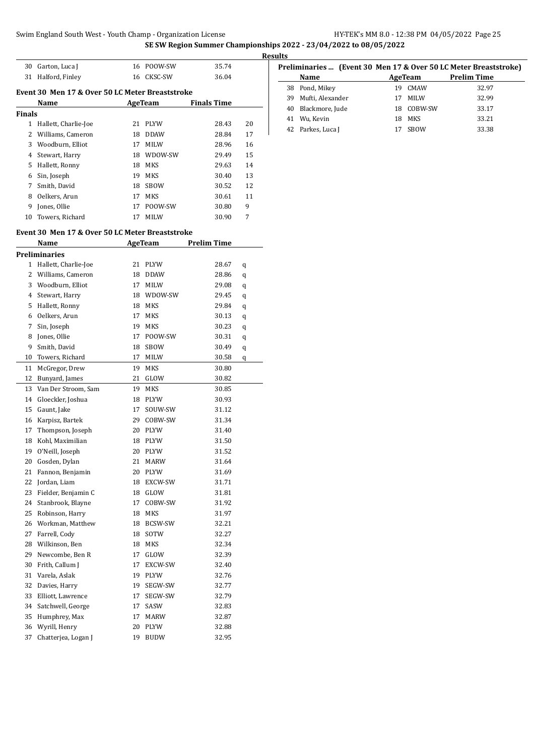### **SE SW Region Summer Championships 2022 - 23/04/2022 to 08/05/2022**

|        |                                                 |    |                | SE SW Region Summer Championships 20 | <b>Results</b> |
|--------|-------------------------------------------------|----|----------------|--------------------------------------|----------------|
|        | 30 Garton, Luca J                               |    | 16 POOW-SW     | 35.74                                |                |
|        | 31 Halford, Finley                              |    | 16 CKSC-SW     | 36.04                                |                |
|        | Event 30 Men 17 & Over 50 LC Meter Breaststroke |    |                |                                      |                |
|        | Name                                            |    | <b>AgeTeam</b> | <b>Finals Time</b>                   |                |
| Finals |                                                 |    |                |                                      |                |
|        | 1 Hallett, Charlie-Joe                          |    | 21 PLYW        | 28.43                                | 20             |
|        | 2 Williams, Cameron                             |    | 18 DDAW        | 28.84                                | 17             |
|        | 3 Woodburn, Elliot                              |    | 17 MILW        | 28.96                                | 16             |
|        | 4 Stewart, Harry                                |    | 18 WDOW-SW     | 29.49                                | 15             |
|        | 5 Hallett, Ronny                                |    | 18 MKS         | 29.63                                | 14             |
|        | 6 Sin, Joseph                                   | 19 | MKS            | 30.40                                | 13             |
| 7      | Smith, David                                    |    | 18 SBOW        | 30.52                                | 12             |
|        | 8 Oelkers, Arun                                 |    | 17 MKS         | 30.61                                | 11             |
|        | 9 Jones, Ollie                                  |    | 17 POOW-SW     | 30.80                                | 9              |
| 10     | Towers, Richard                                 | 17 | MILW           | 30.90                                | 7              |
|        | Event 30 Men 17 & Over 50 LC Meter Breaststroke |    |                |                                      |                |
|        | Name                                            |    | AgeTeam        | <b>Prelim Time</b>                   |                |
|        | <b>Preliminaries</b>                            |    |                |                                      |                |
|        | 1 Hallett, Charlie-Joe                          |    | 21 PLYW        | 28.67                                | q              |
|        | 2 Williams, Cameron                             |    | 18 DDAW        | 28.86                                | q              |
|        | 3 Woodburn, Elliot                              |    | 17 MILW        | 29.08                                | q              |
|        | 4 Stewart, Harry                                |    | 18 WDOW-SW     | 29.45                                | q              |
|        | 5 Hallett, Ronny                                |    | 18 MKS         | 29.84                                | q              |
|        | 6 Oelkers, Arun                                 | 17 | MKS            | 30.13                                | q              |
| 7      | Sin, Joseph                                     |    | 19 MKS         | 30.23                                | q              |
|        | 8 Jones, Ollie                                  | 17 | POOW-SW        | 30.31                                | q              |
| 9.     | Smith, David                                    | 18 | SBOW           | 30.49                                | q              |
| 10     | Towers, Richard                                 | 17 | MILW           | 30.58                                | q              |
| 11     | McGregor, Drew                                  |    | 19 MKS         | 30.80                                |                |
| 12     | Bunyard, James                                  | 21 | GLOW           | 30.82                                |                |
|        | 13 Van Der Stroom, Sam                          | 19 | MKS            | 30.85                                |                |
|        | 14 Gloeckler, Joshua                            |    | 18 PLYW        | 30.93                                |                |
|        | 15 Gaunt, Jake                                  | 17 | SOUW-SW        | 31.12                                |                |
|        | 16 Karpisz, Bartek                              |    | 29 COBW-SW     | 31.34                                |                |
| 17     | Thompson, Joseph                                |    | 20 PLYW        | 31.40                                |                |
| 18     | Kohl, Maximilian                                |    | 18 PLYW        | 31.50                                |                |
| 19     | O'Neill, Joseph                                 | 20 | PLYW           | 31.52                                |                |
| 20     | Gosden, Dylan                                   | 21 | MARW           | 31.64                                |                |
| 21     | Fannon, Benjamin                                | 20 | PLYW           | 31.69                                |                |
| 22     | Jordan, Liam                                    | 18 | EXCW-SW        | 31.71                                |                |
| 23     | Fielder, Benjamin C                             | 18 | GLOW           | 31.81                                |                |
| 24     | Stanbrook, Blayne                               | 17 | COBW-SW        | 31.92                                |                |
| 25     | Robinson, Harry                                 | 18 | MKS            | 31.97                                |                |
| 26     | Workman, Matthew                                | 18 | BCSW-SW        | 32.21                                |                |

 Farrell, Cody 18 SOTW 32.27 Wilkinson, Ben 18 MKS 32.34 Newcombe, Ben R 17 GLOW 32.39 Frith, Callum J 17 EXCW-SW 32.40 Varela, Aslak 19 PLYW 32.76 Davies, Harry 19 SEGW-SW 32.77 Elliott, Lawrence 17 SEGW-SW 32.79 Satchwell, George 17 SASW 32.83 Humphrey, Max 17 MARW 32.87 Wyrill, Henry 20 PLYW 32.88 30 Wym, Henry 20 FETW 32.66<br>37 Chatterjea, Logan J 19 BUDW 32.95

|    | Preliminaries  (Event 30 Men 17 & Over 50 LC Meter Breaststroke) |         |             |                    |  |  |  |
|----|------------------------------------------------------------------|---------|-------------|--------------------|--|--|--|
|    | Name                                                             | AgeTeam |             | <b>Prelim Time</b> |  |  |  |
|    | 38 Pond, Mikey                                                   | 19      | CMAW        | 32.97              |  |  |  |
| 39 | Mufti, Alexander                                                 |         | <b>MILW</b> | 32.99              |  |  |  |
|    | 40 Blackmore, Jude                                               |         | 18 COBW-SW  | 33.17              |  |  |  |
| 41 | Wu, Kevin                                                        |         | 18 MKS      | 33.21              |  |  |  |
|    | 42 Parkes, Luca J                                                |         | <b>SBOW</b> | 33.38              |  |  |  |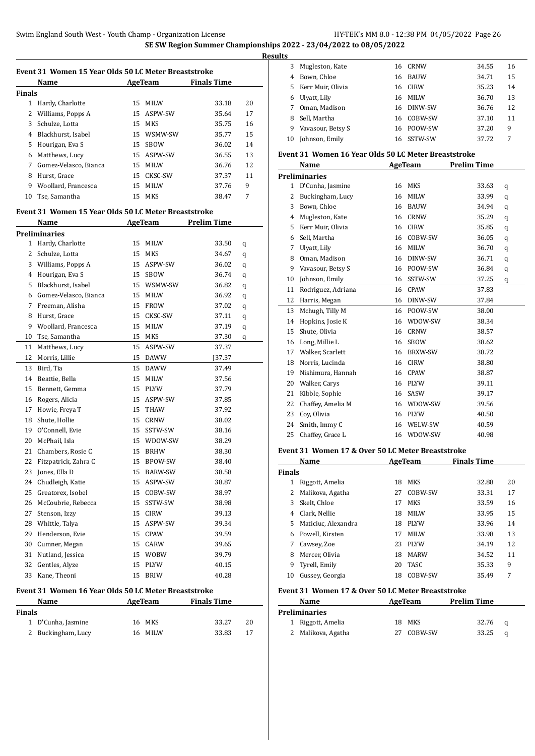J.

 $\overline{a}$ 

|        | Name                  |    | AgeTeam     | <b>Finals Time</b> |    |
|--------|-----------------------|----|-------------|--------------------|----|
| Finals |                       |    |             |                    |    |
| 1      | Hardy, Charlotte      | 15 | MILW        | 33.18              | 20 |
| 2      | Williams, Popps A     |    | 15 ASPW-SW  | 35.64              | 17 |
| 3      | Schulze, Lotta        |    | 15 MKS      | 35.75              | 16 |
| 4      | Blackhurst, Isabel    | 15 | WSMW-SW     | 35.77              | 15 |
| 5      | Hourigan, Eva S       | 15 | <b>SBOW</b> | 36.02              | 14 |
| 6      | Matthews, Lucy        |    | 15 ASPW-SW  | 36.55              | 13 |
| 7      | Gomez-Velasco, Bianca |    | 15 MILW     | 36.76              | 12 |
| 8      | Hurst, Grace          | 15 | CKSC-SW     | 37.37              | 11 |
| 9      | Woollard, Francesca   |    | 15 MILW     | 37.76              | 9  |
| 10     | Tse, Samantha         |    | 15 MKS      | 38.47              | 7  |

#### **Event 31 Women 15 Year Olds 50 LC Meter Breaststroke**

|                | Name                  | AgeTeam |                | <b>Prelim Time</b> |   |
|----------------|-----------------------|---------|----------------|--------------------|---|
|                | <b>Preliminaries</b>  |         |                |                    |   |
| 1              | Hardy, Charlotte      | 15      | <b>MILW</b>    | 33.50              | q |
| $\overline{2}$ | Schulze, Lotta        | 15      | MKS            | 34.67              | q |
| 3              | Williams, Popps A     | 15      | ASPW-SW        | 36.02              | q |
| 4              | Hourigan, Eva S       | 15      | SBOW           | 36.74              | q |
| 5              | Blackhurst, Isabel    | 15      | WSMW-SW        | 36.82              | q |
| 6              | Gomez-Velasco, Bianca | 15      | MILW           | 36.92              | q |
| $\overline{7}$ | Freeman, Alisha       | 15      | <b>FROW</b>    | 37.02              | q |
| 8              | Hurst, Grace          | 15      | CKSC-SW        | 37.11              | q |
| 9              | Woollard, Francesca   | 15      | MILW           | 37.19              | q |
| 10             | Tse, Samantha         | 15      | <b>MKS</b>     | 37.30              | q |
| 11             | Matthews, Lucy        | 15      | ASPW-SW        | 37.37              |   |
| 12             | Morris, Lillie        | 15      | <b>DAWW</b>    | [37.37]            |   |
| 13             | Bird, Tia             | 15      | <b>DAWW</b>    | 37.49              |   |
| 14             | Beattie, Bella        | 15      | MILW           | 37.56              |   |
| 15             | Bennett, Gemma        | 15      | <b>PLYW</b>    | 37.79              |   |
| 16             | Rogers, Alicia        | 15      | ASPW-SW        | 37.85              |   |
| 17             | Howie, Freya T        | 15      | THAW           | 37.92              |   |
| 18             | Shute, Hollie         | 15      | <b>CRNW</b>    | 38.02              |   |
| 19             | O'Connell, Evie       | 15      | SSTW-SW        | 38.16              |   |
| 20             | McPhail, Isla         | 15      | WDOW-SW        | 38.29              |   |
| 21             | Chambers, Rosie C     | 15      | <b>BRHW</b>    | 38.30              |   |
| 22             | Fitzpatrick, Zahra C  | 15      | BPOW-SW        | 38.40              |   |
| 23             | Jones, Ella D         | 15      | <b>BARW-SW</b> | 38.58              |   |
| 24             | Chudleigh, Katie      | 15      | ASPW-SW        | 38.87              |   |
| 25             | Greatorex, Isobel     | 15      | COBW-SW        | 38.97              |   |
| 26             | McCoubrie, Rebecca    | 15      | SSTW-SW        | 38.98              |   |
| 27             | Stenson, Izzy         | 15      | <b>CIRW</b>    | 39.13              |   |
| 28             | Whittle, Talya        | 15      | ASPW-SW        | 39.34              |   |
| 29             | Henderson, Evie       | 15      | CPAW           | 39.59              |   |
| 30             | Cumner, Megan         | 15      | CARW           | 39.65              |   |
| 31             | Nutland, Jessica      | 15      | <b>WOBW</b>    | 39.79              |   |
| 32             | Gentles, Alyze        | 15      | <b>PLYW</b>    | 40.15              |   |
| 33             | Kane, Theoni          | 15      | <b>BRIW</b>    | 40.28              |   |

#### **Event 31 Women 16 Year Olds 50 LC Meter Breaststroke**

| <b>Name</b>        | AgeTeam | <b>Finals Time</b> |    |
|--------------------|---------|--------------------|----|
| <b>Finals</b>      |         |                    |    |
| 1 D'Cunha, Jasmine | 16 MKS  | 33.27              | 20 |
| 2 Buckingham, Lucy | 16 MILW | 33.83              | 17 |

| ື  |                   |    |             |       |    |
|----|-------------------|----|-------------|-------|----|
| 3  | Mugleston, Kate   |    | 16 CRNW     | 34.55 | 16 |
| 4  | Bown, Chloe       | 16 | <b>BAUW</b> | 34.71 | 15 |
| 5. | Kerr Muir, Olivia |    | 16 CIRW     | 35.23 | 14 |
| 6  | Ulyatt, Lily      | 16 | <b>MILW</b> | 36.70 | 13 |
|    | Oman, Madison     |    | 16 DINW-SW  | 36.76 | 12 |
| 8  | Sell, Martha      |    | 16 COBW-SW  | 37.10 | 11 |
| 9  | Vavasour, Betsy S |    | 16 POOW-SW  | 37.20 | 9  |
| 10 | Johnson, Emily    |    | 16 SSTW-SW  | 37.72 | 7  |

#### **Event 31 Women 16 Year Olds 50 LC Meter Breaststroke**

|              | Name               | AgeTeam |                | <b>Prelim Time</b> |   |  |
|--------------|--------------------|---------|----------------|--------------------|---|--|
|              | Preliminaries      |         |                |                    |   |  |
| $\mathbf{1}$ | D'Cunha, Jasmine   | 16      | <b>MKS</b>     | 33.63              | q |  |
| 2            | Buckingham, Lucy   | 16      | MILW           | 33.99              | q |  |
| 3            | Bown, Chloe        | 16      | <b>BAUW</b>    | 34.94              | q |  |
| 4            | Mugleston, Kate    | 16      | <b>CRNW</b>    | 35.29              | q |  |
| 5            | Kerr Muir, Olivia  | 16      | <b>CIRW</b>    | 35.85              | q |  |
| 6            | Sell, Martha       | 16      | COBW-SW        | 36.05              | q |  |
| 7            | Ulyatt, Lily       | 16      | <b>MILW</b>    | 36.70              | q |  |
| 8            | Oman, Madison      | 16      | DINW-SW        | 36.71              | q |  |
| 9            | Vavasour, Betsy S  | 16      | POOW-SW        | 36.84              | q |  |
| 10           | Johnson, Emily     | 16      | SSTW-SW        | 37.25              | q |  |
| 11           | Rodriguez, Adriana | 16      | <b>CPAW</b>    | 37.83              |   |  |
| 12           | Harris, Megan      | 16      | DINW-SW        | 37.84              |   |  |
| 13           | Mchugh, Tilly M    | 16      | POOW-SW        | 38.00              |   |  |
| 14           | Hopkins, Josie K   | 16      | WDOW-SW        | 38.34              |   |  |
| 15           | Shute, Olivia      | 16      | <b>CRNW</b>    | 38.57              |   |  |
| 16           | Long, Millie L     | 16      | SBOW           | 38.62              |   |  |
| 17           | Walker, Scarlett   | 16      | <b>BRXW-SW</b> | 38.72              |   |  |
| 18           | Norris, Lucinda    | 16      | <b>CIRW</b>    | 38.80              |   |  |
| 19           | Nishimura, Hannah  | 16      | <b>CPAW</b>    | 38.87              |   |  |
| 20           | Walker, Carys      | 16      | <b>PLYW</b>    | 39.11              |   |  |
| 21           | Kibble, Sophie     | 16      | SASW           | 39.17              |   |  |
| 22           | Chaffey, Amelia M  | 16      | WDOW-SW        | 39.56              |   |  |
| 23           | Coy, Olivia        | 16      | <b>PLYW</b>    | 40.50              |   |  |
| 24           | Smith, Immy C      | 16      | WELW-SW        | 40.59              |   |  |
| 25           | Chaffey, Grace L   | 16      | WDOW-SW        | 40.98              |   |  |

#### **Event 31 Women 17 & Over 50 LC Meter Breaststroke**

|               | Name                | AgeTeam |             | <b>Finals Time</b> |    |
|---------------|---------------------|---------|-------------|--------------------|----|
| <b>Finals</b> |                     |         |             |                    |    |
|               | Riggott, Amelia     | 18      | MKS         | 32.88              | 20 |
|               | Malikova, Agatha    | 27      | COBW-SW     | 33.31              | 17 |
| 3             | Skelt, Chloe        | 17      | <b>MKS</b>  | 33.59              | 16 |
| 4             | Clark, Nellie       | 18      | <b>MILW</b> | 33.95              | 15 |
| 5.            | Maticiuc, Alexandra | 18      | <b>PLYW</b> | 33.96              | 14 |
| 6.            | Powell, Kirsten     | 17      | <b>MILW</b> | 33.98              | 13 |
| 7             | Cawsey, Zoe         | 23      | <b>PLYW</b> | 34.19              | 12 |
| 8             | Mercer, Olivia      | 18      | <b>MARW</b> | 34.52              | 11 |
| 9             | Tyrell, Emily       | 20      | <b>TASC</b> | 35.33              | 9  |
| 10            | Gussey, Georgia     | 18      | COBW-SW     | 35.49              | 7  |

#### **Event 31 Women 17 & Over 50 LC Meter Breaststroke**

| <b>Name</b> |                    | AgeTeam |            | <b>Prelim Time</b> |   |
|-------------|--------------------|---------|------------|--------------------|---|
|             | Preliminaries      |         |            |                    |   |
|             | 1 Riggott, Amelia  |         | 18 MKS     | 32.76              | a |
|             | 2 Malikova, Agatha |         | 27 COBW-SW | 33.25              | a |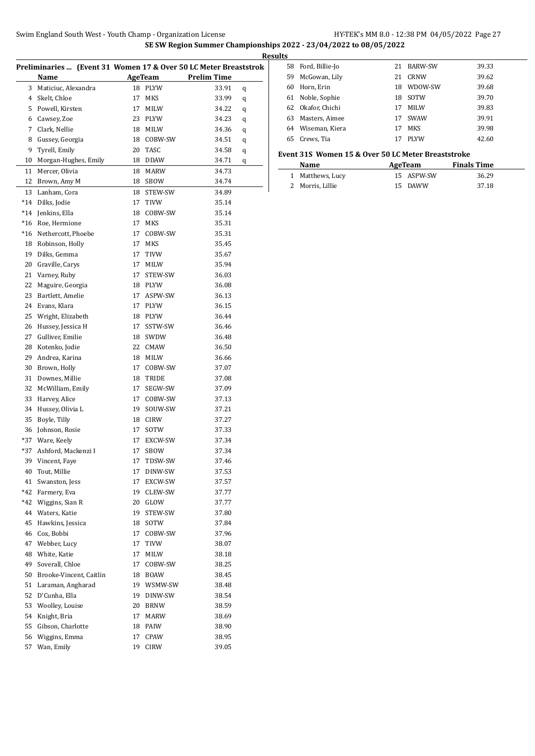|                |                                                                  |    |                |                    | <b>Res</b> |
|----------------|------------------------------------------------------------------|----|----------------|--------------------|------------|
|                | Preliminaries  (Event 31 Women 17 & Over 50 LC Meter Breaststrok |    |                |                    |            |
|                | Name                                                             |    | <b>AgeTeam</b> | <b>Prelim Time</b> |            |
| 3              | Maticiuc, Alexandra                                              | 18 | <b>PLYW</b>    | 33.91              | q          |
| $\overline{4}$ | Skelt, Chloe                                                     | 17 | <b>MKS</b>     | 33.99              | q          |
|                | 5 Powell, Kirsten                                                | 17 | MILW           | 34.22              | q          |
|                | 6 Cawsey, Zoe                                                    | 23 | PLYW           | 34.23              | q          |
|                | 7 Clark, Nellie                                                  | 18 | MILW           | 34.36              | q          |
| 8              | Gussey, Georgia                                                  | 18 | COBW-SW        | 34.51              | q          |
| 9              | Tyrell, Emily                                                    | 20 | TASC           | 34.58              | q          |
| 10             | Morgan-Hughes, Emily                                             | 18 | <b>DDAW</b>    | 34.71              | q          |
| 11             | Mercer, Olivia                                                   | 18 | MARW           | 34.73              |            |
| 12             | Brown, Amy M                                                     | 18 | SBOW           | 34.74              |            |
|                |                                                                  |    |                |                    |            |
| 13             | Lanham, Cora                                                     | 18 | STEW-SW        | 34.89              |            |
|                | *14 Dilks, Jodie                                                 | 17 | <b>TIVW</b>    | 35.14              |            |
| $*14$          | Jenkins, Ella                                                    | 18 | COBW-SW        | 35.14              |            |
| $*16$          | Roe, Hermione                                                    | 17 | MKS            | 35.31              |            |
| $*16$          | Nethercott, Phoebe                                               | 17 | COBW-SW        | 35.31              |            |
| 18             | Robinson, Holly                                                  | 17 | <b>MKS</b>     | 35.45              |            |
| 19             | Dilks, Gemma                                                     | 17 | TIVW           | 35.67              |            |
|                | 20 Graville, Carys                                               | 17 | MILW           | 35.94              |            |
|                | 21 Varney, Ruby                                                  | 17 | STEW-SW        | 36.03              |            |
| 22             | Maguire, Georgia                                                 | 18 | PLYW           | 36.08              |            |
| 23             | Bartlett, Amelie                                                 | 17 | ASPW-SW        | 36.13              |            |
| 24             | Evans, Klara                                                     | 17 | <b>PLYW</b>    | 36.15              |            |
| 25             | Wright, Elizabeth                                                | 18 | <b>PLYW</b>    | 36.44              |            |
| 26             | Hussey, Jessica H                                                | 17 | SSTW-SW        | 36.46              |            |
| 27             | Gulliver, Emilie                                                 | 18 | SWDW           | 36.48              |            |
| 28             | Kotenko, Jodie                                                   | 22 | CMAW           | 36.50              |            |
| 29             | Andrea, Karina                                                   | 18 | MILW           | 36.66              |            |
| 30             | Brown, Holly                                                     | 17 | COBW-SW        | 37.07              |            |
| 31             | Downes, Millie                                                   | 18 | TRIDE          | 37.08              |            |
| 32             | McWilliam, Emily                                                 | 17 | SEGW-SW        | 37.09              |            |
| 33             | Harvey, Alice                                                    | 17 | COBW-SW        | 37.13              |            |
|                | 34 Hussey, Olivia L                                              | 19 | SOUW-SW        | 37.21              |            |
| 35             | Boyle, Tilly                                                     | 18 | CIRW           | 37.27              |            |
| 36             | Johnson, Rosie                                                   | 17 | SOTW           | 37.33              |            |
|                | *37 Ware, Keely                                                  |    | 17 EXCW-SW     | 37.34              |            |
| *37            | Ashford, Mackenzi I                                              | 17 | SBOW           | 37.34              |            |
| 39             | Vincent, Faye                                                    | 17 | TDSW-SW        | 37.46              |            |
| 40             | Tout, Millie                                                     | 17 | DINW-SW        | 37.53              |            |
| 41             | Swanston, Jess                                                   | 17 | EXCW-SW        | 37.57              |            |
| $*42$          | Farmery, Eva                                                     | 19 | CLEW-SW        |                    |            |
| $*42$          |                                                                  |    |                | 37.77              |            |
|                | Wiggins, Sian R                                                  | 20 | GLOW           | 37.77              |            |
| 44             | Waters, Katie                                                    | 19 | STEW-SW        | 37.80              |            |
| 45             | Hawkins, Jessica                                                 | 18 | SOTW           | 37.84              |            |
|                | 46 Cox, Bobbi                                                    | 17 | COBW-SW        | 37.96              |            |
| 47             | Webber, Lucy                                                     | 17 | TIVW           | 38.07              |            |
| 48             | White, Katie                                                     | 17 | MILW           | 38.18              |            |
| 49             | Soverall, Chloe                                                  | 17 | COBW-SW        | 38.25              |            |
| 50             | Brooke-Vincent, Caitlin                                          | 18 | BOAW           | 38.45              |            |
| 51             | Laraman, Angharad                                                | 19 | WSMW-SW        | 38.48              |            |
| 52             | D'Cunha, Ella                                                    | 19 | DINW-SW        | 38.54              |            |
|                | 53 Woolley, Louise                                               | 20 | BRNW           | 38.59              |            |
| 54             | Knight, Bria                                                     | 17 | MARW           | 38.69              |            |
| 55             | Gibson, Charlotte                                                | 18 | PAIW           | 38.90              |            |
| 56             | Wiggins, Emma                                                    | 17 | CPAW           | 38.95              |            |

 Gibson, Charlotte 18 PAIW 38.90 Wiggins, Emma 17 CPAW 38.95 Wan, Emily 19 CIRW 39.05

| sults |                   |    |             |       |
|-------|-------------------|----|-------------|-------|
| 58    | Ford, Billie-Jo   | 21 | BARW-SW     | 39.33 |
| 59    | McGowan, Lily     | 21 | CRNW        | 39.62 |
| 60    | Horn, Erin        | 18 | WDOW-SW     | 39.68 |
| 61    | Noble, Sophie     | 18 | SOTW        | 39.70 |
|       | 62 Okafor, Chichi | 17 | <b>MILW</b> | 39.83 |
| 63    | Masters, Aimee    | 17 | <b>SWAW</b> | 39.91 |
| 64    | Wiseman, Kiera    | 17 | <b>MKS</b>  | 39.98 |
| 65    | Crews, Tia        |    | <b>PLYW</b> | 42.60 |

#### **Event 31S Women 15 & Over 50 LC Meter Breaststroke**

| Name             | AgeTeam    |       |  |
|------------------|------------|-------|--|
| 1 Matthews, Lucy | 15 ASPW-SW | 36.29 |  |
| 2 Morris, Lillie | 15 DAWW    | 37.18 |  |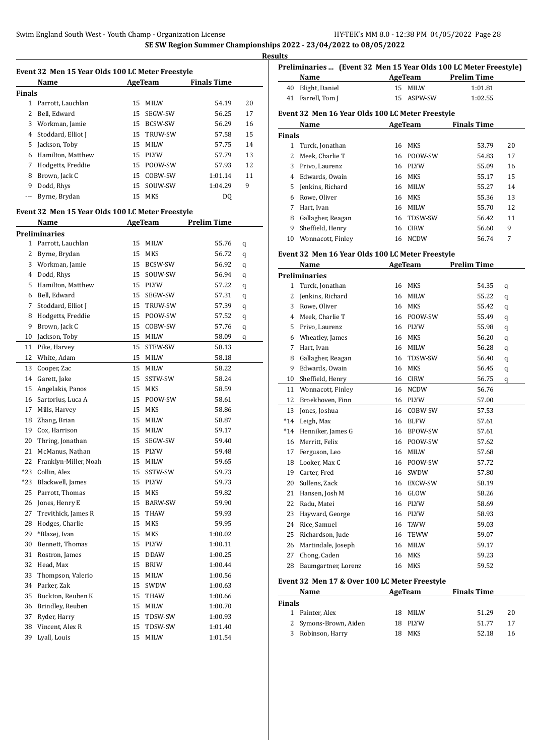**SE SW Region Summer Championships 2022 - 23/04/2022 to 08/05/2022**

|               |                                                  |    |                |                    |    | <b>Results</b>    |  |
|---------------|--------------------------------------------------|----|----------------|--------------------|----|-------------------|--|
|               | Event 32 Men 15 Year Olds 100 LC Meter Freestyle |    |                |                    |    |                   |  |
|               | Name                                             |    | AgeTeam        | <b>Finals Time</b> |    |                   |  |
| <b>Finals</b> |                                                  |    |                |                    |    | 4(<br>$4^{\circ}$ |  |
|               | Parrott, Lauchlan                                | 15 | <b>MILW</b>    | 54.19              | 20 |                   |  |
| 2             | Bell, Edward                                     | 15 | SEGW-SW        | 56.25              | 17 | Ever              |  |
| 3             | Workman, Jamie                                   | 15 | <b>BCSW-SW</b> | 56.29              | 16 |                   |  |
| 4             | Stoddard, Elliot J                               |    | 15 TRUW-SW     | 57.58              | 15 | Fina              |  |
| 5             | Jackson, Toby                                    |    | 15 MILW        | 57.75              | 14 |                   |  |
| 6             | Hamilton, Matthew                                |    | 15 PLYW        | 57.79              | 13 |                   |  |
| 7             | Hodgetts, Freddie                                |    | 15 POOW-SW     | 57.93              | 12 |                   |  |
| 8             | Brown, Jack C                                    | 15 | COBW-SW        | 1:01.14            | 11 |                   |  |
| 9             | Dodd, Rhys                                       | 15 | SOUW-SW        | 1:04.29            | 9  |                   |  |
|               | Byrne, Brydan                                    | 15 | MKS            | DO                 |    |                   |  |

## **Event 32 Men 15 Year Olds 100 LC Meter Freestyle**

|                | Name                  |    | <b>AgeTeam</b> | <b>Prelim Time</b> |   |
|----------------|-----------------------|----|----------------|--------------------|---|
|                | Preliminaries         |    |                |                    |   |
| $\mathbf{1}$   | Parrott, Lauchlan     | 15 | MILW           | 55.76              | q |
| 2              | Byrne, Brydan         | 15 | MKS            | 56.72              | q |
| 3              | Workman, Jamie        | 15 | BCSW-SW        | 56.92              | q |
| $\overline{4}$ | Dodd, Rhys            | 15 | SOUW-SW        | 56.94              | q |
| 5              | Hamilton, Matthew     | 15 | <b>PLYW</b>    | 57.22              | q |
| 6              | Bell, Edward          | 15 | SEGW-SW        | 57.31              | q |
| 7              | Stoddard, Elliot J    | 15 | TRUW-SW        | 57.39              | q |
| 8              | Hodgetts, Freddie     | 15 | POOW-SW        | 57.52              | q |
| 9              | Brown, Jack C         | 15 | COBW-SW        | 57.76              | q |
| 10             | Jackson, Toby         | 15 | MILW           | 58.09              | q |
| 11             | Pike, Harvey          | 15 | STEW-SW        | 58.13              |   |
| 12             | White, Adam           | 15 | MILW           | 58.18              |   |
| 13             | Cooper, Zac           | 15 | MILW           | 58.22              |   |
| 14             | Garett, Jake          | 15 | SSTW-SW        | 58.24              |   |
| 15             | Angelakis, Panos      | 15 | MKS            | 58.59              |   |
| 16             | Sartorius, Luca A     | 15 | POOW-SW        | 58.61              |   |
| 17             | Mills, Harvey         | 15 | <b>MKS</b>     | 58.86              |   |
| 18             | Zhang, Brian          | 15 | <b>MILW</b>    | 58.87              |   |
| 19             | Cox, Harrison         | 15 | MILW           | 59.17              |   |
| 20             | Thring, Jonathan      | 15 | SEGW-SW        | 59.40              |   |
| 21             | McManus, Nathan       | 15 | PLYW           | 59.48              |   |
| 22             | Franklyn-Miller, Noah | 15 | <b>MILW</b>    | 59.65              |   |
| $*23$          | Collin, Alex          | 15 | SSTW-SW        | 59.73              |   |
| *23            | Blackwell, James      | 15 | PLYW           | 59.73              |   |
| 25             | Parrott, Thomas       | 15 | MKS            | 59.82              |   |
| 26             | Jones, Henry E        | 15 | <b>BARW-SW</b> | 59.90              |   |
| 27             | Trevithick, James R   | 15 | THAW           | 59.93              |   |
| 28             | Hodges, Charlie       | 15 | MKS            | 59.95              |   |
| 29             | *Blazej, Ivan         | 15 | MKS            | 1:00.02            |   |
| 30             | Bennett, Thomas       | 15 | PLYW           | 1:00.11            |   |
| 31             | Rostron, James        | 15 | DDAW           | 1:00.25            |   |
| 32             | Head, Max             | 15 | BRIW           | 1:00.44            |   |
| 33             | Thompson, Valerio     | 15 | MILW           | 1:00.56            |   |
| 34             | Parker, Zak           | 15 | SWDW           | 1:00.63            |   |
| 35             | Buckton, Reuben K     | 15 | THAW           | 1:00.66            |   |
| 36             | Brindley, Reuben      | 15 | MILW           | 1:00.70            |   |
| 37             | Ryder, Harry          | 15 | TDSW-SW        | 1:00.93            |   |
| 38             | Vincent, Alex R       | 15 | TDSW-SW        | 1:01.40            |   |
| 39             | Lyall, Louis          | 15 | MILW           | 1:01.54            |   |

|               | Preliminaries  (Event 32 Men 15 Year Olds 100 LC Meter Freestyle) |    |                |                    |    |
|---------------|-------------------------------------------------------------------|----|----------------|--------------------|----|
|               | Name                                                              |    | AgeTeam        | <b>Prelim Time</b> |    |
| 40            | Blight, Daniel                                                    | 15 | MILW           | 1:01.81            |    |
| 41            | Farrell, Tom J                                                    | 15 | ASPW-SW        | 1:02.55            |    |
|               | Event 32 Men 16 Year Olds 100 LC Meter Freestyle                  |    |                |                    |    |
|               | Name                                                              |    | <b>AgeTeam</b> | <b>Finals Time</b> |    |
| <b>Finals</b> |                                                                   |    |                |                    |    |
| 1.            | Turck, Jonathan                                                   | 16 | <b>MKS</b>     | 53.79              | 20 |
| 2             | Meek, Charlie T                                                   | 16 | POOW-SW        | 54.83              | 17 |
| 3             | Privo, Laurenz                                                    | 16 | <b>PLYW</b>    | 55.09              | 16 |
| 4             | Edwards, Owain                                                    | 16 | <b>MKS</b>     | 55.17              | 15 |
| 5.            | Jenkins, Richard                                                  | 16 | <b>MILW</b>    | 55.27              | 14 |
| 6             | Rowe, Oliver                                                      | 16 | MKS            | 55.36              | 13 |
| 7             | Hart, Ivan                                                        | 16 | <b>MILW</b>    | 55.70              | 12 |
| 8             | Gallagher, Reagan                                                 | 16 | TDSW-SW        | 56.42              | 11 |
| 9             | Sheffield, Henry                                                  | 16 | <b>CIRW</b>    | 56.60              | 9  |
| 10            | Wonnacott, Finley                                                 | 16 | NCDW           | 56.74              | 7  |
|               | Event 32 Men 16 Year Olds 100 LC Meter Freestyle                  |    |                |                    |    |
|               | Name                                                              |    | AgeTeam        | <b>Prelim Time</b> |    |

|       | Name                 | <b>AgeTeam</b> |             | <b>Prelim Time</b> |   |  |
|-------|----------------------|----------------|-------------|--------------------|---|--|
|       | <b>Preliminaries</b> |                |             |                    |   |  |
| 1     | Turck, Jonathan      | 16             | <b>MKS</b>  | 54.35              | q |  |
| 2     | Jenkins, Richard     | 16             | <b>MILW</b> | 55.22              | q |  |
| 3     | Rowe, Oliver         | 16             | <b>MKS</b>  | 55.42              | q |  |
| 4     | Meek, Charlie T      | 16             | POOW-SW     | 55.49              | q |  |
| 5.    | Privo, Laurenz       | 16             | <b>PLYW</b> | 55.98              | q |  |
| 6     | Wheatley, James      | 16             | <b>MKS</b>  | 56.20              | q |  |
| 7     | Hart, Ivan           | 16             | <b>MILW</b> | 56.28              | q |  |
| 8     | Gallagher, Reagan    | 16             | TDSW-SW     | 56.40              | q |  |
| 9     | Edwards, Owain       | 16             | <b>MKS</b>  | 56.45              | q |  |
| 10    | Sheffield, Henry     | 16             | <b>CIRW</b> | 56.75              | q |  |
| 11    | Wonnacott, Finley    | 16             | <b>NCDW</b> | 56.76              |   |  |
| 12    | Broekhoven, Finn     | 16             | <b>PLYW</b> | 57.00              |   |  |
| 13    | Jones, Joshua        | 16             | COBW-SW     | 57.53              |   |  |
| $*14$ | Leigh, Max           | 16             | <b>BLFW</b> | 57.61              |   |  |
| $*14$ | Henniker, James G    | 16             | BPOW-SW     | 57.61              |   |  |
| 16    | Merritt, Felix       | 16             | POOW-SW     | 57.62              |   |  |
| 17    | Ferguson, Leo        | 16             | <b>MILW</b> | 57.68              |   |  |
| 18    | Looker, Max C        | 16             | POOW-SW     | 57.72              |   |  |
| 19    | Carter, Fred         | 16             | SWDW        | 57.80              |   |  |
| 20    | Sullens, Zack        | 16             | EXCW-SW     | 58.19              |   |  |
| 21    | Hansen, Josh M       | 16             | GLOW        | 58.26              |   |  |
| 22    | Radu, Matei          | 16             | <b>PLYW</b> | 58.69              |   |  |
| 23    | Hayward, George      | 16             | <b>PLYW</b> | 58.93              |   |  |
| 24    | Rice, Samuel         | 16             | <b>TAVW</b> | 59.03              |   |  |
| 25    | Richardson, Jude     | 16             | <b>TEWW</b> | 59.07              |   |  |
| 26    | Martindale, Joseph   | 16             | <b>MILW</b> | 59.17              |   |  |
| 27    | Chong, Caden         | 16             | <b>MKS</b>  | 59.23              |   |  |
| 28    | Baumgartner, Lorenz  | 16             | MKS         | 59.52              |   |  |
|       |                      |                |             |                    |   |  |

### **Event 32 Men 17 & Over 100 LC Meter Freestyle**

| Name          |                       | AgeTeam |         | <b>Finals Time</b> |    |
|---------------|-----------------------|---------|---------|--------------------|----|
| <b>Finals</b> |                       |         |         |                    |    |
|               | 1 Painter, Alex       | 18.     | MILW    | 51.29              | 20 |
|               | 2 Symons-Brown, Aiden |         | 18 PLYW | 51.77              | 17 |
|               | 3 Robinson, Harry     | 18.     | MKS     | 52.18              | 16 |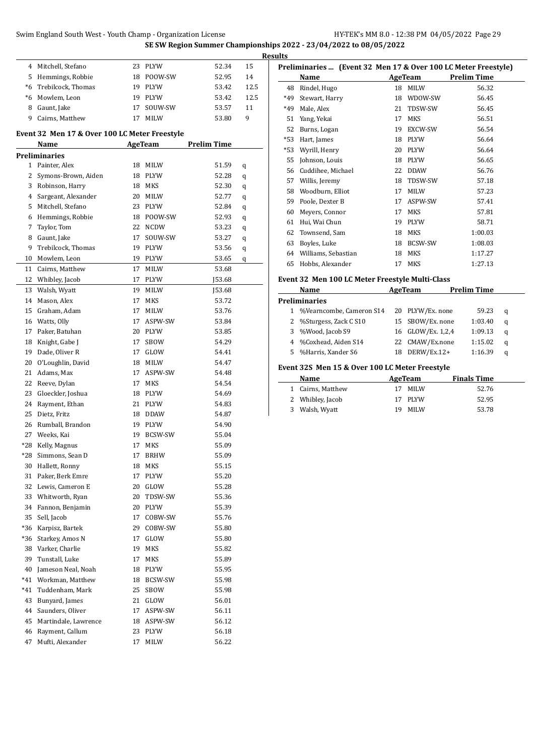| SE SW Region Summer Championships 2022 - 23/04/2022 to 08/05/2022 |  |  |
|-------------------------------------------------------------------|--|--|
|                                                                   |  |  |

|              |                                               |    |                | on on negion summer enampion |      |
|--------------|-----------------------------------------------|----|----------------|------------------------------|------|
|              | 4 Mitchell, Stefano                           | 23 | <b>PLYW</b>    | 52.34                        | 15   |
| 5            | Hemmings, Robbie                              | 18 | POOW-SW        | 52.95                        | 14   |
| *6           | Trebilcock, Thomas                            | 19 | PLYW           | 53.42                        | 12.5 |
| $^*6$        | Mowlem, Leon                                  | 19 | PLYW           | 53.42                        | 12.5 |
| 8            | Gaunt, Jake                                   | 17 | SOUW-SW        | 53.57                        | 11   |
| 9            | Cairns, Matthew                               | 17 | <b>MILW</b>    | 53.80                        | 9    |
|              | Event 32 Men 17 & Over 100 LC Meter Freestyle |    |                |                              |      |
|              | Name                                          |    | AgeTeam        | <b>Prelim Time</b>           |      |
|              | Preliminaries                                 |    |                |                              |      |
| $\mathbf{1}$ | Painter, Alex                                 | 18 | MILW           | 51.59                        | q    |
|              | 2 Symons-Brown, Aiden                         | 18 | <b>PLYW</b>    | 52.28                        | q    |
| 3            | Robinson, Harry                               | 18 | <b>MKS</b>     | 52.30                        | q    |
|              | 4 Sargeant, Alexander                         | 20 | MILW           | 52.77                        | q    |
| 5            | Mitchell, Stefano                             | 23 | PLYW           | 52.84                        | q    |
| 6            | Hemmings, Robbie                              | 18 | POOW-SW        | 52.93                        | q    |
| 7            | Taylor, Tom                                   | 22 | <b>NCDW</b>    | 53.23                        | q    |
| 8            | Gaunt, Jake                                   | 17 | SOUW-SW        | 53.27                        | q    |
| 9            | Trebilcock, Thomas                            | 19 | PLYW           | 53.56                        | q    |
| 10           | Mowlem, Leon                                  | 19 | PLYW           | 53.65                        | q    |
| 11           | Cairns, Matthew                               | 17 | MILW           | 53.68                        |      |
| 12           | Whibley, Jacob                                | 17 | PLYW           | J53.68                       |      |
| 13           | Walsh, Wyatt                                  | 19 | MILW           | J53.68                       |      |
| 14           | Mason, Alex                                   | 17 | MKS            | 53.72                        |      |
| 15           | Graham, Adam                                  | 17 | MILW           | 53.76                        |      |
| 16           | Watts, Olly                                   | 17 | ASPW-SW        | 53.84                        |      |
| 17           | Paker, Batuhan                                | 20 | <b>PLYW</b>    | 53.85                        |      |
| 18           | Knight, Gabe J                                | 17 | SBOW           | 54.29                        |      |
| 19           | Dade, Oliver R                                | 17 | GLOW           | 54.41                        |      |
| 20           | O'Loughlin, David                             | 18 | <b>MILW</b>    | 54.47                        |      |
| 21           | Adams, Max                                    | 17 | ASPW-SW        | 54.48                        |      |
| 22           | Reeve, Dylan                                  | 17 | MKS            | 54.54                        |      |
| 23           | Gloeckler, Joshua                             | 18 | <b>PLYW</b>    | 54.69                        |      |
| 24           | Rayment, Ethan                                | 21 | PLYW           | 54.83                        |      |
| 25           | Dietz, Fritz                                  | 18 | <b>DDAW</b>    | 54.87                        |      |
| 26           | Rumball, Brandon                              | 19 | PLYW           | 54.90                        |      |
| 27           | Weeks, Kai                                    | 19 | <b>BCSW-SW</b> | 55.04                        |      |
| *28          | Kelly, Magnus                                 | 17 | <b>MKS</b>     | 55.09                        |      |
| *28          | Simmons, Sean D                               | 17 | <b>BRHW</b>    | 55.09                        |      |
| 30           | Hallett, Ronny                                | 18 | MKS            | 55.15                        |      |
| 31           | Paker, Berk Emre                              | 17 | PLYW           | 55.20                        |      |
| 32           | Lewis, Cameron E                              | 20 | GLOW           | 55.28                        |      |
| 33           | Whitworth, Ryan                               | 20 | TDSW-SW        | 55.36                        |      |
| 34           | Fannon, Benjamin                              | 20 | PLYW           | 55.39                        |      |
| 35           | Sell, Jacob                                   | 17 | COBW-SW        | 55.76                        |      |
| *36          | Karpisz, Bartek                               | 29 | COBW-SW        | 55.80                        |      |
| *36          | Starkey, Amos N                               | 17 | GLOW           | 55.80                        |      |
| 38           | Varker, Charlie                               | 19 | MKS            | 55.82                        |      |
| 39           | Tunstall, Luke                                | 17 | MKS            | 55.89                        |      |
| 40           | Jameson Neal, Noah                            | 18 | PLYW           | 55.95                        |      |
| *41          | Workman, Matthew                              | 18 | BCSW-SW        | 55.98                        |      |
| *41          | Tuddenham, Mark                               | 25 | SBOW           | 55.98                        |      |
| 43           | Bunyard, James                                | 21 | GLOW           | 56.01                        |      |
| 44           | Saunders, Oliver                              | 17 | ASPW-SW        | 56.11                        |      |
| 45           | Martindale, Lawrence                          | 18 | ASPW-SW        | 56.12                        |      |
| 46           | Rayment, Callum                               | 23 | PLYW           | 56.18                        |      |
| 47           | Mufti, Alexander                              | 17 | MILW           | 56.22                        |      |
|              |                                               |    |                |                              |      |

|   | <b>Results</b> |                                                                |    |             |                    |
|---|----------------|----------------------------------------------------------------|----|-------------|--------------------|
|   |                | Preliminaries  (Event 32 Men 17 & Over 100 LC Meter Freestyle) |    |             |                    |
|   |                | Name                                                           |    | AgeTeam     | <b>Prelim Time</b> |
| 5 | 48             | Rindel, Hugo                                                   | 18 | MILW        | 56.32              |
| 5 | $*49$          | Stewart, Harry                                                 | 18 | WDOW-SW     | 56.45              |
|   | $*49$          | Male, Alex                                                     | 21 | TDSW-SW     | 56.45              |
|   | 51             | Yang, Yekai                                                    | 17 | <b>MKS</b>  | 56.51              |
|   | 52             | Burns, Logan                                                   | 19 | EXCW-SW     | 56.54              |
|   | $*53$          | Hart, James                                                    | 18 | <b>PLYW</b> | 56.64              |
|   | *53            | Wyrill, Henry                                                  | 20 | <b>PLYW</b> | 56.64              |
|   | 55             | Johnson, Louis                                                 | 18 | <b>PLYW</b> | 56.65              |
|   | 56             | Cuddihee, Michael                                              | 22 | <b>DDAW</b> | 56.76              |
|   | 57             | Willis, Jeremy                                                 | 18 | TDSW-SW     | 57.18              |
|   | 58             | Woodburn, Elliot                                               | 17 | <b>MILW</b> | 57.23              |
|   | 59             | Poole, Dexter B                                                | 17 | ASPW-SW     | 57.41              |
|   | 60             | Meyers, Connor                                                 | 17 | <b>MKS</b>  | 57.81              |
|   | 61             | Hui, Wai Chun                                                  | 19 | <b>PLYW</b> | 58.71              |
|   | 62             | Townsend, Sam                                                  | 18 | <b>MKS</b>  | 1:00.03            |
|   | 63             | Boyles, Luke                                                   | 18 | BCSW-SW     | 1:08.03            |
|   | 64             | Williams, Sebastian                                            | 18 | <b>MKS</b>  | 1:17.27            |
|   | 65             | Hobbs, Alexander                                               | 17 | <b>MKS</b>  | 1:27.13            |
|   |                |                                                                |    |             |                    |

### **Event 32 Men 100 LC Meter Freestyle Multi-Class**

| Name                       |  | AgeTeam           | <b>Prelim Time</b> |   |
|----------------------------|--|-------------------|--------------------|---|
| <b>Preliminaries</b>       |  |                   |                    |   |
| 1 %Vearncombe, Cameron S14 |  | 20 PLYW/Ex. none  | 59.23              | a |
| 2 %Sturgess, Zack C S10    |  | 15 SBOW/Ex. none  | 1:03.40            | a |
| 3 %Wood, Jacob S9          |  | 16 GLOW/Ex. 1,2,4 | 1:09.13            | q |
| 4 %Coxhead, Aiden S14      |  | 22 CMAW/Ex.none   | 1:15.02            | a |
| 5 %Harris, Xander S6       |  | DERW/Ex.12+       | 1:16.39            | a |
|                            |  |                   |                    |   |

#### **Event 32S Men 15 & Over 100 LC Meter Freestyle**

| Name              | AgeTeam     | <b>Finals Time</b> |
|-------------------|-------------|--------------------|
| 1 Cairns, Matthew | <b>MILW</b> | 52.76              |
| 2 Whibley, Jacob  | 17 PLYW     | 52.95              |
| 3 Walsh, Wyatt    | MILW<br>19. | 53.78              |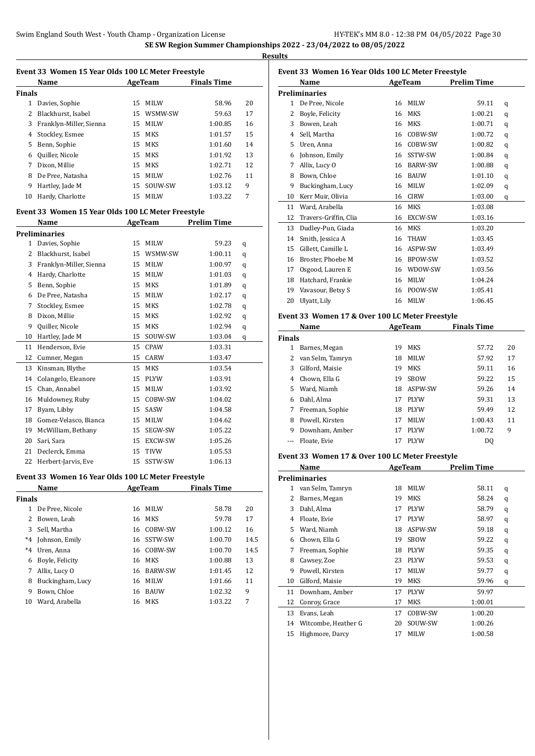|              | Event 33 Women 15 Year Olds 100 LC Meter Freestyle |    |                |                    |      |
|--------------|----------------------------------------------------|----|----------------|--------------------|------|
|              | Name                                               |    | AgeTeam        | <b>Finals Time</b> |      |
| Finals       |                                                    |    |                |                    |      |
|              | 1 Davies, Sophie                                   | 15 | MILW           | 58.96              | 20   |
| 2            | Blackhurst, Isabel                                 |    | 15 WSMW-SW     | 59.63              | 17   |
| 3            | Franklyn-Miller, Sienna                            |    | 15 MILW        | 1:00.85            | 16   |
| 4            | Stockley, Esmee                                    |    | 15 MKS         | 1:01.57            | 15   |
| 5            | Benn, Sophie                                       |    | 15 MKS         | 1:01.60            | 14   |
| 6            | Quiller, Nicole                                    |    | 15 MKS         | 1:01.92            | 13   |
| 7            | Dixon, Millie                                      |    | 15 MKS         | 1:02.71            | 12   |
| 8            | De Pree, Natasha                                   |    | 15 MILW        | 1:02.76            | 11   |
| 9            | Hartley, Jade M                                    |    | 15 SOUW-SW     | 1:03.12            | 9    |
| 10           | Hardy, Charlotte                                   |    | 15 MILW        | 1:03.22            | 7    |
|              |                                                    |    |                |                    |      |
|              | Event 33 Women 15 Year Olds 100 LC Meter Freestyle |    |                |                    |      |
|              | Name                                               |    | <b>AgeTeam</b> | <b>Prelim Time</b> |      |
|              | <b>Preliminaries</b>                               |    |                |                    |      |
| 1            | Davies, Sophie                                     | 15 | MILW           | 59.23              | q    |
| 2            | Blackhurst, Isabel                                 |    | 15 WSMW-SW     | 1:00.11            | q    |
| 3            | Franklyn-Miller, Sienna                            |    | 15 MILW        | 1:00.97            | q    |
| 4            | Hardy, Charlotte                                   |    | 15 MILW        | 1:01.03            | q    |
| 5            | Benn, Sophie                                       |    | 15 MKS         | 1:01.89            | q    |
| 6            | De Pree, Natasha                                   |    | 15 MILW        | 1:02.17            | q    |
| 7            | Stockley, Esmee                                    |    | 15 MKS         | 1:02.78            | q    |
| 8            | Dixon, Millie                                      |    | 15 MKS         | 1:02.92            | q    |
| 9            | Quiller, Nicole                                    |    | 15 MKS         | 1:02.94            | q    |
| 10           | Hartley, Jade M                                    |    | 15 SOUW-SW     | 1:03.04            | q    |
| 11           | Henderson, Evie                                    |    | 15 CPAW        | 1:03.31            |      |
| 12           | Cumner, Megan                                      |    | 15 CARW        | 1:03.47            |      |
| 13           | Kinsman, Blythe                                    |    | 15 MKS         | 1:03.54            |      |
| 14           | Colangelo, Eleanore                                |    | 15 PLYW        | 1:03.91            |      |
| 15           | Chan, Annabel                                      |    | 15 MILW        | 1:03.92            |      |
| 16           | Muldowney, Ruby                                    |    | 15 COBW-SW     | 1:04.02            |      |
| 17           | Byam, Libby                                        |    | 15 SASW        | 1:04.58            |      |
| 18           | Gomez-Velasco, Bianca                              |    | 15 MILW        | 1:04.62            |      |
| 19           | McWilliam, Bethany                                 |    | 15 SEGW-SW     | 1:05.22            |      |
| 20           | Sari, Sara                                         |    | 15 EXCW-SW     | 1:05.26            |      |
| 21           | Declerck, Emma                                     | 15 | <b>TIVW</b>    | 1:05.53            |      |
| 22           | Herbert-Jarvis, Eve                                | 15 | SSTW-SW        | 1:06.13            |      |
|              |                                                    |    |                |                    |      |
|              | Event 33 Women 16 Year Olds 100 LC Meter Freestyle |    |                |                    |      |
|              | Name                                               |    | AgeTeam        | <b>Finals Time</b> |      |
| Finals       |                                                    |    |                |                    |      |
| $\mathbf{1}$ | De Pree, Nicole                                    | 16 | <b>MILW</b>    | 58.78              | 20   |
| 2            | Bowen, Leah                                        | 16 | MKS            | 59.78              | 17   |
| 3            | Sell, Martha                                       | 16 | COBW-SW        | 1:00.12            | 16   |
| $^*4$        | Johnson, Emily                                     | 16 | SSTW-SW        | 1:00.70            | 14.5 |
| $^*4$        | Uren, Anna                                         | 16 | COBW-SW        | 1:00.70            | 14.5 |
| 6            | Boyle, Felicity                                    | 16 | MKS            | 1:00.88            | 13   |
| 7            | Allix, Lucy O                                      | 16 | <b>BARW-SW</b> | 1:01.45            | 12   |
| 8            | Buckingham, Lucy                                   | 16 | MILW           | 1:01.66            | 11   |
| 9            | Bown, Chloe                                        | 16 | <b>BAUW</b>    | 1:02.32            | 9    |
| 10           | Ward, Arabella                                     | 16 | MKS            | 1:03.22            | 7    |
|              |                                                    |    |                |                    |      |

| Event 33 Women 16 Year Olds 100 LC Meter Freestyle |                                                 |          |                |                    |        |  |
|----------------------------------------------------|-------------------------------------------------|----------|----------------|--------------------|--------|--|
|                                                    | Name                                            |          | AgeTeam        | <b>Prelim Time</b> |        |  |
|                                                    | <b>Preliminaries</b>                            |          |                |                    |        |  |
|                                                    | 1 De Pree, Nicole                               |          | 16 MILW        | 59.11              | q      |  |
|                                                    | 2 Boyle, Felicity                               |          | 16 MKS         | 1:00.21            | q      |  |
|                                                    | 3 Bowen, Leah                                   |          | 16 MKS         | 1:00.71            | q      |  |
|                                                    | 4 Sell, Martha                                  |          | 16 COBW-SW     | 1:00.72            | q      |  |
|                                                    | 5 Uren, Anna                                    |          | 16 COBW-SW     | 1:00.82            | q      |  |
|                                                    | 6 Johnson, Emily                                |          | 16 SSTW-SW     | 1:00.84            | q      |  |
| 7                                                  | Allix, Lucy O                                   |          | 16 BARW-SW     | 1:00.88            | q      |  |
|                                                    | 8 Bown, Chloe                                   |          | 16 BAUW        | 1:01.10            | q      |  |
|                                                    | 9 Buckingham, Lucy                              |          | 16 MILW        | 1:02.09            | q      |  |
|                                                    | 10 Kerr Muir, Olivia                            |          | 16 CIRW        | 1:03.00            | q      |  |
|                                                    | 11 Ward, Arabella                               |          | 16 MKS         | 1:03.08            |        |  |
| 12                                                 | Travers-Griffin, Clia                           |          | 16 EXCW-SW     | 1:03.16            |        |  |
|                                                    | 13 Dudley-Pun, Giada                            |          | 16 MKS         | 1:03.20            |        |  |
|                                                    | 14 Smith, Jessica A                             |          | 16 THAW        | 1:03.45            |        |  |
|                                                    | 15 Gillett, Camille L                           |          | 16 ASPW-SW     | 1:03.49            |        |  |
|                                                    | 16 Broster, Phoebe M                            |          | 16 BPOW-SW     | 1:03.52            |        |  |
|                                                    | 17 Osgood, Lauren E                             |          | 16 WDOW-SW     | 1:03.56            |        |  |
|                                                    | 18 Hatchard, Frankie                            |          | 16 MILW        | 1:04.24            |        |  |
|                                                    | 19 Vavasour, Betsy S                            |          | 16 POOW-SW     | 1:05.41            |        |  |
| 20                                                 | Ulyatt, Lily                                    |          | 16 MILW        | 1:06.45            |        |  |
|                                                    |                                                 |          |                |                    |        |  |
|                                                    | Event 33 Women 17 & Over 100 LC Meter Freestyle |          |                |                    |        |  |
|                                                    | Name                                            |          | <b>AgeTeam</b> | <b>Finals Time</b> |        |  |
| <b>Finals</b>                                      |                                                 |          |                |                    |        |  |
|                                                    | 1 Barnes, Megan                                 |          | 19 MKS         | 57.72              | 20     |  |
|                                                    | 2 van Selm, Tamryn                              |          | 18 MILW        | 57.92              | 17     |  |
|                                                    | 3 Gilford, Maisie                               |          | 19 MKS         | 59.11              | 16     |  |
|                                                    | 4 Chown, Ella G                                 |          | 19 SBOW        | 59.22              | 15     |  |
|                                                    | 5 Ward, Niamh                                   |          | 18 ASPW-SW     | 59.26              | 14     |  |
|                                                    | 6 Dahl, Alma                                    |          | 17 PLYW        | 59.31              | 13     |  |
|                                                    | 7 Freeman, Sophie                               |          | 18 PLYW        | 59.49              | 12     |  |
|                                                    | 8 Powell, Kirsten                               |          | 17 MILW        | 1:00.43            | 11     |  |
|                                                    | 9 Downham, Amber                                | 17       | <b>PLYW</b>    | 1:00.72            | 9      |  |
| $---$                                              | Floate. Evie                                    | 17       | <b>PLYW</b>    | DQ                 |        |  |
|                                                    | Event 33 Women 17 & Over 100 LC Meter Freestyle |          |                |                    |        |  |
|                                                    | <u>Name</u>                                     |          | <b>AgeTeam</b> | <u>Prelim Time</u> |        |  |
|                                                    | <b>Preliminaries</b>                            |          |                |                    |        |  |
| 1                                                  | van Selm, Tamryn                                | 18       | MILW           | 58.11              | q      |  |
| 2                                                  | Barnes, Megan                                   | 19       | MKS            | 58.24              | q      |  |
| 3                                                  | Dahl, Alma                                      | 17       | PLYW           | 58.79              | q      |  |
|                                                    | 4 Floate, Evie                                  | 17       | PLYW           | 58.97              |        |  |
| 5                                                  | Ward, Niamh                                     | 18       | ASPW-SW        | 59.18              | q<br>q |  |
| 6                                                  | Chown, Ella G                                   | 19       | SBOW           | 59.22              | q      |  |
| 7                                                  | Freeman, Sophie                                 | 18       | PLYW           | 59.35              | q      |  |
| 8                                                  | Cawsey, Zoe                                     | 23       | PLYW           | 59.53              |        |  |
| 9                                                  | Powell, Kirsten                                 | 17       | MILW           | 59.77              | q<br>q |  |
| 10                                                 | Gilford, Maisie                                 | 19       | MKS            | 59.96              |        |  |
|                                                    |                                                 |          |                |                    | q      |  |
| 11<br>12                                           | Downham, Amber                                  | 17<br>17 | PLYW           | 59.97              |        |  |
|                                                    | Conroy, Grace                                   |          | MKS            | 1:00.01            |        |  |
| 13                                                 | Evans, Leah                                     | 17       | COBW-SW        | 1:00.20            |        |  |
| 14                                                 | Witcombe, Heather G                             | 20       | SOUW-SW        | 1:00.26            |        |  |
| 15                                                 | Highmore, Darcy                                 | 17       | MILW           | 1:00.58            |        |  |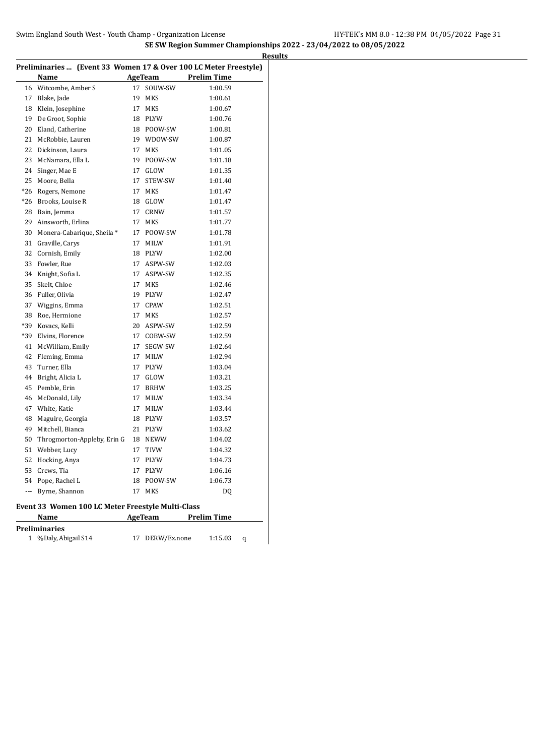|     | Preliminaries  (Event 33 Women 17 & Over 100 LC Meter Freestyle) |    |                |                    |
|-----|------------------------------------------------------------------|----|----------------|--------------------|
|     | Name                                                             |    | <b>AgeTeam</b> | <b>Prelim Time</b> |
| 16  | Witcombe, Amber S                                                | 17 | SOUW-SW        | 1:00.59            |
| 17  | Blake, Jade                                                      | 19 | MKS            | 1:00.61            |
| 18  | Klein, Josephine                                                 | 17 | MKS            | 1:00.67            |
| 19  | De Groot, Sophie                                                 |    | 18 PLYW        | 1:00.76            |
| 20  | Eland, Catherine                                                 |    | 18 POOW-SW     | 1:00.81            |
| 21  | McRobbie, Lauren                                                 |    | 19 WDOW-SW     | 1:00.87            |
| 22  | Dickinson, Laura                                                 | 17 | MKS            | 1:01.05            |
| 23  | McNamara, Ella L                                                 |    | 19 POOW-SW     | 1:01.18            |
| 24  | Singer, Mae E                                                    | 17 | GLOW           | 1:01.35            |
| 25  | Moore, Bella                                                     | 17 | STEW-SW        | 1:01.40            |
| *26 | Rogers, Nemone                                                   | 17 | MKS            | 1:01.47            |
| *26 | Brooks, Louise R                                                 | 18 | GLOW           | 1:01.47            |
| 28  | Bain, Jemma                                                      | 17 | CRNW           | 1:01.57            |
| 29  | Ainsworth, Erlina                                                | 17 | MKS            | 1:01.77            |
| 30  | Monera-Cabarique, Sheila *                                       | 17 | POOW-SW        | 1:01.78            |
| 31  | Graville, Carys                                                  | 17 | MILW           | 1:01.91            |
| 32  | Cornish, Emily                                                   | 18 | PLYW           | 1:02.00            |
| 33  | Fowler, Rue                                                      | 17 | ASPW-SW        | 1:02.03            |
| 34  | Knight, Sofia L                                                  | 17 | ASPW-SW        | 1:02.35            |
| 35  | Skelt, Chloe                                                     | 17 | MKS            | 1:02.46            |
| 36  | Fuller, Olivia                                                   | 19 | PLYW           | 1:02.47            |
| 37  | Wiggins, Emma                                                    | 17 | CPAW           | 1:02.51            |
| 38  | Roe, Hermione                                                    | 17 | MKS            | 1:02.57            |
| *39 | Kovacs, Kelli                                                    | 20 | ASPW-SW        | 1:02.59            |
| *39 | Elvins, Florence                                                 | 17 | COBW-SW        | 1:02.59            |
| 41  | McWilliam, Emily                                                 | 17 | SEGW-SW        | 1:02.64            |
| 42  | Fleming, Emma                                                    | 17 | MILW           | 1:02.94            |
| 43  | Turner, Ella                                                     | 17 | PLYW           | 1:03.04            |
| 44  | Bright, Alicia L                                                 | 17 | GLOW           | 1:03.21            |
| 45  | Pemble, Erin                                                     | 17 | BRHW           | 1:03.25            |
| 46  | McDonald, Lily                                                   | 17 | MILW           | 1:03.34            |
| 47  | White, Katie                                                     | 17 | MILW           | 1:03.44            |
| 48  | Maguire, Georgia                                                 |    | 18 PLYW        | 1:03.57            |
| 49  | Mitchell, Bianca                                                 | 21 | <b>PLYW</b>    | 1:03.62            |
| 50  | Throgmorton-Appleby, Erin G                                      |    | 18 NEWW        | 1:04.02            |
| 51  | Webber, Lucy                                                     | 17 | TIVW           | 1:04.32            |
| 52  | Hocking, Anya                                                    | 17 | PLYW           | 1:04.73            |
| 53  | Crews, Tia                                                       | 17 | PLYW           | 1:06.16            |
| 54  | Pope, Rachel L                                                   | 18 | POOW-SW        | 1:06.73            |
| --- | Byrne, Shannon                                                   | 17 | MKS            | DQ                 |
|     | Event 33 Women 100 LC Meter Freestyle Multi-Class                |    |                |                    |
|     | <b>Name</b>                                                      |    | AgeTeam        | <b>Prelim Time</b> |
|     | <b>Preliminaries</b>                                             |    |                |                    |
|     | 1 %Daly, Abigail S14                                             | 17 | DERW/Ex.none   | 1:15.03<br>q       |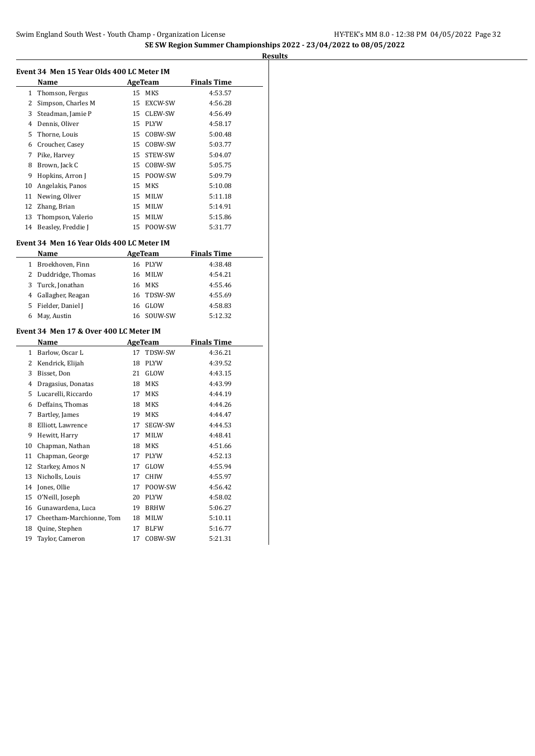| Event 34 Men 15 Year Olds 400 LC Meter IM |                                           |    |                |                    |  |  |
|-------------------------------------------|-------------------------------------------|----|----------------|--------------------|--|--|
|                                           | Name                                      |    | AgeTeam        | <b>Finals Time</b> |  |  |
| 1                                         | Thomson, Fergus                           | 15 | MKS            | 4:53.57            |  |  |
|                                           | 2 Simpson, Charles M                      | 15 | EXCW-SW        | 4:56.28            |  |  |
|                                           | 3 Steadman, Jamie P                       | 15 | CLEW-SW        | 4:56.49            |  |  |
|                                           | 4 Dennis, Oliver                          | 15 | PLYW           | 4:58.17            |  |  |
| 5                                         | Thorne, Louis                             | 15 | COBW-SW        | 5:00.48            |  |  |
|                                           | 6 Croucher, Casey                         | 15 | COBW-SW        | 5:03.77            |  |  |
|                                           | 7 Pike, Harvey                            | 15 | STEW-SW        | 5:04.07            |  |  |
| 8                                         | Brown, Jack C                             | 15 | COBW-SW        | 5:05.75            |  |  |
| 9                                         | Hopkins, Arron J                          | 15 | POOW-SW        | 5:09.79            |  |  |
| 10                                        | Angelakis, Panos                          | 15 | MKS            | 5:10.08            |  |  |
| 11                                        | Newing, Oliver                            | 15 | <b>MILW</b>    | 5:11.18            |  |  |
| 12                                        | Zhang, Brian                              | 15 | MILW           | 5:14.91            |  |  |
| 13                                        | Thompson, Valerio                         | 15 | MILW           | 5:15.86            |  |  |
| 14                                        | Beasley, Freddie J                        | 15 | POOW-SW        | 5:31.77            |  |  |
|                                           | Event 34 Men 16 Year Olds 400 LC Meter IM |    |                |                    |  |  |
|                                           | Name                                      |    | AgeTeam        | <b>Finals Time</b> |  |  |
|                                           | 1 Broekhoven, Finn                        |    | 16 PLYW        | 4:38.48            |  |  |
|                                           | 2 Duddridge, Thomas                       | 16 | MILW           | 4:54.21            |  |  |
|                                           | 3 Turck, Jonathan                         |    | 16 MKS         | 4:55.46            |  |  |
|                                           | 4 Gallagher, Reagan                       | 16 | TDSW-SW        | 4:55.69            |  |  |
|                                           | 5 Fielder, Daniel J                       | 16 | GLOW           | 4:58.83            |  |  |
| 6                                         | May, Austin                               | 16 | SOUW-SW        | 5:12.32            |  |  |
|                                           | Event 34 Men 17 & Over 400 LC Meter IM    |    |                |                    |  |  |
|                                           | Name                                      |    | <b>AgeTeam</b> | <b>Finals Time</b> |  |  |
| $\mathbf{1}$                              | Barlow, Oscar L                           | 17 | TDSW-SW        | 4:36.21            |  |  |
|                                           | 2 Kendrick, Elijah                        | 18 | PLYW           | 4:39.52            |  |  |
|                                           | 3 Bisset, Don                             | 21 | GLOW           | 4:43.15            |  |  |
|                                           | 4 Dragasius, Donatas                      | 18 | MKS            | 4:43.99            |  |  |
|                                           | 5 Lucarelli, Riccardo                     | 17 | MKS            | 4:44.19            |  |  |
|                                           | 6 Deffains, Thomas                        | 18 | MKS            | 4:44.26            |  |  |
|                                           | 7 Bartley, James                          | 19 | MKS            | 4:44.47            |  |  |
| 8                                         | Elliott, Lawrence                         | 17 | SEGW-SW        | 4:44.53            |  |  |
| 9                                         | Hewitt, Harry                             | 17 | MILW           | 4:48.41            |  |  |
| 10                                        | Chapman, Nathan                           | 18 | MKS            | 4:51.66            |  |  |
| 11                                        | Chapman, George                           | 17 | <b>PLYW</b>    | 4:52.13            |  |  |
|                                           | 12 Starkey, Amos N                        |    | 17 GLOW        | 4:55.94            |  |  |
| 13                                        | Nicholls, Louis                           | 17 | CHIW           | 4:55.97            |  |  |
| 14                                        | Jones, Ollie                              | 17 | POOW-SW        | 4:56.42            |  |  |
| 15                                        | O'Neill, Joseph                           | 20 | PLYW           | 4:58.02            |  |  |
| 16                                        | Gunawardena, Luca                         | 19 | <b>BRHW</b>    | 5:06.27            |  |  |
| 17                                        | Cheetham-Marchionne, Tom                  | 18 | MILW           | 5:10.11            |  |  |
| 18                                        | Quine, Stephen                            | 17 | BLFW           | 5:16.77            |  |  |
| 19                                        | Taylor, Cameron                           | 17 | COBW-SW        | 5:21.31            |  |  |
|                                           |                                           |    |                |                    |  |  |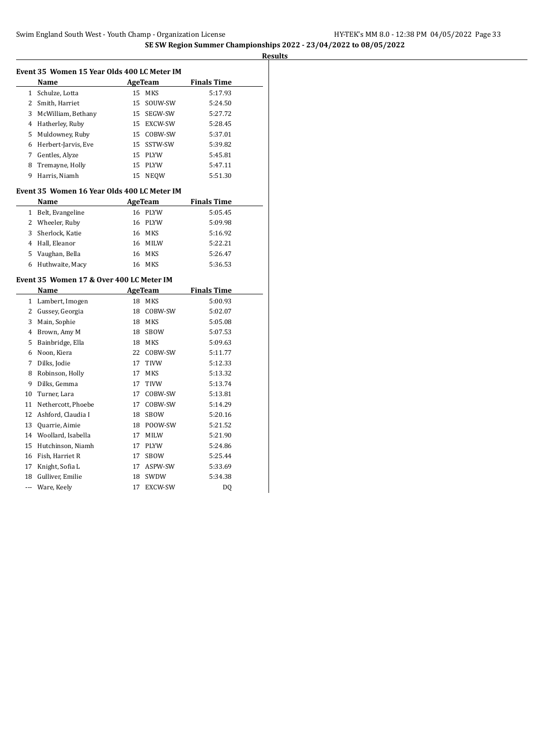**Results Event 35 Women 15 Year Olds 400 LC Meter IM Name AgeTeam Finals Time**  Schulze, Lotta 15 MKS 5:17.93 Smith, Harriet 15 SOUW-SW 5:24.50 McWilliam, Bethany 15 SEGW-SW 5:27.72 Hatherley, Ruby 15 EXCW-SW 5:28.45 Muldowney, Ruby 15 COBW-SW 5:37.01 Herbert-Jarvis, Eve 15 SSTW-SW 5:39.82 Gentles, Alyze 15 PLYW 5:45.81 Tremayne, Holly 15 PLYW 5:47.11 Harris, Niamh 15 NEQW 5:51.30 **Event 35 Women 16 Year Olds 400 LC Meter IM Name AgeTeam Finals Time**  Belt, Evangeline 16 PLYW 5:05.45 Wheeler, Ruby 16 PLYW 5:09.98 Sherlock, Katie 16 MKS 5:16.92 Hall, Eleanor 16 MILW 5:22.21 Vaughan, Bella 16 MKS 5:26.47

#### **Event 35 Women 17 & Over 400 LC Meter IM**

 $\overline{a}$ 

|         | Name               |    | AgeTeam        | <b>Finals Time</b> |
|---------|--------------------|----|----------------|--------------------|
| 1       | Lambert, Imogen    | 18 | MKS            | 5:00.93            |
| 2       | Gussey, Georgia    | 18 | COBW-SW        | 5:02.07            |
| 3       | Main, Sophie       | 18 | MKS            | 5:05.08            |
| 4       | Brown, Amy M       | 18 | SBOW           | 5:07.53            |
| 5       | Bainbridge, Ella   | 18 | <b>MKS</b>     | 5:09.63            |
| 6       | Noon, Kiera        | 22 | COBW-SW        | 5:11.77            |
| 7       | Dilks, Jodie       | 17 | <b>TIVW</b>    | 5:12.33            |
| 8       | Robinson, Holly    | 17 | <b>MKS</b>     | 5:13.32            |
| 9       | Dilks, Gemma       | 17 | <b>TIVW</b>    | 5:13.74            |
| 10      | Turner, Lara       | 17 | COBW-SW        | 5:13.81            |
| 11      | Nethercott, Phoebe | 17 | COBW-SW        | 5:14.29            |
| 12      | Ashford, Claudia I | 18 | SBOW           | 5:20.16            |
| 13      | Quarrie, Aimie     | 18 | POOW-SW        | 5:21.52            |
| 14      | Woollard, Isabella | 17 | <b>MILW</b>    | 5:21.90            |
| 15      | Hutchinson, Niamh  | 17 | <b>PLYW</b>    | 5:24.86            |
| 16      | Fish, Harriet R    | 17 | SBOW           | 5:25.44            |
| 17      | Knight, Sofia L    | 17 | ASPW-SW        | 5:33.69            |
| 18      | Gulliver, Emilie   | 18 | SWDW           | 5:34.38            |
| $- - -$ | Ware, Keely        | 17 | <b>EXCW-SW</b> | DQ                 |

Huthwaite, Macy 16 MKS 5:36.53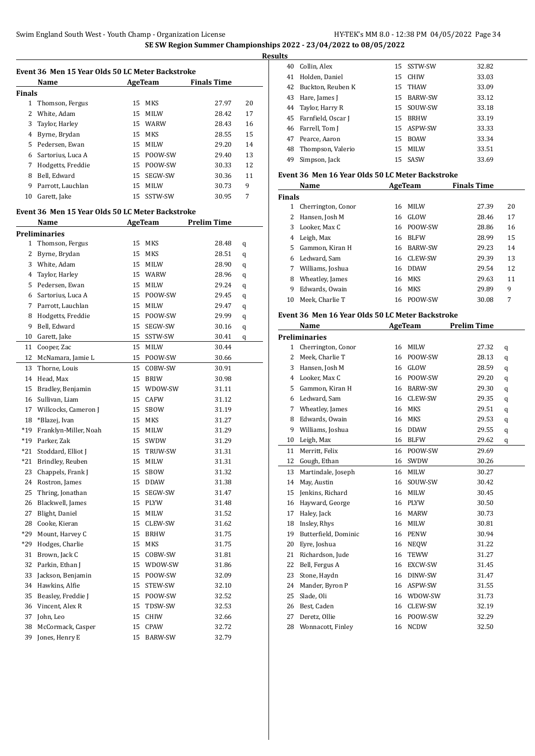$\overline{a}$ 

|               | Name                                             |    | <b>AgeTeam</b> | <b>Finals Time</b> |    |
|---------------|--------------------------------------------------|----|----------------|--------------------|----|
| <b>Finals</b> |                                                  |    |                |                    |    |
|               | 1 Thomson, Fergus                                |    | 15 MKS         | 27.97              | 20 |
|               | 2 White, Adam                                    |    | 15 MILW        | 28.42              | 17 |
|               | 3 Taylor, Harley                                 |    | 15 WARW        | 28.43              | 16 |
|               | 4 Byrne, Brydan                                  |    | 15 MKS         | 28.55              | 15 |
|               | 5 Pedersen, Ewan                                 |    | 15 MILW        | 29.20              | 14 |
|               | 6 Sartorius, Luca A                              |    | 15 POOW-SW     | 29.40              | 13 |
|               | 7 Hodgetts, Freddie                              |    | 15 POOW-SW     | 30.33              | 12 |
|               | 8 Bell, Edward                                   |    | 15 SEGW-SW     | 30.36              | 11 |
|               | 9 Parrott, Lauchlan                              |    | 15 MILW        | 30.73              | 9  |
|               | 10 Garett, Jake                                  |    | 15 SSTW-SW     | 30.95              | 7  |
|               | Event 36 Men 15 Year Olds 50 LC Meter Backstroke |    |                |                    |    |
|               | <b>Name</b>                                      |    | AgeTeam        | <b>Prelim Time</b> |    |
|               | <b>Preliminaries</b>                             |    |                |                    |    |
|               | 1 Thomson, Fergus                                |    | 15 MKS         | 28.48              | q  |
|               | 2 Byrne, Brydan                                  |    | 15 MKS         | 28.51              | q  |
|               | 3 White, Adam                                    |    | 15 MILW        | 28.90              | q  |
|               | 4 Taylor, Harley                                 |    | 15 WARW        | 28.96              | q  |
|               | 5 Pedersen, Ewan                                 |    | 15 MILW        | 29.24              | q  |
|               | 6 Sartorius, Luca A                              |    | 15 POOW-SW     | 29.45              | q  |
|               | 7 Parrott, Lauchlan                              |    | 15 MILW        | 29.47              | q  |
|               | 8 Hodgetts, Freddie                              |    | 15 POOW-SW     | 29.99              | q  |
|               | 9 Bell, Edward                                   |    | 15 SEGW-SW     | 30.16              | q  |
|               | 10 Garett, Jake                                  |    | 15 SSTW-SW     | 30.41              | q  |
| 11            | Cooper, Zac                                      |    | 15 MILW        | 30.44              |    |
|               | 12 McNamara, Jamie L                             |    | 15 POOW-SW     | 30.66              |    |
|               | 13 Thorne, Louis                                 |    | 15 COBW-SW     | 30.91              |    |
|               | 14 Head, Max                                     |    | 15 BRIW        | 30.98              |    |
| 15            | Bradley, Benjamin                                |    | 15 WDOW-SW     | 31.11              |    |
|               | 16 Sullivan, Liam                                |    | 15 CAFW        | 31.12              |    |
|               | 17 Willcocks, Cameron J                          |    | 15 SBOW        | 31.19              |    |
|               | 18 *Blazej, Ivan                                 |    | 15 MKS         | 31.27              |    |
|               | *19 Franklyn-Miller, Noah                        |    | 15 MILW        | 31.29              |    |
|               | *19 Parker, Zak                                  |    | 15 SWDW        | 31.29              |    |
| $*21$         | Stoddard, Elliot J                               | 15 | TRUW-SW        | 31.31              |    |
| *21           | Brindley, Reuben                                 | 15 | MILW           | 31.31              |    |
| 23            | Chappels, Frank J                                | 15 | SBOW           | 31.32              |    |
| 24            | Rostron, James                                   | 15 | <b>DDAW</b>    | 31.38              |    |
| 25            | Thring, Jonathan                                 | 15 | SEGW-SW        | 31.47              |    |
| 26            | Blackwell, James                                 | 15 | PLYW           | 31.48              |    |
| 27            | Blight, Daniel                                   | 15 | MILW           | 31.52              |    |
| 28            |                                                  | 15 |                | 31.62              |    |
|               | Cooke, Kieran                                    |    | CLEW-SW        |                    |    |
| *29           | Mount, Harvey C                                  | 15 | BRHW           | 31.75              |    |
| *29           | Hodges, Charlie                                  | 15 | MKS            | 31.75              |    |
| 31            | Brown, Jack C                                    | 15 | COBW-SW        | 31.81              |    |
| 32            | Parkin, Ethan J                                  | 15 | WDOW-SW        | 31.86              |    |
| 33            | Jackson, Benjamin                                | 15 | POOW-SW        | 32.09              |    |
| 34            | Hawkins, Alfie                                   | 15 | STEW-SW        | 32.10              |    |
| 35            | Beasley, Freddie J                               | 15 | POOW-SW        | 32.52              |    |
| 36            | Vincent, Alex R                                  | 15 | TDSW-SW        | 32.53              |    |
| 37            | John, Leo                                        | 15 | CHIW           | 32.66              |    |
| 38            | McCormack, Casper                                | 15 | CPAW           | 32.72              |    |
| 39            | Jones, Henry E                                   | 15 | BARW-SW        | 32.79              |    |

| ັ  |                       |    |             |       |
|----|-----------------------|----|-------------|-------|
|    | 40 Collin, Alex       |    | 15 SSTW-SW  | 32.82 |
| 41 | Holden, Daniel        |    | 15 CHIW     | 33.03 |
|    | 42 Buckton, Reuben K  |    | 15 THAW     | 33.09 |
| 43 | Hare, James J         |    | 15 BARW-SW  | 33.12 |
|    | 44 Taylor, Harry R    |    | 15 SOUW-SW  | 33.18 |
|    | 45 Farnfield, Oscar J | 15 | <b>BRHW</b> | 33.19 |
|    | 46 Farrell, Tom J     |    | 15 ASPW-SW  | 33.33 |
|    | 47 Pearce, Aaron      |    | 15 BOAW     | 33.34 |
|    | 48 Thompson, Valerio  | 15 | MILW        | 33.51 |
| 49 | Simpson, Jack         |    | 15 SASW     | 33.69 |

### **Event 36 Men 16 Year Olds 50 LC Meter Backstroke**

| Name          |                    | AgeTeam |             | <b>Finals Time</b> |    |
|---------------|--------------------|---------|-------------|--------------------|----|
| <b>Finals</b> |                    |         |             |                    |    |
| 1             | Cherrington, Conor | 16      | MILW        | 27.39              | 20 |
| 2             | Hansen, Josh M     | 16      | GLOW        | 28.46              | 17 |
| 3             | Looker, Max C      | 16      | POOW-SW     | 28.86              | 16 |
| 4             | Leigh, Max         | 16      | <b>BLFW</b> | 28.99              | 15 |
| 5.            | Gammon, Kiran H    | 16      | BARW-SW     | 29.23              | 14 |
| 6             | Ledward. Sam       | 16      | CLEW-SW     | 29.39              | 13 |
| 7             | Williams, Joshua   | 16      | <b>DDAW</b> | 29.54              | 12 |
| 8             | Wheatley, James    |         | 16 MKS      | 29.63              | 11 |
| 9             | Edwards, Owain     | 16      | MKS         | 29.89              | 9  |
| 10            | Meek. Charlie T    | 16      | POOW-SW     | 30.08              | 7  |

#### **Event 36 Men 16 Year Olds 50 LC Meter Backstroke**

|                | <b>Name</b>          |    | AgeTeam        | <b>Prelim Time</b> |   |  |
|----------------|----------------------|----|----------------|--------------------|---|--|
|                | <b>Preliminaries</b> |    |                |                    |   |  |
| $\mathbf{1}$   | Cherrington, Conor   | 16 | MILW           | 27.32              | q |  |
| 2              | Meek, Charlie T      | 16 | POOW-SW        | 28.13              | q |  |
| 3              | Hansen, Josh M       | 16 | GLOW           | 28.59              | q |  |
| $\overline{4}$ | Looker, Max C        | 16 | POOW-SW        | 29.20              | q |  |
| 5              | Gammon, Kiran H      | 16 | BARW-SW        | 29.30              | q |  |
| 6              | Ledward, Sam         | 16 | <b>CLEW-SW</b> | 29.35              | q |  |
| 7              | Wheatley, James      | 16 | <b>MKS</b>     | 29.51              | q |  |
| 8              | Edwards, Owain       | 16 | <b>MKS</b>     | 29.53              | q |  |
| 9              | Williams, Joshua     | 16 | <b>DDAW</b>    | 29.55              | q |  |
| 10             | Leigh, Max           | 16 | <b>BLFW</b>    | 29.62              | q |  |
| 11             | Merritt, Felix       | 16 | POOW-SW        | 29.69              |   |  |
| 12             | Gough, Ethan         | 16 | SWDW           | 30.26              |   |  |
| 13             | Martindale, Joseph   | 16 | MILW           | 30.27              |   |  |
| 14             | May, Austin          | 16 | SOUW-SW        | 30.42              |   |  |
| 15             | Jenkins, Richard     | 16 | MILW           | 30.45              |   |  |
| 16             | Hayward, George      | 16 | <b>PLYW</b>    | 30.50              |   |  |
| 17             | Haley, Jack          | 16 | <b>MARW</b>    | 30.73              |   |  |
| 18             | Insley, Rhys         | 16 | <b>MILW</b>    | 30.81              |   |  |
| 19             | Butterfield, Dominic | 16 | <b>PENW</b>    | 30.94              |   |  |
| 20             | Eyre, Joshua         | 16 | <b>NEQW</b>    | 31.22              |   |  |
| 21             | Richardson, Jude     | 16 | <b>TEWW</b>    | 31.27              |   |  |
| 22             | Bell, Fergus A       | 16 | EXCW-SW        | 31.45              |   |  |
| 23             | Stone, Haydn         | 16 | DINW-SW        | 31.47              |   |  |
| 24             | Mander, Byron P      | 16 | ASPW-SW        | 31.55              |   |  |
| 25             | Slade, Oli           | 16 | WDOW-SW        | 31.73              |   |  |
| 26             | Best, Caden          | 16 | CLEW-SW        | 32.19              |   |  |
| 27             | Deretz, Ollie        | 16 | POOW-SW        | 32.29              |   |  |
| 28             | Wonnacott, Finley    | 16 | <b>NCDW</b>    | 32.50              |   |  |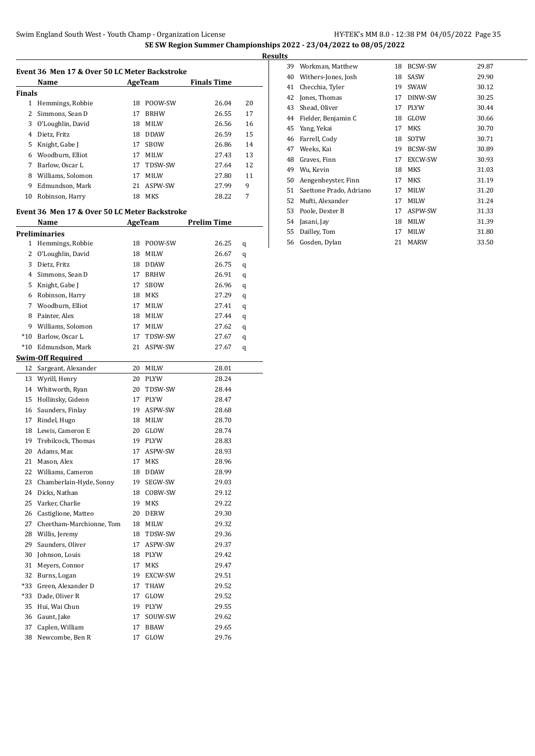|                | Name                                                   |          | AgeTeam                | <b>Finals Time</b> |    |
|----------------|--------------------------------------------------------|----------|------------------------|--------------------|----|
| Finals         |                                                        |          |                        |                    |    |
|                | 1 Hemmings, Robbie                                     |          | 18 POOW-SW             | 26.04              | 20 |
| $\overline{2}$ | Simmons, Sean D                                        | 17       | <b>BRHW</b>            | 26.55              | 17 |
| 3              | O'Loughlin, David                                      | 18       | <b>MILW</b>            | 26.56              | 16 |
|                | 4 Dietz, Fritz                                         | 18       | DDAW                   | 26.59              | 15 |
| 5.             | Knight, Gabe J                                         | 17       | SBOW                   | 26.86              | 14 |
|                | 6 Woodburn, Elliot                                     | 17       | MILW                   | 27.43              | 13 |
| 7              | Barlow, Oscar L                                        | 17       | TDSW-SW                | 27.64              | 12 |
|                | 8 Williams, Solomon                                    | 17       | MILW                   | 27.80              | 11 |
|                | 9 Edmundson, Mark                                      | 21       | ASPW-SW                | 27.99              | 9  |
| 10             | Robinson, Harry                                        |          | 18 MKS                 | 28.22              | 7  |
|                |                                                        |          |                        |                    |    |
|                | Event 36  Men 17 & Over 50 LC Meter Backstroke<br>Name |          | AgeTeam                | <b>Prelim Time</b> |    |
|                | Preliminaries                                          |          |                        |                    |    |
|                | 1 Hemmings, Robbie                                     |          | 18 POOW-SW             | 26.25              | q  |
| $\mathbf{2}$   | O'Loughlin, David                                      | 18       | MILW                   | 26.67              | q  |
| 3              | Dietz, Fritz                                           | 18       | <b>DDAW</b>            | 26.75              | q  |
|                | 4 Simmons, Sean D                                      | 17       | <b>BRHW</b>            | 26.91              |    |
| 5              | Knight, Gabe J                                         | 17       | SBOW                   | 26.96              | q  |
|                |                                                        | 18       | MKS                    | 27.29              | q  |
| $7^{\circ}$    | 6 Robinson, Harry<br>Woodburn, Elliot                  | 17       | <b>MILW</b>            |                    | q  |
|                |                                                        |          |                        | 27.41              | q  |
|                | 8 Painter, Alex                                        | 18       | MILW                   | 27.44              | q  |
|                | 9 Williams, Solomon                                    |          | 17 MILW                | 27.62              | q  |
|                | *10 Barlow, Oscar L                                    | 17       | TDSW-SW<br>21 ASPW-SW  | 27.67              | q  |
|                | *10 Edmundson, Mark                                    |          |                        | 27.67              | q  |
| 12             | Swim-Off Required<br>Sargeant, Alexander               |          | 20 MILW                | 28.01              |    |
| 13             | Wyrill, Henry                                          | 20       | PLYW                   | 28.24              |    |
|                | 14 Whitworth, Ryan                                     | 20       | TDSW-SW                | 28.44              |    |
|                | 15 Hollinsky, Gideon                                   | 17       | <b>PLYW</b>            | 28.47              |    |
|                |                                                        | 19       | ASPW-SW                |                    |    |
|                | 16 Saunders, Finlay                                    |          |                        | 28.68              |    |
| 17             | Rindel, Hugo                                           | 18<br>20 | MILW                   | 28.70              |    |
| 18             | Lewis, Cameron E                                       |          | GLOW                   | 28.74              |    |
| 19             | Trebilcock, Thomas                                     | 19       | <b>PLYW</b>            | 28.83              |    |
| 20             | Adams, Max                                             | 17       | ASPW-SW                | 28.93              |    |
| 21             | Mason, Alex                                            | 17       | MKS                    | 28.96              |    |
| 22<br>23       | Williams, Cameron<br>Chamberlain-Hyde, Sonny           | 18<br>19 | <b>DDAW</b><br>SEGW-SW | 28.99              |    |
|                |                                                        |          |                        | 29.03              |    |
| 24             | Dicks, Nathan                                          | 18       | COBW-SW                | 29.12              |    |
| 25             | Varker, Charlie                                        | 19       | MKS                    | 29.22              |    |
| 26             | Castiglione, Matteo                                    | 20       | DERW                   | 29.30              |    |
| 27             | Cheetham-Marchionne, Tom                               | 18       | MILW                   | 29.32              |    |
| 28             | Willis, Jeremy                                         | 18       | TDSW-SW                | 29.36              |    |
| 29             | Saunders, Oliver                                       | 17       | ASPW-SW                | 29.37              |    |
| 30             | Johnson, Louis                                         | 18       | PLYW                   | 29.42              |    |
| 31             | Meyers, Connor                                         | 17       | MKS                    | 29.47              |    |
| 32             | Burns, Logan                                           | 19       | EXCW-SW                | 29.51              |    |
| *33            | Green, Alexander D                                     | 17       | THAW                   | 29.52              |    |
| *33            | Dade, Oliver R                                         | 17       | GLOW                   | 29.52              |    |
| 35             | Hui, Wai Chun                                          | 19       | PLYW                   | 29.55              |    |
| 36             | Gaunt, Jake                                            | 17       | SOUW-SW                | 29.62              |    |
| 37             | Caplen, William                                        | 17       | BBAW                   | 29.65              |    |
| 38             | Newcombe, Ben R                                        | 17       | GLOW                   | 29.76              |    |

| ts |    |                         |    |                |       |
|----|----|-------------------------|----|----------------|-------|
|    | 39 | Workman, Matthew        | 18 | <b>BCSW-SW</b> | 29.87 |
|    | 40 | Withers-Jones, Josh     | 18 | SASW           | 29.90 |
| 41 |    | Checchia, Tyler         | 19 | <b>SWAW</b>    | 30.12 |
|    | 42 | Jones, Thomas           | 17 | DINW-SW        | 30.25 |
|    | 43 | Shead, Oliver           | 17 | <b>PLYW</b>    | 30.44 |
|    | 44 | Fielder, Benjamin C     | 18 | GLOW           | 30.66 |
|    | 45 | Yang, Yekai             | 17 | MKS            | 30.70 |
|    | 46 | Farrell, Cody           | 18 | SOTW           | 30.71 |
|    | 47 | Weeks, Kai              | 19 | <b>BCSW-SW</b> | 30.89 |
|    | 48 | Graves, Finn            | 17 | <b>EXCW-SW</b> | 30.93 |
|    | 49 | Wu, Kevin               | 18 | <b>MKS</b>     | 31.03 |
|    | 50 | Aengenheyster, Finn     | 17 | MKS            | 31.19 |
| 51 |    | Saettone Prado, Adriano | 17 | <b>MILW</b>    | 31.20 |
|    | 52 | Mufti, Alexander        | 17 | <b>MILW</b>    | 31.24 |
|    | 53 | Poole, Dexter B         | 17 | ASPW-SW        | 31.33 |
|    | 54 | Jasani, Jay             | 18 | <b>MILW</b>    | 31.39 |
|    | 55 | Dailley, Tom            | 17 | <b>MILW</b>    | 31.80 |
|    | 56 | Gosden, Dylan           | 21 | <b>MARW</b>    | 33.50 |
|    |    |                         |    |                |       |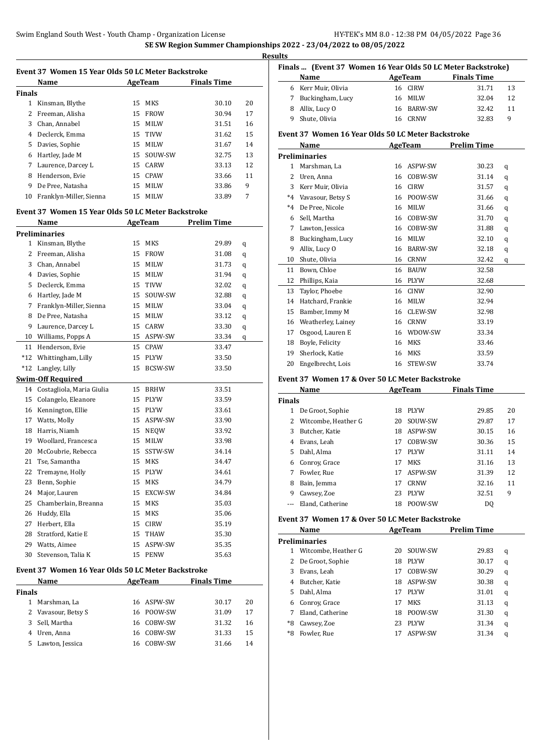**Res** 

|              | Name                                               |    | AgeTeam     | <b>Finals Time</b>  |    |
|--------------|----------------------------------------------------|----|-------------|---------------------|----|
| Finals       |                                                    |    |             |                     |    |
| $\mathbf{1}$ | Kinsman, Blythe                                    | 15 | MKS         | 30.10               | 20 |
| 2            | Freeman, Alisha                                    | 15 | <b>FROW</b> | 30.94               | 17 |
|              | 3 Chan, Annabel                                    | 15 | MILW        | 31.51               | 16 |
|              | 4 Declerck, Emma                                   | 15 | TIVW        | 31.62               | 15 |
| 5            | Davies, Sophie                                     |    | 15 MILW     | 31.67               | 14 |
| 6            | Hartley, Jade M                                    | 15 | SOUW-SW     | 32.75               | 13 |
| 7            | Laurence, Darcey L                                 | 15 | CARW        | 33.13               | 12 |
| 8            | Henderson, Evie                                    | 15 | CPAW        | 33.66               | 11 |
| 9            | De Pree, Natasha                                   | 15 | MILW        | 33.86               | 9  |
| 10           | Franklyn-Miller, Sienna                            | 15 | <b>MILW</b> | 33.89               | 7  |
|              | Event 37 Women 15 Year Olds 50 LC Meter Backstroke |    |             |                     |    |
|              | Name                                               |    | AgeTeam     | Prelim Time         |    |
|              | <b>Preliminaries</b>                               |    |             |                     |    |
| 1            | Kinsman, Blythe                                    | 15 | MKS         | 29.89               | q  |
| 2            | Freeman, Alisha                                    | 15 | <b>FROW</b> | 31.08               | q  |
|              | 3 Chan, Annabel                                    | 15 | MILW        | 31.73               | q  |
|              | 4 Davies, Sophie                                   | 15 | MILW        | 31.94               | q  |
| 5            | Declerck, Emma                                     | 15 | TIVW        | 32.02               | q  |
| 6            | Hartley, Jade M                                    | 15 | SOUW-SW     | 32.88               | q  |
| 7            | Franklyn-Miller, Sienna                            | 15 | MILW        | 33.04               | q  |
| 8            | De Pree, Natasha                                   | 15 | MILW        | 33.12               | q  |
| 9            | Laurence, Darcey L                                 | 15 | CARW        | 33.30               | q  |
| 10           | Williams, Popps A                                  | 15 | ASPW-SW     | 33.34               | q  |
| 11           | Henderson, Evie                                    | 15 | CPAW        | 33.47               |    |
| $*12$        | Whittingham, Lilly                                 | 15 | PLYW        | 33.50               |    |
| $*12$        | Langley, Lilly                                     | 15 | BCSW-SW     | 33.50               |    |
|              | <b>Swim-Off Required</b>                           |    |             |                     |    |
| 14           | Costagliola, Maria Giulia                          | 15 | <b>BRHW</b> | 33.51               |    |
| 15           | Colangelo, Eleanore                                | 15 | PLYW        | 33.59               |    |
| 16           | Kennington, Ellie                                  | 15 | PLYW        | 33.61               |    |
|              | 17 Watts, Molly                                    | 15 | ASPW-SW     | 33.90               |    |
| 18           | Harris, Niamh                                      |    | 15 NEQW     | 33.92               |    |
| 19           | Woollard, Francesca                                | 15 | MILW        | 33.98               |    |
| 20           | McCoubrie, Rebecca                                 | 15 | SSTW-SW     | 34.14               |    |
| 21           | Tse, Samantha                                      | 15 | MKS         | 34.47               |    |
| 22           | Tremayne, Holly                                    | 15 | PLYW        | 34.61               |    |
| 23           | Benn, Sophie                                       | 15 | MKS         | 34.79               |    |
| 24           | Major, Lauren                                      | 15 | EXCW-SW     | 34.84               |    |
| 25           | Chamberlain, Breanna                               | 15 | MKS         | 35.03               |    |
| 26           | Huddy, Ella                                        | 15 | MKS         | 35.06               |    |
| 27           | Herbert, Ella                                      | 15 | CIRW        | 35.19               |    |
| 28           | Stratford, Katie E                                 | 15 | THAW        | 35.30               |    |
|              | 29 Watts, Aimee                                    | 15 | ASPW-SW     | 35.35               |    |
| 30           | Stevenson, Talia K                                 | 15 | PENW        | 35.63               |    |
|              | Event 37 Women 16 Year Olds 50 LC Meter Backstroke |    |             |                     |    |
|              | Name                                               |    |             | AgeTeam Finals Time |    |
| Finals       |                                                    |    |             |                     |    |
|              | 1 Marshman, La                                     | 16 | ASPW-SW     | 30.17               | 20 |
|              | 2 Vavasour, Betsy S                                | 16 | POOW-SW     | 31.09               | 17 |
| 3            | Sell, Martha                                       | 16 | COBW-SW     | 31.32               | 16 |
|              | 4 Uren, Anna                                       | 16 | COBW-SW     | 31.33               | 15 |
| 5            | Lawton, Jessica                                    | 16 | COBW-SW     | 31.66               | 14 |

| Buckingham, Lucy<br>Allix, Lucy O<br>Shute, Olivia<br>Event 37 Women 16 Year Olds 50 LC Meter Backstroke<br>Name<br><b>Preliminaries</b><br>Marshman, La<br>Uren. Anna<br>Kerr Muir, Olivia<br>*4 Vavasour, Betsy S<br>De Pree, Nicole<br>Sell, Martha<br>Lawton, Jessica<br>Buckingham, Lucy<br>Allix, Lucy O<br>Shute, Olivia<br>Bown, Chloe<br>Phillips, Kaia<br>Taylor, Phoebe<br>Hatchard, Frankie<br>15 Bamber, Immy M<br>16 Weatherley, Lainey<br>Osgood, Lauren E<br>Boyle, Felicity<br>Sherlock, Katie<br>Engelbrecht, Lois<br>Event 37 Women 17 & Over 50 LC Meter Backstroke | 16<br>16<br>16<br>16<br>16<br>16<br>16<br>16<br>16<br>16<br>16<br>16<br>16<br>16<br>16<br>16<br>16<br>16<br>16<br>16 | <b>MILW</b><br><b>BARW-SW</b><br><b>CRNW</b><br>AgeTeam<br>ASPW-SW<br>COBW-SW<br><b>CIRW</b><br>16 POOW-SW<br><b>MILW</b><br>COBW-SW<br>COBW-SW<br><b>MILW</b><br><b>BARW-SW</b><br>CRNW<br><b>BAUW</b><br>PLYW<br><b>CINW</b><br>MILW<br>CLEW-SW<br>16 CRNW<br>16 WDOW-SW<br>MKS<br><b>MKS</b><br>STEW-SW | 32.04<br>32.42<br>32.83<br><b>Prelim Time</b><br>30.23<br>31.14<br>31.57<br>31.66<br>31.66<br>31.70<br>31.88<br>32.10<br>32.18<br>32.42<br>32.58<br>32.68<br>32.90<br>32.94<br>32.98<br>33.19<br>33.34<br>33.46<br>33.59<br>33.74 | 12<br>11<br>9<br>q<br>q<br>q<br>q<br>q<br>q<br>q<br>q<br>q<br>q                         |
|-----------------------------------------------------------------------------------------------------------------------------------------------------------------------------------------------------------------------------------------------------------------------------------------------------------------------------------------------------------------------------------------------------------------------------------------------------------------------------------------------------------------------------------------------------------------------------------------|----------------------------------------------------------------------------------------------------------------------|------------------------------------------------------------------------------------------------------------------------------------------------------------------------------------------------------------------------------------------------------------------------------------------------------------|-----------------------------------------------------------------------------------------------------------------------------------------------------------------------------------------------------------------------------------|-----------------------------------------------------------------------------------------|
|                                                                                                                                                                                                                                                                                                                                                                                                                                                                                                                                                                                         |                                                                                                                      |                                                                                                                                                                                                                                                                                                            |                                                                                                                                                                                                                                   |                                                                                         |
|                                                                                                                                                                                                                                                                                                                                                                                                                                                                                                                                                                                         |                                                                                                                      |                                                                                                                                                                                                                                                                                                            |                                                                                                                                                                                                                                   |                                                                                         |
|                                                                                                                                                                                                                                                                                                                                                                                                                                                                                                                                                                                         |                                                                                                                      |                                                                                                                                                                                                                                                                                                            |                                                                                                                                                                                                                                   |                                                                                         |
|                                                                                                                                                                                                                                                                                                                                                                                                                                                                                                                                                                                         |                                                                                                                      |                                                                                                                                                                                                                                                                                                            |                                                                                                                                                                                                                                   |                                                                                         |
|                                                                                                                                                                                                                                                                                                                                                                                                                                                                                                                                                                                         |                                                                                                                      |                                                                                                                                                                                                                                                                                                            |                                                                                                                                                                                                                                   |                                                                                         |
|                                                                                                                                                                                                                                                                                                                                                                                                                                                                                                                                                                                         |                                                                                                                      |                                                                                                                                                                                                                                                                                                            |                                                                                                                                                                                                                                   |                                                                                         |
|                                                                                                                                                                                                                                                                                                                                                                                                                                                                                                                                                                                         |                                                                                                                      |                                                                                                                                                                                                                                                                                                            |                                                                                                                                                                                                                                   |                                                                                         |
|                                                                                                                                                                                                                                                                                                                                                                                                                                                                                                                                                                                         |                                                                                                                      |                                                                                                                                                                                                                                                                                                            |                                                                                                                                                                                                                                   |                                                                                         |
|                                                                                                                                                                                                                                                                                                                                                                                                                                                                                                                                                                                         |                                                                                                                      |                                                                                                                                                                                                                                                                                                            |                                                                                                                                                                                                                                   |                                                                                         |
|                                                                                                                                                                                                                                                                                                                                                                                                                                                                                                                                                                                         |                                                                                                                      |                                                                                                                                                                                                                                                                                                            |                                                                                                                                                                                                                                   |                                                                                         |
|                                                                                                                                                                                                                                                                                                                                                                                                                                                                                                                                                                                         |                                                                                                                      |                                                                                                                                                                                                                                                                                                            |                                                                                                                                                                                                                                   |                                                                                         |
|                                                                                                                                                                                                                                                                                                                                                                                                                                                                                                                                                                                         |                                                                                                                      |                                                                                                                                                                                                                                                                                                            |                                                                                                                                                                                                                                   |                                                                                         |
|                                                                                                                                                                                                                                                                                                                                                                                                                                                                                                                                                                                         |                                                                                                                      |                                                                                                                                                                                                                                                                                                            |                                                                                                                                                                                                                                   |                                                                                         |
|                                                                                                                                                                                                                                                                                                                                                                                                                                                                                                                                                                                         |                                                                                                                      |                                                                                                                                                                                                                                                                                                            |                                                                                                                                                                                                                                   |                                                                                         |
|                                                                                                                                                                                                                                                                                                                                                                                                                                                                                                                                                                                         |                                                                                                                      |                                                                                                                                                                                                                                                                                                            |                                                                                                                                                                                                                                   |                                                                                         |
|                                                                                                                                                                                                                                                                                                                                                                                                                                                                                                                                                                                         |                                                                                                                      |                                                                                                                                                                                                                                                                                                            |                                                                                                                                                                                                                                   |                                                                                         |
|                                                                                                                                                                                                                                                                                                                                                                                                                                                                                                                                                                                         |                                                                                                                      |                                                                                                                                                                                                                                                                                                            |                                                                                                                                                                                                                                   |                                                                                         |
|                                                                                                                                                                                                                                                                                                                                                                                                                                                                                                                                                                                         |                                                                                                                      |                                                                                                                                                                                                                                                                                                            |                                                                                                                                                                                                                                   |                                                                                         |
|                                                                                                                                                                                                                                                                                                                                                                                                                                                                                                                                                                                         |                                                                                                                      |                                                                                                                                                                                                                                                                                                            |                                                                                                                                                                                                                                   |                                                                                         |
|                                                                                                                                                                                                                                                                                                                                                                                                                                                                                                                                                                                         |                                                                                                                      |                                                                                                                                                                                                                                                                                                            |                                                                                                                                                                                                                                   |                                                                                         |
|                                                                                                                                                                                                                                                                                                                                                                                                                                                                                                                                                                                         |                                                                                                                      |                                                                                                                                                                                                                                                                                                            |                                                                                                                                                                                                                                   |                                                                                         |
|                                                                                                                                                                                                                                                                                                                                                                                                                                                                                                                                                                                         |                                                                                                                      |                                                                                                                                                                                                                                                                                                            |                                                                                                                                                                                                                                   |                                                                                         |
|                                                                                                                                                                                                                                                                                                                                                                                                                                                                                                                                                                                         |                                                                                                                      |                                                                                                                                                                                                                                                                                                            |                                                                                                                                                                                                                                   |                                                                                         |
|                                                                                                                                                                                                                                                                                                                                                                                                                                                                                                                                                                                         |                                                                                                                      |                                                                                                                                                                                                                                                                                                            |                                                                                                                                                                                                                                   |                                                                                         |
|                                                                                                                                                                                                                                                                                                                                                                                                                                                                                                                                                                                         |                                                                                                                      |                                                                                                                                                                                                                                                                                                            |                                                                                                                                                                                                                                   |                                                                                         |
|                                                                                                                                                                                                                                                                                                                                                                                                                                                                                                                                                                                         |                                                                                                                      |                                                                                                                                                                                                                                                                                                            |                                                                                                                                                                                                                                   |                                                                                         |
| Name                                                                                                                                                                                                                                                                                                                                                                                                                                                                                                                                                                                    |                                                                                                                      | AgeTeam                                                                                                                                                                                                                                                                                                    | <b>Finals Time</b>                                                                                                                                                                                                                |                                                                                         |
|                                                                                                                                                                                                                                                                                                                                                                                                                                                                                                                                                                                         |                                                                                                                      |                                                                                                                                                                                                                                                                                                            |                                                                                                                                                                                                                                   |                                                                                         |
| De Groot, Sophie                                                                                                                                                                                                                                                                                                                                                                                                                                                                                                                                                                        | 18                                                                                                                   | <b>PLYW</b>                                                                                                                                                                                                                                                                                                | 29.85                                                                                                                                                                                                                             | 20                                                                                      |
| Witcombe, Heather G                                                                                                                                                                                                                                                                                                                                                                                                                                                                                                                                                                     | 20                                                                                                                   | SOUW-SW                                                                                                                                                                                                                                                                                                    | 29.87                                                                                                                                                                                                                             | 17                                                                                      |
| Butcher. Katie                                                                                                                                                                                                                                                                                                                                                                                                                                                                                                                                                                          | 18                                                                                                                   | ASPW-SW                                                                                                                                                                                                                                                                                                    | 30.15                                                                                                                                                                                                                             | 16                                                                                      |
| Evans, Leah                                                                                                                                                                                                                                                                                                                                                                                                                                                                                                                                                                             | 17                                                                                                                   | COBW-SW                                                                                                                                                                                                                                                                                                    | 30.36                                                                                                                                                                                                                             | 15                                                                                      |
| Dahl. Alma                                                                                                                                                                                                                                                                                                                                                                                                                                                                                                                                                                              | 17                                                                                                                   | <b>PLYW</b>                                                                                                                                                                                                                                                                                                | 31.11                                                                                                                                                                                                                             | 14                                                                                      |
| 6 Conroy, Grace                                                                                                                                                                                                                                                                                                                                                                                                                                                                                                                                                                         | 17                                                                                                                   | MKS                                                                                                                                                                                                                                                                                                        | 31.16                                                                                                                                                                                                                             | 13                                                                                      |
| Fowler, Rue                                                                                                                                                                                                                                                                                                                                                                                                                                                                                                                                                                             | 17                                                                                                                   | ASPW-SW                                                                                                                                                                                                                                                                                                    | 31.39                                                                                                                                                                                                                             | 12                                                                                      |
| Bain, Jemma                                                                                                                                                                                                                                                                                                                                                                                                                                                                                                                                                                             | 17                                                                                                                   | CRNW                                                                                                                                                                                                                                                                                                       | 32.16                                                                                                                                                                                                                             | 11                                                                                      |
| 9 Cawsey, Zoe                                                                                                                                                                                                                                                                                                                                                                                                                                                                                                                                                                           | 23                                                                                                                   | PLYW                                                                                                                                                                                                                                                                                                       | 32.51                                                                                                                                                                                                                             | 9                                                                                       |
| --- Eland, Catherine                                                                                                                                                                                                                                                                                                                                                                                                                                                                                                                                                                    | 18                                                                                                                   | POOW-SW                                                                                                                                                                                                                                                                                                    | DQ                                                                                                                                                                                                                                |                                                                                         |
|                                                                                                                                                                                                                                                                                                                                                                                                                                                                                                                                                                                         |                                                                                                                      |                                                                                                                                                                                                                                                                                                            |                                                                                                                                                                                                                                   |                                                                                         |
| Name                                                                                                                                                                                                                                                                                                                                                                                                                                                                                                                                                                                    |                                                                                                                      |                                                                                                                                                                                                                                                                                                            |                                                                                                                                                                                                                                   |                                                                                         |
| <b>Preliminaries</b>                                                                                                                                                                                                                                                                                                                                                                                                                                                                                                                                                                    |                                                                                                                      |                                                                                                                                                                                                                                                                                                            |                                                                                                                                                                                                                                   |                                                                                         |
|                                                                                                                                                                                                                                                                                                                                                                                                                                                                                                                                                                                         |                                                                                                                      |                                                                                                                                                                                                                                                                                                            | 29.83                                                                                                                                                                                                                             | q                                                                                       |
|                                                                                                                                                                                                                                                                                                                                                                                                                                                                                                                                                                                         |                                                                                                                      |                                                                                                                                                                                                                                                                                                            |                                                                                                                                                                                                                                   | q                                                                                       |
|                                                                                                                                                                                                                                                                                                                                                                                                                                                                                                                                                                                         |                                                                                                                      | COBW-SW                                                                                                                                                                                                                                                                                                    |                                                                                                                                                                                                                                   | q                                                                                       |
| 4 Butcher, Katie                                                                                                                                                                                                                                                                                                                                                                                                                                                                                                                                                                        |                                                                                                                      | ASPW-SW                                                                                                                                                                                                                                                                                                    | 30.38                                                                                                                                                                                                                             | q                                                                                       |
| 5 Dahl, Alma                                                                                                                                                                                                                                                                                                                                                                                                                                                                                                                                                                            |                                                                                                                      | PLYW                                                                                                                                                                                                                                                                                                       | 31.01                                                                                                                                                                                                                             | q                                                                                       |
| 6 Conroy, Grace                                                                                                                                                                                                                                                                                                                                                                                                                                                                                                                                                                         |                                                                                                                      | MKS                                                                                                                                                                                                                                                                                                        | 31.13                                                                                                                                                                                                                             | q                                                                                       |
| Eland, Catherine                                                                                                                                                                                                                                                                                                                                                                                                                                                                                                                                                                        |                                                                                                                      |                                                                                                                                                                                                                                                                                                            | 31.30                                                                                                                                                                                                                             | q                                                                                       |
|                                                                                                                                                                                                                                                                                                                                                                                                                                                                                                                                                                                         |                                                                                                                      | PLYW                                                                                                                                                                                                                                                                                                       | 31.34                                                                                                                                                                                                                             | q                                                                                       |
| *8 Cawsey, Zoe                                                                                                                                                                                                                                                                                                                                                                                                                                                                                                                                                                          |                                                                                                                      | ASPW-SW                                                                                                                                                                                                                                                                                                    | 31.34                                                                                                                                                                                                                             | q                                                                                       |
|                                                                                                                                                                                                                                                                                                                                                                                                                                                                                                                                                                                         | 1 Witcombe, Heather G<br>De Groot, Sophie<br>Evans, Leah<br>Fowler, Rue                                              | 18                                                                                                                                                                                                                                                                                                         | AgeTeam<br>20<br>SOUW-SW<br>PLYW<br>17<br>18<br>17<br>17<br>18 POOW-SW<br>23<br>17                                                                                                                                                | Event 37 Women 17 & Over 50 LC Meter Backstroke<br><b>Prelim Time</b><br>30.17<br>30.29 |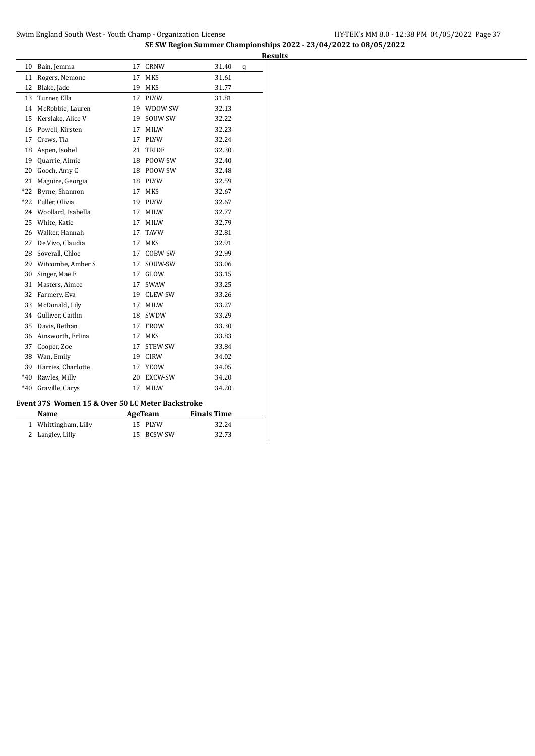**SE SW Region Summer Championships 2022 - 23/04/2022 to 08/05/2022 Results**

| 10           | Bain, Jemma                                      | 17 | <b>CRNW</b>    | 31.40              | q |
|--------------|--------------------------------------------------|----|----------------|--------------------|---|
| 11           | Rogers, Nemone                                   | 17 | MKS            | 31.61              |   |
| 12           | Blake, Jade                                      | 19 | MKS            | 31.77              |   |
| 13           | Turner, Ella                                     | 17 | <b>PLYW</b>    | 31.81              |   |
| 14           | McRobbie, Lauren                                 | 19 | WDOW-SW        | 32.13              |   |
| 15           | Kerslake, Alice V                                | 19 | SOUW-SW        | 32.22              |   |
| 16           | Powell, Kirsten                                  | 17 | <b>MILW</b>    | 32.23              |   |
| 17           | Crews, Tia                                       | 17 | PLYW           | 32.24              |   |
| 18           | Aspen, Isobel                                    | 21 | TRIDE          | 32.30              |   |
| 19           | Quarrie, Aimie                                   | 18 | POOW-SW        | 32.40              |   |
| 20           | Gooch, Amy C                                     | 18 | POOW-SW        | 32.48              |   |
| 21           | Maguire, Georgia                                 | 18 | <b>PLYW</b>    | 32.59              |   |
| $*22$        | Byrne, Shannon                                   | 17 | <b>MKS</b>     | 32.67              |   |
| $*22$        | Fuller, Olivia                                   | 19 | <b>PLYW</b>    | 32.67              |   |
| 24           | Woollard, Isabella                               | 17 | <b>MILW</b>    | 32.77              |   |
| 25           | White, Katie                                     | 17 | <b>MILW</b>    | 32.79              |   |
| 26           | Walker, Hannah                                   | 17 | <b>TAVW</b>    | 32.81              |   |
| 27           | De Vivo, Claudia                                 | 17 | MKS            | 32.91              |   |
| 28           | Soverall, Chloe                                  | 17 | COBW-SW        | 32.99              |   |
|              | 29 Witcombe, Amber S                             | 17 | SOUW-SW        | 33.06              |   |
| 30           | Singer, Mae E                                    | 17 | GLOW           | 33.15              |   |
| 31           | Masters, Aimee                                   | 17 | <b>SWAW</b>    | 33.25              |   |
| 32           | Farmery, Eva                                     | 19 | CLEW-SW        | 33.26              |   |
| 33           | McDonald, Lily                                   | 17 | <b>MILW</b>    | 33.27              |   |
| 34           | Gulliver, Caitlin                                | 18 | SWDW           | 33.29              |   |
| 35           | Davis, Bethan                                    | 17 | <b>FROW</b>    | 33.30              |   |
| 36           | Ainsworth, Erlina                                | 17 | MKS            | 33.83              |   |
| 37           | Cooper, Zoe                                      | 17 | STEW-SW        | 33.84              |   |
| 38           | Wan, Emily                                       | 19 | <b>CIRW</b>    | 34.02              |   |
| 39           | Harries, Charlotte                               | 17 | <b>YEOW</b>    | 34.05              |   |
| $*40$        | Rawles, Milly                                    | 20 | EXCW-SW        | 34.20              |   |
| $*40$        | Graville, Carys                                  | 17 | <b>MILW</b>    | 34.20              |   |
|              | Event 37S Women 15 & Over 50 LC Meter Backstroke |    |                |                    |   |
|              | Name                                             |    | <b>AgeTeam</b> | <b>Finals Time</b> |   |
| $\mathbf{1}$ | Whittingham, Lilly                               | 15 | PLYW           | 32.24              |   |
| 2            | Langley, Lilly                                   | 15 | <b>BCSW-SW</b> | 32.73              |   |
|              |                                                  |    |                |                    |   |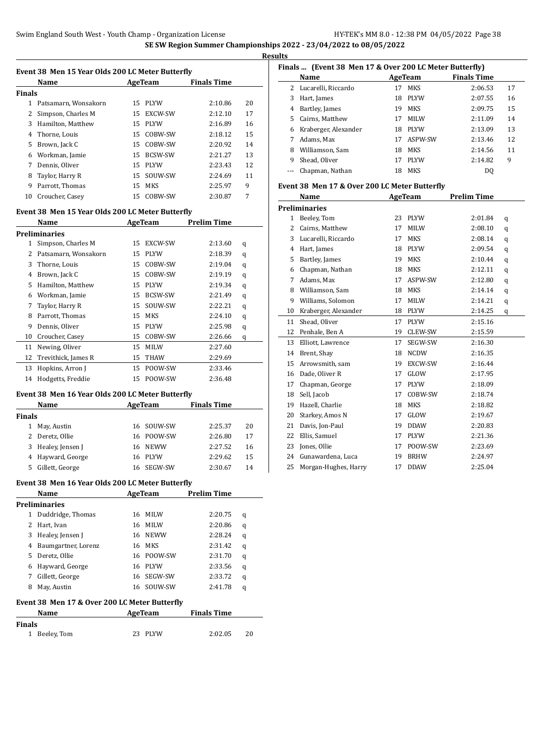$\overline{a}$ 

 $\overline{a}$ 

**Results**

|        | Name                 |     | AgeTeam        | <b>Finals Time</b> |    |
|--------|----------------------|-----|----------------|--------------------|----|
| Finals |                      |     |                |                    |    |
| 1      | Patsamarn, Wonsakorn | 15  | <b>PLYW</b>    | 2:10.86            | 20 |
|        | Simpson, Charles M   | 15  | EXCW-SW        | 2:12.10            | 17 |
| 3      | Hamilton, Matthew    | 15  | <b>PLYW</b>    | 2:16.89            | 16 |
| 4      | Thorne, Louis        | 15. | COBW-SW        | 2:18.12            | 15 |
| 5      | Brown, Jack C        | 15  | COBW-SW        | 2:20.92            | 14 |
| 6      | Workman, Jamie       | 15  | <b>BCSW-SW</b> | 2:21.27            | 13 |
| 7      | Dennis, Oliver       | 15  | <b>PLYW</b>    | 2:23.43            | 12 |
| 8      | Taylor, Harry R      | 15  | SOUW-SW        | 2:24.69            | 11 |
| 9      | Parrott, Thomas      | 15. | MKS            | 2:25.97            | 9  |
| 10     | Croucher, Casey      | 15  | COBW-SW        | 2:30.87            | 7  |
|        |                      |     |                |                    |    |

### **Event 38 Men 15 Year Olds 200 LC Meter Butterfly**

|    | Name                 |    | AgeTeam        | <b>Prelim Time</b> |   |
|----|----------------------|----|----------------|--------------------|---|
|    | <b>Preliminaries</b> |    |                |                    |   |
| 1  | Simpson, Charles M   | 15 | EXCW-SW        | 2:13.60            | q |
| 2  | Patsamarn, Wonsakorn | 15 | <b>PLYW</b>    | 2:18.39            | q |
| 3  | Thorne, Louis        | 15 | COBW-SW        | 2:19.04            | q |
| 4  | Brown, Jack C        | 15 | COBW-SW        | 2:19.19            | q |
| 5  | Hamilton, Matthew    | 15 | <b>PLYW</b>    | 2:19.34            | q |
| 6  | Workman, Jamie       | 15 | <b>BCSW-SW</b> | 2:21.49            | q |
| 7  | Taylor, Harry R      | 15 | SOUW-SW        | 2:22.21            | q |
| 8  | Parrott, Thomas      | 15 | MKS            | 2:24.10            | q |
| 9  | Dennis, Oliver       | 15 | <b>PLYW</b>    | 2:25.98            | q |
| 10 | Croucher, Casey      | 15 | COBW-SW        | 2:26.66            | q |
| 11 | Newing, Oliver       | 15 | <b>MILW</b>    | 2:27.60            |   |
| 12 | Trevithick, James R  | 15 | <b>THAW</b>    | 2:29.69            |   |
| 13 | Hopkins, Arron J     | 15 | POOW-SW        | 2:33.46            |   |
| 14 | Hodgetts, Freddie    | 15 | POOW-SW        | 2:36.48            |   |

### **Event 38 Men 16 Year Olds 200 LC Meter Butterfly**

|        | Name<br>AgeTeam    |     | <b>Finals Time</b> |         |    |
|--------|--------------------|-----|--------------------|---------|----|
| Finals |                    |     |                    |         |    |
|        | May, Austin        |     | 16 SOUW-SW         | 2:25.37 | 20 |
|        | Deretz, Ollie      |     | 16 POOW-SW         | 2:26.80 | 17 |
|        | 3 Healey, Jensen J |     | 16 NEWW            | 2:27.52 | 16 |
|        | 4 Hayward, George  | 16. | PLYW               | 2:29.62 | 15 |
| 5      | Gillett, George    | 16  | SEGW-SW            | 2:30.67 | 14 |

#### **Event 38 Men 16 Year Olds 200 LC Meter Butterfly**

|               | Name                                          | <b>Prelim Time</b><br>AgeTeam |             |                    |   |
|---------------|-----------------------------------------------|-------------------------------|-------------|--------------------|---|
|               | Preliminaries                                 |                               |             |                    |   |
| 1             | Duddridge, Thomas                             | 16                            | <b>MILW</b> | 2:20.75            | q |
| $\mathcal{L}$ | Hart, Ivan                                    | 16                            | <b>MILW</b> | 2:20.86            | q |
| 3             | Healey, Jensen J                              | 16                            | <b>NEWW</b> | 2:28.24            | q |
| 4             | Baumgartner, Lorenz                           | 16                            | MKS         | 2:31.42            | q |
| 5             | Deretz, Ollie                                 | 16                            | POOW-SW     | 2:31.70            | q |
| 6             | Hayward, George                               | 16                            | <b>PIYW</b> | 2:33.56            | q |
| 7             | Gillett, George                               | 16                            | SEGW-SW     | 2:33.72            | q |
| 8             | May, Austin                                   | 16                            | SOUW-SW     | 2:41.78            | q |
|               | Event 38 Men 17 & Over 200 LC Meter Butterfly |                               |             |                    |   |
|               | Name                                          |                               | AgeTeam     | <b>Finals Time</b> |   |
|               |                                               |                               |             |                    |   |

| Finals |               |         |         |     |
|--------|---------------|---------|---------|-----|
|        | 1 Beeley, Tom | 23 PLYW | 2:02.05 | -20 |

### **Finals ... (Event 38 Men 17 & Over 200 LC Meter Butterfly)**

|    | Name                  | AgeTeam |             | <b>Finals Time</b> |    |  |
|----|-----------------------|---------|-------------|--------------------|----|--|
|    | 2 Lucarelli, Riccardo | 17      | <b>MKS</b>  | 2:06.53            | 17 |  |
| 3. | Hart, James           | 18      | <b>PLYW</b> | 2:07.55            | 16 |  |
| 4  | Bartley, James        | 19      | MKS         | 2:09.75            | 15 |  |
| 5. | Cairns, Matthew       | 17      | <b>MILW</b> | 2:11.09            | 14 |  |
| 6  | Kraberger, Alexander  | 18      | <b>PLYW</b> | 2:13.09            | 13 |  |
| 7  | Adams, Max            | 17      | ASPW-SW     | 2:13.46            | 12 |  |
| 8  | Williamson, Sam       | 18      | <b>MKS</b>  | 2:14.56            | 11 |  |
| 9  | Shead, Oliver         | 17      | <b>PLYW</b> | 2:14.82            | 9  |  |
|    | Chapman, Nathan       | 18      | MKS         | DO.                |    |  |

#### **Event 38 Men 17 & Over 200 LC Meter Butterfly**

|    | Name                 | <b>AgeTeam</b> |             | <b>Prelim Time</b> |   |
|----|----------------------|----------------|-------------|--------------------|---|
|    | Preliminaries        |                |             |                    |   |
| 1  | Beeley, Tom          | 23             | <b>PLYW</b> | 2:01.84            | q |
| 2  | Cairns, Matthew      | 17             | <b>MILW</b> | 2:08.10            | q |
| 3  | Lucarelli, Riccardo  | 17             | <b>MKS</b>  | 2:08.14            | q |
| 4  | Hart, James          | 18             | <b>PLYW</b> | 2:09.54            | q |
| 5  | Bartley, James       | 19             | MKS         | 2:10.44            | q |
| 6  | Chapman, Nathan      | 18             | <b>MKS</b>  | 2:12.11            | q |
| 7  | Adams, Max           | 17             | ASPW-SW     | 2:12.80            | q |
| 8  | Williamson, Sam      | 18             | <b>MKS</b>  | 2:14.14            | q |
| 9  | Williams, Solomon    | 17             | MILW        | 2:14.21            | q |
| 10 | Kraberger, Alexander | 18             | <b>PLYW</b> | 2:14.25            | q |
| 11 | Shead, Oliver        | 17             | <b>PLYW</b> | 2:15.16            |   |
| 12 | Penhale, Ben A       | 19             | CLEW-SW     | 2:15.59            |   |
| 13 | Elliott, Lawrence    | 17             | SEGW-SW     | 2:16.30            |   |
| 14 | Brent, Shay          | 18             | <b>NCDW</b> | 2:16.35            |   |
| 15 | Arrowsmith, sam      | 19             | EXCW-SW     | 2:16.44            |   |
| 16 | Dade, Oliver R       | 17             | GLOW        | 2:17.95            |   |
| 17 | Chapman, George      | 17             | <b>PLYW</b> | 2:18.09            |   |
| 18 | Sell, Jacob          | 17             | COBW-SW     | 2:18.74            |   |
| 19 | Hazell, Charlie      | 18             | <b>MKS</b>  | 2:18.82            |   |
| 20 | Starkey, Amos N      | 17             | GLOW        | 2:19.67            |   |
| 21 | Davis, Jon-Paul      | 19             | <b>DDAW</b> | 2:20.83            |   |
| 22 | Ellis, Samuel        | 17             | PLYW        | 2:21.36            |   |
| 23 | Jones, Ollie         | 17             | POOW-SW     | 2:23.69            |   |
| 24 | Gunawardena, Luca    | 19             | <b>BRHW</b> | 2:24.97            |   |
| 25 | Morgan-Hughes, Harry | 17             | <b>DDAW</b> | 2:25.04            |   |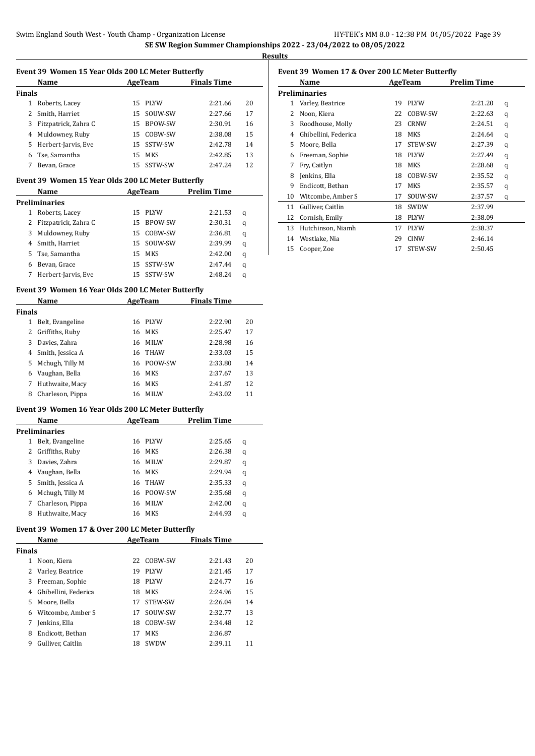$\overline{a}$ 

l,

**Results**

|        | Name                 | AgeTeam |            | <b>Finals Time</b> |    |
|--------|----------------------|---------|------------|--------------------|----|
| Finals |                      |         |            |                    |    |
|        | Roberts, Lacey       | 15.     | PLYW       | 2:21.66            | 20 |
|        | 2 Smith, Harriet     | 15      | SOUW-SW    | 2:27.66            | 17 |
| 3      | Fitzpatrick, Zahra C | 15      | BPOW-SW    | 2:30.91            | 16 |
| 4      | Muldowney, Ruby      | 15      | COBW-SW    | 2:38.08            | 15 |
| 5      | Herbert-Jarvis, Eve  |         | 15 SSTW-SW | 2:42.78            | 14 |
| 6      | Tse, Samantha        | 15      | <b>MKS</b> | 2:42.85            | 13 |
| 7      | Bevan, Grace         |         | 15 SSTW-SW | 2:47.24            | 12 |

#### **Event 39 Women 15 Year Olds 200 LC Meter Butterfly**

|    | Name                 | AgeTeam |                | <b>Prelim Time</b> |   |
|----|----------------------|---------|----------------|--------------------|---|
|    | <b>Preliminaries</b> |         |                |                    |   |
| 1  | Roberts, Lacey       | 15      | PLYW           | 2:21.53            | q |
| 2  | Fitzpatrick, Zahra C | 15      | <b>BPOW-SW</b> | 2:30.31            | q |
| 3  | Muldowney, Ruby      | 15      | COBW-SW        | 2:36.81            | q |
|    | 4 Smith, Harriet     | 15      | SOUW-SW        | 2:39.99            | q |
| 5. | Tse, Samantha        | 15      | MKS            | 2:42.00            | q |
| 6  | Bevan, Grace         | 15      | SSTW-SW        | 2:47.44            | q |
|    | Herbert-Jarvis, Eve  | 15      | SSTW-SW        | 2:48.24            | q |

#### **Event 39 Women 16 Year Olds 200 LC Meter Butterfly**

|        | Name                                               |    | AgeTeam     | <b>Finals Time</b> |    |  |
|--------|----------------------------------------------------|----|-------------|--------------------|----|--|
| Finals |                                                    |    |             |                    |    |  |
| 1      | Belt, Evangeline                                   | 16 | <b>PLYW</b> | 2:22.90            | 20 |  |
| 2      | Griffiths, Ruby                                    | 16 | <b>MKS</b>  | 2:25.47            | 17 |  |
| 3      | Davies, Zahra                                      | 16 | <b>MILW</b> | 2:28.98            | 16 |  |
| 4      | Smith, Jessica A                                   | 16 | <b>THAW</b> | 2:33.03            | 15 |  |
| 5      | Mchugh, Tilly M                                    | 16 | POOW-SW     | 2:33.80            | 14 |  |
| 6      | Vaughan, Bella                                     | 16 | <b>MKS</b>  | 2:37.67            | 13 |  |
| 7      | Huthwaite, Macy                                    | 16 | <b>MKS</b>  | 2:41.87            | 12 |  |
| 8      | Charleson, Pippa                                   | 16 | <b>MILW</b> | 2:43.02            | 11 |  |
|        | Event 39 Women 16 Year Olds 200 LC Meter Butterfly |    |             |                    |    |  |
|        | Name                                               |    | AgeTeam     | Prelim Time        |    |  |
|        | Preliminaries                                      |    |             |                    |    |  |
| 1      | Belt, Evangeline                                   | 16 | <b>PLYW</b> | 2:25.65            | q  |  |
| 2      | Griffiths, Ruby                                    | 16 | <b>MKS</b>  | 2:26.38            | q  |  |
| 3      | Davies, Zahra                                      | 16 | <b>MILW</b> | 2:29.87            | q  |  |
| 4      | Vaughan, Bella                                     | 16 | <b>MKS</b>  | 2:29.94            | q  |  |
| 5      | Smith, Jessica A                                   | 16 | <b>THAW</b> | 2:35.33            | q  |  |
| 6      | Mchugh, Tilly M                                    | 16 | POOW-SW     | 2:35.68            | q  |  |

### **Event 39 Women 17 & Over 200 LC Meter Butterfly**

| Name                 | AgeTeam |             | <b>Finals Time</b> |                                        |  |  |  |  |  |
|----------------------|---------|-------------|--------------------|----------------------------------------|--|--|--|--|--|
| <b>Finals</b>        |         |             |                    |                                        |  |  |  |  |  |
| Noon, Kiera          | 22      | COBW-SW     | 2:21.43            | 20                                     |  |  |  |  |  |
| 2 Varley, Beatrice   | 19      | <b>PIYW</b> | 2:21.45            | 17                                     |  |  |  |  |  |
| Freeman, Sophie      | 18      | <b>PIYW</b> | 2:24.77            | 16                                     |  |  |  |  |  |
| Ghibellini, Federica | 18      | MKS         | 2:24.96            | 15                                     |  |  |  |  |  |
| 5 Moore, Bella       | 17      | STEW-SW     | 2:26.04            | 14                                     |  |  |  |  |  |
| Witcombe, Amber S    | 17      | SOUW-SW     | 2:32.77            | 13                                     |  |  |  |  |  |
| Jenkins, Ella        | 18      | COBW-SW     | 2:34.48            | 12                                     |  |  |  |  |  |
| Endicott, Bethan     | 17      | <b>MKS</b>  | 2:36.87            |                                        |  |  |  |  |  |
| Gulliver, Caitlin    | 18      | <b>SWDW</b> | 2:39.11            | 11                                     |  |  |  |  |  |
|                      |         |             |                    | Homen 17 & 0101 200 Bo Fieter Butterin |  |  |  |  |  |

 Charleson, Pippa 16 MILW 2:42.00 q Huthwaite, Macy 16 MKS 2:44.93 q

### **Event 39 Women 17 & Over 200 LC Meter Butterfly**

| Name |                      |    | AgeTeam     | <b>Prelim Time</b> |   |
|------|----------------------|----|-------------|--------------------|---|
|      | Preliminaries        |    |             |                    |   |
| 1    | Varley, Beatrice     | 19 | <b>PLYW</b> | 2:21.20            | q |
| 2    | Noon, Kiera          | 22 | COBW-SW     | 2:22.63            | q |
| 3    | Roodhouse, Molly     | 23 | <b>CRNW</b> | 2:24.51            | q |
| 4    | Ghibellini, Federica | 18 | MKS         | 2:24.64            | q |
| 5    | Moore, Bella         | 17 | STEW-SW     | 2:27.39            | q |
| 6    | Freeman, Sophie      | 18 | <b>PLYW</b> | 2:27.49            | q |
| 7    | Fry, Caitlyn         | 18 | <b>MKS</b>  | 2:28.68            | q |
| 8    | Jenkins, Ella        | 18 | COBW-SW     | 2:35.52            | q |
| 9    | Endicott, Bethan     | 17 | MKS         | 2:35.57            | q |
| 10   | Witcombe, Amber S    | 17 | SOUW-SW     | 2:37.57            | q |
| 11   | Gulliver, Caitlin    | 18 | SWDW        | 2:37.99            |   |
| 12   | Cornish, Emily       | 18 | <b>PLYW</b> | 2:38.09            |   |
| 13   | Hutchinson, Niamh    | 17 | <b>PLYW</b> | 2:38.37            |   |
| 14   | Westlake, Nia        | 29 | <b>CINW</b> | 2:46.14            |   |
| 15   | Cooper, Zoe          | 17 | STEW-SW     | 2:50.45            |   |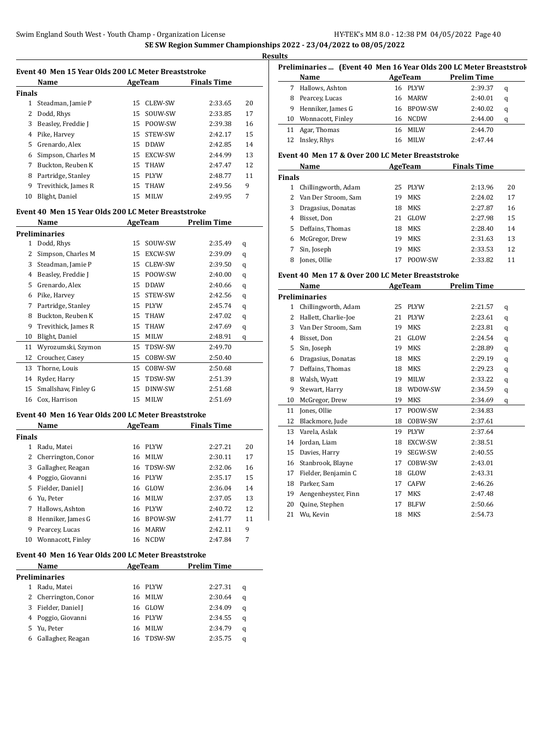l.

**Results**

|               | Event 40 Men 15 Year Olds 200 LC Meter Breaststroke |         |             |                    |    |  |  |  |  |
|---------------|-----------------------------------------------------|---------|-------------|--------------------|----|--|--|--|--|
|               | Name                                                | AgeTeam |             | <b>Finals Time</b> |    |  |  |  |  |
| <b>Finals</b> |                                                     |         |             |                    |    |  |  |  |  |
| 1             | Steadman, Jamie P                                   | 15      | CLEW-SW     | 2:33.65            | 20 |  |  |  |  |
|               | Dodd, Rhys                                          | 15      | SOUW-SW     | 2:33.85            | 17 |  |  |  |  |
| 3             | Beasley, Freddie J                                  | 15      | POOW-SW     | 2:39.38            | 16 |  |  |  |  |
| 4             | Pike, Harvey                                        | 15      | STEW-SW     | 2:42.17            | 15 |  |  |  |  |
| 5             | Grenardo, Alex                                      | 15      | <b>DDAW</b> | 2:42.85            | 14 |  |  |  |  |
| 6             | Simpson, Charles M                                  | 15      | EXCW-SW     | 2:44.99            | 13 |  |  |  |  |
| 7             | Buckton, Reuben K                                   | 15      | <b>THAW</b> | 2:47.47            | 12 |  |  |  |  |
| 8             | Partridge, Stanley                                  | 15      | <b>PLYW</b> | 2:48.77            | 11 |  |  |  |  |
| 9             | Trevithick, James R                                 | 15      | <b>THAW</b> | 2:49.56            | 9  |  |  |  |  |
| 10            | Blight, Daniel                                      | 15      | MILW        | 2:49.95            | 7  |  |  |  |  |

#### **Event 40 Men 15 Year Olds 200 LC Meter Breaststroke**

|    | Name                 |    | AgeTeam        | <b>Prelim Time</b> |   |
|----|----------------------|----|----------------|--------------------|---|
|    | <b>Preliminaries</b> |    |                |                    |   |
| 1  | Dodd, Rhys           | 15 | SOUW-SW        | 2:35.49            | q |
| 2  | Simpson, Charles M   | 15 | <b>EXCW-SW</b> | 2:39.09            | q |
| 3  | Steadman, Jamie P    | 15 | CLEW-SW        | 2:39.50            | q |
| 4  | Beasley, Freddie J   | 15 | POOW-SW        | 2:40.00            | q |
| 5  | Grenardo, Alex       | 15 | <b>DDAW</b>    | 2:40.66            | q |
| 6  | Pike, Harvey         | 15 | STEW-SW        | 2:42.56            | q |
| 7  | Partridge, Stanley   | 15 | <b>PLYW</b>    | 2:45.74            | q |
| 8  | Buckton, Reuben K    | 15 | <b>THAW</b>    | 2:47.02            | q |
| 9  | Trevithick, James R  | 15 | <b>THAW</b>    | 2:47.69            | q |
| 10 | Blight, Daniel       | 15 | <b>MILW</b>    | 2:48.91            | q |
| 11 | Wyrozumski, Szymon   | 15 | TDSW-SW        | 2:49.70            |   |
| 12 | Croucher, Casey      | 15 | COBW-SW        | 2:50.40            |   |
| 13 | Thorne, Louis        | 15 | COBW-SW        | 2:50.68            |   |
| 14 | Ryder, Harry         | 15 | TDSW-SW        | 2:51.39            |   |
| 15 | Smallshaw, Finley G  | 15 | DINW-SW        | 2:51.68            |   |
| 16 | Cox, Harrison        | 15 | <b>MILW</b>    | 2:51.69            |   |

#### **Event 40 Men 16 Year Olds 200 LC Meter Breaststroke**

|               | Name               |    | AgeTeam     | <b>Finals Time</b> |    |
|---------------|--------------------|----|-------------|--------------------|----|
| <b>Finals</b> |                    |    |             |                    |    |
| 1             | Radu, Matei        | 16 | <b>PLYW</b> | 2:27.21            | 20 |
|               | Cherrington, Conor | 16 | <b>MILW</b> | 2:30.11            | 17 |
| 3             | Gallagher, Reagan  | 16 | TDSW-SW     | 2:32.06            | 16 |
| 4             | Poggio, Giovanni   | 16 | <b>PLYW</b> | 2:35.17            | 15 |
| 5.            | Fielder, Daniel J  | 16 | GLOW        | 2:36.04            | 14 |
| 6             | Yu. Peter          | 16 | <b>MILW</b> | 2:37.05            | 13 |
| 7             | Hallows, Ashton    | 16 | <b>PLYW</b> | 2:40.72            | 12 |
| 8             | Henniker, James G  | 16 | BPOW-SW     | 2:41.77            | 11 |
| 9             | Pearcey, Lucas     | 16 | <b>MARW</b> | 2:42.11            | 9  |
| 10            | Wonnacott, Finley  | 16 | <b>NCDW</b> | 2:47.84            | 7  |
|               |                    |    |             |                    |    |

### **Event 40 Men 16 Year Olds 200 LC Meter Breaststroke**

| Name |                      |     | AgeTeam        | <b>Prelim Time</b> |   |
|------|----------------------|-----|----------------|--------------------|---|
|      | <b>Preliminaries</b> |     |                |                    |   |
|      | Radu, Matei          | 16. | PLYW           | 2:27.31            | q |
|      | 2 Cherrington, Conor | 16  | MILW           | 2:30.64            | q |
|      | 3 Fielder, Daniel J  | 16  | GLOW           | 2:34.09            | q |
|      | 4 Poggio, Giovanni   | 16  | PLYW           | 2:34.55            | q |
|      | 5 Yu, Peter          | 16  | <b>MILW</b>    | 2:34.79            | q |
| 6    | Gallagher, Reagan    | 16  | <b>TDSW-SW</b> | 2:35.75            | a |

| Preliminaries  (Event 40 Men 16 Year Olds 200 LC Meter Breaststrol |         |             |                    |   |  |  |  |
|--------------------------------------------------------------------|---------|-------------|--------------------|---|--|--|--|
| Name                                                               | AgeTeam |             | <b>Prelim Time</b> |   |  |  |  |
| Hallows, Ashton                                                    |         |             | 2:39.37            | q |  |  |  |
| Pearcey, Lucas                                                     | 16      | <b>MARW</b> | 2:40.01            | q |  |  |  |
| Henniker, James G                                                  | 16.     |             | 2:40.02            | q |  |  |  |
| Wonnacott, Finley                                                  | 16      | <b>NCDW</b> | 2:44.00            | q |  |  |  |
| Agar, Thomas                                                       | 16      | <b>MILW</b> | 2:44.70            |   |  |  |  |
| Insley, Rhys                                                       | 16      | <b>MILW</b> | 2:47.44            |   |  |  |  |
|                                                                    |         |             | 16 PLYW<br>BPOW-SW |   |  |  |  |

#### **Event 40 Men 17 & Over 200 LC Meter Breaststroke**

| Name          |                       |    | AgeTeam | <b>Finals Time</b> |    |
|---------------|-----------------------|----|---------|--------------------|----|
| <b>Finals</b> |                       |    |         |                    |    |
| 1             | Chillingworth, Adam   | 25 | PLYW    | 2:13.96            | 20 |
|               | 2 Van Der Stroom, Sam | 19 | MKS     | 2:24.02            | 17 |
| 3.            | Dragasius, Donatas    | 18 | MKS     | 2:27.87            | 16 |
| 4             | Bisset, Don           | 21 | GLOW    | 2:27.98            | 15 |
| 5.            | Deffains, Thomas      | 18 | MKS     | 2:28.40            | 14 |
| 6             | McGregor, Drew        | 19 | MKS     | 2:31.63            | 13 |
|               | Sin, Joseph           | 19 | MKS     | 2:33.53            | 12 |
| 8             | Jones, Ollie          | 17 | POOW-SW | 2:33.82            | 11 |

#### **Event 40 Men 17 & Over 200 LC Meter Breaststroke**

|    | Name                 | <b>AgeTeam</b> |             | <b>Prelim Time</b> |   |
|----|----------------------|----------------|-------------|--------------------|---|
|    | Preliminaries        |                |             |                    |   |
| 1  | Chillingworth, Adam  | 25             | <b>PLYW</b> | 2:21.57            | q |
| 2  | Hallett, Charlie-Joe | 21             | <b>PLYW</b> | 2:23.61            | q |
| 3  | Van Der Stroom, Sam  | 19             | <b>MKS</b>  | 2:23.81            | q |
| 4  | Bisset, Don          | 21             | GLOW        | 2:24.54            | q |
| 5  | Sin, Joseph          | 19             | <b>MKS</b>  | 2:28.89            | q |
| 6  | Dragasius, Donatas   | 18             | <b>MKS</b>  | 2:29.19            | q |
| 7  | Deffains, Thomas     | 18             | <b>MKS</b>  | 2:29.23            | q |
| 8  | Walsh, Wyatt         | 19             | <b>MILW</b> | 2:33.22            | q |
| 9  | Stewart, Harry       | 18             | WDOW-SW     | 2:34.59            | q |
| 10 | McGregor, Drew       | 19             | <b>MKS</b>  | 2:34.69            | q |
| 11 | Jones, Ollie         | 17             | POOW-SW     | 2:34.83            |   |
| 12 | Blackmore, Jude      | 18             | COBW-SW     | 2:37.61            |   |
| 13 | Varela, Aslak        | 19             | <b>PLYW</b> | 2:37.64            |   |
| 14 | Jordan, Liam         | 18             | EXCW-SW     | 2:38.51            |   |
| 15 | Davies, Harry        | 19             | SEGW-SW     | 2:40.55            |   |
| 16 | Stanbrook, Blayne    | 17             | COBW-SW     | 2:43.01            |   |
| 17 | Fielder, Benjamin C  | 18             | GLOW        | 2:43.31            |   |
| 18 | Parker, Sam          | 17             | <b>CAFW</b> | 2:46.26            |   |
| 19 | Aengenheyster, Finn  | 17             | <b>MKS</b>  | 2:47.48            |   |
| 20 | Quine, Stephen       | 17             | <b>BLFW</b> | 2:50.66            |   |
| 21 | Wu, Kevin            | 18             | <b>MKS</b>  | 2:54.73            |   |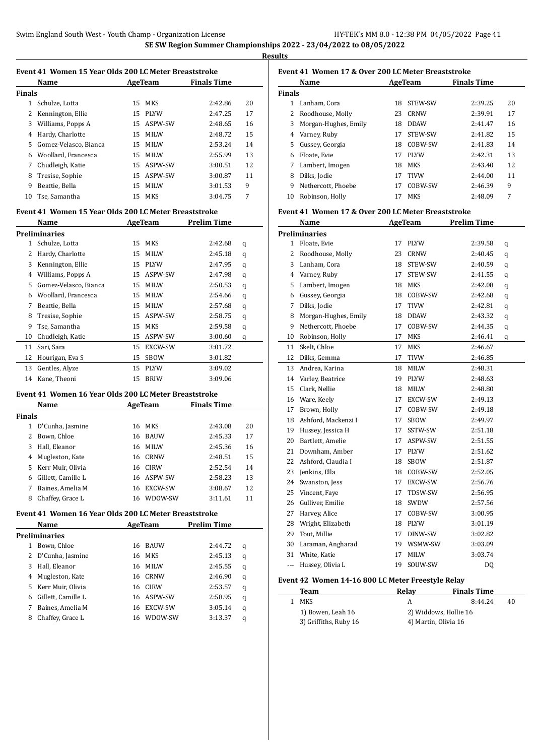**Results**

| Event 41 Women 15 Year Olds 200 LC Meter Breaststroke |                       |     |             |                    |    |  |  |  |  |
|-------------------------------------------------------|-----------------------|-----|-------------|--------------------|----|--|--|--|--|
|                                                       | Name                  |     | AgeTeam     | <b>Finals Time</b> |    |  |  |  |  |
| Finals                                                |                       |     |             |                    |    |  |  |  |  |
| 1                                                     | Schulze, Lotta        | 15  | MKS         | 2:42.86            | 20 |  |  |  |  |
| 2                                                     | Kennington, Ellie     | 15  | <b>PLYW</b> | 2:47.25            | 17 |  |  |  |  |
| 3                                                     | Williams, Popps A     | 15. | ASPW-SW     | 2:48.65            | 16 |  |  |  |  |
| 4                                                     | Hardy, Charlotte      | 15  | <b>MILW</b> | 2:48.72            | 15 |  |  |  |  |
| 5.                                                    | Gomez-Velasco, Bianca | 15. | MILW        | 2:53.24            | 14 |  |  |  |  |
| 6                                                     | Woollard, Francesca   | 15  | MILW        | 2:55.99            | 13 |  |  |  |  |
| 7                                                     | Chudleigh, Katie      | 15  | ASPW-SW     | 3:00.51            | 12 |  |  |  |  |
| 8                                                     | Tresise, Sophie       | 15  | ASPW-SW     | 3:00.87            | 11 |  |  |  |  |
| 9                                                     | Beattie, Bella        | 15  | <b>MILW</b> | 3:01.53            | 9  |  |  |  |  |
| 10                                                    | Tse, Samantha         | 15  | MKS         | 3:04.75            | 7  |  |  |  |  |

#### **Event 41 Women 15 Year Olds 200 LC Meter Breaststroke**

|              | Name                  | AgeTeam |                | <b>Prelim Time</b> |   |
|--------------|-----------------------|---------|----------------|--------------------|---|
|              | <b>Preliminaries</b>  |         |                |                    |   |
| $\mathbf{1}$ | Schulze, Lotta        | 15      | <b>MKS</b>     | 2:42.68            | q |
| 2            | Hardy, Charlotte      | 15      | <b>MILW</b>    | 2:45.18            | q |
| 3            | Kennington, Ellie     | 15      | <b>PLYW</b>    | 2:47.95            | q |
| 4            | Williams, Popps A     | 15      | ASPW-SW        | 2:47.98            | q |
| 5            | Gomez-Velasco, Bianca | 15      | <b>MILW</b>    | 2:50.53            | q |
| 6            | Woollard, Francesca   | 15      | <b>MILW</b>    | 2:54.66            | q |
| 7            | Beattie, Bella        | 15      | <b>MILW</b>    | 2:57.68            | q |
| 8            | Tresise, Sophie       | 15      | ASPW-SW        | 2:58.75            | q |
| 9            | Tse, Samantha         | 15      | <b>MKS</b>     | 2:59.58            | q |
| 10           | Chudleigh, Katie      | 15      | ASPW-SW        | 3:00.60            | q |
| 11           | Sari, Sara            | 15      | <b>EXCW-SW</b> | 3:01.72            |   |
| 12           | Hourigan, Eva S       | 15      | <b>SBOW</b>    | 3:01.82            |   |
| 13           | Gentles, Alyze        | 15      | <b>PLYW</b>    | 3:09.02            |   |
| 14           | Kane, Theoni          | 15      | <b>BRIW</b>    | 3:09.06            |   |

#### **Event 41 Women 16 Year Olds 200 LC Meter Breaststroke**

|               | Name               | AgeTeam |                | <b>Finals Time</b> |    |  |
|---------------|--------------------|---------|----------------|--------------------|----|--|
| <b>Finals</b> |                    |         |                |                    |    |  |
|               | D'Cunha, Jasmine   | 16      | MKS            | 2:43.08            | 20 |  |
|               | Bown, Chloe        | 16      | <b>BAUW</b>    | 2:45.33            | 17 |  |
| 3             | Hall, Eleanor      | 16      | <b>MILW</b>    | 2:45.36            | 16 |  |
| 4             | Mugleston, Kate    | 16      | CRNW           | 2:48.51            | 15 |  |
| 5.            | Kerr Muir, Olivia  | 16      | <b>CIRW</b>    | 2:52.54            | 14 |  |
| 6             | Gillett, Camille L |         | 16 ASPW-SW     | 2:58.23            | 13 |  |
|               | Baines, Amelia M   | 16      | <b>EXCW-SW</b> | 3:08.67            | 12 |  |
| 8             | Chaffey, Grace L   | 16      | WDOW-SW        | 3:11.61            | 11 |  |
|               |                    |         |                |                    |    |  |

#### **Event 41 Women 16 Year Olds 200 LC Meter Breaststroke**

|    | Name               | AgeTeam |             | <b>Prelim Time</b> |   |
|----|--------------------|---------|-------------|--------------------|---|
|    | Preliminaries      |         |             |                    |   |
|    | Bown, Chloe        | 16      | <b>BAUW</b> | 2:44.72            | q |
| 2  | D'Cunha, Jasmine   | 16      | MKS         | 2:45.13            | q |
| 3  | Hall, Eleanor      | 16      | MILW        | 2:45.55            | q |
| 4  | Mugleston, Kate    | 16      | CRNW        | 2:46.90            | q |
| 5. | Kerr Muir, Olivia  | 16      | <b>CIRW</b> | 2:53.57            | q |
| 6  | Gillett, Camille L | 16      | ASPW-SW     | 2:58.95            | q |
|    | Baines, Amelia M   | 16      | EXCW-SW     | 3:05.14            | q |
| 8  | Chaffey, Grace L   | 16      | WDOW-SW     | 3:13.37            | q |
|    |                    |         |             |                    |   |

### **Event 41 Women 17 & Over 200 LC Meter Breaststroke**

| Name          |                      |    | AgeTeam        | <b>Finals Time</b> |    |
|---------------|----------------------|----|----------------|--------------------|----|
| <b>Finals</b> |                      |    |                |                    |    |
| 1             | Lanham, Cora         | 18 | <b>STEW-SW</b> | 2:39.25            | 20 |
|               | Roodhouse, Molly     | 23 | CRNW           | 2:39.91            | 17 |
| 3             | Morgan-Hughes, Emily | 18 | <b>DDAW</b>    | 2:41.47            | 16 |
| 4             | Varney, Ruby         | 17 | <b>STEW-SW</b> | 2:41.82            | 15 |
| 5.            | Gussey, Georgia      | 18 | COBW-SW        | 2:41.83            | 14 |
| 6             | Floate, Evie         | 17 | <b>PLYW</b>    | 2:42.31            | 13 |
|               | Lambert, Imogen      | 18 | MKS            | 2:43.40            | 12 |
| 8             | Dilks, Jodie         | 17 | <b>TIVW</b>    | 2:44.00            | 11 |
| 9             | Nethercott, Phoebe   | 17 | COBW-SW        | 2:46.39            | 9  |
| 10            | Robinson, Holly      |    | MKS            | 2:48.09            | 7  |

#### **Event 41 Women 17 & Over 200 LC Meter Breaststroke**

|     | <b>Name</b>          |    | <b>AgeTeam</b> | <b>Prelim Time</b> |   |  |
|-----|----------------------|----|----------------|--------------------|---|--|
|     | <b>Preliminaries</b> |    |                |                    |   |  |
| 1   | Floate, Evie         | 17 | PLYW           | 2:39.58            | q |  |
| 2   | Roodhouse, Molly     | 23 | CRNW           | 2:40.45            | q |  |
| 3   | Lanham, Cora         | 18 | STEW-SW        | 2:40.59            | q |  |
| 4   | Varney, Ruby         | 17 | STEW-SW        | 2:41.55            | q |  |
| 5   | Lambert, Imogen      | 18 | <b>MKS</b>     | 2:42.08            | q |  |
| 6   | Gussey, Georgia      | 18 | COBW-SW        | 2:42.68            | q |  |
| 7   | Dilks, Jodie         | 17 | <b>TIVW</b>    | 2:42.81            | q |  |
| 8   | Morgan-Hughes, Emily | 18 | <b>DDAW</b>    | 2:43.32            | q |  |
| 9   | Nethercott, Phoebe   | 17 | COBW-SW        | 2:44.35            | q |  |
| 10  | Robinson, Holly      | 17 | MKS            | 2:46.41            | q |  |
| 11  | Skelt, Chloe         | 17 | MKS            | 2:46.67            |   |  |
| 12  | Dilks, Gemma         | 17 | TIVW           | 2:46.85            |   |  |
| 13  | Andrea, Karina       | 18 | MILW           | 2:48.31            |   |  |
| 14  | Varley, Beatrice     | 19 | PLYW           | 2:48.63            |   |  |
| 15  | Clark, Nellie        | 18 | <b>MILW</b>    | 2:48.80            |   |  |
| 16  | Ware, Keely          | 17 | EXCW-SW        | 2:49.13            |   |  |
| 17  | Brown, Holly         | 17 | COBW-SW        | 2:49.18            |   |  |
| 18  | Ashford, Mackenzi I  | 17 | SBOW           | 2:49.97            |   |  |
| 19  | Hussey, Jessica H    | 17 | SSTW-SW        | 2:51.18            |   |  |
| 20  | Bartlett, Amelie     | 17 | ASPW-SW        | 2:51.55            |   |  |
| 21  | Downham, Amber       | 17 | PLYW           | 2:51.62            |   |  |
| 22  | Ashford, Claudia I   | 18 | SBOW           | 2:51.87            |   |  |
| 23  | Jenkins, Ella        | 18 | COBW-SW        | 2:52.05            |   |  |
| 24  | Swanston, Jess       | 17 | EXCW-SW        | 2:56.76            |   |  |
| 25  | Vincent, Faye        | 17 | TDSW-SW        | 2:56.95            |   |  |
| 26  | Gulliver, Emilie     | 18 | SWDW           | 2:57.56            |   |  |
| 27  | Harvey, Alice        | 17 | COBW-SW        | 3:00.95            |   |  |
| 28  | Wright, Elizabeth    | 18 | PLYW           | 3:01.19            |   |  |
| 29  | Tout, Millie         | 17 | DINW-SW        | 3:02.82            |   |  |
| 30  | Laraman, Angharad    | 19 | WSMW-SW        | 3:03.09            |   |  |
| 31  | White, Katie         | 17 | <b>MILW</b>    | 3:03.74            |   |  |
| --- | Hussey, Olivia L     | 19 | SOUW-SW        | DQ                 |   |  |

#### **Event 42 Women 14-16 800 LC Meter Freestyle Relay**

 $\overline{a}$ 

| Team                  | Relav                 | <b>Finals Time</b>   |    |  |
|-----------------------|-----------------------|----------------------|----|--|
| MKS                   | А                     | 8:44.24              | 40 |  |
| 1) Bowen, Leah 16     | 2) Widdows, Hollie 16 |                      |    |  |
| 3) Griffiths, Ruby 16 |                       | 4) Martin, Olivia 16 |    |  |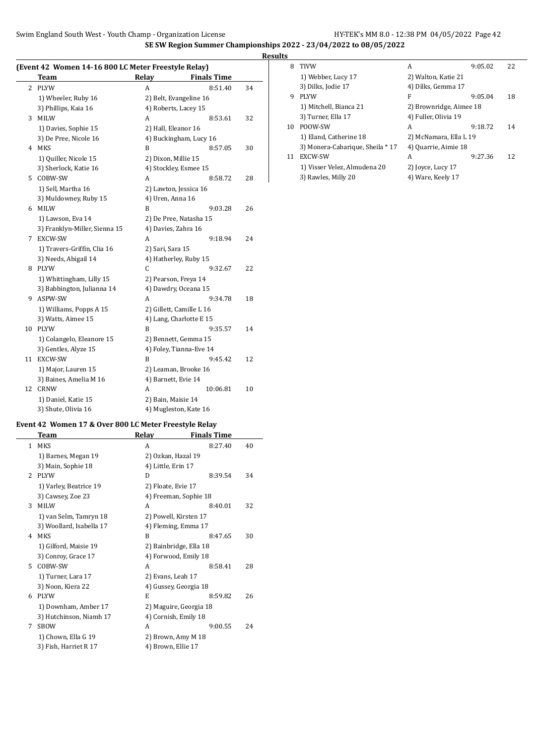**SE SW Region Summer Championships 2022 - 23/04/2022 to 08/05/2022**

## **(Event 42 Women 14-16 800 LC Meter Freestyle Relay)**

|    | <b>Team</b>                   | 01 110000 RUMJ J<br>Relay | <b>Finals Time</b>     |    |
|----|-------------------------------|---------------------------|------------------------|----|
| 2  | <b>PLYW</b>                   | A                         | 8:51.40                | 34 |
|    | 1) Wheeler, Ruby 16           | 2) Belt, Evangeline 16    |                        |    |
|    | 3) Phillips, Kaia 16          | 4) Roberts, Lacey 15      |                        |    |
| 3  | MILW                          | A                         | 8:53.61                | 32 |
|    | 1) Davies, Sophie 15          | 2) Hall, Eleanor 16       |                        |    |
|    | 3) De Pree, Nicole 16         |                           | 4) Buckingham, Lucy 16 |    |
| 4  | <b>MKS</b>                    | B                         | 8:57.05                | 30 |
|    | 1) Quiller, Nicole 15         | 2) Dixon, Millie 15       |                        |    |
|    | 3) Sherlock, Katie 16         | 4) Stockley, Esmee 15     |                        |    |
| 5  | COBW-SW                       | A                         | 8:58.72                | 28 |
|    | 1) Sell, Martha 16            | 2) Lawton, Jessica 16     |                        |    |
|    | 3) Muldowney, Ruby 15         | 4) Uren, Anna 16          |                        |    |
| 6  | <b>MILW</b>                   | B                         | 9:03.28                | 26 |
|    | 1) Lawson, Eva 14             | 2) De Pree, Natasha 15    |                        |    |
|    | 3) Franklyn-Miller, Sienna 15 | 4) Davies, Zahra 16       |                        |    |
| 7  | <b>EXCW-SW</b>                | A                         | 9:18.94                | 24 |
|    | 1) Travers-Griffin, Clia 16   | 2) Sari, Sara 15          |                        |    |
|    | 3) Needs, Abigail 14          | 4) Hatherley, Ruby 15     |                        |    |
| 8  | <b>PLYW</b>                   | C                         | 9:32.67                | 22 |
|    | 1) Whittingham, Lilly 15      | 2) Pearson, Freya 14      |                        |    |
|    | 3) Babbington, Julianna 14    | 4) Dawdry, Oceana 15      |                        |    |
| 9  | ASPW-SW                       | A                         | 9:34.78                | 18 |
|    | 1) Williams, Popps A 15       | 2) Gillett, Camille L 16  |                        |    |
|    | 3) Watts, Aimee 15            | 4) Lang, Charlotte E 15   |                        |    |
| 10 | <b>PLYW</b>                   | B                         | 9:35.57                | 14 |
|    | 1) Colangelo, Eleanore 15     | 2) Bennett, Gemma 15      |                        |    |
|    | 3) Gentles, Alyze 15          | 4) Foley, Tianna-Eve 14   |                        |    |
| 11 | EXCW-SW                       | B                         | 9:45.42                | 12 |
|    | 1) Major, Lauren 15           | 2) Leaman, Brooke 16      |                        |    |
|    | 3) Baines, Amelia M 16        | 4) Barnett, Evie 14       |                        |    |
| 12 | <b>CRNW</b>                   | A                         | 10:06.81               | 10 |
|    | 1) Daniel, Katie 15           | 2) Bain, Maisie 14        |                        |    |
|    | 3) Shute, Olivia 16           | 4) Mugleston, Kate 16     |                        |    |

|               | <b>Team</b>              | Relay                  | <b>Finals Time</b> |    |
|---------------|--------------------------|------------------------|--------------------|----|
| 1             | <b>MKS</b>               | A                      | 8:27.40            | 40 |
|               | 1) Barnes, Megan 19      | 2) Ozkan, Hazal 19     |                    |    |
|               | 3) Main, Sophie 18       | 4) Little, Erin 17     |                    |    |
| $\mathcal{L}$ | <b>PLYW</b>              | D                      | 8:39.54            | 34 |
|               | 1) Varley, Beatrice 19   | 2) Floate, Evie 17     |                    |    |
|               | 3) Cawsey, Zoe 23        | 4) Freeman, Sophie 18  |                    |    |
| 3             | <b>MILW</b>              | A                      | 8:40.01            | 32 |
|               | 1) van Selm, Tamryn 18   | 2) Powell, Kirsten 17  |                    |    |
|               | 3) Woollard, Isabella 17 | 4) Fleming, Emma 17    |                    |    |
| 4             | <b>MKS</b>               | B                      | 8:47.65            | 30 |
|               | 1) Gilford, Maisie 19    | 2) Bainbridge, Ella 18 |                    |    |
|               | 3) Conroy, Grace 17      | 4) Forwood, Emily 18   |                    |    |
| 5.            | COBW-SW                  | A                      | 8:58.41            | 28 |
|               | 1) Turner, Lara 17       | 2) Evans, Leah 17      |                    |    |
|               | 3) Noon, Kiera 22        | 4) Gussey, Georgia 18  |                    |    |
| 6             | <b>PLYW</b>              | E                      | 8:59.82            | 26 |
|               | 1) Downham, Amber 17     | 2) Maguire, Georgia 18 |                    |    |
|               | 3) Hutchinson, Niamh 17  | 4) Cornish, Emily 18   |                    |    |
| 7             | <b>SBOW</b>              | A                      | 9:00.55            | 24 |
|               | 1) Chown, Ella G 19      | 2) Brown, Amy M 18     |                    |    |
|               | 3) Fish, Harriet R 17    | 4) Brown, Ellie 17     |                    |    |

| <b>Results</b> |                                  |                         |         |    |
|----------------|----------------------------------|-------------------------|---------|----|
| 8              | <b>TIVW</b>                      | A                       | 9:05.02 | 22 |
|                | 1) Webber, Lucy 17               | 2) Walton, Katie 21     |         |    |
|                | 3) Dilks, Jodie 17               | 4) Dilks, Gemma 17      |         |    |
| 9              | <b>PLYW</b>                      | F                       | 9:05.04 | 18 |
|                | 1) Mitchell, Bianca 21           | 2) Brownridge, Aimee 18 |         |    |
|                | 3) Turner, Ella 17               | 4) Fuller, Olivia 19    |         |    |
| 10             | POOW-SW                          | A                       | 9:18.72 | 14 |
|                | 1) Eland, Catherine 18           | 2) McNamara, Ella L 19  |         |    |
|                | 3) Monera-Cabarique, Sheila * 17 | 4) Quarrie, Aimie 18    |         |    |
| 11             | EXCW-SW                          | A                       | 9:27.36 | 12 |
|                | 1) Visser Velez, Almudena 20     | 2) Joyce, Lucy 17       |         |    |
|                | 3) Rawles, Milly 20              | 4) Ware, Keely 17       |         |    |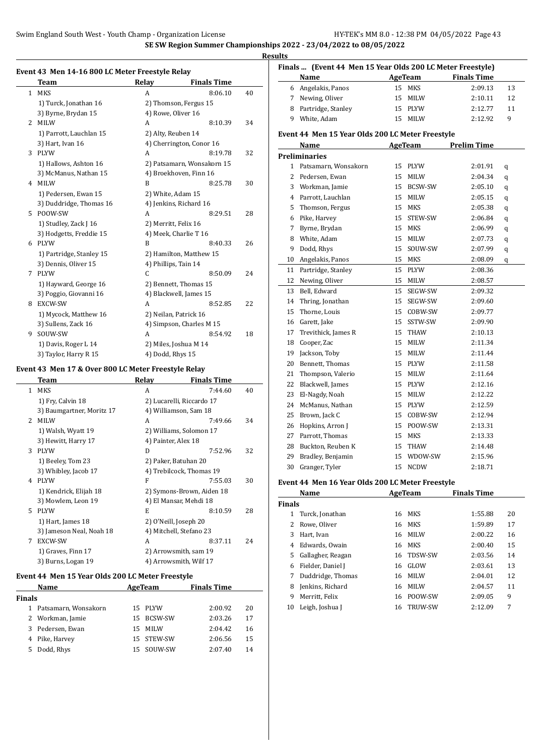### **SE SW Region Summer Championships 2022 - 23/04/2022 to 08/05/2022**

### **Results**

#### **Event 43 Men 14-16 800 LC Meter Freestyle Relay**

|              | Team                     | Relay                  | <b>Finals Time</b>         |    |
|--------------|--------------------------|------------------------|----------------------------|----|
| $\mathbf{1}$ | <b>MKS</b>               | A                      | 8:06.10                    | 40 |
|              | 1) Turck, Jonathan 16    |                        | 2) Thomson, Fergus 15      |    |
|              | 3) Byrne, Brydan 15      | 4) Rowe, Oliver 16     |                            |    |
| 2            | <b>MILW</b>              | A                      | 8:10.39                    | 34 |
|              | 1) Parrott, Lauchlan 15  | 2) Alty, Reuben 14     |                            |    |
|              | 3) Hart, Ivan 16         |                        | 4) Cherrington, Conor 16   |    |
| 3            | <b>PLYW</b>              | A                      | 8:19.78                    | 32 |
|              | 1) Hallows, Ashton 16    |                        | 2) Patsamarn, Wonsakorn 15 |    |
|              | 3) McManus, Nathan 15    |                        | 4) Broekhoven, Finn 16     |    |
| 4            | <b>MILW</b>              | B                      | 8:25.78                    | 30 |
|              | 1) Pedersen, Ewan 15     | 2) White, Adam 15      |                            |    |
|              | 3) Duddridge, Thomas 16  | 4) Jenkins, Richard 16 |                            |    |
| 5.           | POOW-SW                  | A                      | 8:29.51                    | 28 |
|              | 1) Studley, Zack J 16    | 2) Merritt, Felix 16   |                            |    |
|              | 3) Hodgetts, Freddie 15  | 4) Meek, Charlie T 16  |                            |    |
| 6            | <b>PLYW</b>              | B                      | 8:40.33                    | 26 |
|              | 1) Partridge, Stanley 15 |                        | 2) Hamilton, Matthew 15    |    |
|              | 3) Dennis, Oliver 15     | 4) Phillips, Tain 14   |                            |    |
| 7            | <b>PLYW</b>              | C                      | 8:50.09                    | 24 |
|              | 1) Hayward, George 16    |                        | 2) Bennett, Thomas 15      |    |
|              | 3) Poggio, Giovanni 16   |                        | 4) Blackwell, James 15     |    |
| 8            | <b>EXCW-SW</b>           | A                      | 8:52.85                    | 22 |
|              | 1) Mycock, Matthew 16    | 2) Neilan, Patrick 16  |                            |    |
|              | 3) Sullens, Zack 16      |                        | 4) Simpson, Charles M 15   |    |
| 9            | SOUW-SW                  | A                      | 8:54.92                    | 18 |
|              | 1) Davis, Roger L 14     | 2) Miles, Joshua M 14  |                            |    |
|              | 3) Taylor, Harry R 15    | 4) Dodd, Rhys 15       |                            |    |

#### **Event 43 Men 17 & Over 800 LC Meter Freestyle Relay**

 $\overline{\phantom{0}}$ 

|               | Team                      | Relay                 | <b>Finals Time</b>        |    |
|---------------|---------------------------|-----------------------|---------------------------|----|
| 1             | <b>MKS</b>                | A                     | 7:44.60                   | 40 |
|               | 1) Fry, Calvin 18         |                       | 2) Lucarelli, Riccardo 17 |    |
|               | 3) Baumgartner, Moritz 17 |                       | 4) Williamson, Sam 18     |    |
| $\mathcal{L}$ | <b>MILW</b>               | A                     | 7:49.66                   | 34 |
|               | 1) Walsh, Wyatt 19        |                       | 2) Williams, Solomon 17   |    |
|               | 3) Hewitt, Harry 17       | 4) Painter, Alex 18   |                           |    |
| 3             | <b>PLYW</b>               | D                     | 7:52.96                   | 32 |
|               | 1) Beeley, Tom 23         | 2) Paker, Batuhan 20  |                           |    |
|               | 3) Whibley, Jacob 17      |                       | 4) Trebilcock, Thomas 19  |    |
| 4             | <b>PLYW</b>               | F                     | 7:55.03                   | 30 |
|               | 1) Kendrick, Elijah 18    |                       | 2) Symons-Brown, Aiden 18 |    |
|               | 3) Mowlem, Leon 19        |                       | 4) El Mansar, Mehdi 18    |    |
| 5.            | <b>PLYW</b>               | E                     | 8:10.59                   | 28 |
|               | 1) Hart, James 18         | 2) O'Neill, Joseph 20 |                           |    |
|               | 3) Jameson Neal, Noah 18  |                       | 4) Mitchell, Stefano 23   |    |
| 7             | <b>EXCW-SW</b>            | A                     | 8:37.11                   | 24 |
|               | 1) Graves, Finn 17        |                       | 2) Arrowsmith, sam 19     |    |
|               | 3) Burns, Logan 19        |                       | 4) Arrowsmith, Wilf 17    |    |

### **Event 44 Men 15 Year Olds 200 LC Meter Freestyle**

| Name          |                      | AgeTeam |            | <b>Finals Time</b> |    |
|---------------|----------------------|---------|------------|--------------------|----|
| <b>Finals</b> |                      |         |            |                    |    |
| 1             | Patsamarn, Wonsakorn |         | 15 PLYW    | 2:00.92            | 20 |
|               | 2 Workman, Jamie     |         | 15 BCSW-SW | 2:03.26            | 17 |
| 3             | Pedersen, Ewan       | 15.     | MILW       | 2:04.42            | 16 |
| 4             | Pike, Harvey         |         | 15 STEW-SW | 2:06.56            | 15 |
| 5.            | Dodd, Rhys           |         | 15 SOUW-SW | 2:07.40            | 14 |

|    | Finals  (Event 44 Men 15 Year Olds 200 LC Meter Freestyle)<br>AgeTeam |    |                |                    |         |  |  |
|----|-----------------------------------------------------------------------|----|----------------|--------------------|---------|--|--|
|    | Name                                                                  |    |                | <b>Finals Time</b> |         |  |  |
| 6  | Angelakis, Panos                                                      | 15 | MKS            | 2:09.13            | 13      |  |  |
| 7  | Newing, Oliver                                                        | 15 | MILW           | 2:10.11            | 12      |  |  |
| 9  | 8 Partridge, Stanley<br>White, Adam                                   |    | 15 PLYW        | 2:12.77            | 11<br>9 |  |  |
|    |                                                                       |    | 15 MILW        | 2:12.92            |         |  |  |
|    | Event 44 Men 15 Year Olds 200 LC Meter Freestyle                      |    |                |                    |         |  |  |
|    | Name                                                                  |    | <b>AgeTeam</b> | <b>Prelim Time</b> |         |  |  |
|    | <b>Preliminaries</b>                                                  |    |                |                    |         |  |  |
|    | 1 Patsamarn, Wonsakorn                                                |    | 15 PLYW        | 2:01.91            | q       |  |  |
|    | 2 Pedersen, Ewan                                                      | 15 | MILW           | 2:04.34            | q       |  |  |
|    | 3 Workman, Jamie                                                      |    | 15 BCSW-SW     | 2:05.10            | q       |  |  |
|    | 4 Parrott, Lauchlan                                                   |    | 15 MILW        | 2:05.15            | q       |  |  |
| 5  | Thomson, Fergus                                                       |    | 15 MKS         | 2:05.38            | q       |  |  |
| 6  | Pike, Harvey                                                          | 15 | STEW-SW        | 2:06.84            | q       |  |  |
| 7  | Byrne, Brydan                                                         |    | 15 MKS         | 2:06.99            | q       |  |  |
| 8  | White, Adam                                                           | 15 | <b>MILW</b>    | 2:07.73            | q       |  |  |
| 9  | Dodd, Rhys                                                            | 15 | SOUW-SW        | 2:07.99            | q       |  |  |
| 10 | Angelakis, Panos                                                      | 15 | <b>MKS</b>     | 2:08.09            | q       |  |  |
| 11 | Partridge, Stanley                                                    |    | 15 PLYW        | 2:08.36            |         |  |  |
| 12 | Newing, Oliver                                                        |    | 15 MILW        | 2:08.57            |         |  |  |
| 13 | Bell, Edward                                                          |    | 15 SEGW-SW     | 2:09.32            |         |  |  |
| 14 | Thring, Jonathan                                                      | 15 | SEGW-SW        | 2:09.60            |         |  |  |
| 15 | Thorne, Louis                                                         |    | 15 COBW-SW     | 2:09.77            |         |  |  |
| 16 | Garett, Jake                                                          | 15 | SSTW-SW        | 2:09.90            |         |  |  |
| 17 | Trevithick, James R                                                   | 15 | THAW           | 2:10.13            |         |  |  |
| 18 | Cooper, Zac                                                           | 15 | <b>MILW</b>    | 2:11.34            |         |  |  |
| 19 | Jackson, Toby                                                         |    | 15 MILW        | 2:11.44            |         |  |  |
| 20 | Bennett, Thomas                                                       |    | 15 PLYW        | 2:11.58            |         |  |  |
| 21 | Thompson, Valerio                                                     |    | 15 MILW        | 2:11.64            |         |  |  |
| 22 | Blackwell, James                                                      |    | 15 PLYW        | 2:12.16            |         |  |  |
| 23 | El-Nagdy, Noah                                                        |    | 15 MILW        | 2:12.22            |         |  |  |
| 24 | McManus, Nathan                                                       |    | 15 PLYW        | 2:12.59            |         |  |  |
| 25 | Brown, Jack C                                                         | 15 | COBW-SW        | 2:12.94            |         |  |  |
| 26 | Hopkins, Arron J                                                      |    | 15 POOW-SW     | 2:13.31            |         |  |  |
| 27 | Parrott, Thomas                                                       |    | 15 MKS         | 2:13.33            |         |  |  |
| 28 | Buckton, Reuben K                                                     |    | 15 THAW        | 2:14.48            |         |  |  |
| 29 | Bradley, Benjamin                                                     |    | 15 WDOW-SW     | 2:15.96            |         |  |  |
| 30 | Granger, Tyler                                                        | 15 | <b>NCDW</b>    | 2:18.71            |         |  |  |

### **Event 44 Men 16 Year Olds 200 LC Meter Freestyle**

|               | Name              |    | AgeTeam        | <b>Finals Time</b> |    |
|---------------|-------------------|----|----------------|--------------------|----|
| <b>Finals</b> |                   |    |                |                    |    |
| 1             | Turck, Jonathan   | 16 | MKS            | 1:55.88            | 20 |
|               | Rowe, Oliver      | 16 | MKS            | 1:59.89            | 17 |
| 3             | Hart, Ivan        | 16 | <b>MILW</b>    | 2:00.22            | 16 |
| 4             | Edwards, Owain    | 16 | <b>MKS</b>     | 2:00.40            | 15 |
| 5.            | Gallagher, Reagan | 16 | <b>TDSW-SW</b> | 2:03.56            | 14 |
| 6             | Fielder, Daniel J | 16 | GLOW           | 2:03.61            | 13 |
| 7             | Duddridge, Thomas | 16 | <b>MILW</b>    | 2:04.01            | 12 |
| 8             | Jenkins, Richard  | 16 | <b>MILW</b>    | 2:04.57            | 11 |
| 9             | Merritt. Felix    | 16 | POOW-SW        | 2:09.05            | 9  |
| 10            | Leigh, Joshua J   | 16 | <b>TRUW-SW</b> | 2:12.09            | 7  |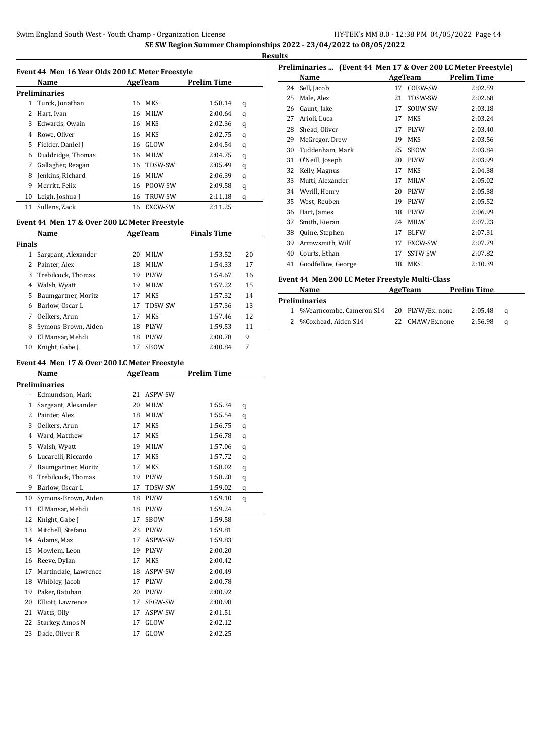|    |                                                  |    |                |                    | <b>Results</b> |
|----|--------------------------------------------------|----|----------------|--------------------|----------------|
|    | Event 44 Men 16 Year Olds 200 LC Meter Freestyle |    |                |                    | Pre            |
|    | Name                                             |    | AgeTeam        | <b>Prelim Time</b> |                |
|    | <b>Preliminaries</b>                             |    |                |                    |                |
|    | Turck, Jonathan                                  | 16 | MKS            | 1:58.14            | q              |
| 2  | Hart, Ivan                                       | 16 | MILW           | 2:00.64            | q              |
| 3  | Edwards, Owain                                   | 16 | MKS            | 2:02.36            | q              |
| 4  | Rowe, Oliver                                     | 16 | MKS            | 2:02.75            | q              |
| 5. | Fielder, Daniel J                                | 16 | GLOW           | 2:04.54            | q              |
| 6  | Duddridge, Thomas                                | 16 | MILW           | 2:04.75            | q              |
|    | Gallagher, Reagan                                | 16 | TDSW-SW        | 2:05.49            | q              |
| 8  | Jenkins, Richard                                 | 16 | <b>MILW</b>    | 2:06.39            | q              |
| 9  | Merritt, Felix                                   | 16 | POOW-SW        | 2:09.58            | q              |
| 10 | Leigh, Joshua J                                  | 16 | <b>TRUW-SW</b> | 2:11.18            | q              |
| 11 | Sullens, Zack                                    | 16 | <b>EXCW-SW</b> | 2:11.25            |                |

## **Event 44 Men 17 & Over 200 LC Meter Freestyle**

|        | Name                |    | AgeTeam        | <b>Finals Time</b> |    |  |
|--------|---------------------|----|----------------|--------------------|----|--|
| Finals |                     |    |                |                    |    |  |
| 1      | Sargeant, Alexander | 20 | <b>MILW</b>    | 1:53.52            | 20 |  |
| 2      | Painter, Alex       | 18 | <b>MILW</b>    | 1:54.33            | 17 |  |
| 3      | Trebilcock, Thomas  | 19 | <b>PLYW</b>    | 1:54.67            | 16 |  |
| 4      | Walsh, Wyatt        | 19 | <b>MILW</b>    | 1:57.22            | 15 |  |
| 5      | Baumgartner, Moritz | 17 | <b>MKS</b>     | 1:57.32            | 14 |  |
| 6      | Barlow, Oscar L     | 17 | <b>TDSW-SW</b> | 1:57.36            | 13 |  |
| 7      | Oelkers, Arun       | 17 | <b>MKS</b>     | 1:57.46            | 12 |  |
| 8      | Symons-Brown, Aiden | 18 | PLYW           | 1:59.53            | 11 |  |
| 9      | El Mansar, Mehdi    | 18 | <b>PIYW</b>    | 2:00.78            | 9  |  |
| 10     | Knight, Gabe J      | 17 | <b>SBOW</b>    | 2:00.84            | 7  |  |

#### **Event 44 Men 17 & Over 200 LC Meter Freestyle**

|              | Name                 | AgeTeam |             | <b>Prelim Time</b> |   |
|--------------|----------------------|---------|-------------|--------------------|---|
|              | <b>Preliminaries</b> |         |             |                    |   |
|              | Edmundson, Mark      | 21      | ASPW-SW     |                    |   |
| $\mathbf{1}$ | Sargeant, Alexander  | 20      | <b>MILW</b> | 1:55.34            | q |
| 2            | Painter, Alex        | 18      | MILW        | 1:55.54            | q |
| 3            | Oelkers, Arun        | 17      | <b>MKS</b>  | 1:56.75            | q |
| 4            | Ward, Matthew        | 17      | <b>MKS</b>  | 1:56.78            | q |
| 5            | Walsh, Wyatt         | 19      | <b>MILW</b> | 1:57.06            | q |
| 6            | Lucarelli, Riccardo  | 17      | <b>MKS</b>  | 1:57.72            | q |
| 7            | Baumgartner, Moritz  | 17      | <b>MKS</b>  | 1:58.02            | q |
| 8            | Trebilcock, Thomas   | 19      | PLYW        | 1:58.28            | q |
| 9            | Barlow, Oscar L      | 17      | TDSW-SW     | 1:59.02            | q |
| 10           | Symons-Brown, Aiden  | 18      | PLYW        | 1:59.10            | q |
| 11           | El Mansar, Mehdi     | 18      | <b>PLYW</b> | 1:59.24            |   |
| 12           | Knight, Gabe J       | 17      | <b>SBOW</b> | 1:59.58            |   |
| 13           | Mitchell, Stefano    | 23      | <b>PLYW</b> | 1:59.81            |   |
| 14           | Adams, Max           | 17      | ASPW-SW     | 1:59.83            |   |
| 15           | Mowlem, Leon         | 19      | <b>PLYW</b> | 2:00.20            |   |
| 16           | Reeve, Dylan         | 17      | <b>MKS</b>  | 2:00.42            |   |
| 17           | Martindale, Lawrence | 18      | ASPW-SW     | 2:00.49            |   |
| 18           | Whibley, Jacob       | 17      | <b>PLYW</b> | 2:00.78            |   |
| 19           | Paker, Batuhan       | 20      | <b>PLYW</b> | 2:00.92            |   |
| 20           | Elliott, Lawrence    | 17      | SEGW-SW     | 2:00.98            |   |
| 21           | Watts, Olly          | 17      | ASPW-SW     | 2:01.51            |   |
| 22           | Starkey, Amos N      | 17      | GLOW        | 2:02.12            |   |
| 23           | Dade, Oliver R       | 17      | GLOW        | 2:02.25            |   |

|    | Preliminaries  (Event 44 Men 17 & Over 200 LC Meter Freestyle) |    |             |                    |  |  |
|----|----------------------------------------------------------------|----|-------------|--------------------|--|--|
|    | Name                                                           |    | AgeTeam     | <b>Prelim Time</b> |  |  |
| 24 | Sell, Jacob                                                    | 17 | COBW-SW     | 2:02.59            |  |  |
| 25 | Male, Alex                                                     | 21 | TDSW-SW     | 2:02.68            |  |  |
| 26 | Gaunt, Jake                                                    | 17 | SOUW-SW     | 2:03.18            |  |  |
| 27 | Arioli, Luca                                                   | 17 | MKS         | 2:03.24            |  |  |
| 28 | Shead, Oliver                                                  | 17 | <b>PLYW</b> | 2:03.40            |  |  |
| 29 | McGregor, Drew                                                 | 19 | <b>MKS</b>  | 2:03.56            |  |  |
| 30 | Tuddenham, Mark                                                | 25 | SBOW        | 2:03.84            |  |  |
| 31 | O'Neill, Joseph                                                | 20 | <b>PLYW</b> | 2:03.99            |  |  |
| 32 | Kelly, Magnus                                                  | 17 | <b>MKS</b>  | 2:04.38            |  |  |
| 33 | Mufti, Alexander                                               | 17 | <b>MILW</b> | 2:05.02            |  |  |
| 34 | Wyrill, Henry                                                  | 20 | <b>PLYW</b> | 2:05.38            |  |  |
| 35 | West, Reuben                                                   | 19 | <b>PLYW</b> | 2:05.52            |  |  |
| 36 | Hart, James                                                    | 18 | <b>PLYW</b> | 2:06.99            |  |  |
| 37 | Smith, Kieran                                                  | 24 | <b>MILW</b> | 2:07.23            |  |  |
| 38 | Quine, Stephen                                                 | 17 | <b>BLFW</b> | 2:07.31            |  |  |
| 39 | Arrowsmith, Wilf                                               | 17 | EXCW-SW     | 2:07.79            |  |  |
| 40 | Courts, Ethan                                                  | 17 | SSTW-SW     | 2:07.82            |  |  |
| 41 | Goodfellow, George                                             | 18 | <b>MKS</b>  | 2:10.39            |  |  |
|    |                                                                |    |             |                    |  |  |

#### **Event 44 Men 200 LC Meter Freestyle Multi-Class**

| Name                       | AgeTeam          | <b>Prelim Time</b> |         |          |
|----------------------------|------------------|--------------------|---------|----------|
| Preliminaries              |                  |                    |         |          |
| 1 %Vearncombe, Cameron S14 | 20 PLYW/Ex. none |                    | 2:05.48 | a        |
| 2 %Coxhead, Aiden S14      | 22 CMAW/Ex.none  |                    | 2:56.98 | $\Omega$ |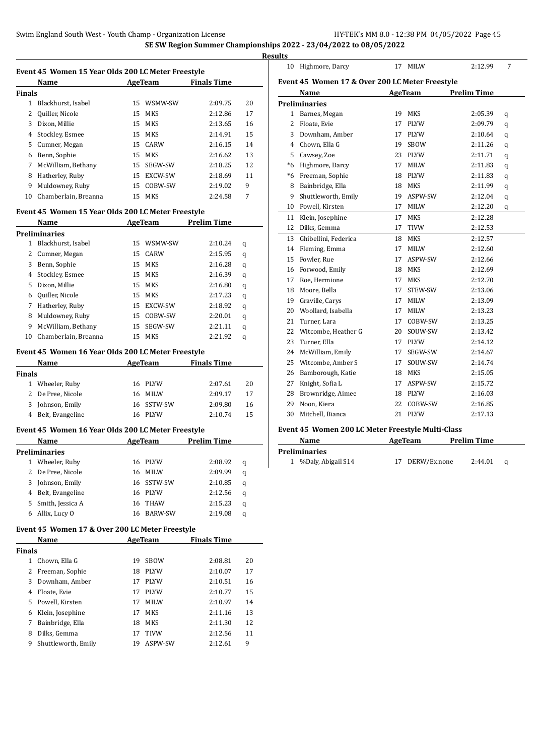| Event 45 Women 15 Year Olds 200 LC Meter Freestyle |         |                    |  |  |  |
|----------------------------------------------------|---------|--------------------|--|--|--|
| <b>Name</b>                                        | AgeTeam | <b>Finals Time</b> |  |  |  |

| <b>Finals</b> |                      |     |                |         |    |
|---------------|----------------------|-----|----------------|---------|----|
| 1             | Blackhurst. Isabel   | 15. | WSMW-SW        | 2:09.75 | 20 |
|               | Quiller, Nicole      | 15  | <b>MKS</b>     | 2:12.86 | 17 |
| 3             | Dixon, Millie        | 15  | MKS            | 2:13.65 | 16 |
| 4             | Stockley, Esmee      | 15  | <b>MKS</b>     | 2:14.91 | 15 |
| 5.            | Cumner, Megan        | 15. | CARW           | 2:16.15 | 14 |
| 6             | Benn, Sophie         | 15  | <b>MKS</b>     | 2:16.62 | 13 |
| 7             | McWilliam, Bethany   | 15  | <b>SEGW-SW</b> | 2:18.25 | 12 |
| 8             | Hatherley, Ruby      | 15  | EXCW-SW        | 2:18.69 | 11 |
| 9             | Muldowney, Ruby      | 15  | COBW-SW        | 2:19.02 | 9  |
| 10            | Chamberlain, Breanna | 15  | MKS            | 2:24.58 | 7  |

#### **Event 45 Women 15 Year Olds 200 LC Meter Freestyle**

|    | Name                 |    | AgeTeam        | <b>Prelim Time</b> |   |
|----|----------------------|----|----------------|--------------------|---|
|    | <b>Preliminaries</b> |    |                |                    |   |
| 1  | Blackhurst, Isabel   | 15 | WSMW-SW        | 2:10.24            | q |
|    | 2 Cumner, Megan      | 15 | CARW           | 2:15.95            | q |
| 3  | Benn, Sophie         | 15 | <b>MKS</b>     | 2:16.28            | q |
| 4  | Stockley, Esmee      | 15 | <b>MKS</b>     | 2:16.39            | q |
| 5. | Dixon, Millie        | 15 | <b>MKS</b>     | 2:16.80            | q |
| 6  | Quiller, Nicole      | 15 | <b>MKS</b>     | 2:17.23            | q |
| 7  | Hatherley, Ruby      | 15 | EXCW-SW        | 2:18.92            | q |
| 8  | Muldowney, Ruby      | 15 | COBW-SW        | 2:20.01            | q |
| 9  | McWilliam, Bethany   | 15 | <b>SEGW-SW</b> | 2:21.11            | q |
| 10 | Chamberlain, Breanna | 15 | MKS            | 2:21.92            | q |

#### **Event 45 Women 16 Year Olds 200 LC Meter Freestyle**

| Name          |                    | AgeTeam    | <b>Finals Time</b> |    |
|---------------|--------------------|------------|--------------------|----|
| <b>Finals</b> |                    |            |                    |    |
|               | 1 Wheeler, Ruby    | 16 PLYW    | 2:07.61            | 20 |
|               | 2 De Pree, Nicole  | 16 MILW    | 2:09.17            | 17 |
|               | 3 Johnson, Emily   | 16 SSTW-SW | 2:09.80            | 16 |
|               | 4 Belt, Evangeline | 16 PLYW    | 2:10.74            | 15 |

#### **Event 45 Women 16 Year Olds 200 LC Meter Freestyle**

| Name |                   | AgeTeam |                | <b>Prelim Time</b> |   |
|------|-------------------|---------|----------------|--------------------|---|
|      | Preliminaries     |         |                |                    |   |
|      | Wheeler, Ruby     |         | 16 PLYW        | 2:08.92            | q |
|      | 2 De Pree, Nicole | 16.     | MILW           | 2:09.99            | q |
| 3    | Johnson, Emily    |         | 16 SSTW-SW     | 2:10.85            | q |
| 4    | Belt, Evangeline  |         | 16 PLYW        | 2:12.56            | q |
| 5.   | Smith, Jessica A  | 16      | <b>THAW</b>    | 2:15.23            | q |
| 6    | Allix, Lucy O     | 16      | <b>BARW-SW</b> | 2:19.08            | q |

#### **Event 45 Women 17 & Over 200 LC Meter Freestyle**

|               | Name                |    | AgeTeam     | <b>Finals Time</b> |    |
|---------------|---------------------|----|-------------|--------------------|----|
| <b>Finals</b> |                     |    |             |                    |    |
| 1             | Chown, Ella G       | 19 | <b>SBOW</b> | 2:08.81            | 20 |
| 2             | Freeman, Sophie     | 18 | <b>PIYW</b> | 2:10.07            | 17 |
| 3             | Downham, Amber      | 17 | <b>PLYW</b> | 2:10.51            | 16 |
| 4             | Floate, Evie        | 17 | <b>PLYW</b> | 2:10.77            | 15 |
| 5.            | Powell, Kirsten     | 17 | <b>MILW</b> | 2:10.97            | 14 |
| 6             | Klein, Josephine    | 17 | MKS         | 2:11.16            | 13 |
| 7             | Bainbridge, Ella    | 18 | <b>MKS</b>  | 2:11.30            | 12 |
| 8             | Dilks. Gemma        | 17 | <b>TIVW</b> | 2:12.56            | 11 |
| 9             | Shuttleworth, Emily | 19 | ASPW-SW     | 2:12.61            | 9  |
|               |                     |    |             |                    |    |

| 10   | Highmore, Darcy                                 | 17 | <b>MILW</b> | 2:12.99            | 7 |  |
|------|-------------------------------------------------|----|-------------|--------------------|---|--|
|      | Event 45 Women 17 & Over 200 LC Meter Freestyle |    |             |                    |   |  |
|      | Name                                            |    | AgeTeam     | <b>Prelim Time</b> |   |  |
|      | <b>Preliminaries</b>                            |    |             |                    |   |  |
| 1    | Barnes, Megan                                   | 19 | <b>MKS</b>  | 2:05.39            | q |  |
| 2    | Floate, Evie                                    | 17 | <b>PLYW</b> | 2:09.79            | q |  |
| 3    | Downham, Amber                                  | 17 | <b>PLYW</b> | 2:10.64            | q |  |
| 4    | Chown, Ella G                                   | 19 | SBOW        | 2:11.26            | q |  |
| 5    | Cawsey, Zoe                                     | 23 | <b>PLYW</b> | 2:11.71            | q |  |
| $*6$ | Highmore, Darcy                                 | 17 | <b>MILW</b> | 2:11.83            | q |  |
| $*6$ | Freeman, Sophie                                 | 18 | PLYW        | 2:11.83            | q |  |
| 8    | Bainbridge, Ella                                |    | 18 MKS      | 2:11.99            | q |  |
| 9    | Shuttleworth, Emily                             |    | 19 ASPW-SW  | 2:12.04            | q |  |
| 10   | Powell, Kirsten                                 | 17 | <b>MILW</b> | 2:12.20            | q |  |
| 11   | Klein, Josephine                                | 17 | <b>MKS</b>  | 2:12.28            |   |  |
| 12   | Dilks, Gemma                                    | 17 | <b>TIVW</b> | 2:12.53            |   |  |
| 13   | Ghibellini, Federica                            | 18 | <b>MKS</b>  | 2:12.57            |   |  |
| 14   | Fleming, Emma                                   | 17 | <b>MILW</b> | 2:12.60            |   |  |
| 15   | Fowler, Rue                                     | 17 | ASPW-SW     | 2:12.66            |   |  |
| 16   | Forwood, Emily                                  | 18 | <b>MKS</b>  | 2:12.69            |   |  |
| 17   | Roe, Hermione                                   | 17 | <b>MKS</b>  | 2:12.70            |   |  |
| 18   | Moore, Bella                                    | 17 | STEW-SW     | 2:13.06            |   |  |
| 19   | Graville, Carys                                 | 17 | <b>MILW</b> | 2:13.09            |   |  |
| 20   | Woollard, Isabella                              | 17 | <b>MILW</b> | 2:13.23            |   |  |
| 21   | Turner, Lara                                    |    | 17 COBW-SW  | 2:13.25            |   |  |
| 22   | Witcombe, Heather G                             |    | 20 SOUW-SW  | 2:13.42            |   |  |
| 23   | Turner, Ella                                    | 17 | <b>PLYW</b> | 2:14.12            |   |  |
| 24   | McWilliam, Emily                                | 17 | SEGW-SW     | 2:14.67            |   |  |
| 25   | Witcombe, Amber S                               | 17 | SOUW-SW     | 2:14.74            |   |  |
| 26   | Bamborough, Katie                               | 18 | <b>MKS</b>  | 2:15.05            |   |  |
| 27   | Knight, Sofia L                                 | 17 | ASPW-SW     | 2:15.72            |   |  |
| 28   | Brownridge, Aimee                               |    | 18 PLYW     | 2:16.03            |   |  |
| 29   | Noon, Kiera                                     | 22 | COBW-SW     | 2:16.85            |   |  |
| 30   | Mitchell, Bianca                                | 21 | <b>PLYW</b> | 2:17.13            |   |  |
|      |                                                 |    |             |                    |   |  |

#### **Event 45 Women 200 LC Meter Freestyle Multi-Class**

| Name                 | AgeTeam         | <b>Prelim Time</b> |   |
|----------------------|-----------------|--------------------|---|
| <b>Preliminaries</b> |                 |                    |   |
| 1 %Daly, Abigail S14 | 17 DERW/Ex.none | 2:44.01            | a |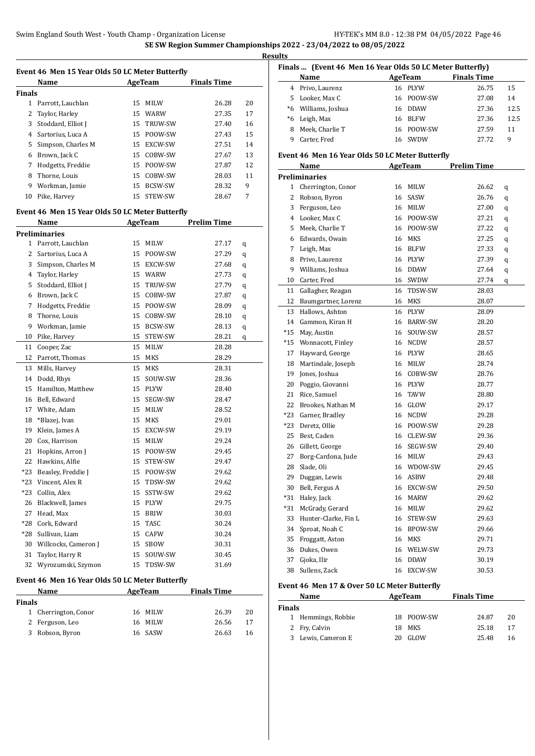**Results**

|               | Event 46 Men 15 Year Olds 50 LC Meter Butterfly |                 |                |                    |    |
|---------------|-------------------------------------------------|-----------------|----------------|--------------------|----|
|               | Name                                            |                 | AgeTeam        | <b>Finals Time</b> |    |
| <b>Finals</b> |                                                 |                 |                |                    |    |
| $\mathbf{1}$  | Parrott, Lauchlan                               | 15              | <b>MILW</b>    | 26.28              | 20 |
| 2             | Taylor, Harley                                  | 15              | <b>WARW</b>    | 27.35              | 17 |
| 3             | Stoddard, Elliot J                              | 15              | TRUW-SW        | 27.40              | 16 |
| 4             | Sartorius, Luca A                               | 15              | POOW-SW        | 27.43              | 15 |
| 5             | Simpson, Charles M                              | 15              | EXCW-SW        | 27.51              | 14 |
| 6             | Brown, Jack C                                   | 15              | COBW-SW        | 27.67              | 13 |
| 7             | Hodgetts, Freddie                               | 15 <sup>2</sup> | POOW-SW        | 27.87              | 12 |
| 8             | Thorne, Louis                                   | 15              | COBW-SW        | 28.03              | 11 |
| 9             | Workman, Jamie                                  | 15              | <b>BCSW-SW</b> | 28.32              | 9  |
| 10            | Pike, Harvey                                    | 15              | STEW-SW        | 28.67              | 7  |
|               | Event 46 Men 15 Year Olds 50 LC Meter Butterfly |                 |                |                    |    |
|               | Name                                            |                 | AgeTeam        | <b>Prelim Time</b> |    |
|               | <b>Preliminaries</b>                            |                 |                |                    |    |
| 1             | Parrott, Lauchlan                               | 15              | <b>MILW</b>    | 27.17              | q  |
| 2             | Sartorius, Luca A                               | 15              | POOW-SW        | 27.29              | q  |
| 3             | Simpson, Charles M                              | 15              | <b>EXCW-SW</b> | 27.68              | q  |
| 4             | Taylor, Harley                                  | 15              | <b>WARW</b>    | 27.73              | q  |
| 5             | Stoddard, Elliot J                              | 15              | TRUW-SW        | 27.79              | q  |
| 6             | Brown, Jack C                                   | 15              | COBW-SW        | 27.87              | q  |
| 7             | Hodgetts, Freddie                               | 15              | POOW-SW        | 28.09              | q  |
| 8             | Thorne, Louis                                   | 15              | COBW-SW        | 28.10              | q  |
| 9             | Workman, Jamie                                  | 15              | BCSW-SW        | 28.13              | q  |
| 10            | Pike, Harvey                                    | 15              | STEW-SW        | 28.21              | q  |
| 11            | Cooper Zac                                      | 15              | <b>MILW</b>    | 28.28              |    |

|              | reliminaries                                    |    |                |       |   |
|--------------|-------------------------------------------------|----|----------------|-------|---|
| $\mathbf{1}$ | Parrott, Lauchlan                               | 15 | <b>MILW</b>    | 27.17 | q |
| 2            | Sartorius, Luca A                               | 15 | POOW-SW        | 27.29 | q |
| 3            | Simpson, Charles M                              | 15 | EXCW-SW        | 27.68 | q |
| 4            | Taylor, Harley                                  | 15 | <b>WARW</b>    | 27.73 | q |
| 5            | Stoddard, Elliot J                              | 15 | TRUW-SW        | 27.79 | q |
| 6            | Brown, Jack C                                   | 15 | COBW-SW        | 27.87 | q |
| 7            | Hodgetts, Freddie                               | 15 | POOW-SW        | 28.09 | q |
| 8            | Thorne, Louis                                   | 15 | COBW-SW        | 28.10 | q |
| 9            | Workman, Jamie                                  | 15 | <b>BCSW-SW</b> | 28.13 | q |
| 10           | Pike, Harvey                                    | 15 | STEW-SW        | 28.21 | q |
| 11           | Cooper, Zac                                     | 15 | <b>MILW</b>    | 28.28 |   |
| 12           | Parrott, Thomas                                 | 15 | <b>MKS</b>     | 28.29 |   |
| 13           | Mills, Harvey                                   | 15 | MKS            | 28.31 |   |
| 14           | Dodd, Rhys                                      | 15 | SOUW-SW        | 28.36 |   |
| 15           | Hamilton, Matthew                               | 15 | <b>PLYW</b>    | 28.40 |   |
| 16           | Bell, Edward                                    | 15 | SEGW-SW        | 28.47 |   |
| 17           | White, Adam                                     | 15 | <b>MILW</b>    | 28.52 |   |
| 18           | *Blazej, Ivan                                   | 15 | MKS            | 29.01 |   |
| 19           | Klein, James A                                  | 15 | EXCW-SW        | 29.19 |   |
| 20           | Cox, Harrison                                   | 15 | <b>MILW</b>    | 29.24 |   |
| 21           | Hopkins, Arron J                                | 15 | POOW-SW        | 29.45 |   |
| 22           | Hawkins, Alfie                                  | 15 | STEW-SW        | 29.47 |   |
| $*23$        | Beasley, Freddie J                              | 15 | POOW-SW        | 29.62 |   |
| $*23$        | Vincent, Alex R                                 | 15 | TDSW-SW        | 29.62 |   |
| *23          | Collin, Alex                                    | 15 | SSTW-SW        | 29.62 |   |
| 26           | Blackwell, James                                | 15 | <b>PLYW</b>    | 29.75 |   |
| 27           | Head, Max                                       | 15 | <b>BRIW</b>    | 30.03 |   |
| *28          | Cork, Edward                                    | 15 | TASC           | 30.24 |   |
| *28          | Sullivan, Liam                                  | 15 | CAFW           | 30.24 |   |
| 30           | Willcocks, Cameron J                            | 15 | <b>SBOW</b>    | 30.31 |   |
| 31           | Taylor, Harry R                                 | 15 | SOUW-SW        | 30.45 |   |
| 32           | Wyrozumski, Szymon                              | 15 | TDSW-SW        | 31.69 |   |
|              | uont 46, Mon 16 Voor Olde E0 LC Motor Puttorfly |    |                |       |   |

### **Event 46 Men 16 Year Olds 50 LC Meter Butterfly**

|        | Name                 | AgeTeam | <b>Finals Time</b> |    |  |
|--------|----------------------|---------|--------------------|----|--|
| Finals |                      |         |                    |    |  |
|        | 1 Cherrington, Conor | 16 MILW | 26.39              | 20 |  |
|        | 2 Ferguson, Leo      | 16 MILW | 26.56              | 17 |  |
|        | 3 Robson, Byron      | 16 SASW | 26.63              | 16 |  |
|        |                      |         |                    |    |  |

| Finals  (Event 46 Men 16 Year Olds 50 LC Meter Butterfly) |                                                 |    |                |                    |      |  |
|-----------------------------------------------------------|-------------------------------------------------|----|----------------|--------------------|------|--|
|                                                           | Name                                            |    | <b>AgeTeam</b> | <b>Finals Time</b> |      |  |
|                                                           | 4 Privo, Laurenz                                |    | 16 PLYW        | 26.75              | 15   |  |
|                                                           | 5 Looker, Max C                                 |    | 16 POOW-SW     | 27.08              | 14   |  |
|                                                           | *6 Williams, Joshua                             | 16 | <b>DDAW</b>    | 27.36              | 12.5 |  |
|                                                           | *6 Leigh, Max                                   |    | 16 BLFW        | 27.36              | 12.5 |  |
|                                                           | 8 Meek, Charlie T                               |    | 16 POOW-SW     | 27.59              | 11   |  |
|                                                           | 9 Carter, Fred                                  |    | 16 SWDW        | 27.72              | 9    |  |
|                                                           | Event 46 Men 16 Year Olds 50 LC Meter Butterfly |    |                |                    |      |  |
|                                                           | Name                                            |    | AgeTeam        | <b>Prelim Time</b> |      |  |
|                                                           | <b>Preliminaries</b>                            |    |                |                    |      |  |
| 1                                                         | Cherrington, Conor                              | 16 | MILW           | 26.62              | q    |  |
| 2                                                         | Robson, Byron                                   |    | 16 SASW        | 26.76              | q    |  |
| 3                                                         | Ferguson, Leo                                   |    | 16 MILW        | 27.00              | q    |  |
|                                                           | 4 Looker, Max C                                 |    | 16 POOW-SW     | 27.21              | q    |  |
|                                                           | 5 Meek, Charlie T                               |    | 16 POOW-SW     | 27.22              | q    |  |
|                                                           | 6 Edwards, Owain                                |    | 16 MKS         | 27.25              | q    |  |
| 7                                                         | Leigh, Max                                      |    | 16 BLFW        | 27.33              | q    |  |
| 8                                                         | Privo, Laurenz                                  |    | 16 PLYW        | 27.39              | q    |  |
| 9                                                         | Williams, Joshua                                |    | 16 DDAW        | 27.64              | q    |  |
|                                                           | 10 Carter, Fred                                 | 16 | SWDW           | 27.74              | q    |  |
| 11                                                        | Gallagher, Reagan                               | 16 | TDSW-SW        | 28.03              |      |  |
| 12                                                        | Baumgartner, Lorenz                             |    | 16 MKS         | 28.07              |      |  |
|                                                           | 13 Hallows, Ashton                              |    | 16 PLYW        | 28.09              |      |  |
|                                                           | 14 Gammon, Kiran H                              |    | 16 BARW-SW     | 28.20              |      |  |
| *15                                                       | May, Austin                                     | 16 | SOUW-SW        | 28.57              |      |  |
| *15                                                       | Wonnacott, Finley                               |    | 16 NCDW        | 28.57              |      |  |
| 17                                                        | Hayward, George                                 |    | 16 PLYW        | 28.65              |      |  |
| 18                                                        | Martindale, Joseph                              |    | 16 MILW        | 28.74              |      |  |
| 19                                                        | Jones, Joshua                                   |    | 16 COBW-SW     | 28.76              |      |  |
| 20                                                        | Poggio, Giovanni                                |    | 16 PLYW        | 28.77              |      |  |
| 21                                                        | Rice, Samuel                                    | 16 | TAVW           | 28.80              |      |  |
| 22                                                        | Brookes, Nathan M                               |    | 16 GLOW        | 29.17              |      |  |
|                                                           | *23 Garner, Bradley                             |    | 16 NCDW        | 29.28              |      |  |
| *23                                                       | Deretz, Ollie                                   |    | 16 POOW-SW     | 29.28              |      |  |
|                                                           | 25 Best, Caden                                  |    | 16 CLEW-SW     | 29.36              |      |  |
|                                                           | 26 Gillett, George                              |    | 16 SEGW-SW     | 29.40              |      |  |
| 27                                                        | Borg-Cardona, Jude                              |    | 16 MILW        | 29.43              |      |  |
| 28                                                        | Slade, Oli                                      | 16 | WDOW-SW        | 29.45              |      |  |
| 29                                                        | Duggan, Lewis                                   | 16 | ASBW           | 29.48              |      |  |
| 30                                                        | Bell, Fergus A                                  | 16 | EXCW-SW        | 29.50              |      |  |
| *31                                                       | Haley, Jack                                     | 16 | MARW           | 29.62              |      |  |
| *31                                                       | McGrady, Gerard                                 | 16 | MILW           | 29.62              |      |  |
| 33                                                        | Hunter-Clarke, Fin L                            | 16 | STEW-SW        | 29.63              |      |  |
| 34                                                        | Sproat, Noah C                                  | 16 | BPOW-SW        | 29.66              |      |  |
| 35                                                        | Froggatt, Aston                                 | 16 | MKS            | 29.71              |      |  |
| 36                                                        | Dukes, Owen                                     | 16 | WELW-SW        | 29.73              |      |  |
| 37                                                        | Gjoka, Ilir                                     | 16 | <b>DDAW</b>    | 30.19              |      |  |
| 38                                                        | Sullens, Zack                                   | 16 | EXCW-SW        | 30.53              |      |  |
|                                                           |                                                 |    |                |                    |      |  |

#### **Event 46 Men 17 & Over 50 LC Meter Butterfly**

|               | Name               |     | AgeTeam    | <b>Finals Time</b> |    |
|---------------|--------------------|-----|------------|--------------------|----|
| <b>Finals</b> |                    |     |            |                    |    |
|               | 1 Hemmings, Robbie |     | 18 POOW-SW | 24.87              | 20 |
|               | 2 Fry, Calvin      | 18. | MKS        | 25.18              | 17 |
|               | 3 Lewis, Cameron E |     | GLOW       | 25.48              | 16 |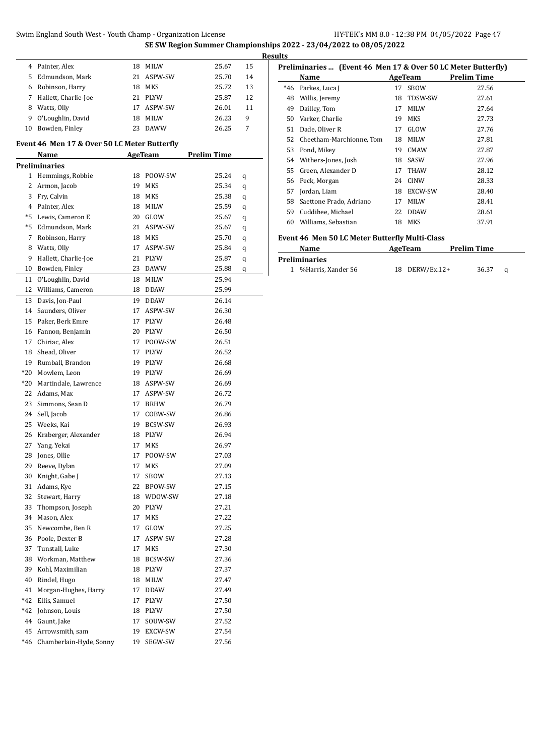**SE SW Region Summer Championships 2022 - 23/04/2022 to 08/05/2022**

|    | Painter, Alex        | 18  | <b>MILW</b> | 25.67 | 15 |
|----|----------------------|-----|-------------|-------|----|
| 5. | Edmundson, Mark      |     | 21 ASPW-SW  | 25.70 | 14 |
|    | Robinson, Harry      | 18  | <b>MKS</b>  | 25.72 | 13 |
|    | Hallett, Charlie-Joe | 21. | <b>PLYW</b> | 25.87 | 12 |
| 8  | Watts, Olly          | 17. | ASPW-SW     | 26.01 | 11 |
| 9  | O'Loughlin, David    | 18  | <b>MILW</b> | 26.23 | 9  |
| 10 | Bowden, Finley       | 23  | <b>DAWW</b> | 26.25 | 7  |

#### **Event 46 Men 17 & Over 50 LC Meter Butterfly**

 $\overline{\phantom{a}}$ 

|              | <b>Name</b>             |    | AgeTeam     | <b>Prelim Time</b> |   |
|--------------|-------------------------|----|-------------|--------------------|---|
|              | <b>Preliminaries</b>    |    |             |                    |   |
| $\mathbf{1}$ | Hemmings, Robbie        | 18 | POOW-SW     | 25.24              | q |
| 2            | Armon, Jacob            | 19 | MKS         | 25.34              | q |
| 3            | Fry, Calvin             | 18 | MKS         | 25.38              | q |
|              | 4 Painter, Alex         | 18 | MILW        | 25.59              | q |
| *5           | Lewis, Cameron E        |    | 20 GLOW     | 25.67              | q |
| $*5$         | Edmundson, Mark         |    | 21 ASPW-SW  | 25.67              | q |
| 7            | Robinson, Harry         |    | 18 MKS      | 25.70              | q |
| 8            | Watts, Olly             |    | 17 ASPW-SW  | 25.84              | q |
| 9            | Hallett, Charlie-Joe    |    | 21 PLYW     | 25.87              | q |
| 10           | Bowden, Finley          | 23 | <b>DAWW</b> | 25.88              | q |
| 11           | O'Loughlin, David       | 18 | MILW        | 25.94              |   |
| 12           | Williams, Cameron       | 18 | <b>DDAW</b> | 25.99              |   |
| 13           | Davis, Jon-Paul         | 19 | DDAW        | 26.14              |   |
| 14           | Saunders, Oliver        | 17 | ASPW-SW     | 26.30              |   |
| 15           | Paker, Berk Emre        | 17 | <b>PLYW</b> | 26.48              |   |
| 16           | Fannon, Benjamin        | 20 | <b>PLYW</b> | 26.50              |   |
| 17           | Chiriac, Alex           | 17 | POOW-SW     | 26.51              |   |
| 18           | Shead, Oliver           | 17 | PLYW        | 26.52              |   |
| 19           | Rumball, Brandon        |    | 19 PLYW     | 26.68              |   |
| $*20$        | Mowlem. Leon            |    | 19 PLYW     |                    |   |
|              |                         |    |             | 26.69              |   |
| *20          | Martindale, Lawrence    |    | 18 ASPW-SW  | 26.69              |   |
| 22           | Adams, Max              |    | 17 ASPW-SW  | 26.72              |   |
| 23           | Simmons, Sean D         | 17 | <b>BRHW</b> | 26.79              |   |
| 24           | Sell, Jacob             | 17 | COBW-SW     | 26.86              |   |
| 25           | Weeks, Kai              |    | 19 BCSW-SW  | 26.93              |   |
| 26           | Kraberger, Alexander    |    | 18 PLYW     | 26.94              |   |
| 27           | Yang, Yekai             | 17 | MKS         | 26.97              |   |
| 28           | Jones, Ollie            | 17 | POOW-SW     | 27.03              |   |
| 29           | Reeve, Dylan            | 17 | MKS         | 27.09              |   |
| 30           | Knight, Gabe J          | 17 | SBOW        | 27.13              |   |
| 31           | Adams, Kye              |    | 22 BPOW-SW  | 27.15              |   |
| 32           | Stewart, Harry          |    | 18 WDOW-SW  | 27.18              |   |
| 33           | Thompson, Joseph        |    | 20 PLYW     | 27.21              |   |
| 34           | Mason, Alex             | 17 | MKS         | 27.22              |   |
| 35           | Newcombe, Ben R         | 17 | GLOW        | 27.25              |   |
| 36           | Poole, Dexter B         | 17 | ASPW-SW     | 27.28              |   |
| 37           | Tunstall, Luke          | 17 | <b>MKS</b>  | 27.30              |   |
| 38           | Workman, Matthew        | 18 | BCSW-SW     | 27.36              |   |
| 39           | Kohl, Maximilian        | 18 | PLYW        | 27.37              |   |
| 40           | Rindel, Hugo            | 18 | MILW        | 27.47              |   |
| 41           | Morgan-Hughes, Harry    | 17 | DDAW        | 27.49              |   |
| $*42$        | Ellis, Samuel           | 17 | PLYW        | 27.50              |   |
| *42          | Johnson, Louis          | 18 | PLYW        | 27.50              |   |
| 44           | Gaunt, Jake             | 17 | SOUW-SW     | 27.52              |   |
| 45           | Arrowsmith, sam         | 19 | EXCW-SW     | 27.54              |   |
| $*46$        | Chamberlain-Hyde, Sonny | 19 | SEGW-SW     | 27.56              |   |

|       | Name                     |    | AgeTeam     | <b>Prelim Time</b> |
|-------|--------------------------|----|-------------|--------------------|
| $*46$ | Parkes, Luca J           | 17 | <b>SBOW</b> | 27.56              |
| 48    | Willis, Jeremy           | 18 | TDSW-SW     | 27.61              |
| 49    | Dailley, Tom             | 17 | <b>MILW</b> | 27.64              |
| 50    | Varker, Charlie          | 19 | <b>MKS</b>  | 27.73              |
| 51    | Dade, Oliver R           | 17 | GLOW        | 27.76              |
| 52    | Cheetham-Marchionne, Tom | 18 | <b>MILW</b> | 27.81              |
| 53    | Pond, Mikey              | 19 | <b>CMAW</b> | 27.87              |
| 54    | Withers-Jones, Josh      | 18 | SASW        | 27.96              |
| 55    | Green, Alexander D       | 17 | <b>THAW</b> | 28.12              |
| 56    | Peck, Morgan             | 24 | <b>CINW</b> | 28.33              |
| 57    | Jordan, Liam             | 18 | EXCW-SW     | 28.40              |
| 58    | Saettone Prado, Adriano  | 17 | <b>MILW</b> | 28.41              |
| 59    | Cuddihee, Michael        | 22 | <b>DDAW</b> | 28.61              |
| 60    | Williams, Sebastian      | 18 | MKS         | 37.91              |

| Name                 | AgeTeam        | <b>Prelim Time</b> |  |
|----------------------|----------------|--------------------|--|
| Preliminaries        |                |                    |  |
| 1 %Harris, Xander S6 | 18 DERW/Ex.12+ | 36.37              |  |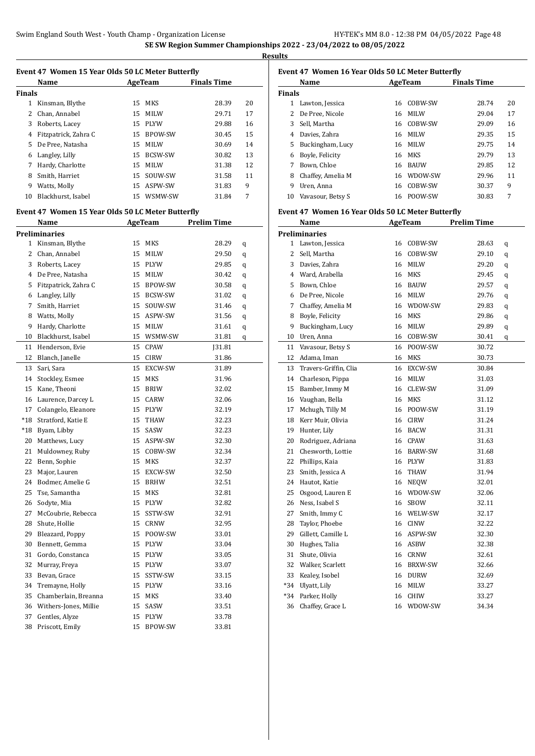**Results**

|        |                                                   |    |                |                    | R  |
|--------|---------------------------------------------------|----|----------------|--------------------|----|
|        | Event 47 Women 15 Year Olds 50 LC Meter Butterfly |    |                |                    |    |
|        | Name                                              |    | <b>AgeTeam</b> | <b>Finals Time</b> |    |
| Finals |                                                   |    |                |                    |    |
|        | 1 Kinsman, Blythe                                 | 15 | MKS            | 28.39              | 20 |
| 2      | Chan, Annabel                                     | 15 | <b>MILW</b>    | 29.71              | 17 |
| 3      | Roberts, Lacey                                    |    | 15 PLYW        | 29.88              | 16 |
| 4      | Fitzpatrick, Zahra C                              |    | 15 BPOW-SW     | 30.45              | 15 |
| 5      | De Pree, Natasha                                  | 15 | <b>MILW</b>    | 30.69              | 14 |
| 6      | Langley, Lilly                                    | 15 | BCSW-SW        | 30.82              | 13 |
| 7      | Hardy, Charlotte                                  |    | 15 MILW        | 31.38              | 12 |
| 8      | Smith, Harriet                                    | 15 | SOUW-SW        | 31.58              | 11 |
|        | 9 Watts, Molly                                    |    | 15 ASPW-SW     | 31.83              | 9  |
| 10     | Blackhurst, Isabel                                |    | 15 WSMW-SW     | 31.84              | 7  |
|        | Event 47 Women 15 Year Olds 50 LC Meter Butterfly |    |                |                    |    |
|        | Name                                              |    | AgeTeam        | <b>Prelim Time</b> |    |
|        | Preliminaries                                     |    |                |                    |    |
|        | 1 Kinsman, Blythe                                 | 15 | MKS            | 28.29              | q  |
| 2      | Chan, Annabel                                     | 15 | <b>MILW</b>    | 29.50              | q  |
| 3      | Roberts, Lacey                                    |    | 15 PLYW        | 29.85              | q  |
| 4      | De Pree, Natasha                                  |    | 15 MILW        | 30.42              | q  |
| 5      | Fitzpatrick, Zahra C                              | 15 | BPOW-SW        | 30.58              | q  |
| 6      | Langley, Lilly                                    |    | 15 BCSW-SW     | 31.02              | q  |
| 7      | Smith, Harriet                                    | 15 | SOUW-SW        | 31.46              | q  |
| 8      | Watts, Molly                                      | 15 | ASPW-SW        | 31.56              | q  |
| 9      | Hardy, Charlotte                                  | 15 | MILW           | 31.61              | q  |
| 10     | Blackhurst, Isabel                                |    | 15 WSMW-SW     | 31.81              | q  |
| 11     | Henderson, Evie                                   | 15 | CPAW           | [31.81]            |    |
| 12     | Blanch, Janelle                                   |    | 15 CIRW        | 31.86              |    |
| 13     | Sari, Sara                                        | 15 | <b>EXCW-SW</b> | 31.89              |    |
| 14     | Stockley, Esmee                                   | 15 | MKS            | 31.96              |    |
| 15     | Kane, Theoni                                      | 15 | <b>BRIW</b>    | 32.02              |    |
| 16     | Laurence, Darcey L                                | 15 | CARW           | 32.06              |    |
| 17     | Colangelo, Eleanore                               |    | 15 PLYW        | 32.19              |    |
| $*18$  | Stratford, Katie E                                | 15 | THAW           | 32.23              |    |
| $*18$  | Byam, Libby                                       | 15 | SASW           | 32.23              |    |
| 20     | Matthews, Lucy                                    | 15 | ASPW-SW        | 32.30              |    |
| 21     | Muldowney, Ruby                                   | 15 | COBW-SW        | 32.34              |    |
| 22     | Benn, Sophie                                      | 15 | MKS            | 32.37              |    |
| 23     | Major, Lauren                                     | 15 | EXCW-SW        | 32.50              |    |
| 24     | Bodmer, Amelie G                                  | 15 | BRHW           | 32.51              |    |
| 25     | Tse, Samantha                                     | 15 | MKS            | 32.81              |    |
| 26     | Sodyte, Mia                                       | 15 | PLYW           | 32.82              |    |
| 27     | McCoubrie, Rebecca                                | 15 | SSTW-SW        | 32.91              |    |
| 28     | Shute, Hollie                                     | 15 | CRNW           | 32.95              |    |
| 29     | Bleazard, Poppy                                   | 15 | POOW-SW        | 33.01              |    |
| 30     | Bennett, Gemma                                    | 15 | PLYW           | 33.04              |    |
| 31     | Gordo, Constanca                                  | 15 | PLYW           | 33.05              |    |
| 32     | Murray, Freya                                     | 15 | PLYW           | 33.07              |    |
| 33     | Bevan, Grace                                      | 15 | SSTW-SW        | 33.15              |    |
| 34     | Tremayne, Holly                                   | 15 | PLYW           | 33.16              |    |
| 35     | Chamberlain, Breanna                              | 15 | MKS            | 33.40              |    |
| 36     | Withers-Jones, Millie                             | 15 | SASW           | 33.51              |    |
|        |                                                   |    |                |                    |    |

 Gentles, Alyze 15 PLYW 33.78 Priscott, Emily 15 BPOW-SW 33.81

### **Event 47 Women 16 Year Olds 50 LC Meter Butterfly**

|               | Name              |    | AgeTeam     | <b>Finals Time</b> |    |  |  |
|---------------|-------------------|----|-------------|--------------------|----|--|--|
| <b>Finals</b> |                   |    |             |                    |    |  |  |
| 1.            | Lawton, Jessica   | 16 | COBW-SW     | 28.74              | 20 |  |  |
|               | De Pree, Nicole   | 16 | <b>MILW</b> | 29.04              | 17 |  |  |
| 3             | Sell, Martha      | 16 | COBW-SW     | 29.09              | 16 |  |  |
| 4             | Davies, Zahra     | 16 | <b>MILW</b> | 29.35              | 15 |  |  |
| 5.            | Buckingham, Lucy  | 16 | <b>MILW</b> | 29.75              | 14 |  |  |
| 6             | Boyle, Felicity   | 16 | MKS         | 29.79              | 13 |  |  |
|               | Bown, Chloe       | 16 | <b>BAUW</b> | 29.85              | 12 |  |  |
| 8             | Chaffey, Amelia M | 16 | WDOW-SW     | 29.96              | 11 |  |  |
| 9             | Uren, Anna        | 16 | COBW-SW     | 30.37              | 9  |  |  |
| 10            | Vavasour, Betsy S | 16 | POOW-SW     | 30.83              | 7  |  |  |

#### **Event 47 Women 16 Year Olds 50 LC Meter Butterfly**

|                      | Name                  | <b>AgeTeam</b> |                | <b>Prelim Time</b> |   |  |  |
|----------------------|-----------------------|----------------|----------------|--------------------|---|--|--|
| <b>Preliminaries</b> |                       |                |                |                    |   |  |  |
| 1                    | Lawton, Jessica       | 16             | COBW-SW        | 28.63              | q |  |  |
| 2                    | Sell, Martha          | 16             | COBW-SW        | 29.10              | q |  |  |
| 3                    | Davies, Zahra         | 16             | MILW           | 29.20              | q |  |  |
| 4                    | Ward, Arabella        | 16             | <b>MKS</b>     | 29.45              | q |  |  |
| 5                    | Bown, Chloe           | 16             | <b>BAUW</b>    | 29.57              | q |  |  |
| 6                    | De Pree, Nicole       |                | 16 MILW        | 29.76              | q |  |  |
| 7                    | Chaffey, Amelia M     |                | 16 WDOW-SW     | 29.83              | q |  |  |
| 8                    | Boyle, Felicity       | 16             | MKS            | 29.86              | q |  |  |
| 9                    | Buckingham, Lucy      | 16             | <b>MILW</b>    | 29.89              | q |  |  |
| 10                   | Uren, Anna            | 16             | COBW-SW        | 30.41              | q |  |  |
| 11                   | Vavasour, Betsy S     | 16             | POOW-SW        | 30.72              |   |  |  |
| $12\,$               | Adama, Iman           | 16             | <b>MKS</b>     | 30.73              |   |  |  |
| 13                   | Travers-Griffin, Clia | 16             | EXCW-SW        | 30.84              |   |  |  |
| 14                   | Charleson, Pippa      | 16             | MILW           | 31.03              |   |  |  |
| 15                   | Bamber, Immy M        | 16             | CLEW-SW        | 31.09              |   |  |  |
| 16                   | Vaughan, Bella        | 16             | MKS            | 31.12              |   |  |  |
| 17                   | Mchugh, Tilly M       | 16             | POOW-SW        | 31.19              |   |  |  |
| 18                   | Kerr Muir, Olivia     | 16             | <b>CIRW</b>    | 31.24              |   |  |  |
| 19                   | Hunter, Lily          | 16             | <b>BACW</b>    | 31.31              |   |  |  |
| 20                   | Rodriguez, Adriana    | 16             | <b>CPAW</b>    | 31.63              |   |  |  |
| 21                   | Chesworth, Lottie     | 16             | <b>BARW-SW</b> | 31.68              |   |  |  |
| 22                   | Phillips, Kaia        | 16             | PLYW           | 31.83              |   |  |  |
| 23                   | Smith, Jessica A      | 16             | THAW           | 31.94              |   |  |  |
| 24                   | Hautot, Katie         | 16             | <b>NEQW</b>    | 32.01              |   |  |  |
| 25                   | Osgood, Lauren E      | 16             | WDOW-SW        | 32.06              |   |  |  |
| 26                   | Ness, Isabel S        | 16             | <b>SBOW</b>    | 32.11              |   |  |  |
| 27                   | Smith, Immy C         | 16             | WELW-SW        | 32.17              |   |  |  |
| 28                   | Taylor, Phoebe        | 16             | <b>CINW</b>    | 32.22              |   |  |  |
| 29                   | Gillett, Camille L    | 16             | ASPW-SW        | 32.30              |   |  |  |
| 30                   | Hughes, Talia         | 16             | ASBW           | 32.38              |   |  |  |
| 31                   | Shute, Olivia         | 16             | <b>CRNW</b>    | 32.61              |   |  |  |
| 32                   | Walker, Scarlett      | 16             | <b>BRXW-SW</b> | 32.66              |   |  |  |
| 33                   | Kealey, Isobel        | 16             | <b>DURW</b>    | 32.69              |   |  |  |
| $*34$                | Ulyatt, Lily          | 16             | <b>MILW</b>    | 33.27              |   |  |  |
| $*34$                | Parker, Holly         | 16             | <b>CHIW</b>    | 33.27              |   |  |  |
| 36                   | Chaffey, Grace L      | 16             | WDOW-SW        | 34.34              |   |  |  |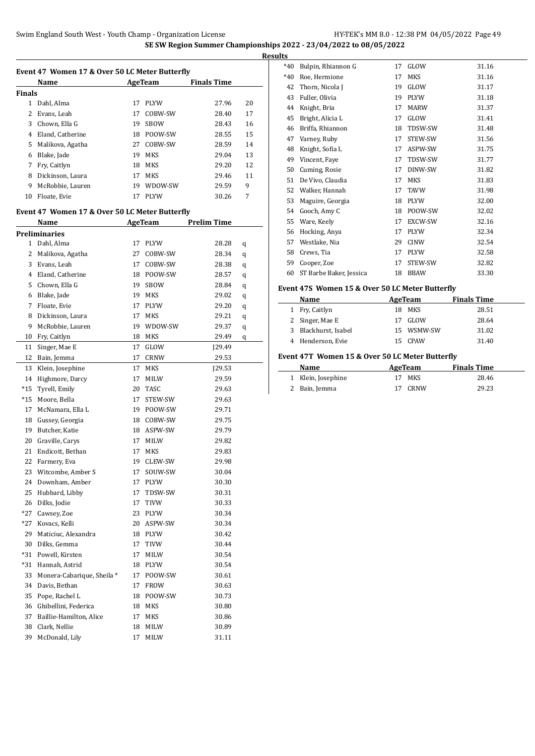| Event 47 Women 17 & Over 50 LC Meter Butterfly |                                                |         |             |                    |    |  |  |
|------------------------------------------------|------------------------------------------------|---------|-------------|--------------------|----|--|--|
|                                                | Name                                           | AgeTeam |             | <b>Finals Time</b> |    |  |  |
| Finals                                         |                                                |         |             |                    |    |  |  |
|                                                | 1 Dahl, Alma                                   | 17      | PLYW        | 27.96              | 20 |  |  |
| 2                                              | Evans, Leah                                    | 17      | COBW-SW     | 28.40              | 17 |  |  |
| 3                                              | Chown, Ella G                                  | 19      | <b>SBOW</b> | 28.43              | 16 |  |  |
| 4                                              | Eland, Catherine                               |         | 18 POOW-SW  | 28.55              | 15 |  |  |
| 5                                              | Malikova, Agatha                               | 27      | COBW-SW     | 28.59              | 14 |  |  |
| 6                                              | Blake, Jade                                    | 19      | MKS         | 29.04              | 13 |  |  |
| 7                                              | Fry, Caitlyn                                   | 18      | MKS         | 29.20              | 12 |  |  |
| 8                                              | Dickinson, Laura                               | 17      | MKS         | 29.46              | 11 |  |  |
| 9                                              | McRobbie, Lauren                               |         | 19 WDOW-SW  | 29.59              | 9  |  |  |
| 10                                             | Floate, Evie                                   | 17      | <b>PLYW</b> | 30.26              | 7  |  |  |
|                                                |                                                |         |             |                    |    |  |  |
|                                                | Event 47 Women 17 & Over 50 LC Meter Butterfly |         |             |                    |    |  |  |
|                                                | Name                                           |         | AgeTeam     | <b>Prelim Time</b> |    |  |  |
|                                                | Preliminaries                                  |         |             |                    |    |  |  |
|                                                | 1 Dahl, Alma                                   | 17      | <b>PLYW</b> | 28.28              | q  |  |  |
| 2                                              | Malikova, Agatha                               | 27      | COBW-SW     | 28.34              | q  |  |  |
| 3                                              | Evans. Leah                                    | 17      | COBW-SW     | 28.38              | q  |  |  |
| 4                                              | Eland, Catherine                               | 18      | POOW-SW     | 28.57              | q  |  |  |
| 5                                              | Chown, Ella G                                  | 19      | <b>SBOW</b> | 28.84              | q  |  |  |
| 6                                              | Blake, Jade                                    | 19      | MKS         | 29.02              | q  |  |  |
| 7                                              | Floate, Evie                                   | 17      | <b>PLYW</b> | 29.20              | q  |  |  |
| 8                                              | Dickinson, Laura                               | 17      | <b>MKS</b>  | 29.21              | q  |  |  |
| 9                                              | McRobbie, Lauren                               |         | 19 WDOW-SW  | 29.37              | q  |  |  |
| 10                                             | Fry, Caitlyn                                   |         | 18 MKS      | 29.49              | q  |  |  |
| 11                                             | Singer, Mae E                                  | 17      | GLOW        | [29.49]            |    |  |  |
| 12                                             | Bain, Jemma                                    | 17      | CRNW        | 29.53              |    |  |  |
| 13                                             | Klein, Josephine                               | 17      | MKS         | [29.53]            |    |  |  |
| 14                                             | Highmore, Darcy                                | 17      | MILW        | 29.59              |    |  |  |
| *15                                            | Tyrell, Emily                                  | 20      | TASC        | 29.63              |    |  |  |
| *15                                            | Moore, Bella                                   | 17      | STEW-SW     | 29.63              |    |  |  |
| 17                                             | McNamara, Ella L                               | 19      | POOW-SW     | 29.71              |    |  |  |
| 18                                             | Gussey, Georgia                                |         | 18 COBW-SW  | 29.75              |    |  |  |
| 19                                             | Butcher, Katie                                 |         | 18 ASPW-SW  | 29.79              |    |  |  |
| 20                                             | Graville, Carys                                | 17      | MILW        | 29.82              |    |  |  |
| 21                                             | Endicott, Bethan                               | 17      | MKS         | 29.83              |    |  |  |
| 22                                             | Farmery, Eva                                   | 19      | CLEW-SW     | 29.98              |    |  |  |
| 23                                             | Witcombe, Amber S                              | 17      | SOUW-SW     | 30.04              |    |  |  |
| 24                                             | Downham, Amber                                 | 17      | PLYW        | 30.30              |    |  |  |
| 25                                             | Hubbard, Libby                                 | 17      | TDSW-SW     | 30.31              |    |  |  |
| 26                                             | Dilks, Jodie                                   | 17      | TIVW        | 30.33              |    |  |  |
| *27                                            | Cawsey, Zoe                                    | 23      | PLYW        | 30.34              |    |  |  |
| *27                                            | Kovacs, Kelli                                  | 20      | ASPW-SW     | 30.34              |    |  |  |
| 29                                             | Maticiuc, Alexandra                            | 18      | PLYW        | 30.42              |    |  |  |
| 30                                             | Dilks, Gemma                                   | 17      | TIVW        | 30.44              |    |  |  |
| *31                                            | Powell, Kirsten                                | 17      | MILW        | 30.54              |    |  |  |
| *31                                            | Hannah, Astrid                                 | 18      | PLYW        | 30.54              |    |  |  |
| 33                                             | Monera-Cabarique, Sheila *                     | 17      | POOW-SW     | 30.61              |    |  |  |
| 34                                             | Davis, Bethan                                  | 17      | <b>FROW</b> | 30.63              |    |  |  |
| 35                                             | Pope, Rachel L                                 | 18      | POOW-SW     | 30.73              |    |  |  |
| 36                                             | Ghibellini, Federica                           | 18      | MKS         | 30.80              |    |  |  |
| 37                                             | Baillie-Hamilton, Alice                        | 17      | MKS         | 30.86              |    |  |  |
| 38                                             | Clark, Nellie                                  | 18      | MILW        | 30.89              |    |  |  |
| 39                                             | McDonald, Lily                                 | 17      | MILW        | 31.11              |    |  |  |

| <b>Results</b> |                         |    |             |       |  |  |  |
|----------------|-------------------------|----|-------------|-------|--|--|--|
| $*40$          | Bulpin, Rhiannon G      | 17 | GLOW        | 31.16 |  |  |  |
| $*40$          | Roe, Hermione           | 17 | MKS         | 31.16 |  |  |  |
| 42             | Thorn, Nicola J         | 19 | GLOW        | 31.17 |  |  |  |
| 43             | Fuller, Olivia          | 19 | <b>PLYW</b> | 31.18 |  |  |  |
| 44             | Knight, Bria            | 17 | <b>MARW</b> | 31.37 |  |  |  |
| 45             | Bright, Alicia L        | 17 | GLOW        | 31.41 |  |  |  |
| 46             | Briffa, Rhiannon        | 18 | TDSW-SW     | 31.48 |  |  |  |
| 47             | Varney, Ruby            | 17 | STEW-SW     | 31.56 |  |  |  |
| 48             | Knight, Sofia L         | 17 | ASPW-SW     | 31.75 |  |  |  |
| 49             | Vincent, Faye           | 17 | TDSW-SW     | 31.77 |  |  |  |
| 50             | Cuming, Rosie           | 17 | DINW-SW     | 31.82 |  |  |  |
| 51             | De Vivo, Claudia        | 17 | <b>MKS</b>  | 31.83 |  |  |  |
| 52             | Walker, Hannah          | 17 | <b>TAVW</b> | 31.98 |  |  |  |
| 53             | Maguire, Georgia        | 18 | <b>PLYW</b> | 32.00 |  |  |  |
| 54             | Gooch, Amy C            | 18 | POOW-SW     | 32.02 |  |  |  |
| 55             | Ware, Keely             | 17 | EXCW-SW     | 32.16 |  |  |  |
| 56             | Hocking, Anya           | 17 | <b>PLYW</b> | 32.34 |  |  |  |
| 57             | Westlake, Nia           | 29 | <b>CINW</b> | 32.54 |  |  |  |
| 58             | Crews, Tia              | 17 | <b>PLYW</b> | 32.58 |  |  |  |
| 59             | Cooper, Zoe             | 17 | STEW-SW     | 32.82 |  |  |  |
| 60             | ST Barbe Baker, Jessica | 18 | <b>BBAW</b> | 33.30 |  |  |  |
|                |                         |    |             |       |  |  |  |

### **Event 47S Women 15 & Over 50 LC Meter Butterfly**

| Name                 |    | AgeTeam    | <b>Finals Time</b> |
|----------------------|----|------------|--------------------|
| 1 Fry, Caitlyn       |    | 18 MKS     | 28.51              |
| 2 Singer, Mae E      | 17 | GLOW       | 28.64              |
| 3 Blackhurst, Isabel |    | 15 WSMW-SW | 31.02              |
| 4 Henderson, Evie    |    | 15 CPAW    | 31.40              |

### **Event 47T Women 15 & Over 50 LC Meter Butterfly**

 $\overline{\phantom{0}}$ 

| <b>Name</b>        | AgeTeam | <b>Finals Time</b> |  |
|--------------------|---------|--------------------|--|
| 1 Klein, Josephine | MKS     | 28.46              |  |
| 2 Bain, Jemma      | 17 CRNW | 29.23              |  |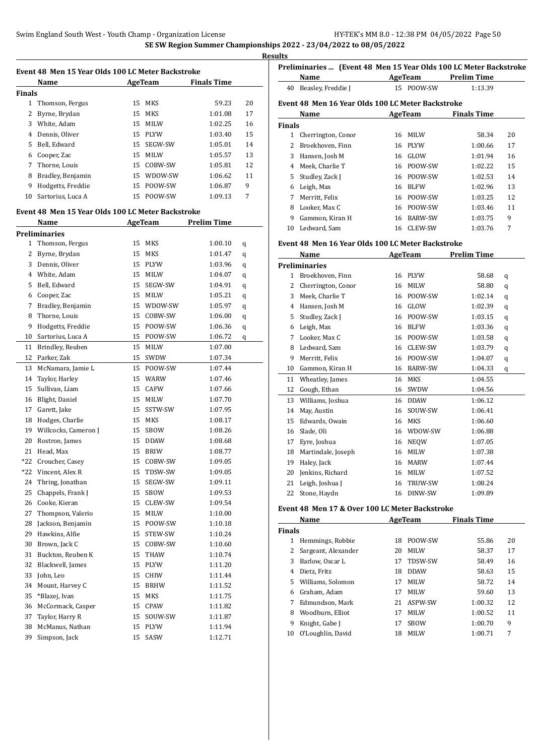**Results**

|                | Event 48 Men 15 Year Olds 100 LC Meter Backstroke |    |                |                    |    |
|----------------|---------------------------------------------------|----|----------------|--------------------|----|
|                | Name                                              |    | <b>AgeTeam</b> | <b>Finals Time</b> |    |
| Finals         |                                                   |    |                |                    |    |
| $\mathbf{1}$   | Thomson, Fergus                                   | 15 | MKS            | 59.23              | 20 |
| 2              | Byrne, Brydan                                     | 15 | MKS            | 1:01.08            | 17 |
| 3              | White, Adam                                       |    | 15 MILW        | 1:02.25            | 16 |
| $\overline{4}$ | Dennis, Oliver                                    | 15 | PLYW           | 1:03.40            | 15 |
| 5              | Bell, Edward                                      | 15 | SEGW-SW        | 1:05.01            | 14 |
| 6              | Cooper, Zac                                       | 15 | <b>MILW</b>    | 1:05.57            | 13 |
| 7              | Thorne, Louis                                     | 15 | COBW-SW        | 1:05.81            | 12 |
| 8              | Bradley, Benjamin                                 |    | 15 WDOW-SW     | 1:06.62            | 11 |
| 9              | Hodgetts, Freddie                                 |    | 15 POOW-SW     | 1:06.87            | 9  |
| 10             | Sartorius, Luca A                                 |    | 15 POOW-SW     | 1:09.13            | 7  |
|                | Event 48 Men 15 Year Olds 100 LC Meter Backstroke |    |                |                    |    |
|                | Name                                              |    | AgeTeam        | <b>Prelim Time</b> |    |
|                | Preliminaries                                     |    |                |                    |    |
| $\mathbf{1}$   | Thomson, Fergus                                   | 15 | MKS            | 1:00.10            | q  |
| 2              | Byrne, Brydan                                     | 15 | MKS            | 1:01.47            | q  |
| 3              | Dennis, Oliver                                    |    | 15 PLYW        | 1:03.96            | q  |
| $\overline{4}$ | White, Adam                                       | 15 | MILW           | 1:04.07            | q  |
| 5              | Bell, Edward                                      | 15 | SEGW-SW        | 1:04.91            | q  |
| 6              | Cooper, Zac                                       | 15 | MILW           | 1:05.21            | q  |
| 7              | Bradley, Benjamin                                 |    | 15 WDOW-SW     | 1:05.97            | q  |
| 8              | Thorne, Louis                                     | 15 | COBW-SW        | 1:06.00            | q  |
| 9              | Hodgetts, Freddie                                 |    | 15 POOW-SW     | 1:06.36            | q  |
| 10             | Sartorius, Luca A                                 |    | 15 POOW-SW     | 1:06.72            | q  |
| 11             | Brindley, Reuben                                  | 15 | <b>MILW</b>    | 1:07.00            |    |
| 12             | Parker, Zak                                       | 15 | SWDW           | 1:07.34            |    |
| 13             | McNamara, Jamie L                                 |    | 15 POOW-SW     | 1:07.44            |    |
| 14             | Taylor, Harley                                    | 15 | WARW           | 1:07.46            |    |
| 15             | Sullivan, Liam                                    | 15 | CAFW           | 1:07.66            |    |
| 16             | Blight, Daniel                                    | 15 | MILW           | 1:07.70            |    |
| 17             | Garett, Jake                                      | 15 | SSTW-SW        | 1:07.95            |    |
| 18             | Hodges, Charlie                                   | 15 | MKS            | 1:08.17            |    |
| 19             | Willcocks, Cameron J                              | 15 | SBOW           | 1:08.26            |    |
| 20             | Rostron, James                                    | 15 | <b>DDAW</b>    | 1:08.68            |    |
| 21             | Head, Max                                         | 15 | <b>BRIW</b>    | 1:08.77            |    |
| $*22$          | Croucher, Casey                                   | 15 | COBW-SW        | 1:09.05            |    |
| *22            | Vincent, Alex R                                   | 15 | TDSW-SW        | 1:09.05            |    |
| 24             | Thring, Jonathan                                  | 15 | SEGW-SW        | 1:09.11            |    |
| 25             | Chappels, Frank J                                 | 15 | SBOW           | 1:09.53            |    |
| 26             | Cooke, Kieran                                     | 15 | CLEW-SW        | 1:09.54            |    |
| 27             | Thompson, Valerio                                 | 15 | MILW           | 1:10.00            |    |
| 28             | Jackson, Benjamin                                 | 15 | POOW-SW        | 1:10.18            |    |
| 29             | Hawkins, Alfie                                    | 15 | STEW-SW        | 1:10.24            |    |
| 30             | Brown, Jack C                                     | 15 | COBW-SW        | 1:10.60            |    |
| 31             | Buckton, Reuben K                                 | 15 | THAW           | 1:10.74            |    |
| 32             | Blackwell, James                                  | 15 | PLYW           | 1:11.20            |    |
| 33             | John, Leo                                         | 15 | CHIW           | 1:11.44            |    |
| 34             | Mount, Harvey C                                   | 15 | <b>BRHW</b>    | 1:11.52            |    |
| 35             | *Blazej, Ivan                                     | 15 | MKS            | 1:11.75            |    |
| 36             | McCormack, Casper                                 | 15 | CPAW           | 1:11.82            |    |
| 37             | Taylor, Harry R                                   | 15 | SOUW-SW        | 1:11.87            |    |
| 38             | McManus, Nathan                                   | 15 | PLYW           | 1:11.94            |    |
| 39             | Simpson, Jack                                     | 15 | SASW           | 1:12.71            |    |

|               | Preliminaries  (Event 48 Men 15 Year Olds 100 LC Meter Backstroke |        |                |                    |                    |    |
|---------------|-------------------------------------------------------------------|--------|----------------|--------------------|--------------------|----|
|               | Name                                                              |        | AgeTeam        | <b>Prelim Time</b> |                    |    |
| 40            | Beasley, Freddie J                                                |        | 15 POOW-SW     |                    | 1:13.39            |    |
|               | Event 48 Men 16 Year Olds 100 LC Meter Backstroke                 |        |                |                    |                    |    |
|               | Name                                                              |        | AgeTeam        |                    | <b>Finals Time</b> |    |
| <b>Finals</b> |                                                                   |        |                |                    |                    |    |
| 1             | Cherrington, Conor                                                | 16     | <b>MILW</b>    |                    | 58.34              | 20 |
| 2             | Broekhoven, Finn                                                  | 16     | <b>PLYW</b>    |                    | 1:00.66            | 17 |
| 3             | Hansen, Josh M                                                    | 16     | GLOW           |                    | 1:01.94            | 16 |
| 4             | Meek, Charlie T                                                   | 16     | POOW-SW        |                    | 1:02.22            | 15 |
| 5             | Studley, Zack J                                                   | 16     | POOW-SW        |                    | 1:02.53            | 14 |
| 6             | Leigh, Max                                                        | 16     | <b>BLFW</b>    |                    | 1:02.96            | 13 |
| 7             | Merritt, Felix                                                    | 16     | POOW-SW        |                    | 1:03.25            | 12 |
| 8             | Looker, Max C                                                     | 16     | POOW-SW        |                    | 1:03.46            | 11 |
| 9             | Gammon, Kiran H                                                   | 16     | <b>BARW-SW</b> |                    | 1:03.75            | 9  |
| 10            | Ledward, Sam                                                      | 16     | CLEW-SW        |                    | 1:03.76            | 7  |
|               | Event 48 Men 16 Year Olds 100 LC Meter Backstroke                 |        |                |                    |                    |    |
|               |                                                                   | $\sim$ |                |                    |                    |    |

|    | <b>Name</b>          |    | <b>AgeTeam</b> | <b>Prelim Time</b> |   |
|----|----------------------|----|----------------|--------------------|---|
|    | <b>Preliminaries</b> |    |                |                    |   |
| 1  | Broekhoven, Finn     | 16 | <b>PLYW</b>    | 58.68              | q |
| 2  | Cherrington, Conor   | 16 | <b>MILW</b>    | 58.80              | q |
| 3  | Meek, Charlie T      | 16 | POOW-SW        | 1:02.14            | q |
| 4  | Hansen, Josh M       | 16 | GLOW           | 1:02.39            | q |
| 5  | Studley, Zack J      | 16 | POOW-SW        | 1:03.15            | q |
| 6  | Leigh, Max           | 16 | <b>BLFW</b>    | 1:03.36            | q |
| 7  | Looker, Max C        | 16 | POOW-SW        | 1:03.58            | q |
| 8  | Ledward, Sam         | 16 | CLEW-SW        | 1:03.79            | q |
| 9  | Merritt, Felix       | 16 | POOW-SW        | 1:04.07            | q |
| 10 | Gammon, Kiran H      | 16 | <b>BARW-SW</b> | 1:04.33            | q |
| 11 | Wheatley, James      | 16 | <b>MKS</b>     | 1:04.55            |   |
| 12 | Gough, Ethan         | 16 | SWDW           | 1:04.56            |   |
| 13 | Williams, Joshua     | 16 | <b>DDAW</b>    | 1:06.12            |   |
| 14 | May, Austin          | 16 | SOUW-SW        | 1:06.41            |   |
| 15 | Edwards, Owain       | 16 | MKS            | 1:06.60            |   |
| 16 | Slade, Oli           | 16 | WDOW-SW        | 1:06.88            |   |
| 17 | Eyre, Joshua         | 16 | <b>NEOW</b>    | 1:07.05            |   |
| 18 | Martindale, Joseph   | 16 | <b>MILW</b>    | 1:07.38            |   |
| 19 | Haley, Jack          | 16 | <b>MARW</b>    | 1:07.44            |   |
| 20 | Jenkins, Richard     | 16 | <b>MILW</b>    | 1:07.52            |   |
| 21 | Leigh, Joshua J      | 16 | TRUW-SW        | 1:08.24            |   |
| 22 | Stone, Haydn         | 16 | DINW-SW        | 1:09.89            |   |

#### **Event 48 Men 17 & Over 100 LC Meter Backstroke**

|               | Name                |    | AgeTeam     | <b>Finals Time</b> |    |
|---------------|---------------------|----|-------------|--------------------|----|
| <b>Finals</b> |                     |    |             |                    |    |
|               | Hemmings, Robbie    | 18 | POOW-SW     | 55.86              | 20 |
| 2             | Sargeant, Alexander | 20 | <b>MILW</b> | 58.37              | 17 |
| 3             | Barlow, Oscar L     | 17 | TDSW-SW     | 58.49              | 16 |
| 4             | Dietz. Fritz        | 18 | <b>DDAW</b> | 58.63              | 15 |
| 5.            | Williams, Solomon   | 17 | <b>MILW</b> | 58.72              | 14 |
| 6             | Graham, Adam        | 17 | <b>MILW</b> | 59.60              | 13 |
| 7             | Edmundson, Mark     | 21 | ASPW-SW     | 1:00.32            | 12 |
| 8             | Woodburn, Elliot    | 17 | <b>MILW</b> | 1:00.52            | 11 |
| 9             | Knight, Gabe J      | 17 | <b>SBOW</b> | 1:00.70            | 9  |
| 10            | O'Loughlin, David   | 18 | <b>MILW</b> | 1:00.71            | 7  |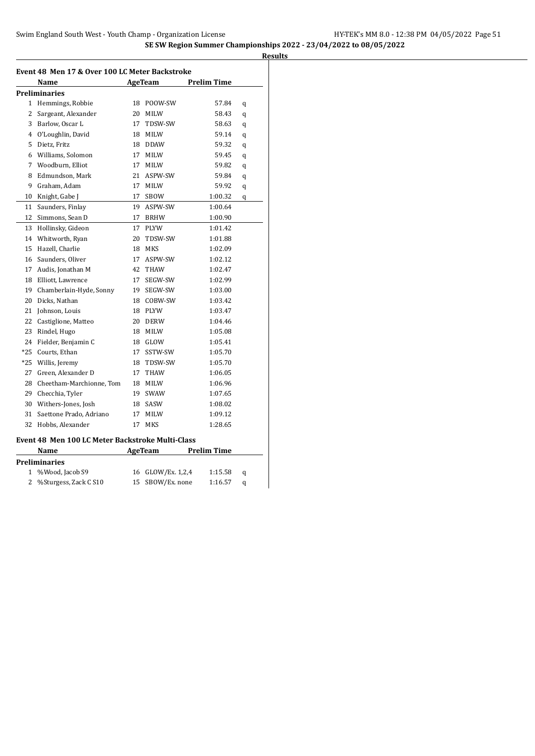| Event 48 Men 17 & Over 100 LC Meter Backstroke |                                                  |    |                |                    |   |  |  |
|------------------------------------------------|--------------------------------------------------|----|----------------|--------------------|---|--|--|
|                                                | Name                                             |    | AgeTeam        | <b>Prelim Time</b> |   |  |  |
|                                                | Preliminaries                                    |    |                |                    |   |  |  |
| $\mathbf{1}$                                   | Hemmings, Robbie                                 | 18 | POOW-SW        | 57.84              | q |  |  |
| 2                                              | Sargeant, Alexander                              | 20 | MILW           | 58.43              | q |  |  |
| 3                                              | Barlow, Oscar L                                  | 17 | TDSW-SW        | 58.63              | q |  |  |
| 4                                              | O'Loughlin, David                                | 18 | MILW           | 59.14              | q |  |  |
| 5                                              | Dietz, Fritz                                     |    | 18 DDAW        | 59.32              | q |  |  |
| 6                                              | Williams, Solomon                                | 17 | MILW           | 59.45              | q |  |  |
| 7                                              | Woodburn, Elliot                                 | 17 | <b>MILW</b>    | 59.82              | q |  |  |
| 8                                              | Edmundson, Mark                                  | 21 | ASPW-SW        | 59.84              | q |  |  |
| 9                                              | Graham, Adam                                     | 17 | MILW           | 59.92              | q |  |  |
| 10                                             | Knight, Gabe J                                   | 17 | SBOW           | 1:00.32            | q |  |  |
| 11                                             | Saunders, Finlay                                 |    | 19 ASPW-SW     | 1:00.64            |   |  |  |
| 12                                             | Simmons, Sean D                                  | 17 | <b>BRHW</b>    | 1:00.90            |   |  |  |
| 13                                             | Hollinsky, Gideon                                | 17 | PLYW           | 1:01.42            |   |  |  |
| 14                                             | Whitworth, Ryan                                  | 20 | TDSW-SW        | 1:01.88            |   |  |  |
| 15                                             | Hazell, Charlie                                  | 18 | MKS            | 1:02.09            |   |  |  |
| 16                                             | Saunders, Oliver                                 | 17 | ASPW-SW        | 1:02.12            |   |  |  |
| 17                                             | Audis, Jonathan M                                | 42 | THAW           | 1:02.47            |   |  |  |
| 18                                             | Elliott, Lawrence                                | 17 | SEGW-SW        | 1:02.99            |   |  |  |
| 19                                             | Chamberlain-Hyde, Sonny                          |    | 19 SEGW-SW     | 1:03.00            |   |  |  |
| 20                                             | Dicks, Nathan                                    |    | 18 COBW-SW     | 1:03.42            |   |  |  |
| 21                                             | Johnson, Louis                                   | 18 | <b>PLYW</b>    | 1:03.47            |   |  |  |
| 22                                             | Castiglione, Matteo                              | 20 | <b>DERW</b>    | 1:04.46            |   |  |  |
| 23                                             | Rindel, Hugo                                     | 18 | MILW           | 1:05.08            |   |  |  |
| 24                                             | Fielder, Benjamin C                              |    | 18 GLOW        | 1:05.41            |   |  |  |
| *25                                            | Courts, Ethan                                    | 17 | SSTW-SW        | 1:05.70            |   |  |  |
| *25                                            | Willis, Jeremy                                   | 18 | TDSW-SW        | 1:05.70            |   |  |  |
| 27                                             | Green, Alexander D                               | 17 | THAW           | 1:06.05            |   |  |  |
| 28                                             | Cheetham-Marchionne, Tom                         | 18 | MILW           | 1:06.96            |   |  |  |
| 29                                             | Checchia, Tyler                                  | 19 | SWAW           | 1:07.65            |   |  |  |
| 30                                             | Withers-Jones, Josh                              | 18 | SASW           | 1:08.02            |   |  |  |
| 31                                             | Saettone Prado, Adriano                          | 17 | MILW           | 1:09.12            |   |  |  |
| 32                                             | Hobbs, Alexander                                 | 17 | MKS            | 1:28.65            |   |  |  |
|                                                | Event 48 Men 100 LC Meter Backstroke Multi-Class |    |                |                    |   |  |  |
|                                                | Name                                             |    | AgeTeam        | <b>Prelim Time</b> |   |  |  |
|                                                | Preliminaries                                    |    |                |                    |   |  |  |
| 1                                              | %Wood, Jacob S9                                  | 16 | GLOW/Ex. 1,2,4 | 1:15.58            | q |  |  |
| 2                                              | %Sturgess, Zack C S10                            | 15 | SBOW/Ex. none  | 1:16.57            | q |  |  |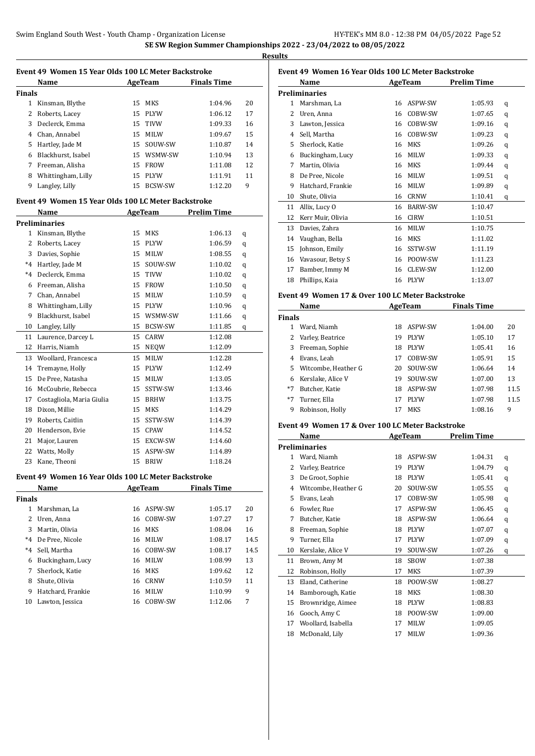| Event 49 Women 15 Year Olds 100 LC Meter Backstroke |                                                     |    |                |                    |      |  |
|-----------------------------------------------------|-----------------------------------------------------|----|----------------|--------------------|------|--|
|                                                     | Name                                                |    | AgeTeam        | <b>Finals Time</b> |      |  |
| <b>Finals</b>                                       |                                                     |    |                |                    |      |  |
|                                                     | 1 Kinsman, Blythe                                   | 15 | <b>MKS</b>     | 1:04.96            | 20   |  |
| 2                                                   | Roberts, Lacey                                      |    | 15 PLYW        | 1:06.12            | 17   |  |
|                                                     | 3 Declerck, Emma                                    |    | 15 TIVW        | 1:09.33            | 16   |  |
|                                                     | 4 Chan, Annabel                                     |    | 15 MILW        | 1:09.67            | 15   |  |
|                                                     | 5 Hartley, Jade M                                   |    | 15 SOUW-SW     | 1:10.87            | 14   |  |
|                                                     | 6 Blackhurst, Isabel                                |    | 15 WSMW-SW     | 1:10.94            | 13   |  |
|                                                     | 7 Freeman, Alisha                                   |    | 15 FROW        | 1:11.08            | 12   |  |
|                                                     | 8 Whittingham, Lilly                                |    | 15 PLYW        | 1:11.91            | 11   |  |
| 9                                                   | Langley, Lilly                                      |    | 15 BCSW-SW     | 1:12.20            | 9    |  |
|                                                     |                                                     |    |                |                    |      |  |
|                                                     | Event 49 Women 15 Year Olds 100 LC Meter Backstroke |    |                |                    |      |  |
|                                                     | Name                                                |    | <b>AgeTeam</b> | <b>Prelim Time</b> |      |  |
|                                                     | <b>Preliminaries</b>                                |    |                |                    |      |  |
|                                                     | 1 Kinsman, Blythe                                   | 15 | MKS            | 1:06.13            | q    |  |
|                                                     | 2 Roberts, Lacey                                    |    | 15 PLYW        | 1:06.59            | q    |  |
|                                                     | 3 Davies, Sophie                                    | 15 | <b>MILW</b>    | 1:08.55            | q    |  |
|                                                     | *4 Hartley, Jade M                                  |    | 15 SOUW-SW     | 1:10.02            | q    |  |
|                                                     | *4 Declerck, Emma                                   |    | 15 TIVW        | 1:10.02            | q    |  |
|                                                     | 6 Freeman, Alisha                                   |    | 15 FROW        | 1:10.50            | q    |  |
|                                                     | 7 Chan, Annabel                                     |    | 15 MILW        | 1:10.59            | q    |  |
|                                                     | 8 Whittingham, Lilly                                |    | 15 PLYW        | 1:10.96            | q    |  |
| 9                                                   | Blackhurst, Isabel                                  |    | 15 WSMW-SW     | 1:11.66            | q    |  |
| 10                                                  | Langley, Lilly                                      |    | 15 BCSW-SW     | 1:11.85            | q    |  |
| 11                                                  | Laurence, Darcey L                                  | 15 | CARW           | 1:12.08            |      |  |
|                                                     | 12 Harris, Niamh                                    | 15 | NEQW           | 1:12.09            |      |  |
| 13                                                  | Woollard, Francesca                                 | 15 | MILW           | 1:12.28            |      |  |
| 14                                                  | Tremayne, Holly                                     |    | 15 PLYW        | 1:12.49            |      |  |
| 15                                                  | De Pree, Natasha                                    | 15 | <b>MILW</b>    | 1:13.05            |      |  |
|                                                     | 16 McCoubrie, Rebecca                               | 15 | SSTW-SW        | 1:13.46            |      |  |
| 17                                                  | Costagliola, Maria Giulia                           |    | 15 BRHW        | 1:13.75            |      |  |
| 18                                                  | Dixon, Millie                                       |    | 15 MKS         | 1:14.29            |      |  |
|                                                     | 19 Roberts, Caitlin                                 |    | 15 SSTW-SW     | 1:14.39            |      |  |
|                                                     | 20 Henderson, Evie                                  |    | 15 CPAW        | 1:14.52            |      |  |
| 21                                                  | Major, Lauren                                       |    | 15 EXCW-SW     | 1:14.60            |      |  |
| 22                                                  | Watts, Molly                                        |    | 15 ASPW-SW     | 1:14.89            |      |  |
| 23                                                  | Kane, Theoni                                        | 15 | <b>BRIW</b>    | 1:18.24            |      |  |
|                                                     | Event 49 Women 16 Year Olds 100 LC Meter Backstroke |    |                |                    |      |  |
|                                                     | Name                                                |    | AgeTeam        | <b>Finals Time</b> |      |  |
|                                                     |                                                     |    |                |                    |      |  |
| <b>Finals</b>                                       |                                                     |    |                | 1:05.17            | 20   |  |
| 2                                                   | 1 Marshman, La                                      | 16 | ASPW-SW        |                    |      |  |
|                                                     | Uren, Anna                                          | 16 | COBW-SW        | 1:07.27            | 17   |  |
|                                                     | 3 Martin, Olivia                                    | 16 | MKS            | 1:08.04            | 16   |  |
|                                                     | *4 De Pree, Nicole                                  | 16 | <b>MILW</b>    | 1:08.17            | 14.5 |  |
|                                                     | *4 Sell, Martha                                     | 16 | COBW-SW        | 1:08.17            | 14.5 |  |
|                                                     | 6 Buckingham, Lucy                                  | 16 | MILW           | 1:08.99            | 13   |  |
| 7                                                   | Sherlock, Katie                                     | 16 | MKS            | 1:09.62            | 12   |  |
| 8                                                   | Shute, Olivia                                       | 16 | <b>CRNW</b>    | 1:10.59            | 11   |  |
| 9                                                   | Hatchard, Frankie                                   | 16 | MILW           | 1:10.99            | 9    |  |
| 10                                                  | Lawton, Jessica                                     | 16 | COBW-SW        | 1:12.06            | 7    |  |

| Event 49 Women 16 Year Olds 100 LC Meter Backstroke |                                       |    |                |         |   |  |  |
|-----------------------------------------------------|---------------------------------------|----|----------------|---------|---|--|--|
|                                                     | AgeTeam<br><b>Prelim Time</b><br>Name |    |                |         |   |  |  |
| <b>Preliminaries</b>                                |                                       |    |                |         |   |  |  |
| 1                                                   | Marshman, La                          | 16 | ASPW-SW        | 1:05.93 | q |  |  |
| 2                                                   | Uren, Anna                            | 16 | COBW-SW        | 1:07.65 | q |  |  |
| 3                                                   | Lawton, Jessica                       | 16 | COBW-SW        | 1:09.16 | q |  |  |
| 4                                                   | Sell, Martha                          | 16 | COBW-SW        | 1:09.23 | q |  |  |
| 5                                                   | Sherlock, Katie                       | 16 | <b>MKS</b>     | 1:09.26 | q |  |  |
| 6                                                   | Buckingham, Lucy                      | 16 | <b>MILW</b>    | 1:09.33 | q |  |  |
| 7                                                   | Martin, Olivia                        | 16 | <b>MKS</b>     | 1:09.44 | q |  |  |
| 8                                                   | De Pree, Nicole                       | 16 | <b>MILW</b>    | 1:09.51 | q |  |  |
| 9                                                   | Hatchard, Frankie                     | 16 | <b>MILW</b>    | 1:09.89 | q |  |  |
| 10                                                  | Shute, Olivia                         | 16 | CRNW           | 1:10.41 | q |  |  |
| 11                                                  | Allix, Lucy O                         | 16 | <b>BARW-SW</b> | 1:10.47 |   |  |  |
| 12                                                  | Kerr Muir, Olivia                     | 16 | <b>CIRW</b>    | 1:10.51 |   |  |  |
| 13                                                  | Davies, Zahra                         | 16 | <b>MILW</b>    | 1:10.75 |   |  |  |
| 14                                                  | Vaughan, Bella                        | 16 | <b>MKS</b>     | 1:11.02 |   |  |  |
| 15                                                  | Johnson, Emily                        | 16 | SSTW-SW        | 1:11.19 |   |  |  |
| 16                                                  | Vavasour, Betsy S                     | 16 | POOW-SW        | 1:11.23 |   |  |  |
| 17                                                  | Bamber, Immy M                        | 16 | <b>CLEW-SW</b> | 1:12.00 |   |  |  |
| 18                                                  | Phillips, Kaia                        | 16 | <b>PLYW</b>    | 1:13.07 |   |  |  |
|                                                     |                                       |    |                |         |   |  |  |

### **Event 49 Women 17 & Over 100 LC Meter Backstroke**

|               | Name                |    | AgeTeam     | <b>Finals Time</b> |      |
|---------------|---------------------|----|-------------|--------------------|------|
| <b>Finals</b> |                     |    |             |                    |      |
|               | Ward, Niamh         | 18 | ASPW-SW     | 1:04.00            | 20   |
|               | Varley, Beatrice    | 19 | <b>PLYW</b> | 1:05.10            | 17   |
| 3             | Freeman, Sophie     | 18 | <b>PLYW</b> | 1:05.41            | 16   |
| 4             | Evans, Leah         | 17 | COBW-SW     | 1:05.91            | 15   |
| 5.            | Witcombe, Heather G | 20 | SOUW-SW     | 1:06.64            | 14   |
| 6             | Kerslake, Alice V   | 19 | SOUW-SW     | 1:07.00            | 13   |
| *7            | Butcher, Katie      | 18 | ASPW-SW     | 1:07.98            | 11.5 |
| *7            | Turner, Ella        | 17 | <b>PLYW</b> | 1:07.98            | 11.5 |
| 9             | Robinson, Holly     | 17 | MKS         | 1:08.16            | 9    |

### **Event 49 Women 17 & Over 100 LC Meter Backstroke**

|    | Name                 |    | <b>AgeTeam</b> | Prelim Time |   |  |
|----|----------------------|----|----------------|-------------|---|--|
|    | <b>Preliminaries</b> |    |                |             |   |  |
| 1  | Ward, Niamh          | 18 | ASPW-SW        | 1:04.31     | q |  |
| 2  | Varley, Beatrice     | 19 | <b>PLYW</b>    | 1:04.79     | q |  |
| 3  | De Groot, Sophie     | 18 | <b>PLYW</b>    | 1:05.41     | q |  |
| 4  | Witcombe, Heather G  | 20 | SOUW-SW        | 1:05.55     | q |  |
| 5  | Evans, Leah          | 17 | COBW-SW        | 1:05.98     | q |  |
| 6  | Fowler, Rue          | 17 | ASPW-SW        | 1:06.45     | q |  |
| 7  | Butcher, Katie       | 18 | ASPW-SW        | 1:06.64     | q |  |
| 8  | Freeman, Sophie      | 18 | <b>PLYW</b>    | 1:07.07     | q |  |
| 9  | Turner, Ella         | 17 | <b>PLYW</b>    | 1:07.09     | q |  |
| 10 | Kerslake, Alice V    | 19 | SOUW-SW        | 1:07.26     | q |  |
| 11 | Brown, Amy M         | 18 | <b>SBOW</b>    | 1:07.38     |   |  |
| 12 | Robinson, Holly      | 17 | MKS            | 1:07.39     |   |  |
| 13 | Eland, Catherine     | 18 | POOW-SW        | 1:08.27     |   |  |
| 14 | Bamborough, Katie    | 18 | MKS            | 1:08.30     |   |  |
| 15 | Brownridge, Aimee    | 18 | PLYW           | 1:08.83     |   |  |
| 16 | Gooch, Amy C         | 18 | POOW-SW        | 1:09.00     |   |  |
| 17 | Woollard, Isabella   | 17 | <b>MILW</b>    | 1:09.05     |   |  |
| 18 | McDonald, Lily       | 17 | <b>MILW</b>    | 1:09.36     |   |  |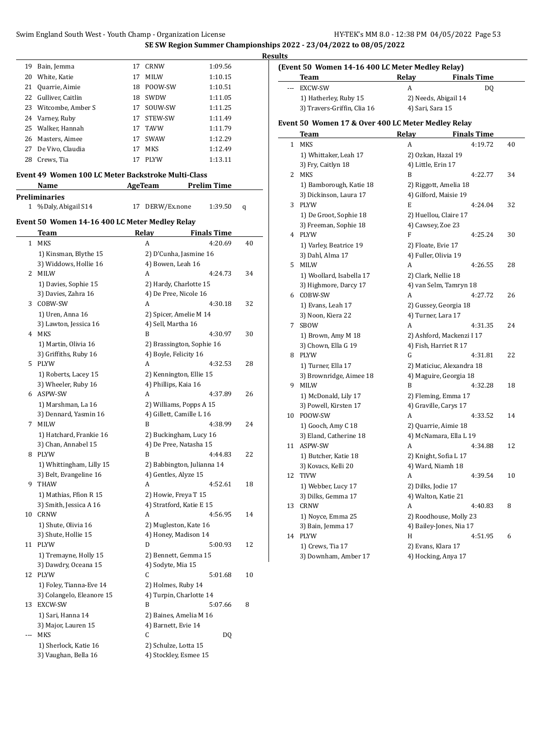|    |                                                    |    |                            | <b>SE SW Region Summer Championships:</b> |        |
|----|----------------------------------------------------|----|----------------------------|-------------------------------------------|--------|
|    |                                                    |    |                            |                                           | Result |
| 19 | Bain, Jemma                                        | 17 | CRNW                       | 1:09.56                                   | (I     |
| 20 | White, Katie                                       | 17 | MILW                       | 1:10.15                                   |        |
|    | 21 Quarrie, Aimie                                  |    | 18 POOW-SW                 | 1:10.51                                   |        |
|    | 22 Gulliver, Caitlin                               |    | 18 SWDW                    | 1:11.05                                   |        |
|    | 23 Witcombe, Amber S                               |    | 17 SOUW-SW                 | 1:11.25                                   |        |
| 24 | Varney, Ruby                                       |    | 17 STEW-SW                 | 1:11.49                                   |        |
| 25 | Walker, Hannah                                     |    | 17 TAVW                    | 1:11.79                                   | ю      |
|    | 26 Masters, Aimee                                  |    | 17 SWAW                    | 1:12.29                                   |        |
| 27 | De Vivo, Claudia                                   | 17 | <b>MKS</b>                 | 1:12.49                                   |        |
|    | 28 Crews, Tia                                      | 17 | PLYW                       | 1:13.11                                   |        |
|    |                                                    |    |                            |                                           |        |
|    | Event 49 Women 100 LC Meter Backstroke Multi-Class |    |                            |                                           |        |
|    | Name                                               |    | AgeTeam                    | Prelim Time                               |        |
|    | <b>Preliminaries</b>                               |    |                            |                                           |        |
|    | 1 %Daly, Abigail S14                               |    | 17 DERW/Ex.none            | 1:39.50                                   | q      |
|    | Event 50 Women 14-16 400 LC Meter Medley Relay     |    |                            |                                           |        |
|    | Team                                               |    | Relay                      | <b>Finals Time</b>                        |        |
|    |                                                    |    |                            |                                           |        |
|    | 1 MKS                                              |    | A                          | 4:20.69                                   | 40     |
|    | 1) Kinsman, Blythe 15                              |    | 2) D'Cunha, Jasmine 16     |                                           |        |
|    | 3) Widdows, Hollie 16                              |    | 4) Bowen, Leah 16          |                                           |        |
|    | 2 MILW                                             |    | A                          | 4:24.73                                   | 34     |
|    | 1) Davies, Sophie 15                               |    | 2) Hardy, Charlotte 15     |                                           |        |
|    | 3) Davies, Zahra 16                                |    | 4) De Pree, Nicole 16      |                                           |        |
|    | 3 COBW-SW                                          |    | A                          | 4:30.18                                   | 32     |
|    | 1) Uren, Anna 16                                   |    | 2) Spicer, Amelie M 14     |                                           |        |
|    | 3) Lawton, Jessica 16                              |    | 4) Sell, Martha 16         |                                           |        |
|    | 4 MKS                                              |    | B                          | 4:30.97                                   | 30     |
|    | 1) Martin, Olivia 16                               |    | 2) Brassington, Sophie 16  |                                           |        |
|    | 3) Griffiths, Ruby 16                              |    | 4) Boyle, Felicity 16      |                                           |        |
|    | 5 PLYW                                             |    | A                          | 4:32.53                                   | 28     |
|    | 1) Roberts, Lacey 15                               |    | 2) Kennington, Ellie 15    |                                           |        |
|    | 3) Wheeler, Ruby 16                                |    | 4) Phillips, Kaia 16       |                                           |        |
|    | 6 ASPW-SW                                          |    | A                          | 4:37.89                                   | 26     |
|    | 1) Marshman, La 16                                 |    | 2) Williams, Popps A 15    |                                           |        |
|    | 3) Dennard, Yasmin 16                              |    | 4) Gillett, Camille L 16   |                                           |        |
|    | 7 MILW                                             |    | B                          | 4:38.99                                   | 24     |
|    | 1) Hatchard, Frankie 16                            |    | 2) Buckingham, Lucy 16     |                                           |        |
|    | 3) Chan, Annabel 15                                |    | 4) De Pree, Natasha 15     |                                           |        |
|    | 8 PLYW                                             |    | B                          | 4:44.83                                   | 22     |
|    | 1) Whittingham, Lilly 15                           |    | 2) Babbington, Julianna 14 |                                           |        |
|    | 3) Belt, Evangeline 16                             |    | 4) Gentles, Alyze 15       |                                           |        |
|    | 9 THAW                                             |    | A                          | 4:52.61                                   | 18     |
|    | 1) Mathias, Ffion R 15                             |    | 2) Howie, Freya T 15       |                                           |        |
|    | 3) Smith, Jessica A 16                             |    | 4) Stratford, Katie E 15   |                                           |        |
|    | 10 CRNW                                            |    | А                          | 4:56.95                                   | 14     |
|    | 1) Shute, Olivia 16                                |    | 2) Mugleston, Kate 16      |                                           |        |
|    | 3) Shute, Hollie 15                                |    | 4) Honey, Madison 14       |                                           |        |
|    | 11 PLYW                                            |    | D                          | 5:00.93                                   | 12     |
|    | 1) Tremayne, Holly 15                              |    | 2) Bennett, Gemma 15       |                                           |        |
|    | 3) Dawdry, Oceana 15                               |    | 4) Sodyte, Mia 15          |                                           |        |
|    | 12 PLYW                                            |    | C                          | 5:01.68                                   | 10     |
|    | 1) Foley, Tianna-Eve 14                            |    | 2) Holmes, Ruby 14         |                                           |        |
|    | 3) Colangelo, Eleanore 15                          |    | 4) Turpin, Charlotte 14    |                                           |        |
|    | 13 EXCW-SW                                         |    | B                          | 5:07.66                                   | 8      |
|    | 1) Sari, Hanna 14                                  |    | 2) Baines, Amelia M 16     |                                           |        |
|    | 3) Major, Lauren 15                                |    | 4) Barnett, Evie 14        |                                           |        |
|    | MKS                                                |    | С                          | DQ                                        |        |
|    | 1) Sherlock, Katie 16                              |    | 2) Schulze, Lotta 15       |                                           |        |

3) Vaughan, Bella 16 4) Stockley, Esmee 15

|    | (Event 50 Women 14-16 400 LC Meter Medley Relay)<br>Team | Relay              | <b>Finals Time</b>                                |    |
|----|----------------------------------------------------------|--------------------|---------------------------------------------------|----|
|    | EXCW-SW                                                  | A                  | DQ                                                |    |
|    | 1) Hatherley, Ruby 15                                    |                    | 2) Needs, Abigail 14                              |    |
|    | 3) Travers-Griffin, Clia 16                              | 4) Sari, Sara 15   |                                                   |    |
|    |                                                          |                    |                                                   |    |
|    | Event 50 Women 17 & Over 400 LC Meter Medley Relay       |                    |                                                   |    |
|    | Team                                                     | <b>Relay</b>       | <b>Finals Time</b>                                |    |
| 1  | MKS                                                      | A                  | 4:19.72                                           | 40 |
|    | 1) Whittaker, Leah 17                                    |                    | 2) Ozkan, Hazal 19                                |    |
|    | 3) Fry, Caitlyn 18                                       | 4) Little, Erin 17 |                                                   |    |
| 2  | MKS                                                      | B                  | 4:22.77                                           | 34 |
|    | 1) Bamborough, Katie 18                                  |                    | 2) Riggott, Amelia 18                             |    |
|    | 3) Dickinson, Laura 17                                   |                    | 4) Gilford, Maisie 19                             |    |
| 3  | PLYW                                                     | E                  | 4:24.04                                           | 32 |
|    | 1) De Groot, Sophie 18                                   |                    | 2) Huellou, Claire 17                             |    |
|    | 3) Freeman, Sophie 18                                    | 4) Cawsey, Zoe 23  |                                                   |    |
| 4  | PLYW                                                     | F                  | 4:25.24                                           | 30 |
|    | 1) Varley, Beatrice 19                                   | 2) Floate, Evie 17 |                                                   |    |
|    | 3) Dahl, Alma 17                                         |                    | 4) Fuller, Olivia 19                              |    |
| 5  | <b>MILW</b>                                              | A                  | 4:26.55                                           | 28 |
|    | 1) Woollard, Isabella 17                                 |                    | 2) Clark, Nellie 18                               |    |
|    | 3) Highmore, Darcy 17                                    |                    | 4) van Selm, Tamryn 18                            |    |
|    | 6 COBW-SW                                                | A                  | 4:27.72                                           | 26 |
|    | 1) Evans, Leah 17                                        |                    | 2) Gussey, Georgia 18                             |    |
|    | 3) Noon, Kiera 22                                        |                    | 4) Turner, Lara 17                                |    |
| 7  | SBOW                                                     | A                  | 4:31.35                                           | 24 |
|    | 1) Brown, Amy M 18                                       |                    | 2) Ashford, Mackenzi I 17                         |    |
|    | 3) Chown, Ella G 19                                      |                    | 4) Fish, Harriet R 17                             |    |
|    | 8 PLYW                                                   | G                  | 4:31.81                                           | 22 |
|    | 1) Turner, Ella 17                                       |                    | 2) Maticiuc, Alexandra 18                         |    |
|    | 3) Brownridge, Aimee 18                                  |                    | 4) Maguire, Georgia 18                            |    |
|    | 9 MILW                                                   | B                  | 4:32.28                                           | 18 |
|    | 1) McDonald, Lily 17                                     |                    | 2) Fleming, Emma 17                               |    |
|    | 3) Powell, Kirsten 17                                    |                    | 4) Graville, Carys 17                             |    |
| 10 | POOW-SW                                                  | A                  | 4:33.52                                           | 14 |
|    | 1) Gooch, Amy C 18                                       |                    | 2) Quarrie, Aimie 18                              |    |
|    | 3) Eland, Catherine 18                                   |                    | 4) McNamara, Ella L 19                            |    |
| 11 | ASPW-SW                                                  | A                  | 4:34.88                                           | 12 |
|    | 1) Butcher, Katie 18                                     |                    | 2) Knight, Sofia L 17                             |    |
|    | 3) Kovacs, Kelli 20                                      |                    | 4) Ward, Niamh 18                                 |    |
| 12 | <b>TIVW</b>                                              | A                  | 4:39.54                                           | 10 |
|    | 1) Webber, Lucy 17                                       | 2) Dilks, Jodie 17 |                                                   |    |
|    | 3) Dilks, Gemma 17                                       |                    | 4) Walton, Katie 21                               |    |
| 13 | CRNW                                                     | A                  | 4:40.83                                           | 8  |
|    |                                                          |                    |                                                   |    |
|    | 1) Noyce, Emma 25<br>3) Bain, Jemma 17                   |                    | 2) Roodhouse, Molly 23<br>4) Bailey-Jones, Nia 17 |    |
|    | 14 PLYW                                                  | H                  |                                                   |    |
|    |                                                          |                    | 4:51.95                                           | 6  |
|    | 1) Crews, Tia 17                                         |                    | 2) Evans, Klara 17                                |    |
|    | 3) Downham, Amber 17                                     |                    | 4) Hocking, Anya 17                               |    |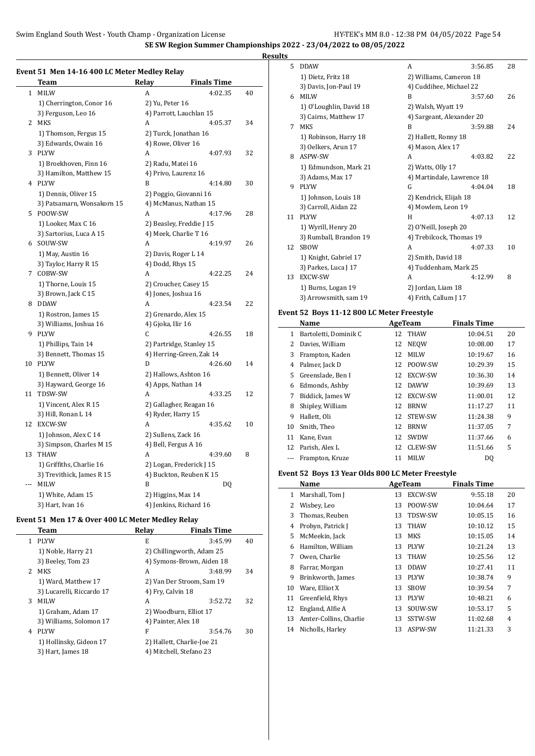**SE SW Region Summer Championships 2022 - 23/04/2022 to 08/05/2022**

 $\overline{\phantom{a}}$ 

**Results**

### **Event 51 Men 14-16 400 LC Meter Medley Relay**

|     | <u>Team</u>                | <b>Relay</b>        | <b>Finals Time</b>       |    |
|-----|----------------------------|---------------------|--------------------------|----|
| 1   | <b>MILW</b>                | A                   | 4:02.35                  | 40 |
|     | 1) Cherrington, Conor 16   | 2) Yu, Peter 16     |                          |    |
|     | 3) Ferguson, Leo 16        |                     | 4) Parrott, Lauchlan 15  |    |
|     | 2 MKS                      | A                   | 4:05.37                  | 34 |
|     | 1) Thomson, Fergus 15      |                     | 2) Turck, Jonathan 16    |    |
|     | 3) Edwards, Owain 16       | 4) Rowe, Oliver 16  |                          |    |
|     | 3 PLYW                     | A                   | 4:07.93                  | 32 |
|     | 1) Broekhoven, Finn 16     | 2) Radu, Matei 16   |                          |    |
|     | 3) Hamilton, Matthew 15    |                     | 4) Privo, Laurenz 16     |    |
|     | 4 PLYW                     | B                   | 4:14.80                  | 30 |
|     | 1) Dennis, Oliver 15       |                     | 2) Poggio, Giovanni 16   |    |
|     | 3) Patsamarn, Wonsakorn 15 |                     | 4) McManus, Nathan 15    |    |
|     | 5 POOW-SW                  | А                   | 4:17.96                  | 28 |
|     | 1) Looker, Max C 16        |                     | 2) Beasley, Freddie J 15 |    |
|     | 3) Sartorius, Luca A 15    |                     | 4) Meek, Charlie T 16    |    |
|     | 6 SOUW-SW                  | A                   | 4:19.97                  | 26 |
|     | 1) May, Austin 16          |                     | 2) Davis, Roger L 14     |    |
|     | 3) Taylor, Harry R 15      | 4) Dodd, Rhys 15    |                          |    |
|     | 7 COBW-SW                  | А                   | 4:22.25                  | 24 |
|     | 1) Thorne, Louis 15        |                     | 2) Croucher, Casey 15    |    |
|     | 3) Brown, Jack C 15        |                     | 4) Jones, Joshua 16      |    |
|     | 8 DDAW                     | A                   | 4:23.54                  | 22 |
|     | 1) Rostron, James 15       |                     | 2) Grenardo, Alex 15     |    |
|     | 3) Williams, Joshua 16     | 4) Gjoka, Ilir 16   |                          |    |
|     | 9 PLYW                     | С                   | 4:26.55                  | 18 |
|     | 1) Phillips, Tain 14       |                     | 2) Partridge, Stanley 15 |    |
|     | 3) Bennett, Thomas 15      |                     | 4) Herring-Green, Zak 14 |    |
|     | 10 PLYW                    | D                   | 4:26.60                  | 14 |
|     | 1) Bennett, Oliver 14      |                     | 2) Hallows, Ashton 16    |    |
|     | 3) Hayward, George 16      |                     | 4) Apps, Nathan 14       |    |
| 11  | TDSW-SW                    | A                   | 4:33.25                  | 12 |
|     | 1) Vincent, Alex R 15      |                     | 2) Gallagher, Reagan 16  |    |
|     | 3) Hill, Ronan L 14        | 4) Ryder, Harry 15  |                          |    |
|     | 12 EXCW-SW                 | А                   | 4:35.62                  | 10 |
|     | 1) Johnson, Alex C 14      | 2) Sullens, Zack 16 |                          |    |
|     | 3) Simpson, Charles M 15   |                     | 4) Bell, Fergus A 16     |    |
| 13  | THAW                       | A                   | 4:39.60                  | 8  |
|     | 1) Griffiths, Charlie 16   |                     | 2) Logan, Frederick J 15 |    |
|     | 3) Trevithick, James R 15  |                     | 4) Buckton, Reuben K 15  |    |
| --- | <b>MILW</b>                | B                   | DQ                       |    |
|     | 1) White, Adam 15          | 2) Higgins, Max 14  |                          |    |
|     | 3) Hart, Ivan 16           |                     | 4) Jenkins, Richard 16   |    |

#### **Event 51 Men 17 & Over 400 LC Meter Medley Relay**

|    | Team                      | Relay                      | <b>Finals Time</b>        |    |
|----|---------------------------|----------------------------|---------------------------|----|
| 1. | <b>PIYW</b>               | E                          | 3:45.99                   | 40 |
|    | 1) Noble, Harry 21        |                            | 2) Chillingworth, Adam 25 |    |
|    | 3) Beeley, Tom 23         |                            | 4) Symons-Brown, Aiden 18 |    |
| 2. | MKS                       | A                          | 3:48.99                   | 34 |
|    | 1) Ward, Matthew 17       |                            | 2) Van Der Stroom, Sam 19 |    |
|    | 3) Lucarelli, Riccardo 17 | 4) Fry, Calvin 18          |                           |    |
| 3  | <b>MILW</b>               | A                          | 3:52.72                   | 32 |
|    | 1) Graham, Adam 17        | 2) Woodburn, Elliot 17     |                           |    |
|    | 3) Williams, Solomon 17   | 4) Painter, Alex 18        |                           |    |
| 4  | <b>PLYW</b>               | F                          | 3:54.76                   | 30 |
|    | 1) Hollinsky, Gideon 17   | 2) Hallett, Charlie-Joe 21 |                           |    |
|    | 3) Hart, James 18         | 4) Mitchell, Stefano 23    |                           |    |
|    |                           |                            |                           |    |

| 5  | <b>DDAW</b>             | A                          | 3:56.85 | 28 |
|----|-------------------------|----------------------------|---------|----|
|    | 1) Dietz, Fritz 18      | 2) Williams, Cameron 18    |         |    |
|    | 3) Davis, Jon-Paul 19   | 4) Cuddihee, Michael 22    |         |    |
| 6  | <b>MILW</b>             | B                          | 3:57.60 | 26 |
|    | 1) O'Loughlin, David 18 | 2) Walsh, Wyatt 19         |         |    |
|    | 3) Cairns, Matthew 17   | 4) Sargeant, Alexander 20  |         |    |
| 7  | <b>MKS</b>              | B                          | 3:59.88 | 24 |
|    | 1) Robinson, Harry 18   | 2) Hallett, Ronny 18       |         |    |
|    | 3) Oelkers, Arun 17     | 4) Mason, Alex 17          |         |    |
| 8  | ASPW-SW                 | A                          | 4:03.82 | 22 |
|    | 1) Edmundson, Mark 21   | 2) Watts, Olly 17          |         |    |
|    | 3) Adams, Max 17        | 4) Martindale, Lawrence 18 |         |    |
| 9  | <b>PLYW</b>             | G                          | 4:04.04 | 18 |
|    | 1) Johnson, Louis 18    | 2) Kendrick, Elijah 18     |         |    |
|    | 3) Carroll, Aidan 22    | 4) Mowlem, Leon 19         |         |    |
| 11 | <b>PLYW</b>             | H                          | 4:07.13 | 12 |
|    | 1) Wyrill, Henry 20     | 2) O'Neill, Joseph 20      |         |    |
|    | 3) Rumball, Brandon 19  | 4) Trebilcock, Thomas 19   |         |    |
| 12 | <b>SBOW</b>             | A                          | 4:07.33 | 10 |
|    | 1) Knight, Gabriel 17   | 2) Smith, David 18         |         |    |
|    | 3) Parkes, Luca J 17    | 4) Tuddenham, Mark 25      |         |    |
| 13 | <b>EXCW-SW</b>          | A                          | 4:12.99 | 8  |
|    | 1) Burns, Logan 19      | 2) Jordan, Liam 18         |         |    |
|    | 3) Arrowsmith, sam 19   | 4) Frith, Callum J 17      |         |    |
|    |                         |                            |         |    |

#### **Event 52 Boys 11-12 800 LC Meter Freestyle**

| Name |                       |     | AgeTeam     | <b>Finals Time</b> |    |
|------|-----------------------|-----|-------------|--------------------|----|
| 1    | Bartoletti, Dominik C |     | 12 THAW     | 10:04.51           | 20 |
| 2    | Davies, William       | 12  | <b>NEOW</b> | 10:08.00           | 17 |
| 3    | Frampton, Kaden       | 12  | <b>MILW</b> | 10:19.67           | 16 |
| 4    | Palmer, Jack D        | 12  | POOW-SW     | 10:29.39           | 15 |
| 5.   | Greenslade, Ben I     | 12  | EXCW-SW     | 10:36.30           | 14 |
| 6    | Edmonds, Ashby        | 12  | <b>DAWW</b> | 10:39.69           | 13 |
| 7    | Biddick, James W      | 12  | EXCW-SW     | 11:00.01           | 12 |
| 8    | Shipley, William      | 12  | <b>BRNW</b> | 11:17.27           | 11 |
| 9    | Hallett, Oli          | 12  | STEW-SW     | 11:24.38           | 9  |
| 10   | Smith, Theo           | 12  | <b>BRNW</b> | 11:37.05           | 7  |
| 11   | Kane, Evan            | 12  | <b>SWDW</b> | 11:37.66           | 6  |
| 12   | Parish, Alex L        | 12. | CLEW-SW     | 11:51.66           | 5  |
|      | Frampton, Kruze       | 11  | <b>MILW</b> | DQ                 |    |

#### **Event 52 Boys 13 Year Olds 800 LC Meter Freestyle**

|    | Name                   |    | AgeTeam        | <b>Finals Time</b> |    |
|----|------------------------|----|----------------|--------------------|----|
| 1  | Marshall, Tom J        | 13 | <b>EXCW-SW</b> | 9:55.18            | 20 |
| 2  | Wisbey, Leo            | 13 | POOW-SW        | 10:04.64           | 17 |
| 3  | Thomas, Reuben         | 13 | TDSW-SW        | 10:05.15           | 16 |
| 4  | Probyn, Patrick J      | 13 | <b>THAW</b>    | 10:10.12           | 15 |
| 5  | McMeekin, Jack         | 13 | MKS            | 10:15.05           | 14 |
| 6  | Hamilton, William      | 13 | <b>PLYW</b>    | 10:21.24           | 13 |
| 7  | Owen, Charlie          | 13 | <b>THAW</b>    | 10:25.56           | 12 |
| 8  | Farrar, Morgan         | 13 | <b>DDAW</b>    | 10:27.41           | 11 |
| 9  | Brinkworth, James      | 13 | <b>PLYW</b>    | 10:38.74           | 9  |
| 10 | Ware, Elliot X         | 13 | <b>SBOW</b>    | 10:39.54           | 7  |
| 11 | Greenfield, Rhys       | 13 | <b>PLYW</b>    | 10:48.21           | 6  |
| 12 | England, Alfie A       | 13 | SOUW-SW        | 10:53.17           | 5  |
| 13 | Amter-Collins, Charlie | 13 | SSTW-SW        | 11:02.68           | 4  |
| 14 | Nicholls, Harley       | 13 | ASPW-SW        | 11:21.33           | 3  |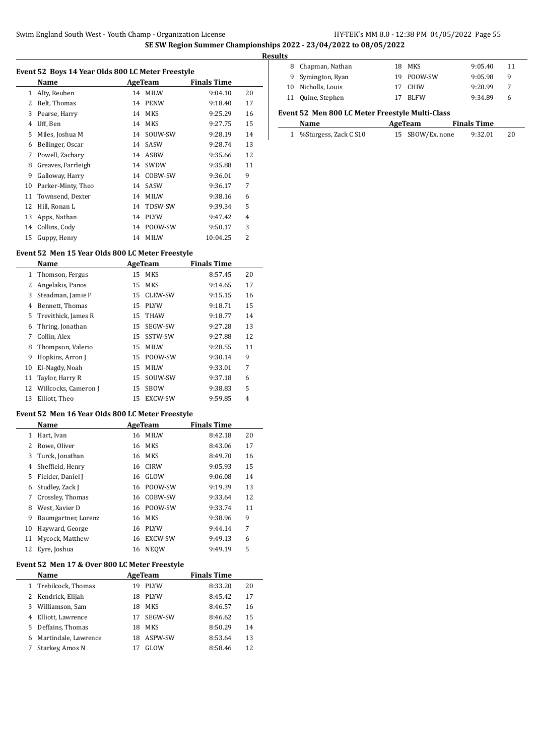| Event 52 Boys 14 Year Olds 800 LC Meter Freestyle |                   |    |            |                    |    |  |
|---------------------------------------------------|-------------------|----|------------|--------------------|----|--|
|                                                   | Name              |    | AgeTeam    | <b>Finals Time</b> |    |  |
|                                                   | 1 Alty, Reuben    | 14 | MILW       | 9:04.10            | 20 |  |
|                                                   | 2 Belt, Thomas    |    | 14 PENW    | 9:18.40            | 17 |  |
|                                                   | 3 Pearse, Harry   |    | 14 MKS     | 9:25.29            | 16 |  |
|                                                   | Uff, Ben          |    | 14 MKS     | 9:27.75            | 15 |  |
|                                                   | 5 Miles, Joshua M |    | 14 SOUW-SW | 9:28.19            | 14 |  |

 Bellinger, Oscar 14 SASW 9:28.74 13 Powell, Zachary 14 ASBW 9:35.66 12 Greaves, Farrleigh 14 SWDW 9:35.88 11 Galloway, Harry 14 COBW-SW 9:36.01 9 Parker-Minty, Theo 14 SASW 9:36.17 7 Townsend, Dexter 14 MILW 9:38.16 6 12 Hill, Ronan L 14 TDSW-SW 9:39.34 5 Apps, Nathan 14 PLYW 9:47.42 4 Collins, Cody 14 POOW-SW 9:50.17 3 Guppy, Henry 14 MILW 10:04.25 2

| <b>Results</b> |                    |    |             |         |    |
|----------------|--------------------|----|-------------|---------|----|
|                | 8 Chapman, Nathan  |    | 18 MKS      | 9:05.40 | 11 |
|                | 9 Symington, Ryan  |    | 19 POOW-SW  | 9:05.98 | 9  |
|                | 10 Nicholls, Louis | 17 | CHIW        | 9:20.99 | 7  |
|                | 11 Quine, Stephen  |    | <b>BLFW</b> | 9:34.89 | 6  |

#### **Event 52 Men 800 LC Meter Freestyle Multi-Class**

| Name                    | AgeTeam          | <b>Finals Time</b> |
|-------------------------|------------------|--------------------|
| 1 %Sturgess, Zack C S10 | 15 SBOW/Ex. none | 9:32.01<br>20      |

### **Event 52 Men 15 Year Olds 800 LC Meter Freestyle**

 $\overline{a}$ 

|    | Name                  |    | AgeTeam        | <b>Finals Time</b> |    |
|----|-----------------------|----|----------------|--------------------|----|
| 1  | Thomson, Fergus       | 15 | <b>MKS</b>     | 8:57.45            | 20 |
| 2  | Angelakis, Panos      | 15 | <b>MKS</b>     | 9:14.65            | 17 |
| 3  | Steadman, Jamie P     | 15 | <b>CLEW-SW</b> | 9:15.15            | 16 |
| 4  | Bennett, Thomas       | 15 | <b>PIYW</b>    | 9:18.71            | 15 |
|    | 5 Trevithick, James R |    | 15 THAW        | 9:18.77            | 14 |
| 6  | Thring, Jonathan      | 15 | SEGW-SW        | 9:27.28            | 13 |
| 7  | Collin, Alex          | 15 | SSTW-SW        | 9:27.88            | 12 |
| 8  | Thompson, Valerio     | 15 | <b>MILW</b>    | 9:28.55            | 11 |
| 9  | Hopkins, Arron J      | 15 | POOW-SW        | 9:30.14            | 9  |
| 10 | El-Nagdy, Noah        | 15 | <b>MILW</b>    | 9:33.01            | 7  |
| 11 | Taylor, Harry R       | 15 | SOUW-SW        | 9:37.18            | 6  |
| 12 | Willcocks, Cameron J  | 15 | <b>SBOW</b>    | 9:38.83            | 5  |
| 13 | Elliott, Theo         | 15 | <b>EXCW-SW</b> | 9:59.85            | 4  |

### **Event 52 Men 16 Year Olds 800 LC Meter Freestyle**

|    | Name                | AgeTeam |                | <b>Finals Time</b> |    |
|----|---------------------|---------|----------------|--------------------|----|
| 1  | Hart, Ivan          | 16      | <b>MILW</b>    | 8:42.18            | 20 |
|    | Rowe, Oliver        | 16      | <b>MKS</b>     | 8:43.06            | 17 |
| 3  | Turck, Jonathan     | 16      | <b>MKS</b>     | 8:49.70            | 16 |
| 4  | Sheffield, Henry    | 16      | <b>CIRW</b>    | 9:05.93            | 15 |
| 5. | Fielder, Daniel J   | 16      | GLOW           | 9:06.08            | 14 |
| 6  | Studley, Zack J     | 16      | POOW-SW        | 9:19.39            | 13 |
| 7  | Crossley, Thomas    | 16      | COBW-SW        | 9:33.64            | 12 |
| 8  | West. Xavier D      | 16      | POOW-SW        | 9:33.74            | 11 |
| 9  | Baumgartner, Lorenz | 16      | MKS            | 9:38.96            | 9  |
| 10 | Hayward, George     | 16      | <b>PLYW</b>    | 9:44.14            | 7  |
| 11 | Mycock, Matthew     | 16      | <b>EXCW-SW</b> | 9:49.13            | 6  |
|    | 12 Eyre, Joshua     | 16      | <b>NEOW</b>    | 9:49.19            | 5  |

#### **Event 52 Men 17 & Over 800 LC Meter Freestyle**

|    | Name                 | AgeTeam |             | <b>Finals Time</b> |    |
|----|----------------------|---------|-------------|--------------------|----|
|    | 1 Trebilcock, Thomas | 19      | <b>PLYW</b> | 8:33.20            | 20 |
|    | 2 Kendrick, Elijah   | 18      | <b>PLYW</b> | 8:45.42            | 17 |
| 3  | Williamson, Sam      | 18      | <b>MKS</b>  | 8:46.57            | 16 |
| 4  | Elliott, Lawrence    | 17      | SEGW-SW     | 8:46.62            | 15 |
| 5. | Deffains, Thomas     | 18      | MKS         | 8:50.29            | 14 |
| 6  | Martindale, Lawrence | 18      | ASPW-SW     | 8:53.64            | 13 |
|    | Starkey, Amos N      |         | GLOW        | 8:58.46            | 12 |